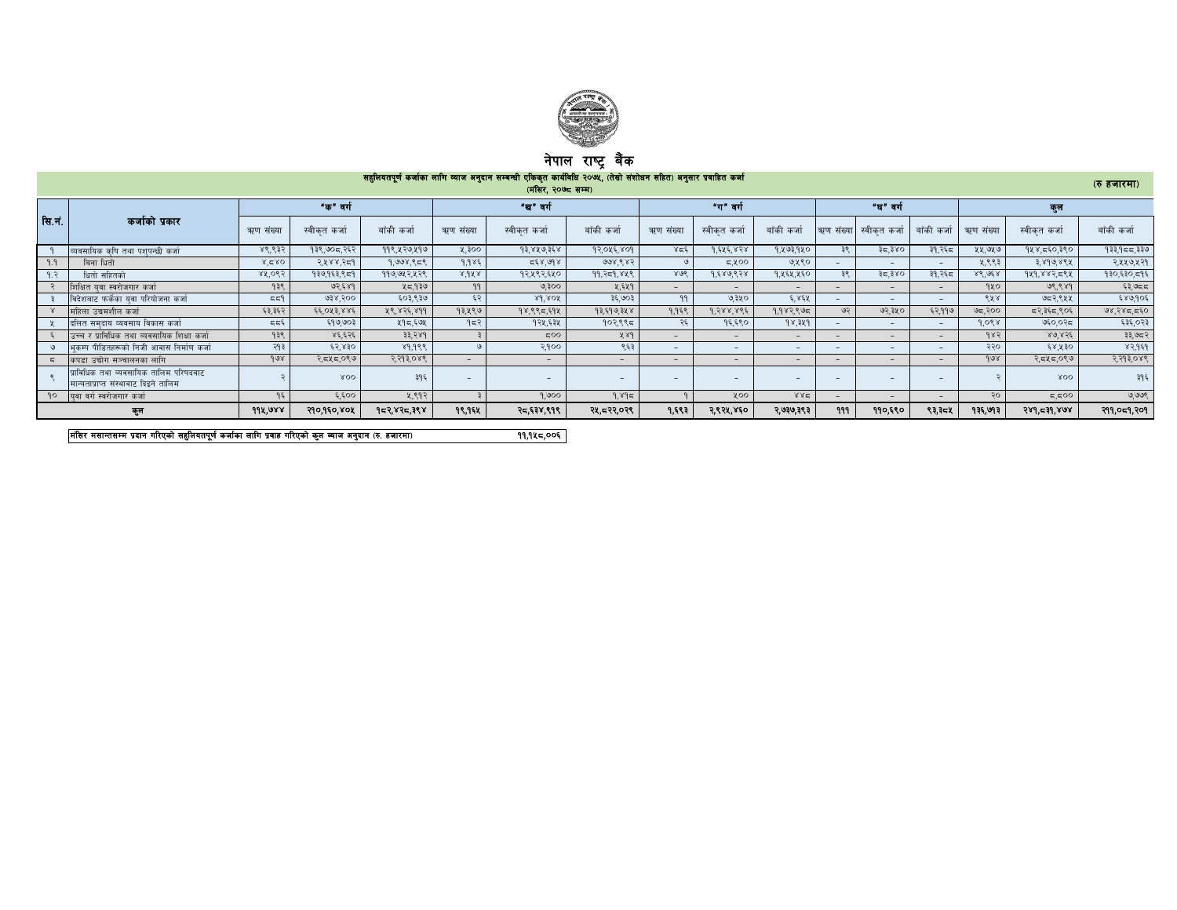

## नपाल राष्ट्र बक

|                | सहूलियतपूर्ण कर्जाका लागि व्याज अनुदान सम्बन्धी एकिकृत कार्यीवधि २०७५, (तेस्रो संशोधन सहित) अनुसार प्रवाहित कर्जा<br>(रु हजारमा)<br>(मंसिर, २०७८ सम्म) |           |              |             |           |                          |                          |           |                          |                          |           |                          |             |           |              |             |
|----------------|--------------------------------------------------------------------------------------------------------------------------------------------------------|-----------|--------------|-------------|-----------|--------------------------|--------------------------|-----------|--------------------------|--------------------------|-----------|--------------------------|-------------|-----------|--------------|-------------|
| सि.नं.         | कर्जाको प्रकार                                                                                                                                         |           | "क" वर्ग     |             |           | "ख" वर्ग                 |                          |           | "ग" वर्ग                 |                          |           | "घ" वर्ग                 |             |           | কল           |             |
|                |                                                                                                                                                        | ऋण संख्या | स्वीकत कर्जा | बाँकी कर्जा | ऋण संख्या | स्वीकत कर्जा             | बाँकी कर्जा              | ऋण संख्या | स्वीकृत कर्जा            | बाँकी कर्जा              | ऋण संख्या | , स्वीकत कर्जा           | बाँकी कर्जा | ऋण संख्या | स्वीकत कर्जा | बाँकी कर्जा |
|                | व्यवसायिक कपि तथा पशपन्छी कर्जा                                                                                                                        | ४९,९३२    | १३९,७०८,२६२  | ११९,५२७,५१७ | 4.300     | १३,४५७,३६४               | 92.045,809               | 358       | 9.525.828                | १,५७३,१५०                | ३९        | ३८,३४०                   | ३१,२६८      | ५५,७५७    | १५४,८६०,३९०  | 933,955,336 |
| 9.9            | बिना धितो                                                                                                                                              | 8.580     | २,५४४,२८१    | 9,998,858   | 9.985     | 568,998                  | 998,883                  |           | 5,400                    | ७,५९०                    |           | $\sim$                   |             | ५.९९३     | ३,४१७,४९५    | २,५५७,५२१   |
| 9. $\tilde{z}$ | धितो सहितको                                                                                                                                            | 88,085    | १३७,१६३,९८१  | ११७,७५२,५२९ | 8.988     | १२,५९२,६५०               | 99. ? 59. 84 8           | 808       | १,६४७,९२४                | १,५६५,५६०                | 35        | ३८,३४०                   | ३१,२६८      | 86.068    | 949,883,594  | १३०,६३०,८१६ |
|                | शिक्षित यवा स्वरोजगार कर्जा                                                                                                                            | १३९       | ७२,६४१       | ५८,१३७      | 99        | ७,३००                    | ५.६५१                    | $\sim$    |                          | $\overline{\phantom{0}}$ |           | $\overline{\phantom{0}}$ |             | १५०       | 98,989       | ६३,७८८      |
|                | विदेशबाट फर्केका यवा परियोजना कर्जा                                                                                                                    | 557       | 938,300      | ६०३,९३७     | ६२        | $8d$ sox                 | ३६,७०३                   | 99        | ७,३५०                    | ६.४६५                    |           | $\sim$                   |             | ९५४       | ७८२,९५५      | ६४७,१०६     |
|                | महिला उद्यमशील कर्जा                                                                                                                                   | ६३,३६२    | ६६,०५३,४४६   | 88.828.899  | १३,५९७    | १४,९९८,६१५               | १३,६१७,३५४               | 9.958     | १.२४४.४९६                | 9.982.895                | ಅನ        | ७२,३५०                   | ६२,११७      | ७८,२००    | दर,३६८,९०६   | 98,285,560  |
|                | दलित समदाय व्यवसाय विकास कर्जा                                                                                                                         | 555       | ६१७,७०३      | ५१८,६७५     | 952       | १२५,६३५                  | १०२,९९८                  | २६        | १६,६९०                   | 98,389                   |           | $\sim$                   |             | 9.098     | ७६०,०२८      | ६३६,०२३     |
|                | उच्च र प्राविधिक तथा व्यवसायिक शिक्षा कर्जा                                                                                                            | १३९       | ४६.६२६       | 33,789      |           | 500                      | ५४१                      |           |                          | $\overline{\phantom{a}}$ |           | $\sim$                   |             | 985       | 80.856       | ३३,७८२      |
|                | भकम्प पीडितहरूको निजी आवास निर्माण कर्जा                                                                                                               | २१३       | ६२,४३०       | 89,999      |           | २,१००                    | ९६३                      | $-$       | $\overline{\phantom{0}}$ | $\overline{\phantom{0}}$ |           | $\sim$                   |             | २२०       | ६४,५३०       | 83,959      |
|                | कपडा उद्योग सञ्चालनका लागि                                                                                                                             | 908       | २,द५द,०९७    | २,२१३,०४९   | $-$       | $\sim$                   | $\sim$                   | $-$       | $\sim$ .                 | $\sim$                   |           | $\sim$                   |             | 908       | २,द५द,०९७    | २,२१३,०४९   |
|                | प्राविधिक तथा व्यवसायिक तालिम परिषदबाट<br>मान्यताप्राप्त संस्थाबाट दिइने तालिम                                                                         |           | XOO          | ३१६         |           | $\overline{\phantom{a}}$ | $\overline{\phantom{0}}$ |           |                          |                          |           | -                        |             |           | XOO          | ३१६         |
|                | <b>१० विवा वर्ग स्वरोजगार कर्जा</b>                                                                                                                    | १६        | ६,६००        | ५.९१२       |           | 9,900                    | 9.895                    |           | ५००                      | 882                      |           | $-$                      |             | २०        | ದ,ದ೦೦        | ७,७७९       |
|                | कुल                                                                                                                                                    | 998.088   | २१०,१६०,४०५  | १८२,४२८,३९४ | १९,१६४    | २८,६३४,९१९               | २५,८२२,०२९               | 9,883     | २,९२४,४६०                | २,७३७,३९३                | 999       | ११०,६९०                  | ९३,३८४      | १३६,७१३   | $524 - 56$   | २११,०८१,२०१ |

d+l;/ d;fGt;Dd k|bfg ul/Psf] ;x'lnotk"0f{ shf{sf nflu k|jfx ul/Psf] s'n Aofh cg'bfg -?= xhf/df\_ 11,158,006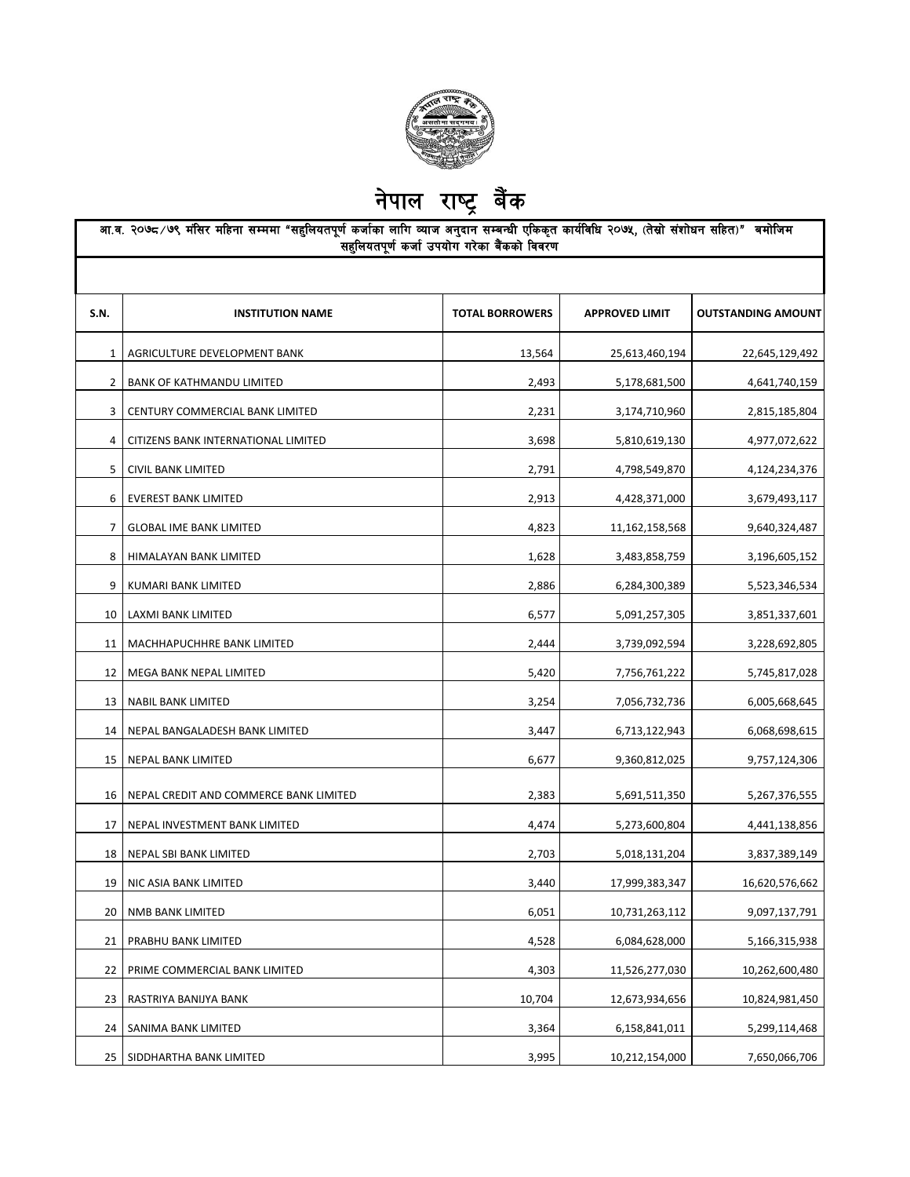

नेपाल राष्ट्र बैंक

|              | आ.व. २०७८ ∕ ७९ मंसिर महिना सम्ममा "सहुलियतपूर्ण कर्जाका लागि व्याज अनुदान सम्बन्धी एकिकृत कार्यविधि २०७५, (तेस्रो संशोधन सहित)" बमोजिम<br>.<br>सहुलियतपूर्ण कर्जा उपयोग गरेका बैंकको विवरण |                        |                       |                           |  |  |
|--------------|--------------------------------------------------------------------------------------------------------------------------------------------------------------------------------------------|------------------------|-----------------------|---------------------------|--|--|
| S.N.         | <b>INSTITUTION NAME</b>                                                                                                                                                                    | <b>TOTAL BORROWERS</b> | <b>APPROVED LIMIT</b> | <b>OUTSTANDING AMOUNT</b> |  |  |
| $\mathbf{1}$ | AGRICULTURE DEVELOPMENT BANK                                                                                                                                                               | 13,564                 | 25,613,460,194        | 22,645,129,492            |  |  |
| $\mathbf{2}$ | BANK OF KATHMANDU LIMITED                                                                                                                                                                  | 2,493                  | 5,178,681,500         | 4,641,740,159             |  |  |
| 3            | CENTURY COMMERCIAL BANK LIMITED                                                                                                                                                            | 2,231                  | 3,174,710,960         | 2,815,185,804             |  |  |
| 4            | CITIZENS BANK INTERNATIONAL LIMITED                                                                                                                                                        | 3,698                  | 5,810,619,130         | 4,977,072,622             |  |  |
| 5            | CIVIL BANK LIMITED                                                                                                                                                                         | 2,791                  | 4,798,549,870         | 4,124,234,376             |  |  |
| 6            | <b>EVEREST BANK LIMITED</b>                                                                                                                                                                | 2,913                  | 4,428,371,000         | 3,679,493,117             |  |  |
| 7            | <b>GLOBAL IME BANK LIMITED</b>                                                                                                                                                             | 4,823                  | 11,162,158,568        | 9,640,324,487             |  |  |
| 8            | HIMALAYAN BANK LIMITED                                                                                                                                                                     | 1,628                  | 3,483,858,759         | 3,196,605,152             |  |  |
| 9            | KUMARI BANK LIMITED                                                                                                                                                                        | 2,886                  | 6,284,300,389         | 5,523,346,534             |  |  |
| 10           | LAXMI BANK LIMITED                                                                                                                                                                         | 6,577                  | 5,091,257,305         | 3,851,337,601             |  |  |
| 11           | MACHHAPUCHHRE BANK LIMITED                                                                                                                                                                 | 2,444                  | 3,739,092,594         | 3,228,692,805             |  |  |
| 12           | MEGA BANK NEPAL LIMITED                                                                                                                                                                    | 5,420                  | 7,756,761,222         | 5,745,817,028             |  |  |
| 13           | <b>NABIL BANK LIMITED</b>                                                                                                                                                                  | 3,254                  | 7,056,732,736         | 6,005,668,645             |  |  |
| 14           | NEPAL BANGALADESH BANK LIMITED                                                                                                                                                             | 3,447                  | 6,713,122,943         | 6,068,698,615             |  |  |
| 15           | NEPAL BANK LIMITED                                                                                                                                                                         | 6,677                  | 9,360,812,025         | 9,757,124,306             |  |  |
| 16           | NEPAL CREDIT AND COMMERCE BANK LIMITED                                                                                                                                                     | 2,383                  | 5,691,511,350         | 5,267,376,555             |  |  |
| 17           | NEPAL INVESTMENT BANK LIMITED                                                                                                                                                              | 4,474                  | 5,273,600,804         | 4,441,138,856             |  |  |
| 18           | NEPAL SBI BANK LIMITED                                                                                                                                                                     | 2,703                  | 5,018,131,204         | 3,837,389,149             |  |  |
|              | 19   NIC ASIA BANK LIMITED                                                                                                                                                                 | 3,440                  | 17,999,383,347        | 16,620,576,662            |  |  |
| 20           | NMB BANK LIMITED                                                                                                                                                                           | 6,051                  | 10,731,263,112        | 9,097,137,791             |  |  |
| 21           | PRABHU BANK LIMITED                                                                                                                                                                        | 4,528                  | 6,084,628,000         | 5,166,315,938             |  |  |
| 22           | PRIME COMMERCIAL BANK LIMITED                                                                                                                                                              | 4,303                  | 11,526,277,030        | 10,262,600,480            |  |  |
| 23           | RASTRIYA BANIJYA BANK                                                                                                                                                                      | 10,704                 | 12,673,934,656        | 10,824,981,450            |  |  |
| 24           | SANIMA BANK LIMITED                                                                                                                                                                        | 3,364                  | 6,158,841,011         | 5,299,114,468             |  |  |
| 25           | SIDDHARTHA BANK LIMITED                                                                                                                                                                    | 3,995                  | 10,212,154,000        | 7,650,066,706             |  |  |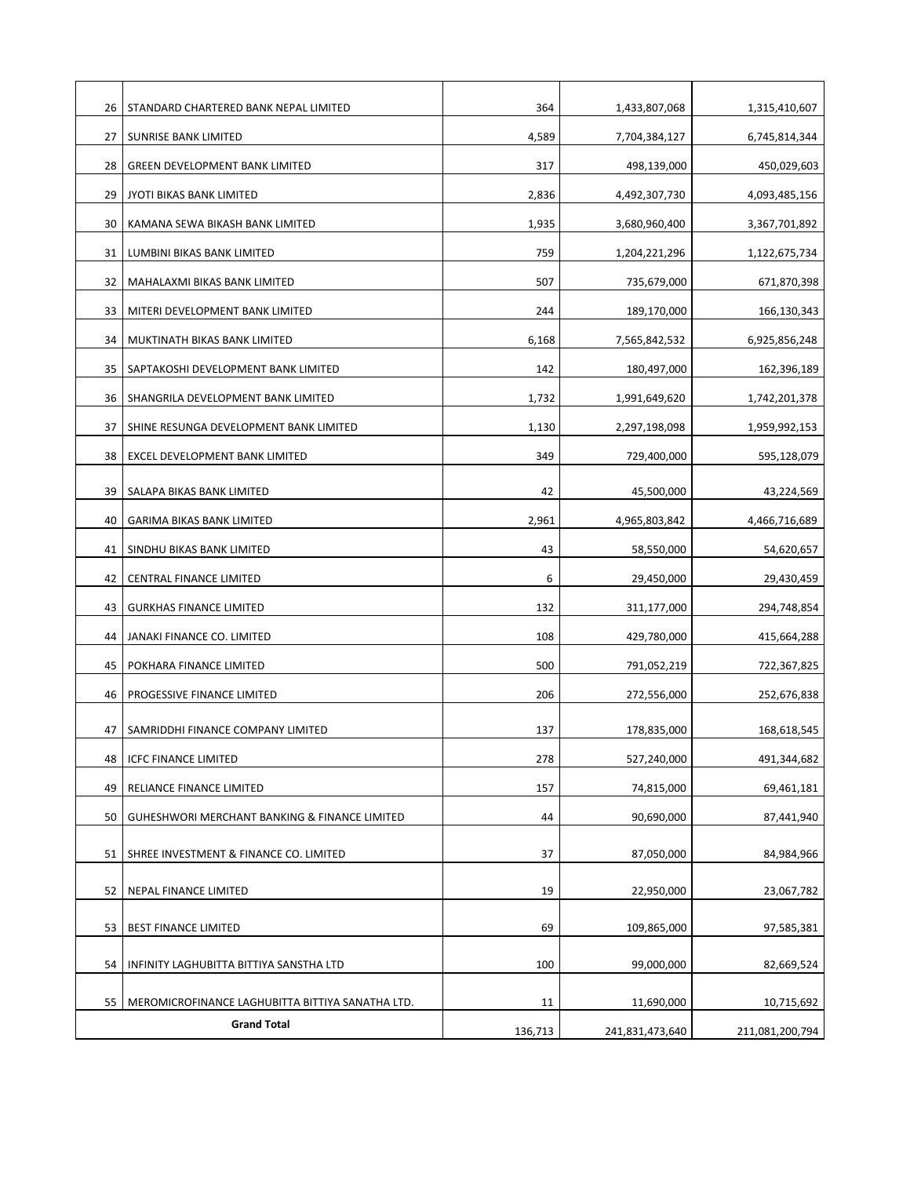| 26 | STANDARD CHARTERED BANK NEPAL LIMITED                                  | 364     | 1,433,807,068   | 1,315,410,607   |
|----|------------------------------------------------------------------------|---------|-----------------|-----------------|
| 27 | <b>SUNRISE BANK LIMITED</b>                                            | 4,589   | 7,704,384,127   | 6,745,814,344   |
| 28 | <b>GREEN DEVELOPMENT BANK LIMITED</b>                                  | 317     | 498,139,000     | 450,029,603     |
| 29 | JYOTI BIKAS BANK LIMITED                                               | 2,836   | 4,492,307,730   | 4,093,485,156   |
| 30 | KAMANA SEWA BIKASH BANK LIMITED                                        | 1,935   | 3,680,960,400   | 3,367,701,892   |
| 31 | LUMBINI BIKAS BANK LIMITED                                             | 759     | 1,204,221,296   | 1,122,675,734   |
| 32 | MAHALAXMI BIKAS BANK LIMITED                                           | 507     | 735,679,000     | 671,870,398     |
| 33 | MITERI DEVELOPMENT BANK LIMITED                                        | 244     | 189,170,000     | 166,130,343     |
| 34 | MUKTINATH BIKAS BANK LIMITED                                           | 6,168   | 7,565,842,532   | 6,925,856,248   |
| 35 | SAPTAKOSHI DEVELOPMENT BANK LIMITED                                    | 142     | 180,497,000     | 162,396,189     |
| 36 | SHANGRILA DEVELOPMENT BANK LIMITED                                     | 1,732   | 1,991,649,620   | 1,742,201,378   |
| 37 | SHINE RESUNGA DEVELOPMENT BANK LIMITED                                 | 1,130   | 2,297,198,098   | 1,959,992,153   |
| 38 | EXCEL DEVELOPMENT BANK LIMITED                                         | 349     | 729,400,000     | 595,128,079     |
| 39 | SALAPA BIKAS BANK LIMITED                                              | 42      | 45,500,000      | 43,224,569      |
| 40 | <b>GARIMA BIKAS BANK LIMITED</b>                                       | 2,961   | 4,965,803,842   | 4,466,716,689   |
| 41 | SINDHU BIKAS BANK LIMITED                                              | 43      | 58,550,000      | 54,620,657      |
| 42 | CENTRAL FINANCE LIMITED                                                | 6       | 29,450,000      | 29,430,459      |
| 43 | <b>GURKHAS FINANCE LIMITED</b>                                         | 132     | 311,177,000     | 294,748,854     |
| 44 | JANAKI FINANCE CO. LIMITED                                             | 108     | 429,780,000     | 415,664,288     |
| 45 | POKHARA FINANCE LIMITED                                                | 500     | 791,052,219     | 722,367,825     |
| 46 | PROGESSIVE FINANCE LIMITED                                             | 206     | 272,556,000     | 252,676,838     |
| 47 | SAMRIDDHI FINANCE COMPANY LIMITED                                      | 137     | 178,835,000     | 168,618,545     |
| 48 | <b>ICFC FINANCE LIMITED</b>                                            | 278     | 527,240,000     | 491,344,682     |
| 49 | RELIANCE FINANCE LIMITED                                               | 157     | 74,815,000      | 69,461,181      |
| 50 | GUHESHWORI MERCHANT BANKING & FINANCE LIMITED                          | 44      | 90,690,000      | 87,441,940      |
|    |                                                                        |         |                 |                 |
| 51 | SHREE INVESTMENT & FINANCE CO. LIMITED                                 | 37      | 87,050,000      | 84,984,966      |
| 52 | NEPAL FINANCE LIMITED                                                  | 19      | 22,950,000      | 23,067,782      |
| 53 | BEST FINANCE LIMITED                                                   | 69      | 109,865,000     | 97,585,381      |
| 54 | INFINITY LAGHUBITTA BITTIYA SANSTHA LTD                                | 100     | 99,000,000      | 82,669,524      |
|    |                                                                        |         |                 |                 |
| 55 | MEROMICROFINANCE LAGHUBITTA BITTIYA SANATHA LTD.<br><b>Grand Total</b> | 11      | 11,690,000      | 10,715,692      |
|    |                                                                        | 136,713 | 241,831,473,640 | 211,081,200,794 |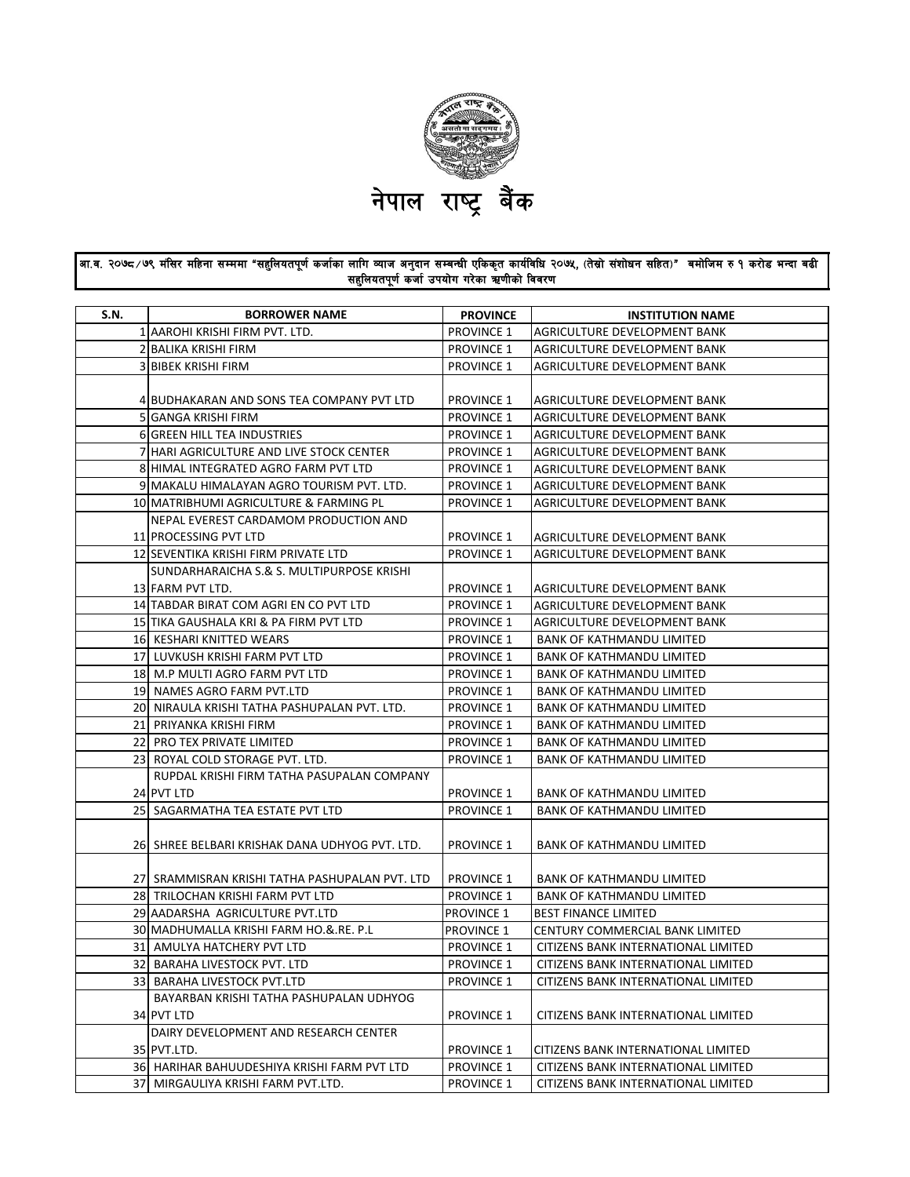

## आ.व. २०७८ ⁄७९ मंसिर महिना सम्ममा "सहुलियतपूर्ण कर्जाका लागि व्याज अनुदान सम्बन्धी एकिकृत कार्यविधि २०७५, (तेस्रो संगोधन सहित)" बमोजिम रु १ करोड भन्दा बढी सहुलियतपूर्ण कर्जा उपयोग गरेका ऋणीको विवरण

| S.N. | <b>BORROWER NAME</b>                            | <b>PROVINCE</b>   | <b>INSTITUTION NAME</b>             |
|------|-------------------------------------------------|-------------------|-------------------------------------|
|      | 1 AAROHI KRISHI FIRM PVT. LTD.                  | <b>PROVINCE 1</b> | AGRICULTURE DEVELOPMENT BANK        |
|      | 2 BALIKA KRISHI FIRM                            | <b>PROVINCE 1</b> | AGRICULTURE DEVELOPMENT BANK        |
|      | 3 BIBEK KRISHI FIRM                             | <b>PROVINCE 1</b> | AGRICULTURE DEVELOPMENT BANK        |
|      |                                                 |                   |                                     |
|      | 4 BUDHAKARAN AND SONS TEA COMPANY PVT LTD       | <b>PROVINCE 1</b> | AGRICULTURE DEVELOPMENT BANK        |
|      | 5 GANGA KRISHI FIRM                             | <b>PROVINCE 1</b> | AGRICULTURE DEVELOPMENT BANK        |
|      | 6 GREEN HILL TEA INDUSTRIES                     | <b>PROVINCE 1</b> | AGRICULTURE DEVELOPMENT BANK        |
|      | 7 HARI AGRICULTURE AND LIVE STOCK CENTER        | <b>PROVINCE 1</b> | AGRICULTURE DEVELOPMENT BANK        |
|      | 8 HIMAL INTEGRATED AGRO FARM PVT LTD            | <b>PROVINCE 1</b> | AGRICULTURE DEVELOPMENT BANK        |
|      | 9 MAKALU HIMALAYAN AGRO TOURISM PVT. LTD.       | <b>PROVINCE 1</b> | AGRICULTURE DEVELOPMENT BANK        |
|      | 10 MATRIBHUMI AGRICULTURE & FARMING PL          | <b>PROVINCE 1</b> | AGRICULTURE DEVELOPMENT BANK        |
|      | NEPAL EVEREST CARDAMOM PRODUCTION AND           |                   |                                     |
|      | 11 PROCESSING PVT LTD                           | <b>PROVINCE 1</b> | AGRICULTURE DEVELOPMENT BANK        |
|      | 12 SEVENTIKA KRISHI FIRM PRIVATE LTD            | <b>PROVINCE 1</b> | AGRICULTURE DEVELOPMENT BANK        |
|      | SUNDARHARAICHA S.& S. MULTIPURPOSE KRISHI       |                   |                                     |
|      | 13 FARM PVT LTD.                                | <b>PROVINCE 1</b> | AGRICULTURE DEVELOPMENT BANK        |
|      | 14 TABDAR BIRAT COM AGRI EN CO PVT LTD          | <b>PROVINCE 1</b> | AGRICULTURE DEVELOPMENT BANK        |
|      | 15 TIKA GAUSHALA KRI & PA FIRM PVT LTD          | <b>PROVINCE 1</b> | AGRICULTURE DEVELOPMENT BANK        |
|      | 16 KESHARI KNITTED WEARS                        | <b>PROVINCE 1</b> | <b>BANK OF KATHMANDU LIMITED</b>    |
|      | 17 LUVKUSH KRISHI FARM PVT LTD                  | <b>PROVINCE 1</b> | <b>BANK OF KATHMANDU LIMITED</b>    |
|      | 18 M.P MULTI AGRO FARM PVT LTD                  | <b>PROVINCE 1</b> | <b>BANK OF KATHMANDU LIMITED</b>    |
|      | 19 NAMES AGRO FARM PVT.LTD                      | <b>PROVINCE 1</b> | <b>BANK OF KATHMANDU LIMITED</b>    |
|      | 20 NIRAULA KRISHI TATHA PASHUPALAN PVT. LTD.    | <b>PROVINCE 1</b> | <b>BANK OF KATHMANDU LIMITED</b>    |
|      | 21 PRIYANKA KRISHI FIRM                         | <b>PROVINCE 1</b> | <b>BANK OF KATHMANDU LIMITED</b>    |
|      | 22 PRO TEX PRIVATE LIMITED                      | <b>PROVINCE 1</b> | <b>BANK OF KATHMANDU LIMITED</b>    |
|      | 23 ROYAL COLD STORAGE PVT. LTD.                 | <b>PROVINCE 1</b> | <b>BANK OF KATHMANDU LIMITED</b>    |
|      | RUPDAL KRISHI FIRM TATHA PASUPALAN COMPANY      |                   |                                     |
|      | 24 PVT LTD                                      | <b>PROVINCE 1</b> | <b>BANK OF KATHMANDU LIMITED</b>    |
|      | 25 SAGARMATHA TEA ESTATE PVT LTD                | <b>PROVINCE 1</b> | BANK OF KATHMANDU LIMITED           |
|      | 26  SHREE BELBARI KRISHAK DANA UDHYOG PVT. LTD. | <b>PROVINCE 1</b> | BANK OF KATHMANDU LIMITED           |
|      | 27  SRAMMISRAN KRISHI TATHA PASHUPALAN PVT. LTD | <b>PROVINCE 1</b> | BANK OF KATHMANDU LIMITED           |
|      | 28 TRILOCHAN KRISHI FARM PVT LTD                | <b>PROVINCE 1</b> | <b>BANK OF KATHMANDU LIMITED</b>    |
|      | 29 AADARSHA AGRICULTURE PVT.LTD                 | <b>PROVINCE 1</b> | <b>BEST FINANCE LIMITED</b>         |
|      | 30 MADHUMALLA KRISHI FARM HO.&.RE. P.L          | <b>PROVINCE 1</b> | CENTURY COMMERCIAL BANK LIMITED     |
|      | 31 AMULYA HATCHERY PVT LTD                      | <b>PROVINCE 1</b> | CITIZENS BANK INTERNATIONAL LIMITED |
|      | 32 BARAHA LIVESTOCK PVT. LTD                    | <b>PROVINCE 1</b> | CITIZENS BANK INTERNATIONAL LIMITED |
|      | 33 BARAHA LIVESTOCK PVT.LTD                     | <b>PROVINCE 1</b> | CITIZENS BANK INTERNATIONAL LIMITED |
|      | BAYARBAN KRISHI TATHA PASHUPALAN UDHYOG         |                   |                                     |
|      | 34 PVT LTD                                      | <b>PROVINCE 1</b> | CITIZENS BANK INTERNATIONAL LIMITED |
|      | DAIRY DEVELOPMENT AND RESEARCH CENTER           |                   |                                     |
|      | 35 PVT.LTD.                                     | <b>PROVINCE 1</b> | CITIZENS BANK INTERNATIONAL LIMITED |
|      | 36 HARIHAR BAHUUDESHIYA KRISHI FARM PVT LTD     | <b>PROVINCE 1</b> | CITIZENS BANK INTERNATIONAL LIMITED |
|      | 37 MIRGAULIYA KRISHI FARM PVT.LTD.              | <b>PROVINCE 1</b> | CITIZENS BANK INTERNATIONAL LIMITED |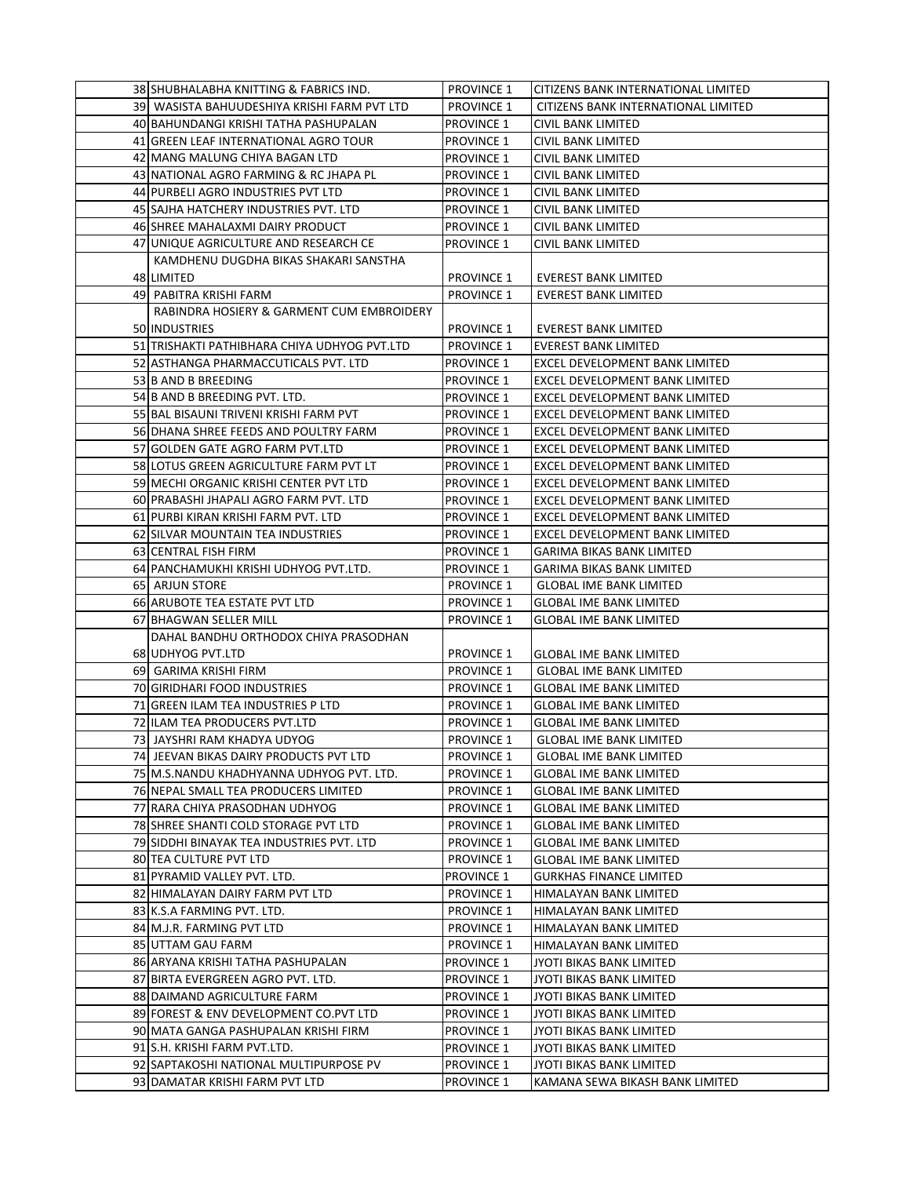| 38 SHUBHALABHA KNITTING & FABRICS IND.                      | <b>PROVINCE 1</b>                      | <b>CITIZENS BANK INTERNATIONAL LIMITED</b>                              |
|-------------------------------------------------------------|----------------------------------------|-------------------------------------------------------------------------|
| 39 WASISTA BAHUUDESHIYA KRISHI FARM PVT LTD                 | <b>PROVINCE 1</b>                      | CITIZENS BANK INTERNATIONAL LIMITED                                     |
| 40 BAHUNDANGI KRISHI TATHA PASHUPALAN                       | <b>PROVINCE 1</b>                      | CIVIL BANK LIMITED                                                      |
| 41 GREEN LEAF INTERNATIONAL AGRO TOUR                       | <b>PROVINCE 1</b>                      | CIVIL BANK LIMITED                                                      |
| 42 MANG MALUNG CHIYA BAGAN LTD                              | <b>PROVINCE 1</b>                      | CIVIL BANK LIMITED                                                      |
| 43 NATIONAL AGRO FARMING & RC JHAPA PL                      | <b>PROVINCE 1</b>                      | <b>CIVIL BANK LIMITED</b>                                               |
| 44 PURBELI AGRO INDUSTRIES PVT LTD                          | <b>PROVINCE 1</b>                      | CIVIL BANK LIMITED                                                      |
| 45 SAJHA HATCHERY INDUSTRIES PVT. LTD                       | <b>PROVINCE 1</b>                      | CIVIL BANK LIMITED                                                      |
| 46 SHREE MAHALAXMI DAIRY PRODUCT                            | <b>PROVINCE 1</b>                      | CIVIL BANK LIMITED                                                      |
| 47 UNIQUE AGRICULTURE AND RESEARCH CE                       | PROVINCE 1                             | CIVIL BANK LIMITED                                                      |
| KAMDHENU DUGDHA BIKAS SHAKARI SANSTHA                       |                                        |                                                                         |
| 48 LIMITED                                                  | <b>PROVINCE 1</b>                      | EVEREST BANK LIMITED                                                    |
| 49 PABITRA KRISHI FARM                                      | <b>PROVINCE 1</b>                      | <b>EVEREST BANK LIMITED</b>                                             |
| RABINDRA HOSIERY & GARMENT CUM EMBROIDERY                   |                                        |                                                                         |
| 50 INDUSTRIES                                               | <b>PROVINCE 1</b>                      | EVEREST BANK LIMITED                                                    |
|                                                             | <b>PROVINCE 1</b>                      | <b>EVEREST BANK LIMITED</b>                                             |
| 51 TRISHAKTI PATHIBHARA CHIYA UDHYOG PVT.LTD                |                                        |                                                                         |
| 52 ASTHANGA PHARMACCUTICALS PVT. LTD<br>53 B AND B BREEDING | <b>PROVINCE 1</b>                      | EXCEL DEVELOPMENT BANK LIMITED<br><b>EXCEL DEVELOPMENT BANK LIMITED</b> |
|                                                             | <b>PROVINCE 1</b>                      |                                                                         |
| 54 B AND B BREEDING PVT. LTD.                               | <b>PROVINCE 1</b>                      | EXCEL DEVELOPMENT BANK LIMITED                                          |
| 55 BAL BISAUNI TRIVENI KRISHI FARM PVT                      | <b>PROVINCE 1</b>                      | <b>EXCEL DEVELOPMENT BANK LIMITED</b>                                   |
| 56 DHANA SHREE FEEDS AND POULTRY FARM                       | <b>PROVINCE 1</b>                      | EXCEL DEVELOPMENT BANK LIMITED                                          |
| 57 GOLDEN GATE AGRO FARM PVT.LTD                            | PROVINCE 1                             | EXCEL DEVELOPMENT BANK LIMITED                                          |
| 58 LOTUS GREEN AGRICULTURE FARM PVT LT                      | PROVINCE 1                             | EXCEL DEVELOPMENT BANK LIMITED                                          |
| 59 MECHI ORGANIC KRISHI CENTER PVT LTD                      | <b>PROVINCE 1</b>                      | EXCEL DEVELOPMENT BANK LIMITED                                          |
| 60 PRABASHI JHAPALI AGRO FARM PVT. LTD                      | <b>PROVINCE 1</b>                      | EXCEL DEVELOPMENT BANK LIMITED                                          |
| 61 PURBI KIRAN KRISHI FARM PVT. LTD                         | PROVINCE 1                             | EXCEL DEVELOPMENT BANK LIMITED                                          |
| 62 SILVAR MOUNTAIN TEA INDUSTRIES                           | <b>PROVINCE 1</b>                      | EXCEL DEVELOPMENT BANK LIMITED                                          |
| 63 CENTRAL FISH FIRM                                        | <b>PROVINCE 1</b>                      | <b>GARIMA BIKAS BANK LIMITED</b>                                        |
| 64 PANCHAMUKHI KRISHI UDHYOG PVT.LTD.                       | <b>PROVINCE 1</b>                      | GARIMA BIKAS BANK LIMITED                                               |
| 65 ARJUN STORE<br>66 ARUBOTE TEA ESTATE PVT LTD             | <b>PROVINCE 1</b><br><b>PROVINCE 1</b> | <b>GLOBAL IME BANK LIMITED</b><br><b>GLOBAL IME BANK LIMITED</b>        |
| 67 BHAGWAN SELLER MILL                                      | <b>PROVINCE 1</b>                      | <b>GLOBAL IME BANK LIMITED</b>                                          |
| DAHAL BANDHU ORTHODOX CHIYA PRASODHAN                       |                                        |                                                                         |
| 68 UDHYOG PVT.LTD                                           | <b>PROVINCE 1</b>                      | <b>GLOBAL IME BANK LIMITED</b>                                          |
| 69 GARIMA KRISHI FIRM                                       | <b>PROVINCE 1</b>                      | <b>GLOBAL IME BANK LIMITED</b>                                          |
| 70 GIRIDHARI FOOD INDUSTRIES                                | <b>PROVINCE 1</b>                      | <b>GLOBAL IME BANK LIMITED</b>                                          |
| 71 GREEN ILAM TEA INDUSTRIES P LTD                          | <b>PROVINCE 1</b>                      | <b>GLOBAL IME BANK LIMITED</b>                                          |
| 72 ILAM TEA PRODUCERS PVT.LTD                               | <b>PROVINCE 1</b>                      | <b>GLOBAL IME BANK LIMITED</b>                                          |
| 73 JAYSHRI RAM KHADYA UDYOG                                 | <b>PROVINCE 1</b>                      | <b>GLOBAL IME BANK LIMITED</b>                                          |
| 74 JEEVAN BIKAS DAIRY PRODUCTS PVT LTD                      | <b>PROVINCE 1</b>                      | <b>GLOBAL IME BANK LIMITED</b>                                          |
| 75 M.S.NANDU KHADHYANNA UDHYOG PVT. LTD.                    | <b>PROVINCE 1</b>                      | <b>GLOBAL IME BANK LIMITED</b>                                          |
| 76 NEPAL SMALL TEA PRODUCERS LIMITED                        | <b>PROVINCE 1</b>                      | <b>GLOBAL IME BANK LIMITED</b>                                          |
| 77 RARA CHIYA PRASODHAN UDHYOG                              | <b>PROVINCE 1</b>                      | <b>GLOBAL IME BANK LIMITED</b>                                          |
| 78 SHREE SHANTI COLD STORAGE PVT LTD                        | <b>PROVINCE 1</b>                      | <b>GLOBAL IME BANK LIMITED</b>                                          |
| 79 SIDDHI BINAYAK TEA INDUSTRIES PVT. LTD                   | <b>PROVINCE 1</b>                      | <b>GLOBAL IME BANK LIMITED</b>                                          |
| 80 TEA CULTURE PVT LTD                                      | <b>PROVINCE 1</b>                      | <b>GLOBAL IME BANK LIMITED</b>                                          |
| 81 PYRAMID VALLEY PVT. LTD.                                 | PROVINCE 1                             | <b>GURKHAS FINANCE LIMITED</b>                                          |
| 82 HIMALAYAN DAIRY FARM PVT LTD                             | <b>PROVINCE 1</b>                      | HIMALAYAN BANK LIMITED                                                  |
| 83 K.S.A FARMING PVT. LTD.                                  | <b>PROVINCE 1</b>                      | HIMALAYAN BANK LIMITED                                                  |
| 84 M.J.R. FARMING PVT LTD                                   | <b>PROVINCE 1</b>                      | HIMALAYAN BANK LIMITED                                                  |
| 85 UTTAM GAU FARM                                           | <b>PROVINCE 1</b>                      | HIMALAYAN BANK LIMITED                                                  |
| 86 ARYANA KRISHI TATHA PASHUPALAN                           | <b>PROVINCE 1</b>                      | JYOTI BIKAS BANK LIMITED                                                |
| 87 BIRTA EVERGREEN AGRO PVT. LTD.                           | <b>PROVINCE 1</b>                      | JYOTI BIKAS BANK LIMITED                                                |
| 88 DAIMAND AGRICULTURE FARM                                 | <b>PROVINCE 1</b>                      | JYOTI BIKAS BANK LIMITED                                                |
| 89 FOREST & ENV DEVELOPMENT CO.PVT LTD                      | <b>PROVINCE 1</b>                      | JYOTI BIKAS BANK LIMITED                                                |
| 90 MATA GANGA PASHUPALAN KRISHI FIRM                        | PROVINCE 1                             | JYOTI BIKAS BANK LIMITED                                                |
| 91 S.H. KRISHI FARM PVT.LTD.                                | <b>PROVINCE 1</b>                      | JYOTI BIKAS BANK LIMITED                                                |
| 92 SAPTAKOSHI NATIONAL MULTIPURPOSE PV                      | <b>PROVINCE 1</b>                      | JYOTI BIKAS BANK LIMITED                                                |
| 93 DAMATAR KRISHI FARM PVT LTD                              | <b>PROVINCE 1</b>                      | KAMANA SEWA BIKASH BANK LIMITED                                         |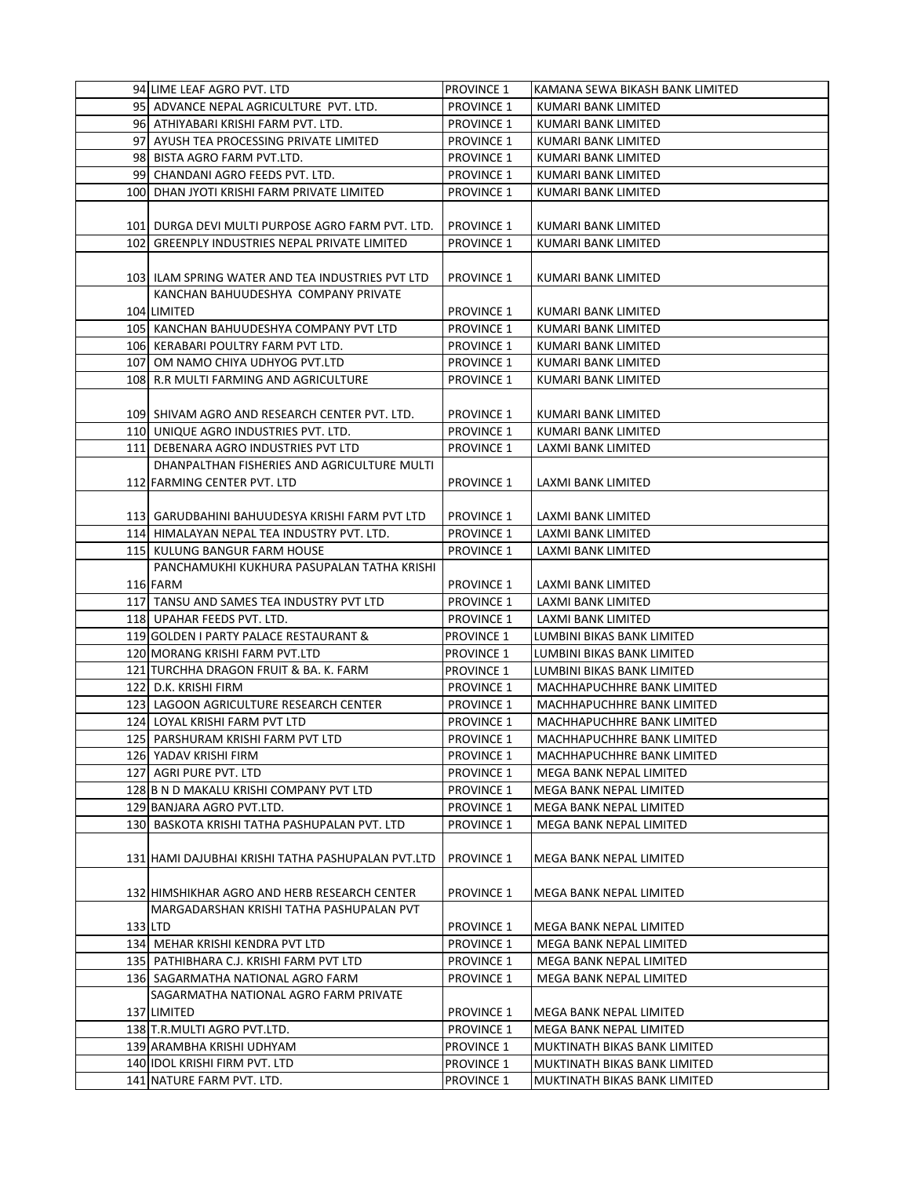|         | 94 LIME LEAF AGRO PVT. LTD                             | <b>PROVINCE 1</b> | KAMANA SEWA BIKASH BANK LIMITED |
|---------|--------------------------------------------------------|-------------------|---------------------------------|
|         | 95 ADVANCE NEPAL AGRICULTURE PVT. LTD.                 | <b>PROVINCE 1</b> | KUMARI BANK LIMITED             |
|         | 96 ATHIYABARI KRISHI FARM PVT. LTD.                    | <b>PROVINCE 1</b> | KUMARI BANK LIMITED             |
|         | 97 AYUSH TEA PROCESSING PRIVATE LIMITED                | <b>PROVINCE 1</b> | KUMARI BANK LIMITED             |
|         | 98 BISTA AGRO FARM PVT.LTD.                            | <b>PROVINCE 1</b> | KUMARI BANK LIMITED             |
|         | 99 CHANDANI AGRO FEEDS PVT. LTD.                       | <b>PROVINCE 1</b> | KUMARI BANK LIMITED             |
|         | 100 DHAN JYOTI KRISHI FARM PRIVATE LIMITED             | <b>PROVINCE 1</b> | KUMARI BANK LIMITED             |
|         |                                                        |                   |                                 |
|         |                                                        |                   |                                 |
|         | 101 DURGA DEVI MULTI PURPOSE AGRO FARM PVT. LTD.       | <b>PROVINCE 1</b> | KUMARI BANK LIMITED             |
|         | 102 GREENPLY INDUSTRIES NEPAL PRIVATE LIMITED          | <b>PROVINCE 1</b> | KUMARI BANK LIMITED             |
|         |                                                        |                   |                                 |
|         | 103 ILAM SPRING WATER AND TEA INDUSTRIES PVT LTD       | <b>PROVINCE 1</b> | KUMARI BANK LIMITED             |
|         | KANCHAN BAHUUDESHYA COMPANY PRIVATE                    |                   |                                 |
|         | 104 LIMITED                                            | <b>PROVINCE 1</b> | KUMARI BANK LIMITED             |
|         | 105 KANCHAN BAHUUDESHYA COMPANY PVT LTD                | <b>PROVINCE 1</b> | KUMARI BANK LIMITED             |
|         | 106 KERABARI POULTRY FARM PVT LTD.                     | <b>PROVINCE 1</b> | KUMARI BANK LIMITED             |
|         | 107   OM NAMO CHIYA UDHYOG PVT.LTD                     | <b>PROVINCE 1</b> | KUMARI BANK LIMITED             |
|         | 108 R.R MULTI FARMING AND AGRICULTURE                  | <b>PROVINCE 1</b> | KUMARI BANK LIMITED             |
|         |                                                        |                   |                                 |
|         | 109 SHIVAM AGRO AND RESEARCH CENTER PVT. LTD.          | <b>PROVINCE 1</b> | KUMARI BANK LIMITED             |
|         | 110 UNIQUE AGRO INDUSTRIES PVT. LTD.                   | <b>PROVINCE 1</b> | KUMARI BANK LIMITED             |
|         | 111 DEBENARA AGRO INDUSTRIES PVT LTD                   | <b>PROVINCE 1</b> | LAXMI BANK LIMITED              |
|         | DHANPALTHAN FISHERIES AND AGRICULTURE MULTI            |                   |                                 |
|         | 112 FARMING CENTER PVT. LTD                            | <b>PROVINCE 1</b> | LAXMI BANK LIMITED              |
|         |                                                        |                   |                                 |
|         | 113  GARUDBAHINI BAHUUDESYA KRISHI FARM PVT LTD        | <b>PROVINCE 1</b> | LAXMI BANK LIMITED              |
|         | 114 HIMALAYAN NEPAL TEA INDUSTRY PVT. LTD.             | <b>PROVINCE 1</b> | LAXMI BANK LIMITED              |
|         | 115 KULUNG BANGUR FARM HOUSE                           | <b>PROVINCE 1</b> | LAXMI BANK LIMITED              |
|         |                                                        |                   |                                 |
|         | PANCHAMUKHI KUKHURA PASUPALAN TATHA KRISHI<br>116 FARM |                   |                                 |
|         |                                                        | <b>PROVINCE 1</b> | LAXMI BANK LIMITED              |
|         | 117 TANSU AND SAMES TEA INDUSTRY PVT LTD               | <b>PROVINCE 1</b> | LAXMI BANK LIMITED              |
|         | 118 UPAHAR FEEDS PVT. LTD.                             | <b>PROVINCE 1</b> | LAXMI BANK LIMITED              |
|         | 119 GOLDEN I PARTY PALACE RESTAURANT &                 | <b>PROVINCE 1</b> | LUMBINI BIKAS BANK LIMITED      |
|         | 120 MORANG KRISHI FARM PVT.LTD                         | <b>PROVINCE 1</b> | LUMBINI BIKAS BANK LIMITED      |
|         | 121 TURCHHA DRAGON FRUIT & BA. K. FARM                 | <b>PROVINCE 1</b> | LUMBINI BIKAS BANK LIMITED      |
|         | 122 D.K. KRISHI FIRM                                   | <b>PROVINCE 1</b> | MACHHAPUCHHRE BANK LIMITED      |
|         | 123 LAGOON AGRICULTURE RESEARCH CENTER                 | <b>PROVINCE 1</b> | MACHHAPUCHHRE BANK LIMITED      |
|         | 124 LOYAL KRISHI FARM PVT LTD                          | <b>PROVINCE 1</b> | MACHHAPUCHHRE BANK LIMITED      |
|         | 125 PARSHURAM KRISHI FARM PVT LTD                      | <b>PROVINCE 1</b> | MACHHAPUCHHRE BANK LIMITED      |
|         | 126 YADAV KRISHI FIRM                                  | <b>PROVINCE 1</b> | MACHHAPUCHHRE BANK LIMITED      |
|         | 127 AGRI PURE PVT. LTD                                 | <b>PROVINCE 1</b> | MEGA BANK NEPAL LIMITED         |
|         | 128 B N D MAKALU KRISHI COMPANY PVT LTD                | <b>PROVINCE 1</b> | MEGA BANK NEPAL LIMITED         |
|         | 129 BANJARA AGRO PVT.LTD.                              | <b>PROVINCE 1</b> | MEGA BANK NEPAL LIMITED         |
|         | 130 BASKOTA KRISHI TATHA PASHUPALAN PVT. LTD           | <b>PROVINCE 1</b> | MEGA BANK NEPAL LIMITED         |
|         |                                                        |                   |                                 |
|         | 131 HAMI DAJUBHAI KRISHI TATHA PASHUPALAN PVT.LTD      | <b>PROVINCE 1</b> | MEGA BANK NEPAL LIMITED         |
|         |                                                        |                   |                                 |
|         | 132 HIMSHIKHAR AGRO AND HERB RESEARCH CENTER           | <b>PROVINCE 1</b> | MEGA BANK NEPAL LIMITED         |
|         | MARGADARSHAN KRISHI TATHA PASHUPALAN PVT               |                   |                                 |
| 133 LTD |                                                        | <b>PROVINCE 1</b> | MEGA BANK NEPAL LIMITED         |
|         | 134 MEHAR KRISHI KENDRA PVT LTD                        | <b>PROVINCE 1</b> | MEGA BANK NEPAL LIMITED         |
|         |                                                        |                   |                                 |
|         | 135   PATHIBHARA C.J. KRISHI FARM PVT LTD              | <b>PROVINCE 1</b> | MEGA BANK NEPAL LIMITED         |
|         | 136 SAGARMATHA NATIONAL AGRO FARM                      | <b>PROVINCE 1</b> | MEGA BANK NEPAL LIMITED         |
|         | SAGARMATHA NATIONAL AGRO FARM PRIVATE                  |                   |                                 |
|         | 137 LIMITED                                            | <b>PROVINCE 1</b> | MEGA BANK NEPAL LIMITED         |
|         | 138 T.R.MULTI AGRO PVT.LTD.                            | <b>PROVINCE 1</b> | MEGA BANK NEPAL LIMITED         |
|         | 139 ARAMBHA KRISHI UDHYAM                              | <b>PROVINCE 1</b> | MUKTINATH BIKAS BANK LIMITED    |
|         | 140 IDOL KRISHI FIRM PVT. LTD                          | <b>PROVINCE 1</b> | MUKTINATH BIKAS BANK LIMITED    |
|         | 141 NATURE FARM PVT. LTD.                              | <b>PROVINCE 1</b> | MUKTINATH BIKAS BANK LIMITED    |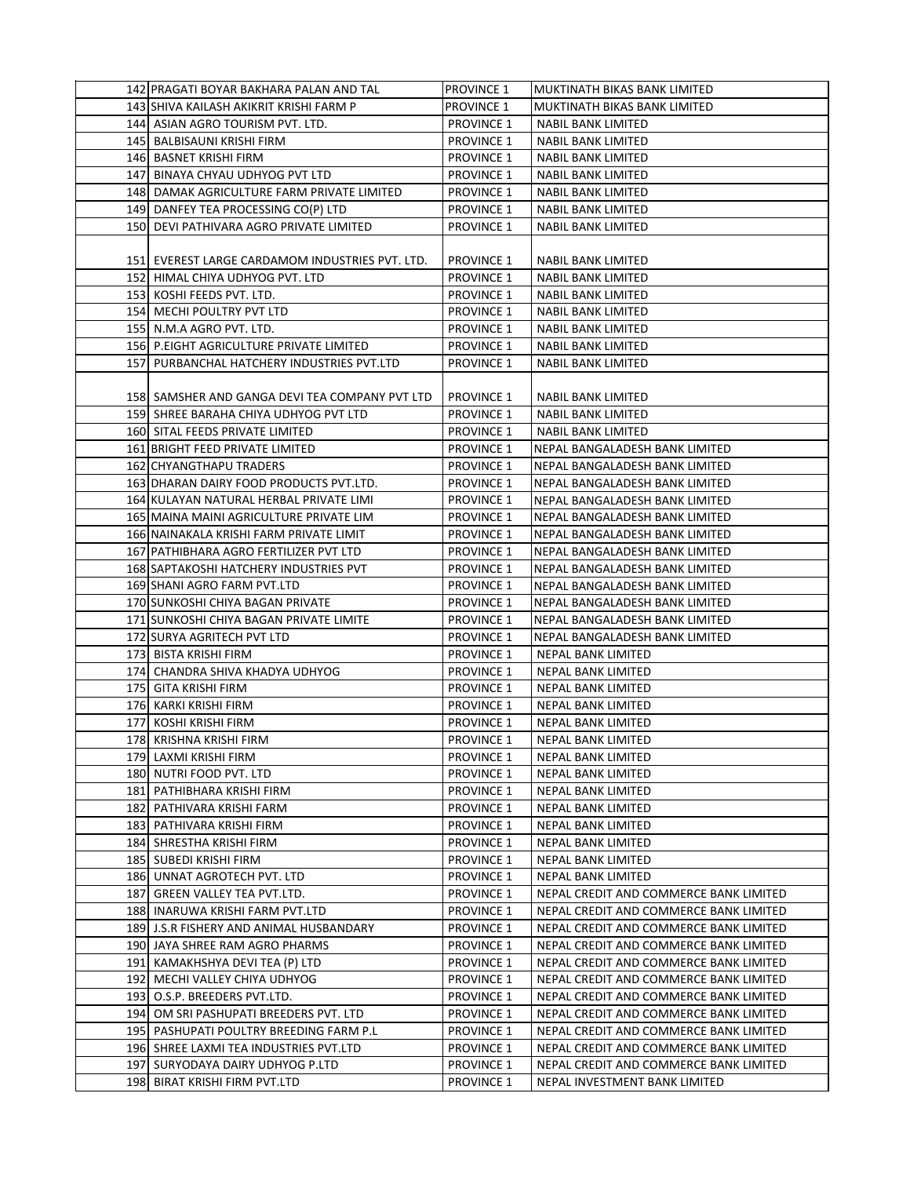| 142 PRAGATI BOYAR BAKHARA PALAN AND TAL         | <b>PROVINCE 1</b> | MUKTINATH BIKAS BANK LIMITED           |
|-------------------------------------------------|-------------------|----------------------------------------|
| 143 SHIVA KAILASH AKIKRIT KRISHI FARM P         | <b>PROVINCE 1</b> | MUKTINATH BIKAS BANK LIMITED           |
| 144 ASIAN AGRO TOURISM PVT. LTD.                | <b>PROVINCE 1</b> | NABIL BANK LIMITED                     |
| 145 BALBISAUNI KRISHI FIRM                      | <b>PROVINCE 1</b> | <b>NABIL BANK LIMITED</b>              |
| 146 BASNET KRISHI FIRM                          | <b>PROVINCE 1</b> | NABIL BANK LIMITED                     |
| 147 BINAYA CHYAU UDHYOG PVT LTD                 | <b>PROVINCE 1</b> | <b>NABIL BANK LIMITED</b>              |
| 148 DAMAK AGRICULTURE FARM PRIVATE LIMITED      | <b>PROVINCE 1</b> | <b>NABIL BANK LIMITED</b>              |
| 149 DANFEY TEA PROCESSING CO(P) LTD             | <b>PROVINCE 1</b> | NABIL BANK LIMITED                     |
| 150 DEVI PATHIVARA AGRO PRIVATE LIMITED         | <b>PROVINCE 1</b> | <b>NABIL BANK LIMITED</b>              |
|                                                 |                   |                                        |
| 151 EVEREST LARGE CARDAMOM INDUSTRIES PVT. LTD. | <b>PROVINCE 1</b> | NABIL BANK LIMITED                     |
| 152 HIMAL CHIYA UDHYOG PVT. LTD                 | <b>PROVINCE 1</b> | <b>NABIL BANK LIMITED</b>              |
| 153 KOSHI FEEDS PVT. LTD.                       | <b>PROVINCE 1</b> | <b>NABIL BANK LIMITED</b>              |
| 154 MECHI POULTRY PVT LTD                       | <b>PROVINCE 1</b> | NABIL BANK LIMITED                     |
| 155 N.M.A AGRO PVT. LTD.                        | <b>PROVINCE 1</b> | NABIL BANK LIMITED                     |
| 156 P.EIGHT AGRICULTURE PRIVATE LIMITED         | <b>PROVINCE 1</b> | <b>NABIL BANK LIMITED</b>              |
| 157 PURBANCHAL HATCHERY INDUSTRIES PVT.LTD      | <b>PROVINCE 1</b> | <b>NABIL BANK LIMITED</b>              |
|                                                 |                   |                                        |
| 158 SAMSHER AND GANGA DEVI TEA COMPANY PVT LTD  | <b>PROVINCE 1</b> | NABIL BANK LIMITED                     |
| 159 SHREE BARAHA CHIYA UDHYOG PVT LTD           | <b>PROVINCE 1</b> | <b>NABIL BANK LIMITED</b>              |
| 160 SITAL FEEDS PRIVATE LIMITED                 | <b>PROVINCE 1</b> | NABIL BANK LIMITED                     |
| 161 BRIGHT FEED PRIVATE LIMITED                 | <b>PROVINCE 1</b> | NEPAL BANGALADESH BANK LIMITED         |
| 162 CHYANGTHAPU TRADERS                         | <b>PROVINCE 1</b> | NEPAL BANGALADESH BANK LIMITED         |
| 163 DHARAN DAIRY FOOD PRODUCTS PVT.LTD.         | <b>PROVINCE 1</b> | NEPAL BANGALADESH BANK LIMITED         |
| 164 KULAYAN NATURAL HERBAL PRIVATE LIMI         | <b>PROVINCE 1</b> | NEPAL BANGALADESH BANK LIMITED         |
| 165 MAINA MAINI AGRICULTURE PRIVATE LIM         | <b>PROVINCE 1</b> | NEPAL BANGALADESH BANK LIMITED         |
| 166 NAINAKALA KRISHI FARM PRIVATE LIMIT         | <b>PROVINCE 1</b> | NEPAL BANGALADESH BANK LIMITED         |
| 167 PATHIBHARA AGRO FERTILIZER PVT LTD          | <b>PROVINCE 1</b> | NEPAL BANGALADESH BANK LIMITED         |
| 168 SAPTAKOSHI HATCHERY INDUSTRIES PVT          | <b>PROVINCE 1</b> | NEPAL BANGALADESH BANK LIMITED         |
| 169 SHANI AGRO FARM PVT.LTD                     | <b>PROVINCE 1</b> | NEPAL BANGALADESH BANK LIMITED         |
| 170 SUNKOSHI CHIYA BAGAN PRIVATE                | <b>PROVINCE 1</b> | NEPAL BANGALADESH BANK LIMITED         |
| 171 SUNKOSHI CHIYA BAGAN PRIVATE LIMITE         | <b>PROVINCE 1</b> | NEPAL BANGALADESH BANK LIMITED         |
| 172 SURYA AGRITECH PVT LTD                      | <b>PROVINCE 1</b> | NEPAL BANGALADESH BANK LIMITED         |
| 173 BISTA KRISHI FIRM                           | <b>PROVINCE 1</b> | NEPAL BANK LIMITED                     |
| 174 CHANDRA SHIVA KHADYA UDHYOG                 | <b>PROVINCE 1</b> | NEPAL BANK LIMITED                     |
| 175 GITA KRISHI FIRM                            | <b>PROVINCE 1</b> | NEPAL BANK LIMITED                     |
| 176 KARKI KRISHI FIRM                           | <b>PROVINCE 1</b> | NEPAL BANK LIMITED                     |
| 177 KOSHI KRISHI FIRM                           | <b>PROVINCE 1</b> | <b>NEPAL BANK LIMITED</b>              |
| 178 KRISHNA KRISHI FIRM                         | <b>PROVINCE 1</b> | NEPAL BANK LIMITED                     |
| 179 LAXMI KRISHI FIRM                           | <b>PROVINCE 1</b> | NEPAL BANK LIMITED                     |
| 180 NUTRI FOOD PVT. LTD                         | <b>PROVINCE 1</b> | NEPAL BANK LIMITED                     |
| 181 PATHIBHARA KRISHI FIRM                      | <b>PROVINCE 1</b> | NEPAL BANK LIMITED                     |
| 182 PATHIVARA KRISHI FARM                       | <b>PROVINCE 1</b> | NEPAL BANK LIMITED                     |
| 183 PATHIVARA KRISHI FIRM                       | <b>PROVINCE 1</b> | NEPAL BANK LIMITED                     |
| 184 SHRESTHA KRISHI FIRM                        | <b>PROVINCE 1</b> | NEPAL BANK LIMITED                     |
| 185  SUBEDI KRISHI FIRM                         | <b>PROVINCE 1</b> | NEPAL BANK LIMITED                     |
| 186 UNNAT AGROTECH PVT. LTD                     | <b>PROVINCE 1</b> | NEPAL BANK LIMITED                     |
| 187 GREEN VALLEY TEA PVT.LTD.                   | <b>PROVINCE 1</b> | NEPAL CREDIT AND COMMERCE BANK LIMITED |
| 188  INARUWA KRISHI FARM PVT.LTD                | <b>PROVINCE 1</b> | NEPAL CREDIT AND COMMERCE BANK LIMITED |
| 189 J.S.R FISHERY AND ANIMAL HUSBANDARY         | <b>PROVINCE 1</b> | NEPAL CREDIT AND COMMERCE BANK LIMITED |
| 190 JAYA SHREE RAM AGRO PHARMS                  | <b>PROVINCE 1</b> | NEPAL CREDIT AND COMMERCE BANK LIMITED |
| 191  KAMAKHSHYA DEVI TEA (P) LTD                | <b>PROVINCE 1</b> | NEPAL CREDIT AND COMMERCE BANK LIMITED |
| 192 MECHI VALLEY CHIYA UDHYOG                   | <b>PROVINCE 1</b> | NEPAL CREDIT AND COMMERCE BANK LIMITED |
| 193 O.S.P. BREEDERS PVT.LTD.                    | <b>PROVINCE 1</b> | NEPAL CREDIT AND COMMERCE BANK LIMITED |
| 194 OM SRI PASHUPATI BREEDERS PVT. LTD          | <b>PROVINCE 1</b> | NEPAL CREDIT AND COMMERCE BANK LIMITED |
| 195 PASHUPATI POULTRY BREEDING FARM P.L         | <b>PROVINCE 1</b> | NEPAL CREDIT AND COMMERCE BANK LIMITED |
| 196 SHREE LAXMI TEA INDUSTRIES PVT.LTD          | <b>PROVINCE 1</b> | NEPAL CREDIT AND COMMERCE BANK LIMITED |
| 197  SURYODAYA DAIRY UDHYOG P.LTD               | <b>PROVINCE 1</b> | NEPAL CREDIT AND COMMERCE BANK LIMITED |
| 198 BIRAT KRISHI FIRM PVT.LTD                   | <b>PROVINCE 1</b> | NEPAL INVESTMENT BANK LIMITED          |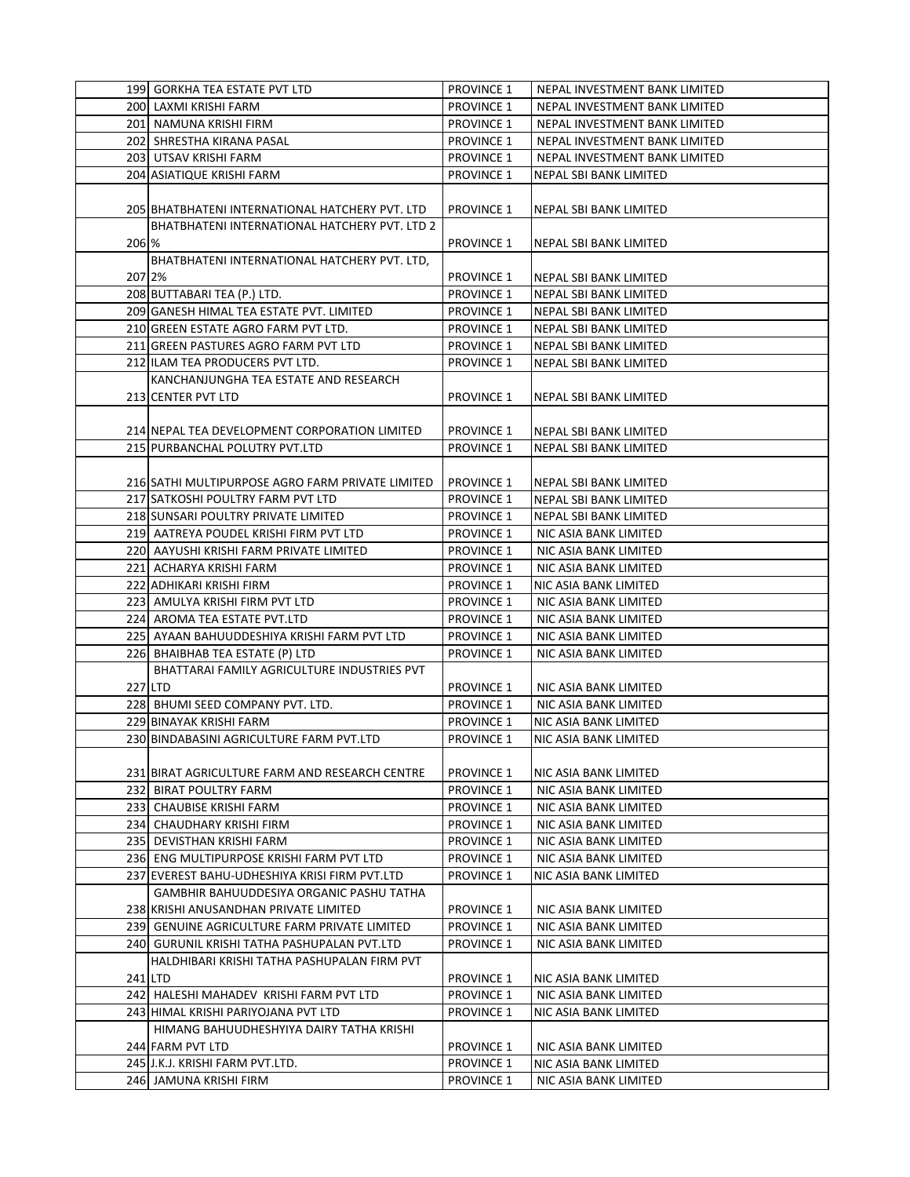|        | 199 GORKHA TEA ESTATE PVT LTD                    | <b>PROVINCE 1</b> | NEPAL INVESTMENT BANK LIMITED |
|--------|--------------------------------------------------|-------------------|-------------------------------|
|        | 200 LAXMI KRISHI FARM                            | <b>PROVINCE 1</b> | NEPAL INVESTMENT BANK LIMITED |
|        | 201 NAMUNA KRISHI FIRM                           | <b>PROVINCE 1</b> | NEPAL INVESTMENT BANK LIMITED |
|        | 202 SHRESTHA KIRANA PASAL                        | <b>PROVINCE 1</b> | NEPAL INVESTMENT BANK LIMITED |
|        | 203 UTSAV KRISHI FARM                            | <b>PROVINCE 1</b> | NEPAL INVESTMENT BANK LIMITED |
|        | 204 ASIATIQUE KRISHI FARM                        | <b>PROVINCE 1</b> | NEPAL SBI BANK LIMITED        |
|        |                                                  |                   |                               |
|        | 205 BHATBHATENI INTERNATIONAL HATCHERY PVT. LTD  | <b>PROVINCE 1</b> | NEPAL SBI BANK LIMITED        |
|        | BHATBHATENI INTERNATIONAL HATCHERY PVT. LTD 2    |                   |                               |
|        |                                                  | <b>PROVINCE 1</b> |                               |
| 206 %  |                                                  |                   | <b>NEPAL SBI BANK LIMITED</b> |
|        | BHATBHATENI INTERNATIONAL HATCHERY PVT. LTD,     |                   |                               |
| 207 2% |                                                  | <b>PROVINCE 1</b> | NEPAL SBI BANK LIMITED        |
|        | 208 BUTTABARI TEA (P.) LTD.                      | <b>PROVINCE 1</b> | NEPAL SBI BANK LIMITED        |
|        | 209 GANESH HIMAL TEA ESTATE PVT. LIMITED         | <b>PROVINCE 1</b> | NEPAL SBI BANK LIMITED        |
|        | 210 GREEN ESTATE AGRO FARM PVT LTD.              | <b>PROVINCE 1</b> | NEPAL SBI BANK LIMITED        |
|        | 211 GREEN PASTURES AGRO FARM PVT LTD             | <b>PROVINCE 1</b> | NEPAL SBI BANK LIMITED        |
|        | 212 ILAM TEA PRODUCERS PVT LTD.                  | <b>PROVINCE 1</b> | NEPAL SBI BANK LIMITED        |
|        | KANCHANJUNGHA TEA ESTATE AND RESEARCH            |                   |                               |
|        | 213 CENTER PVT LTD                               | <b>PROVINCE 1</b> | NEPAL SBI BANK LIMITED        |
|        |                                                  |                   |                               |
|        | 214 NEPAL TEA DEVELOPMENT CORPORATION LIMITED    | <b>PROVINCE 1</b> | NEPAL SBI BANK LIMITED        |
|        | 215 PURBANCHAL POLUTRY PVT.LTD                   | <b>PROVINCE 1</b> | NEPAL SBI BANK LIMITED        |
|        |                                                  |                   |                               |
|        | 216 SATHI MULTIPURPOSE AGRO FARM PRIVATE LIMITED | <b>PROVINCE 1</b> | NEPAL SBI BANK LIMITED        |
|        | 217 SATKOSHI POULTRY FARM PVT LTD                | <b>PROVINCE 1</b> | NEPAL SBI BANK LIMITED        |
|        | 218 SUNSARI POULTRY PRIVATE LIMITED              | <b>PROVINCE 1</b> | NEPAL SBI BANK LIMITED        |
|        | 219 AATREYA POUDEL KRISHI FIRM PVT LTD           | <b>PROVINCE 1</b> | NIC ASIA BANK LIMITED         |
|        | 220 AAYUSHI KRISHI FARM PRIVATE LIMITED          | <b>PROVINCE 1</b> | NIC ASIA BANK LIMITED         |
|        | 221 ACHARYA KRISHI FARM                          | <b>PROVINCE 1</b> | NIC ASIA BANK LIMITED         |
|        | 222 ADHIKARI KRISHI FIRM                         | <b>PROVINCE 1</b> | NIC ASIA BANK LIMITED         |
|        | 223 AMULYA KRISHI FIRM PVT LTD                   | <b>PROVINCE 1</b> | NIC ASIA BANK LIMITED         |
|        | 224 AROMA TEA ESTATE PVT.LTD                     | <b>PROVINCE 1</b> | NIC ASIA BANK LIMITED         |
|        | 225 AYAAN BAHUUDDESHIYA KRISHI FARM PVT LTD      | <b>PROVINCE 1</b> | NIC ASIA BANK LIMITED         |
|        | 226 BHAIBHAB TEA ESTATE (P) LTD                  | <b>PROVINCE 1</b> | NIC ASIA BANK LIMITED         |
|        | BHATTARAI FAMILY AGRICULTURE INDUSTRIES PVT      |                   |                               |
|        | 227 LTD                                          | PROVINCE 1        | NIC ASIA BANK LIMITED         |
|        | 228 BHUMI SEED COMPANY PVT. LTD.                 | <b>PROVINCE 1</b> | NIC ASIA BANK LIMITED         |
|        | 229 BINAYAK KRISHI FARM                          | <b>PROVINCE 1</b> | NIC ASIA BANK LIMITED         |
|        | 230 BINDABASINI AGRICULTURE FARM PVT.LTD         | <b>PROVINCE 1</b> | NIC ASIA BANK LIMITED         |
|        |                                                  |                   |                               |
|        | 231 BIRAT AGRICULTURE FARM AND RESEARCH CENTRE   | <b>PROVINCE 1</b> | NIC ASIA BANK LIMITED         |
|        | 232 BIRAT POULTRY FARM                           | <b>PROVINCE 1</b> | NIC ASIA BANK LIMITED         |
|        | 233 CHAUBISE KRISHI FARM                         | <b>PROVINCE 1</b> | NIC ASIA BANK LIMITED         |
|        | 234 CHAUDHARY KRISHI FIRM                        | <b>PROVINCE 1</b> | NIC ASIA BANK LIMITED         |
|        | 235 DEVISTHAN KRISHI FARM                        | <b>PROVINCE 1</b> | NIC ASIA BANK LIMITED         |
|        | 236  ENG MULTIPURPOSE KRISHI FARM PVT LTD        | <b>PROVINCE 1</b> | NIC ASIA BANK LIMITED         |
|        | 237 EVEREST BAHU-UDHESHIYA KRISI FIRM PVT.LTD    | <b>PROVINCE 1</b> | NIC ASIA BANK LIMITED         |
|        | GAMBHIR BAHUUDDESIYA ORGANIC PASHU TATHA         |                   |                               |
|        | 238 KRISHI ANUSANDHAN PRIVATE LIMITED            | <b>PROVINCE 1</b> | NIC ASIA BANK LIMITED         |
|        | 239  GENUINE AGRICULTURE FARM PRIVATE LIMITED    | <b>PROVINCE 1</b> | NIC ASIA BANK LIMITED         |
|        | 240 GURUNIL KRISHI TATHA PASHUPALAN PVT.LTD      | <b>PROVINCE 1</b> | NIC ASIA BANK LIMITED         |
|        | HALDHIBARI KRISHI TATHA PASHUPALAN FIRM PVT      |                   |                               |
|        | 241 LTD                                          | <b>PROVINCE 1</b> | NIC ASIA BANK LIMITED         |
|        | 242 HALESHI MAHADEV KRISHI FARM PVT LTD          | <b>PROVINCE 1</b> | NIC ASIA BANK LIMITED         |
|        | 243 HIMAL KRISHI PARIYOJANA PVT LTD              | <b>PROVINCE 1</b> | NIC ASIA BANK LIMITED         |
|        | HIMANG BAHUUDHESHYIYA DAIRY TATHA KRISHI         |                   |                               |
|        | 244 FARM PVT LTD                                 | <b>PROVINCE 1</b> | NIC ASIA BANK LIMITED         |
|        | 245 J.K.J. KRISHI FARM PVT.LTD.                  | <b>PROVINCE 1</b> | NIC ASIA BANK LIMITED         |
|        | 246 JAMUNA KRISHI FIRM                           | <b>PROVINCE 1</b> | NIC ASIA BANK LIMITED         |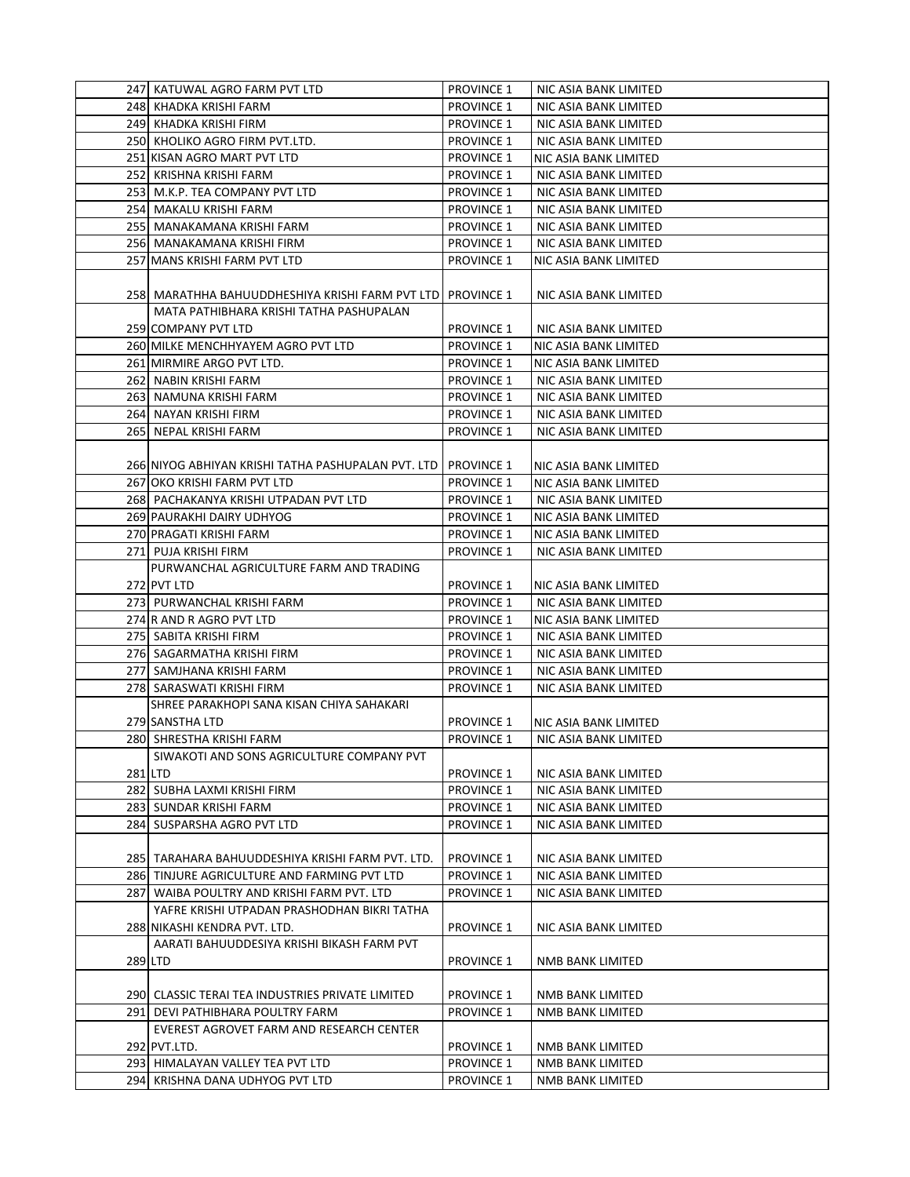| 247  KATUWAL AGRO FARM PVT LTD                     | <b>PROVINCE 1</b> | NIC ASIA BANK LIMITED |
|----------------------------------------------------|-------------------|-----------------------|
| 248 KHADKA KRISHI FARM                             | <b>PROVINCE 1</b> | NIC ASIA BANK LIMITED |
| 249 KHADKA KRISHI FIRM                             | <b>PROVINCE 1</b> | NIC ASIA BANK LIMITED |
| 250 KHOLIKO AGRO FIRM PVT.LTD.                     | <b>PROVINCE 1</b> | NIC ASIA BANK LIMITED |
| 251 KISAN AGRO MART PVT LTD                        | <b>PROVINCE 1</b> | NIC ASIA BANK LIMITED |
| 252 KRISHNA KRISHI FARM                            | <b>PROVINCE 1</b> | NIC ASIA BANK LIMITED |
| 253 M.K.P. TEA COMPANY PVT LTD                     | <b>PROVINCE 1</b> | NIC ASIA BANK LIMITED |
| 254 MAKALU KRISHI FARM                             | <b>PROVINCE 1</b> | NIC ASIA BANK LIMITED |
| 255 MANAKAMANA KRISHI FARM                         | <b>PROVINCE 1</b> | NIC ASIA BANK LIMITED |
| 256 MANAKAMANA KRISHI FIRM                         | <b>PROVINCE 1</b> | NIC ASIA BANK LIMITED |
| 257 MANS KRISHI FARM PVT LTD                       | <b>PROVINCE 1</b> | NIC ASIA BANK LIMITED |
|                                                    |                   |                       |
| 258  MARATHHA BAHUUDDHESHIYA KRISHI FARM PVT LTD   | <b>PROVINCE 1</b> | NIC ASIA BANK LIMITED |
| MATA PATHIBHARA KRISHI TATHA PASHUPALAN            |                   |                       |
| 259 COMPANY PVT LTD                                | <b>PROVINCE 1</b> | NIC ASIA BANK LIMITED |
| 260 MILKE MENCHHYAYEM AGRO PVT LTD                 | <b>PROVINCE 1</b> | NIC ASIA BANK LIMITED |
| 261 MIRMIRE ARGO PVT LTD.                          | <b>PROVINCE 1</b> | NIC ASIA BANK LIMITED |
| 262 NABIN KRISHI FARM                              | <b>PROVINCE 1</b> | NIC ASIA BANK LIMITED |
| 263 NAMUNA KRISHI FARM                             | <b>PROVINCE 1</b> | NIC ASIA BANK LIMITED |
| 264 NAYAN KRISHI FIRM                              | <b>PROVINCE 1</b> | NIC ASIA BANK LIMITED |
| 265 NEPAL KRISHI FARM                              | <b>PROVINCE 1</b> | NIC ASIA BANK LIMITED |
|                                                    |                   |                       |
| 266 NIYOG ABHIYAN KRISHI TATHA PASHUPALAN PVT. LTD | <b>PROVINCE 1</b> | NIC ASIA BANK LIMITED |
| 267 OKO KRISHI FARM PVT LTD                        | <b>PROVINCE 1</b> | NIC ASIA BANK LIMITED |
| 268 PACHAKANYA KRISHI UTPADAN PVT LTD              | <b>PROVINCE 1</b> | NIC ASIA BANK LIMITED |
| 269 PAURAKHI DAIRY UDHYOG                          | <b>PROVINCE 1</b> | NIC ASIA BANK LIMITED |
| 270 PRAGATI KRISHI FARM                            | <b>PROVINCE 1</b> | NIC ASIA BANK LIMITED |
| 271 PUJA KRISHI FIRM                               | <b>PROVINCE 1</b> | NIC ASIA BANK LIMITED |
| PURWANCHAL AGRICULTURE FARM AND TRADING            |                   |                       |
| 272 PVT LTD                                        | <b>PROVINCE 1</b> | NIC ASIA BANK LIMITED |
| 273 PURWANCHAL KRISHI FARM                         | <b>PROVINCE 1</b> | NIC ASIA BANK LIMITED |
| 274 R AND R AGRO PVT LTD                           | <b>PROVINCE 1</b> | NIC ASIA BANK LIMITED |
| 275   SABITA KRISHI FIRM                           | <b>PROVINCE 1</b> | NIC ASIA BANK LIMITED |
| 276 SAGARMATHA KRISHI FIRM                         | <b>PROVINCE 1</b> | NIC ASIA BANK LIMITED |
| 277 SAMJHANA KRISHI FARM                           | <b>PROVINCE 1</b> | NIC ASIA BANK LIMITED |
| 278 SARASWATI KRISHI FIRM                          | <b>PROVINCE 1</b> | NIC ASIA BANK LIMITED |
| SHREE PARAKHOPI SANA KISAN CHIYA SAHAKARI          |                   |                       |
| 279 SANSTHA LTD                                    | <b>PROVINCE 1</b> | NIC ASIA BANK LIMITED |
| 280 SHRESTHA KRISHI FARM                           | <b>PROVINCE 1</b> | NIC ASIA BANK LIMITED |
| SIWAKOTI AND SONS AGRICULTURE COMPANY PVT          |                   |                       |
| 281 LTD                                            | <b>PROVINCE 1</b> | NIC ASIA BANK LIMITED |
| 282 SUBHA LAXMI KRISHI FIRM                        | <b>PROVINCE 1</b> | NIC ASIA BANK LIMITED |
| 283 SUNDAR KRISHI FARM                             | <b>PROVINCE 1</b> | NIC ASIA BANK LIMITED |
| 284 SUSPARSHA AGRO PVT LTD                         | <b>PROVINCE 1</b> | NIC ASIA BANK LIMITED |
|                                                    |                   |                       |
| 285 TARAHARA BAHUUDDESHIYA KRISHI FARM PVT. LTD.   | <b>PROVINCE 1</b> | NIC ASIA BANK LIMITED |
| 286 TINJURE AGRICULTURE AND FARMING PVT LTD        | <b>PROVINCE 1</b> | NIC ASIA BANK LIMITED |
| 287 WAIBA POULTRY AND KRISHI FARM PVT. LTD         | <b>PROVINCE 1</b> | NIC ASIA BANK LIMITED |
| YAFRE KRISHI UTPADAN PRASHODHAN BIKRI TATHA        |                   |                       |
| 288 NIKASHI KENDRA PVT. LTD.                       | <b>PROVINCE 1</b> | NIC ASIA BANK LIMITED |
| AARATI BAHUUDDESIYA KRISHI BIKASH FARM PVT         |                   |                       |
| 289 LTD                                            | <b>PROVINCE 1</b> | NMB BANK LIMITED      |
|                                                    |                   |                       |
| 290 CLASSIC TERAI TEA INDUSTRIES PRIVATE LIMITED   | <b>PROVINCE 1</b> | NMB BANK LIMITED      |
| 291 DEVI PATHIBHARA POULTRY FARM                   | <b>PROVINCE 1</b> | NMB BANK LIMITED      |
| EVEREST AGROVET FARM AND RESEARCH CENTER           |                   |                       |
| 292 PVT.LTD.                                       | <b>PROVINCE 1</b> | NMB BANK LIMITED      |
| 293 HIMALAYAN VALLEY TEA PVT LTD                   | <b>PROVINCE 1</b> | NMB BANK LIMITED      |
| 294 KRISHNA DANA UDHYOG PVT LTD                    | <b>PROVINCE 1</b> | NMB BANK LIMITED      |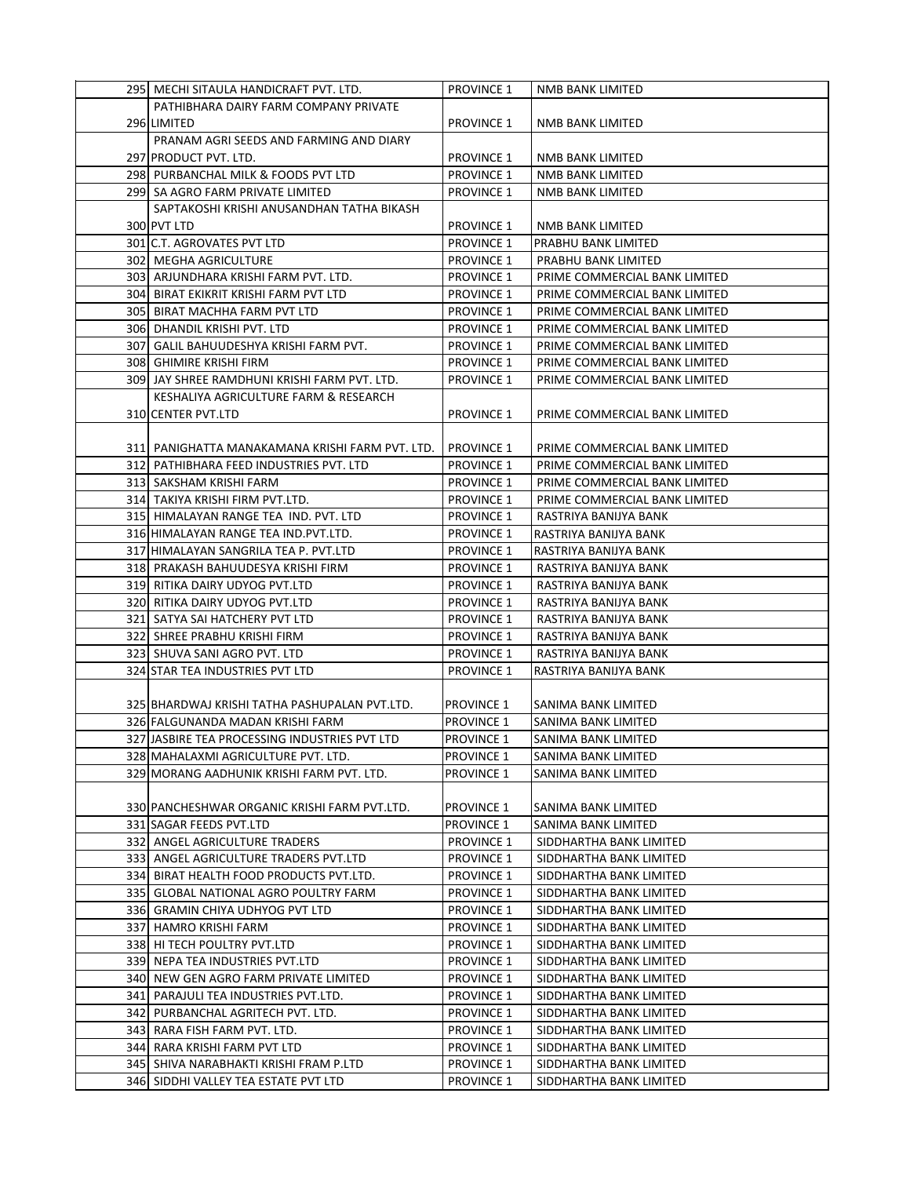| 295 MECHI SITAULA HANDICRAFT PVT. LTD.           | <b>PROVINCE 1</b> | NMB BANK LIMITED              |
|--------------------------------------------------|-------------------|-------------------------------|
| PATHIBHARA DAIRY FARM COMPANY PRIVATE            |                   |                               |
| 296 LIMITED                                      | <b>PROVINCE 1</b> | NMB BANK LIMITED              |
| PRANAM AGRI SEEDS AND FARMING AND DIARY          |                   |                               |
| 297 PRODUCT PVT. LTD.                            | <b>PROVINCE 1</b> | NMB BANK LIMITED              |
| 298 PURBANCHAL MILK & FOODS PVT LTD              | <b>PROVINCE 1</b> | NMB BANK LIMITED              |
| 299 SA AGRO FARM PRIVATE LIMITED                 | <b>PROVINCE 1</b> | NMB BANK LIMITED              |
| SAPTAKOSHI KRISHI ANUSANDHAN TATHA BIKASH        |                   |                               |
| 300 PVT LTD                                      | <b>PROVINCE 1</b> | NMB BANK LIMITED              |
|                                                  |                   | PRABHU BANK LIMITED           |
| 301 C.T. AGROVATES PVT LTD                       | <b>PROVINCE 1</b> |                               |
| 302 MEGHA AGRICULTURE                            | <b>PROVINCE 1</b> | PRABHU BANK LIMITED           |
| 303  ARJUNDHARA KRISHI FARM PVT. LTD.            | <b>PROVINCE 1</b> | PRIME COMMERCIAL BANK LIMITED |
| 304 BIRAT EKIKRIT KRISHI FARM PVT LTD            | <b>PROVINCE 1</b> | PRIME COMMERCIAL BANK LIMITED |
| 305 BIRAT MACHHA FARM PVT LTD                    | <b>PROVINCE 1</b> | PRIME COMMERCIAL BANK LIMITED |
| 306 DHANDIL KRISHI PVT. LTD                      | <b>PROVINCE 1</b> | PRIME COMMERCIAL BANK LIMITED |
| 307 GALIL BAHUUDESHYA KRISHI FARM PVT.           | <b>PROVINCE 1</b> | PRIME COMMERCIAL BANK LIMITED |
| 308 GHIMIRE KRISHI FIRM                          | <b>PROVINCE 1</b> | PRIME COMMERCIAL BANK LIMITED |
| 309 JAY SHREE RAMDHUNI KRISHI FARM PVT. LTD.     | <b>PROVINCE 1</b> | PRIME COMMERCIAL BANK LIMITED |
| KESHALIYA AGRICULTURE FARM & RESEARCH            |                   |                               |
| 310 CENTER PVT.LTD                               | <b>PROVINCE 1</b> | PRIME COMMERCIAL BANK LIMITED |
|                                                  |                   |                               |
| 311  PANIGHATTA MANAKAMANA KRISHI FARM PVT. LTD. | <b>PROVINCE 1</b> | PRIME COMMERCIAL BANK LIMITED |
| 312 PATHIBHARA FEED INDUSTRIES PVT. LTD          | <b>PROVINCE 1</b> | PRIME COMMERCIAL BANK LIMITED |
| 313 SAKSHAM KRISHI FARM                          | <b>PROVINCE 1</b> | PRIME COMMERCIAL BANK LIMITED |
| 314 TAKIYA KRISHI FIRM PVT.LTD.                  | <b>PROVINCE 1</b> | PRIME COMMERCIAL BANK LIMITED |
| 315 HIMALAYAN RANGE TEA IND. PVT. LTD            | <b>PROVINCE 1</b> | RASTRIYA BANIJYA BANK         |
| 316 HIMALAYAN RANGE TEA IND. PVT. LTD.           | <b>PROVINCE 1</b> | RASTRIYA BANIJYA BANK         |
| 317 HIMALAYAN SANGRILA TEA P. PVT.LTD            | <b>PROVINCE 1</b> | RASTRIYA BANIJYA BANK         |
| 318 PRAKASH BAHUUDESYA KRISHI FIRM               | <b>PROVINCE 1</b> | RASTRIYA BANIJYA BANK         |
| 319 RITIKA DAIRY UDYOG PVT.LTD                   | <b>PROVINCE 1</b> | RASTRIYA BANIJYA BANK         |
| 320 RITIKA DAIRY UDYOG PVT.LTD                   | <b>PROVINCE 1</b> | RASTRIYA BANIJYA BANK         |
| 321 SATYA SAI HATCHERY PVT LTD                   | <b>PROVINCE 1</b> | RASTRIYA BANIJYA BANK         |
| 322 SHREE PRABHU KRISHI FIRM                     | <b>PROVINCE 1</b> | RASTRIYA BANIJYA BANK         |
| 323 SHUVA SANI AGRO PVT. LTD                     | <b>PROVINCE 1</b> | RASTRIYA BANIJYA BANK         |
| 324 STAR TEA INDUSTRIES PVT LTD                  | <b>PROVINCE 1</b> | RASTRIYA BANIJYA BANK         |
|                                                  |                   |                               |
| 325 BHARDWAJ KRISHI TATHA PASHUPALAN PVT.LTD.    | <b>PROVINCE 1</b> | SANIMA BANK LIMITED           |
| 326 FALGUNANDA MADAN KRISHI FARM                 | <b>PROVINCE 1</b> | SANIMA BANK LIMITED           |
| 327 JASBIRE TEA PROCESSING INDUSTRIES PVT LTD    | <b>PROVINCE 1</b> | SANIMA BANK LIMITED           |
| 328 MAHALAXMI AGRICULTURE PVT. LTD.              | <b>PROVINCE 1</b> | SANIMA BANK LIMITED           |
| 329 MORANG AADHUNIK KRISHI FARM PVT. LTD.        |                   |                               |
|                                                  | <b>PROVINCE 1</b> | SANIMA BANK LIMITED           |
|                                                  |                   |                               |
| 330 PANCHESHWAR ORGANIC KRISHI FARM PVT.LTD.     | <b>PROVINCE 1</b> | SANIMA BANK LIMITED           |
| 331 SAGAR FEEDS PVT.LTD                          | <b>PROVINCE 1</b> | SANIMA BANK LIMITED           |
| 332 ANGEL AGRICULTURE TRADERS                    | <b>PROVINCE 1</b> | SIDDHARTHA BANK LIMITED       |
| 333 ANGEL AGRICULTURE TRADERS PVT.LTD            | <b>PROVINCE 1</b> | SIDDHARTHA BANK LIMITED       |
| 334 BIRAT HEALTH FOOD PRODUCTS PVT.LTD.          | <b>PROVINCE 1</b> | SIDDHARTHA BANK LIMITED       |
| 335 GLOBAL NATIONAL AGRO POULTRY FARM            | <b>PROVINCE 1</b> | SIDDHARTHA BANK LIMITED       |
| 336 GRAMIN CHIYA UDHYOG PVT LTD                  | <b>PROVINCE 1</b> | SIDDHARTHA BANK LIMITED       |
| 337 HAMRO KRISHI FARM                            | <b>PROVINCE 1</b> | SIDDHARTHA BANK LIMITED       |
| 338 HI TECH POULTRY PVT.LTD                      | <b>PROVINCE 1</b> | SIDDHARTHA BANK LIMITED       |
| 339 NEPA TEA INDUSTRIES PVT.LTD                  | <b>PROVINCE 1</b> | SIDDHARTHA BANK LIMITED       |
| 340 NEW GEN AGRO FARM PRIVATE LIMITED            | <b>PROVINCE 1</b> | SIDDHARTHA BANK LIMITED       |
| 341 PARAJULI TEA INDUSTRIES PVT.LTD.             | <b>PROVINCE 1</b> | SIDDHARTHA BANK LIMITED       |
| 342 PURBANCHAL AGRITECH PVT. LTD.                | <b>PROVINCE 1</b> | SIDDHARTHA BANK LIMITED       |
| 343 RARA FISH FARM PVT. LTD.                     | <b>PROVINCE 1</b> | SIDDHARTHA BANK LIMITED       |
| 344 RARA KRISHI FARM PVT LTD                     | <b>PROVINCE 1</b> | SIDDHARTHA BANK LIMITED       |
| 345 SHIVA NARABHAKTI KRISHI FRAM P.LTD           | <b>PROVINCE 1</b> | SIDDHARTHA BANK LIMITED       |
| 346 SIDDHI VALLEY TEA ESTATE PVT LTD             | <b>PROVINCE 1</b> | SIDDHARTHA BANK LIMITED       |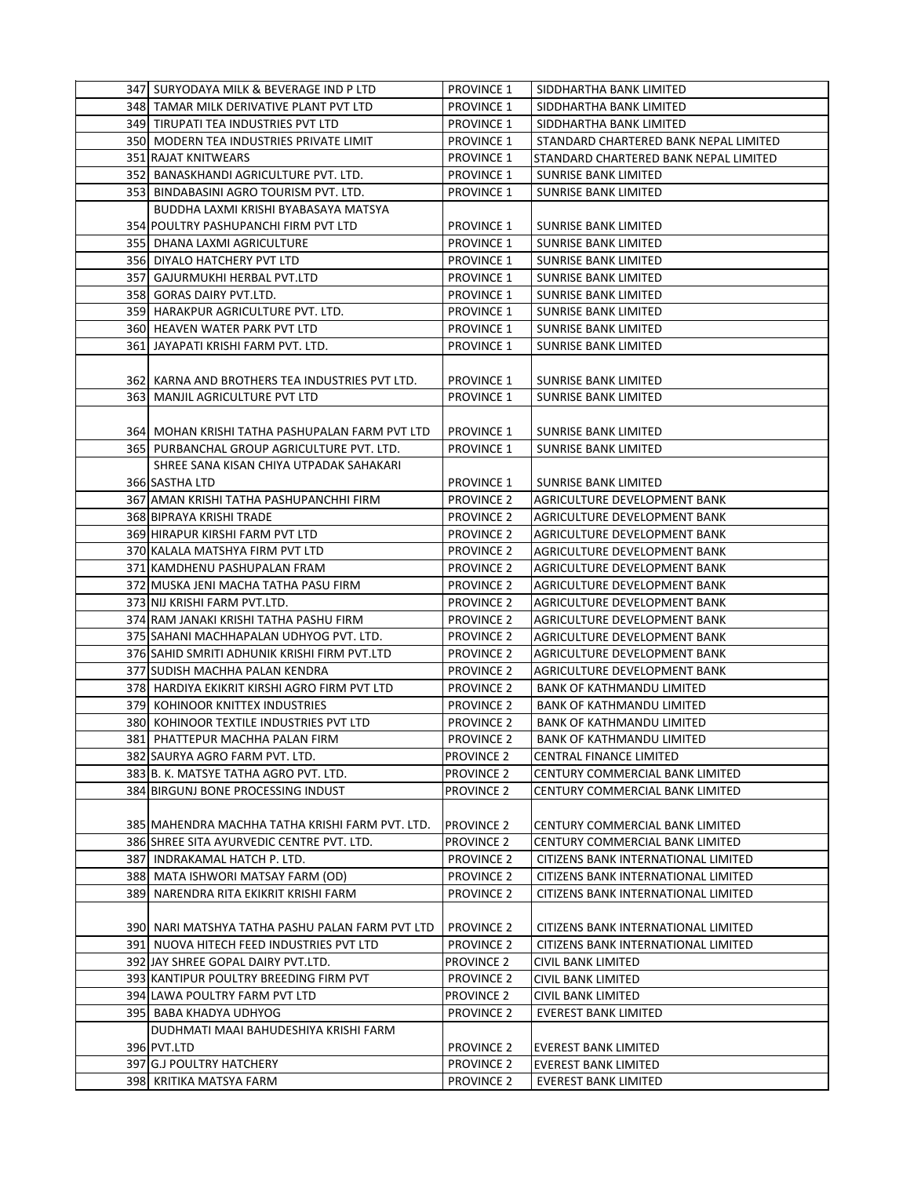| 347 SURYODAYA MILK & BEVERAGE IND P LTD         | <b>PROVINCE 1</b> | SIDDHARTHA BANK LIMITED               |
|-------------------------------------------------|-------------------|---------------------------------------|
| 348 TAMAR MILK DERIVATIVE PLANT PVT LTD         | <b>PROVINCE 1</b> | SIDDHARTHA BANK LIMITED               |
| 349 TIRUPATI TEA INDUSTRIES PVT LTD             | <b>PROVINCE 1</b> | SIDDHARTHA BANK LIMITED               |
| 350 MODERN TEA INDUSTRIES PRIVATE LIMIT         | <b>PROVINCE 1</b> | STANDARD CHARTERED BANK NEPAL LIMITED |
| <b>351 RAJAT KNITWEARS</b>                      | <b>PROVINCE 1</b> | STANDARD CHARTERED BANK NEPAL LIMITED |
| 352 BANASKHANDI AGRICULTURE PVT. LTD.           | <b>PROVINCE 1</b> | <b>SUNRISE BANK LIMITED</b>           |
| 353 BINDABASINI AGRO TOURISM PVT. LTD.          | <b>PROVINCE 1</b> | <b>SUNRISE BANK LIMITED</b>           |
| BUDDHA LAXMI KRISHI BYABASAYA MATSYA            |                   |                                       |
|                                                 |                   |                                       |
| 354 POULTRY PASHUPANCHI FIRM PVT LTD            | <b>PROVINCE 1</b> | <b>SUNRISE BANK LIMITED</b>           |
| 355 DHANA LAXMI AGRICULTURE                     | <b>PROVINCE 1</b> | SUNRISE BANK LIMITED                  |
| 356 DIYALO HATCHERY PVT LTD                     | <b>PROVINCE 1</b> | SUNRISE BANK LIMITED                  |
| 357 GAJURMUKHI HERBAL PVT.LTD                   | <b>PROVINCE 1</b> | SUNRISE BANK LIMITED                  |
| 358 GORAS DAIRY PVT.LTD.                        | <b>PROVINCE 1</b> | <b>SUNRISE BANK LIMITED</b>           |
| 359 HARAKPUR AGRICULTURE PVT. LTD.              | <b>PROVINCE 1</b> | SUNRISE BANK LIMITED                  |
| 360 HEAVEN WATER PARK PVT LTD                   | <b>PROVINCE 1</b> | SUNRISE BANK LIMITED                  |
| 361 JAYAPATI KRISHI FARM PVT. LTD.              | <b>PROVINCE 1</b> | <b>SUNRISE BANK LIMITED</b>           |
|                                                 |                   |                                       |
| 362 KARNA AND BROTHERS TEA INDUSTRIES PVT LTD.  | <b>PROVINCE 1</b> | SUNRISE BANK LIMITED                  |
| 363 MANJIL AGRICULTURE PVT LTD                  | <b>PROVINCE 1</b> | <b>SUNRISE BANK LIMITED</b>           |
|                                                 |                   |                                       |
| 364  MOHAN KRISHI TATHA PASHUPALAN FARM PVT LTD | <b>PROVINCE 1</b> | SUNRISE BANK LIMITED                  |
| 365 PURBANCHAL GROUP AGRICULTURE PVT. LTD.      | <b>PROVINCE 1</b> | <b>SUNRISE BANK LIMITED</b>           |
| SHREE SANA KISAN CHIYA UTPADAK SAHAKARI         |                   |                                       |
| 366 SASTHA LTD                                  | <b>PROVINCE 1</b> | SUNRISE BANK LIMITED                  |
| 367 AMAN KRISHI TATHA PASHUPANCHHI FIRM         | <b>PROVINCE 2</b> | AGRICULTURE DEVELOPMENT BANK          |
| 368 BIPRAYA KRISHI TRADE                        | <b>PROVINCE 2</b> | AGRICULTURE DEVELOPMENT BANK          |
| 369 HIRAPUR KIRSHI FARM PVT LTD                 | <b>PROVINCE 2</b> | AGRICULTURE DEVELOPMENT BANK          |
| 370 KALALA MATSHYA FIRM PVT LTD                 | <b>PROVINCE 2</b> | AGRICULTURE DEVELOPMENT BANK          |
| 371 KAMDHENU PASHUPALAN FRAM                    | <b>PROVINCE 2</b> | AGRICULTURE DEVELOPMENT BANK          |
| 372 MUSKA JENI MACHA TATHA PASU FIRM            | <b>PROVINCE 2</b> | AGRICULTURE DEVELOPMENT BANK          |
| 373 NIJ KRISHI FARM PVT.LTD.                    | <b>PROVINCE 2</b> | AGRICULTURE DEVELOPMENT BANK          |
| 374 RAM JANAKI KRISHI TATHA PASHU FIRM          | <b>PROVINCE 2</b> | AGRICULTURE DEVELOPMENT BANK          |
| 375 SAHANI MACHHAPALAN UDHYOG PVT. LTD.         | <b>PROVINCE 2</b> |                                       |
|                                                 |                   | AGRICULTURE DEVELOPMENT BANK          |
| 376 SAHID SMRITI ADHUNIK KRISHI FIRM PVT.LTD    | <b>PROVINCE 2</b> | AGRICULTURE DEVELOPMENT BANK          |
| 377 SUDISH MACHHA PALAN KENDRA                  | <b>PROVINCE 2</b> | AGRICULTURE DEVELOPMENT BANK          |
| 378 HARDIYA EKIKRIT KIRSHI AGRO FIRM PVT LTD    | <b>PROVINCE 2</b> | BANK OF KATHMANDU LIMITED             |
| 379 KOHINOOR KNITTEX INDUSTRIES                 | <b>PROVINCE 2</b> | <b>BANK OF KATHMANDU LIMITED</b>      |
| 380 KOHINOOR TEXTILE INDUSTRIES PVT LTD         | <b>PROVINCE 2</b> | <b>BANK OF KATHMANDU LIMITED</b>      |
| 381 PHATTEPUR MACHHA PALAN FIRM                 | <b>PROVINCE 2</b> | <b>BANK OF KATHMANDU LIMITED</b>      |
| 382 SAURYA AGRO FARM PVT. LTD.                  | <b>PROVINCE 2</b> | CENTRAL FINANCE LIMITED               |
| 383 B. K. MATSYE TATHA AGRO PVT. LTD.           | <b>PROVINCE 2</b> | CENTURY COMMERCIAL BANK LIMITED       |
| 384 BIRGUNJ BONE PROCESSING INDUST              | <b>PROVINCE 2</b> | CENTURY COMMERCIAL BANK LIMITED       |
|                                                 |                   |                                       |
| 385 MAHENDRA MACHHA TATHA KRISHI FARM PVT. LTD. | <b>PROVINCE 2</b> | CENTURY COMMERCIAL BANK LIMITED       |
| 386 SHREE SITA AYURVEDIC CENTRE PVT. LTD.       | <b>PROVINCE 2</b> | CENTURY COMMERCIAL BANK LIMITED       |
| 387 INDRAKAMAL HATCH P. LTD.                    | <b>PROVINCE 2</b> | CITIZENS BANK INTERNATIONAL LIMITED   |
| 388 MATA ISHWORI MATSAY FARM (OD)               | <b>PROVINCE 2</b> | CITIZENS BANK INTERNATIONAL LIMITED   |
| 389 NARENDRA RITA EKIKRIT KRISHI FARM           | <b>PROVINCE 2</b> | CITIZENS BANK INTERNATIONAL LIMITED   |
|                                                 |                   |                                       |
| 390 NARI MATSHYA TATHA PASHU PALAN FARM PVT LTD | <b>PROVINCE 2</b> | CITIZENS BANK INTERNATIONAL LIMITED   |
| 391 NUOVA HITECH FEED INDUSTRIES PVT LTD        | <b>PROVINCE 2</b> | CITIZENS BANK INTERNATIONAL LIMITED   |
| 392 JAY SHREE GOPAL DAIRY PVT.LTD.              | <b>PROVINCE 2</b> | CIVIL BANK LIMITED                    |
| 393 KANTIPUR POULTRY BREEDING FIRM PVT          | <b>PROVINCE 2</b> | CIVIL BANK LIMITED                    |
| 394 LAWA POULTRY FARM PVT LTD                   | <b>PROVINCE 2</b> | CIVIL BANK LIMITED                    |
| 395 BABA KHADYA UDHYOG                          | <b>PROVINCE 2</b> | <b>EVEREST BANK LIMITED</b>           |
| DUDHMATI MAAI BAHUDESHIYA KRISHI FARM           |                   |                                       |
| 396 PVT.LTD                                     | <b>PROVINCE 2</b> | <b>EVEREST BANK LIMITED</b>           |
| 397 G.J POULTRY HATCHERY                        | <b>PROVINCE 2</b> | EVEREST BANK LIMITED                  |
| 398 KRITIKA MATSYA FARM                         | <b>PROVINCE 2</b> | <b>EVEREST BANK LIMITED</b>           |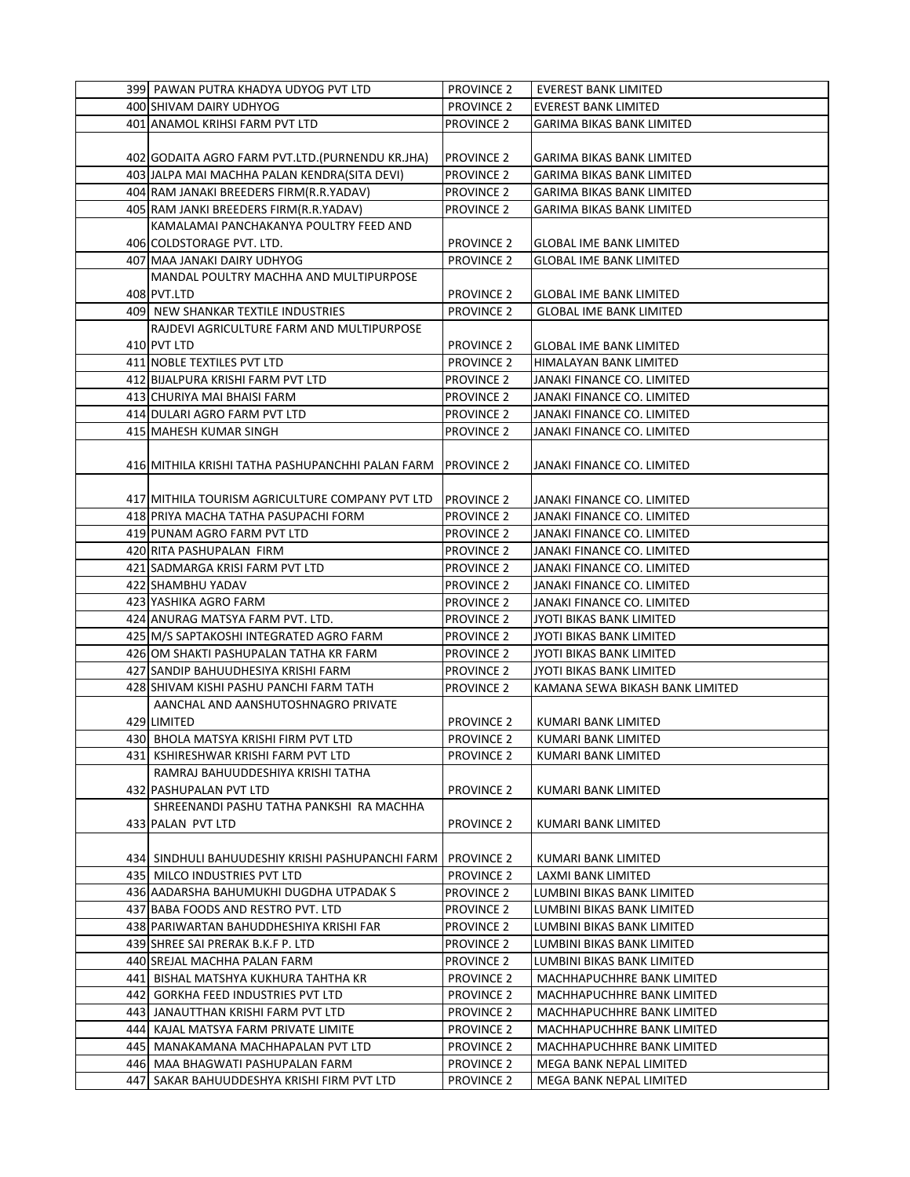|     | 399 PAWAN PUTRA KHADYA UDYOG PVT LTD              | <b>PROVINCE 2</b> | <b>EVEREST BANK LIMITED</b>      |
|-----|---------------------------------------------------|-------------------|----------------------------------|
|     | 400 SHIVAM DAIRY UDHYOG                           | <b>PROVINCE 2</b> | <b>EVEREST BANK LIMITED</b>      |
|     | 401 ANAMOL KRIHSI FARM PVT LTD                    | <b>PROVINCE 2</b> | GARIMA BIKAS BANK LIMITED        |
|     |                                                   |                   |                                  |
|     | 402 GODAITA AGRO FARM PVT.LTD.(PURNENDU KR.JHA)   | <b>PROVINCE 2</b> | <b>GARIMA BIKAS BANK LIMITED</b> |
|     | 403 JALPA MAI MACHHA PALAN KENDRA(SITA DEVI)      | <b>PROVINCE 2</b> | <b>GARIMA BIKAS BANK LIMITED</b> |
|     | 404 RAM JANAKI BREEDERS FIRM(R.R.YADAV)           | <b>PROVINCE 2</b> | <b>GARIMA BIKAS BANK LIMITED</b> |
|     | 405 RAM JANKI BREEDERS FIRM (R.R.YADAV)           | <b>PROVINCE 2</b> | GARIMA BIKAS BANK LIMITED        |
|     | KAMALAMAI PANCHAKANYA POULTRY FEED AND            |                   |                                  |
|     |                                                   |                   |                                  |
|     | 406 COLDSTORAGE PVT. LTD.                         | <b>PROVINCE 2</b> | GLOBAL IME BANK LIMITED          |
|     | 407   MAA JANAKI DAIRY UDHYOG                     | <b>PROVINCE 2</b> | <b>GLOBAL IME BANK LIMITED</b>   |
|     | MANDAL POULTRY MACHHA AND MULTIPURPOSE            |                   |                                  |
|     | 408 PVT.LTD                                       | <b>PROVINCE 2</b> | <b>GLOBAL IME BANK LIMITED</b>   |
|     | 409 NEW SHANKAR TEXTILE INDUSTRIES                | <b>PROVINCE 2</b> | <b>GLOBAL IME BANK LIMITED</b>   |
|     | RAJDEVI AGRICULTURE FARM AND MULTIPURPOSE         |                   |                                  |
|     | 410 PVT LTD                                       | <b>PROVINCE 2</b> | GLOBAL IME BANK LIMITED          |
|     | 411 NOBLE TEXTILES PVT LTD                        | <b>PROVINCE 2</b> | HIMALAYAN BANK LIMITED           |
|     | 412 BIJALPURA KRISHI FARM PVT LTD                 | <b>PROVINCE 2</b> | JANAKI FINANCE CO. LIMITED       |
|     | 413 CHURIYA MAI BHAISI FARM                       | <b>PROVINCE 2</b> | JANAKI FINANCE CO. LIMITED       |
|     | 414 DULARI AGRO FARM PVT LTD                      | <b>PROVINCE 2</b> | JANAKI FINANCE CO. LIMITED       |
|     | 415 MAHESH KUMAR SINGH                            | <b>PROVINCE 2</b> | JANAKI FINANCE CO. LIMITED       |
|     |                                                   |                   |                                  |
|     | 416 MITHILA KRISHI TATHA PASHUPANCHHI PALAN FARM  | <b>PROVINCE 2</b> | JANAKI FINANCE CO. LIMITED       |
|     |                                                   |                   |                                  |
|     | 417 MITHILA TOURISM AGRICULTURE COMPANY PVT LTD   | <b>PROVINCE 2</b> | JANAKI FINANCE CO. LIMITED       |
|     | 418 PRIYA MACHA TATHA PASUPACHI FORM              | <b>PROVINCE 2</b> | JANAKI FINANCE CO. LIMITED       |
|     | 419 PUNAM AGRO FARM PVT LTD                       | <b>PROVINCE 2</b> | JANAKI FINANCE CO. LIMITED       |
|     | 420 RITA PASHUPALAN FIRM                          | <b>PROVINCE 2</b> | JANAKI FINANCE CO. LIMITED       |
|     | 421 SADMARGA KRISI FARM PVT LTD                   | <b>PROVINCE 2</b> | JANAKI FINANCE CO. LIMITED       |
|     | 422 SHAMBHU YADAV                                 | <b>PROVINCE 2</b> | JANAKI FINANCE CO. LIMITED       |
|     | 423 YASHIKA AGRO FARM                             | <b>PROVINCE 2</b> | JANAKI FINANCE CO. LIMITED       |
|     | 424 ANURAG MATSYA FARM PVT. LTD.                  | <b>PROVINCE 2</b> | JYOTI BIKAS BANK LIMITED         |
|     | 425 M/S SAPTAKOSHI INTEGRATED AGRO FARM           | <b>PROVINCE 2</b> | JYOTI BIKAS BANK LIMITED         |
|     | 426 OM SHAKTI PASHUPALAN TATHA KR FARM            | <b>PROVINCE 2</b> | JYOTI BIKAS BANK LIMITED         |
|     | 427 SANDIP BAHUUDHESIYA KRISHI FARM               | <b>PROVINCE 2</b> | JYOTI BIKAS BANK LIMITED         |
|     | 428 SHIVAM KISHI PASHU PANCHI FARM TATH           | <b>PROVINCE 2</b> | KAMANA SEWA BIKASH BANK LIMITED  |
|     | AANCHAL AND AANSHUTOSHNAGRO PRIVATE               |                   |                                  |
|     | 429 LIMITED                                       | <b>PROVINCE 2</b> | KUMARI BANK LIMITED              |
|     | 430 BHOLA MATSYA KRISHI FIRM PVT LTD              | PROVINCE 2        | KUMARI BANK LIMITED              |
|     | 431  KSHIRESHWAR KRISHI FARM PVT LTD              | <b>PROVINCE 2</b> | KUMARI BANK LIMITED              |
|     | RAMRAJ BAHUUDDESHIYA KRISHI TATHA                 |                   |                                  |
|     | 432 PASHUPALAN PVT LTD                            | <b>PROVINCE 2</b> | KUMARI BANK LIMITED              |
|     | SHREENANDI PASHU TATHA PANKSHI RA MACHHA          |                   |                                  |
|     | 433 PALAN PVT LTD                                 | <b>PROVINCE 2</b> | KUMARI BANK LIMITED              |
|     |                                                   |                   |                                  |
|     | 434  SINDHULI BAHUUDESHIY KRISHI PASHUPANCHI FARM | <b>PROVINCE 2</b> | KUMARI BANK LIMITED              |
|     | 435 MILCO INDUSTRIES PVT LTD                      | <b>PROVINCE 2</b> | LAXMI BANK LIMITED               |
|     | 436 AADARSHA BAHUMUKHI DUGDHA UTPADAK S           | <b>PROVINCE 2</b> | LUMBINI BIKAS BANK LIMITED       |
|     | 437 BABA FOODS AND RESTRO PVT. LTD                | PROVINCE 2        | LUMBINI BIKAS BANK LIMITED       |
|     | 438 PARIWARTAN BAHUDDHESHIYA KRISHI FAR           | <b>PROVINCE 2</b> | LUMBINI BIKAS BANK LIMITED       |
|     | 439 SHREE SAI PRERAK B.K.F P. LTD                 | <b>PROVINCE 2</b> | LUMBINI BIKAS BANK LIMITED       |
|     | 440 SREJAL MACHHA PALAN FARM                      | <b>PROVINCE 2</b> | LUMBINI BIKAS BANK LIMITED       |
|     | 441  BISHAL MATSHYA KUKHURA TAHTHA KR             | <b>PROVINCE 2</b> | MACHHAPUCHHRE BANK LIMITED       |
| 442 | <b>GORKHA FEED INDUSTRIES PVT LTD</b>             | <b>PROVINCE 2</b> | MACHHAPUCHHRE BANK LIMITED       |
|     | 443  JANAUTTHAN KRISHI FARM PVT LTD               | <b>PROVINCE 2</b> | MACHHAPUCHHRE BANK LIMITED       |
|     | 444 KAJAL MATSYA FARM PRIVATE LIMITE              | <b>PROVINCE 2</b> | MACHHAPUCHHRE BANK LIMITED       |
|     | 445  MANAKAMANA MACHHAPALAN PVT LTD               | <b>PROVINCE 2</b> | MACHHAPUCHHRE BANK LIMITED       |
|     | 446  MAA BHAGWATI PASHUPALAN FARM                 | <b>PROVINCE 2</b> | MEGA BANK NEPAL LIMITED          |
| 447 | SAKAR BAHUUDDESHYA KRISHI FIRM PVT LTD            | <b>PROVINCE 2</b> | MEGA BANK NEPAL LIMITED          |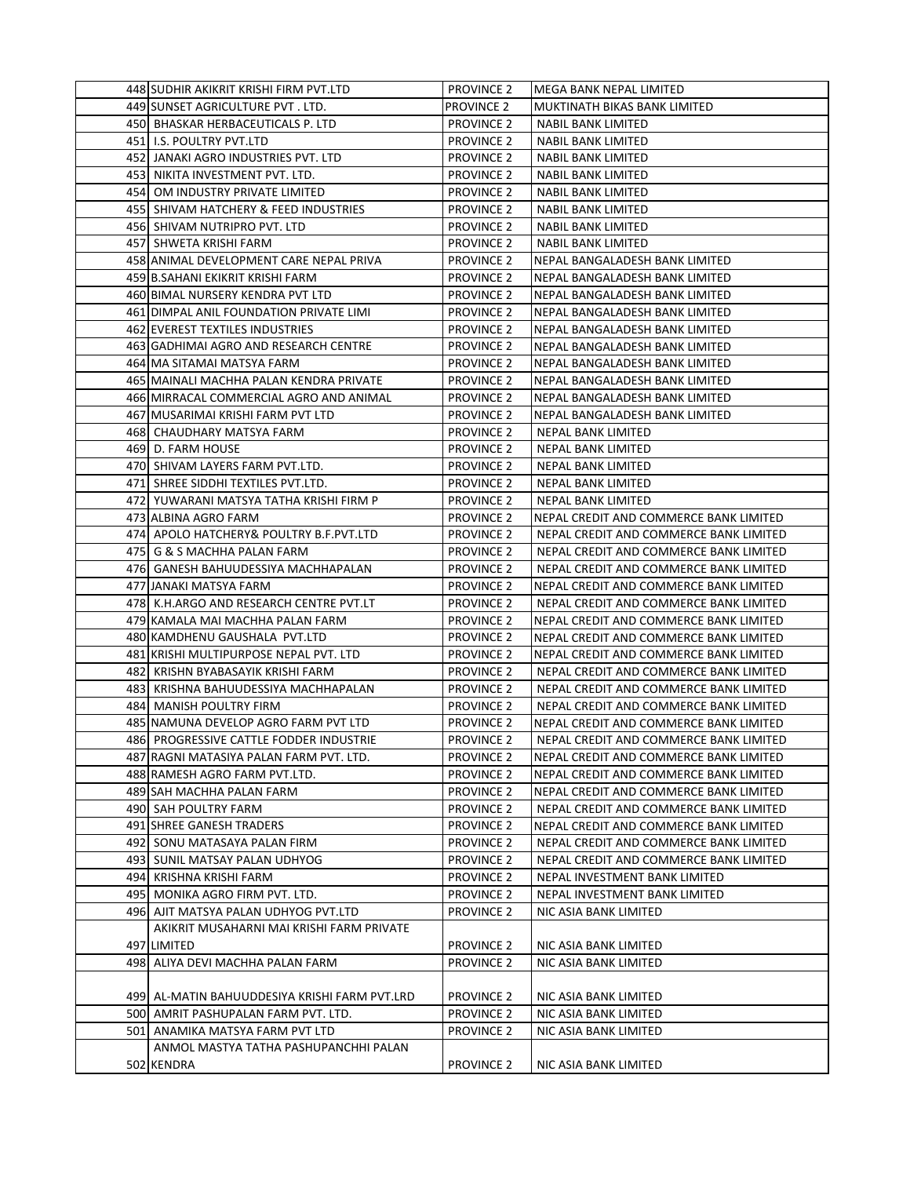| 448 SUDHIR AKIKRIT KRISHI FIRM PVT.LTD                                       | <b>PROVINCE 2</b>                      | IMEGA BANK NEPAL LIMITED                                                         |
|------------------------------------------------------------------------------|----------------------------------------|----------------------------------------------------------------------------------|
| 449 SUNSET AGRICULTURE PVT. LTD.                                             | <b>PROVINCE 2</b>                      | MUKTINATH BIKAS BANK LIMITED                                                     |
| 450 BHASKAR HERBACEUTICALS P. LTD                                            | <b>PROVINCE 2</b>                      | NABIL BANK LIMITED                                                               |
| 451 I.S. POULTRY PVT.LTD                                                     | <b>PROVINCE 2</b>                      | NABIL BANK LIMITED                                                               |
| 452 JANAKI AGRO INDUSTRIES PVT. LTD                                          | <b>PROVINCE 2</b>                      | NABIL BANK LIMITED                                                               |
| 453 NIKITA INVESTMENT PVT. LTD.                                              | <b>PROVINCE 2</b>                      | <b>NABIL BANK LIMITED</b>                                                        |
| 454 OM INDUSTRY PRIVATE LIMITED                                              | <b>PROVINCE 2</b>                      | <b>NABIL BANK LIMITED</b>                                                        |
| 455  SHIVAM HATCHERY & FEED INDUSTRIES                                       | <b>PROVINCE 2</b>                      | <b>NABIL BANK LIMITED</b>                                                        |
| 456  SHIVAM NUTRIPRO PVT. LTD                                                | <b>PROVINCE 2</b>                      | NABIL BANK LIMITED                                                               |
| 457 SHWETA KRISHI FARM                                                       | <b>PROVINCE 2</b>                      | NABIL BANK LIMITED                                                               |
| 458 ANIMAL DEVELOPMENT CARE NEPAL PRIVA                                      | <b>PROVINCE 2</b>                      | NEPAL BANGALADESH BANK LIMITED                                                   |
| 459 B.SAHANI EKIKRIT KRISHI FARM                                             | <b>PROVINCE 2</b>                      | NEPAL BANGALADESH BANK LIMITED                                                   |
| 460 BIMAL NURSERY KENDRA PVT LTD                                             | <b>PROVINCE 2</b>                      | NEPAL BANGALADESH BANK LIMITED                                                   |
| 461 DIMPAL ANIL FOUNDATION PRIVATE LIMI                                      | <b>PROVINCE 2</b>                      | NEPAL BANGALADESH BANK LIMITED                                                   |
| 462 EVEREST TEXTILES INDUSTRIES                                              | <b>PROVINCE 2</b>                      | NEPAL BANGALADESH BANK LIMITED                                                   |
| 463 GADHIMAI AGRO AND RESEARCH CENTRE                                        | <b>PROVINCE 2</b>                      | NEPAL BANGALADESH BANK LIMITED                                                   |
| 464 MA SITAMAI MATSYA FARM                                                   | <b>PROVINCE 2</b>                      | NEPAL BANGALADESH BANK LIMITED                                                   |
| 465 MAINALI MACHHA PALAN KENDRA PRIVATE                                      | <b>PROVINCE 2</b>                      | NEPAL BANGALADESH BANK LIMITED                                                   |
| 466 MIRRACAL COMMERCIAL AGRO AND ANIMAL                                      | <b>PROVINCE 2</b>                      | NEPAL BANGALADESH BANK LIMITED                                                   |
| 467 MUSARIMAI KRISHI FARM PVT LTD                                            | <b>PROVINCE 2</b>                      | NEPAL BANGALADESH BANK LIMITED                                                   |
| 468 CHAUDHARY MATSYA FARM                                                    | <b>PROVINCE 2</b>                      | NEPAL BANK LIMITED                                                               |
| 469 D. FARM HOUSE                                                            | <b>PROVINCE 2</b>                      | NEPAL BANK LIMITED                                                               |
| 470 SHIVAM LAYERS FARM PVT.LTD.                                              | <b>PROVINCE 2</b>                      | <b>NEPAL BANK LIMITED</b>                                                        |
| 471 SHREE SIDDHI TEXTILES PVT.LTD.                                           | <b>PROVINCE 2</b>                      | <b>NEPAL BANK LIMITED</b>                                                        |
| 472  YUWARANI MATSYA TATHA KRISHI FIRM P                                     | <b>PROVINCE 2</b>                      | NEPAL BANK LIMITED                                                               |
| 473 ALBINA AGRO FARM                                                         | <b>PROVINCE 2</b>                      | NEPAL CREDIT AND COMMERCE BANK LIMITED                                           |
| 474 APOLO HATCHERY& POULTRY B.F.PVT.LTD                                      | <b>PROVINCE 2</b>                      | NEPAL CREDIT AND COMMERCE BANK LIMITED                                           |
| 475 G & S MACHHA PALAN FARM                                                  | <b>PROVINCE 2</b>                      | NEPAL CREDIT AND COMMERCE BANK LIMITED                                           |
| 476 GANESH BAHUUDESSIYA MACHHAPALAN                                          | <b>PROVINCE 2</b>                      | NEPAL CREDIT AND COMMERCE BANK LIMITED                                           |
| 477 JANAKI MATSYA FARM                                                       | <b>PROVINCE 2</b>                      | NEPAL CREDIT AND COMMERCE BANK LIMITED                                           |
| 478  K.H.ARGO AND RESEARCH CENTRE PVT.LT                                     | <b>PROVINCE 2</b>                      |                                                                                  |
| 479 KAMALA MAI MACHHA PALAN FARM                                             |                                        | NEPAL CREDIT AND COMMERCE BANK LIMITED                                           |
|                                                                              | <b>PROVINCE 2</b>                      | NEPAL CREDIT AND COMMERCE BANK LIMITED                                           |
| 480 KAMDHENU GAUSHALA PVT.LTD                                                | <b>PROVINCE 2</b>                      | NEPAL CREDIT AND COMMERCE BANK LIMITED                                           |
| 481 KRISHI MULTIPURPOSE NEPAL PVT. LTD<br>482  KRISHN BYABASAYIK KRISHI FARM | <b>PROVINCE 2</b>                      | NEPAL CREDIT AND COMMERCE BANK LIMITED<br>NEPAL CREDIT AND COMMERCE BANK LIMITED |
| 483 KRISHNA BAHUUDESSIYA MACHHAPALAN                                         | <b>PROVINCE 2</b><br><b>PROVINCE 2</b> | NEPAL CREDIT AND COMMERCE BANK LIMITED                                           |
| 484 MANISH POULTRY FIRM                                                      | <b>PROVINCE 2</b>                      | NEPAL CREDIT AND COMMERCE BANK LIMITED                                           |
| 485 NAMUNA DEVELOP AGRO FARM PVT LTD                                         |                                        |                                                                                  |
| 486 PROGRESSIVE CATTLE FODDER INDUSTRIE                                      | <b>PROVINCE 2</b>                      | NEPAL CREDIT AND COMMERCE BANK LIMITED                                           |
|                                                                              | <b>PROVINCE 2</b><br><b>PROVINCE 2</b> | NEPAL CREDIT AND COMMERCE BANK LIMITED                                           |
| 487 RAGNI MATASIYA PALAN FARM PVT. LTD.                                      |                                        | NEPAL CREDIT AND COMMERCE BANK LIMITED                                           |
| 488 RAMESH AGRO FARM PVT.LTD.<br>489 SAH MACHHA PALAN FARM                   | <b>PROVINCE 2</b>                      | NEPAL CREDIT AND COMMERCE BANK LIMITED<br>NEPAL CREDIT AND COMMERCE BANK LIMITED |
|                                                                              | <b>PROVINCE 2</b>                      |                                                                                  |
| 490 SAH POULTRY FARM                                                         | <b>PROVINCE 2</b>                      | NEPAL CREDIT AND COMMERCE BANK LIMITED                                           |
| 491 SHREE GANESH TRADERS                                                     | <b>PROVINCE 2</b>                      | NEPAL CREDIT AND COMMERCE BANK LIMITED                                           |
| 492 SONU MATASAYA PALAN FIRM                                                 | <b>PROVINCE 2</b>                      | NEPAL CREDIT AND COMMERCE BANK LIMITED                                           |
| 493 SUNIL MATSAY PALAN UDHYOG                                                | <b>PROVINCE 2</b>                      | NEPAL CREDIT AND COMMERCE BANK LIMITED                                           |
| 494 KRISHNA KRISHI FARM                                                      | <b>PROVINCE 2</b>                      | NEPAL INVESTMENT BANK LIMITED                                                    |
| 495   MONIKA AGRO FIRM PVT. LTD.                                             | <b>PROVINCE 2</b>                      | NEPAL INVESTMENT BANK LIMITED                                                    |
| 496 AJIT MATSYA PALAN UDHYOG PVT.LTD                                         | <b>PROVINCE 2</b>                      | NIC ASIA BANK LIMITED                                                            |
| AKIKRIT MUSAHARNI MAI KRISHI FARM PRIVATE                                    |                                        |                                                                                  |
| 497 LIMITED                                                                  | <b>PROVINCE 2</b>                      | NIC ASIA BANK LIMITED                                                            |
| 498 ALIYA DEVI MACHHA PALAN FARM                                             | <b>PROVINCE 2</b>                      | NIC ASIA BANK LIMITED                                                            |
|                                                                              |                                        |                                                                                  |
| 499  AL-MATIN BAHUUDDESIYA KRISHI FARM PVT.LRD                               | <b>PROVINCE 2</b>                      | NIC ASIA BANK LIMITED                                                            |
| 500 AMRIT PASHUPALAN FARM PVT. LTD.                                          | <b>PROVINCE 2</b>                      | NIC ASIA BANK LIMITED                                                            |
| 501 ANAMIKA MATSYA FARM PVT LTD                                              | <b>PROVINCE 2</b>                      | NIC ASIA BANK LIMITED                                                            |
| ANMOL MASTYA TATHA PASHUPANCHHI PALAN                                        |                                        |                                                                                  |
| 502 KENDRA                                                                   | <b>PROVINCE 2</b>                      | NIC ASIA BANK LIMITED                                                            |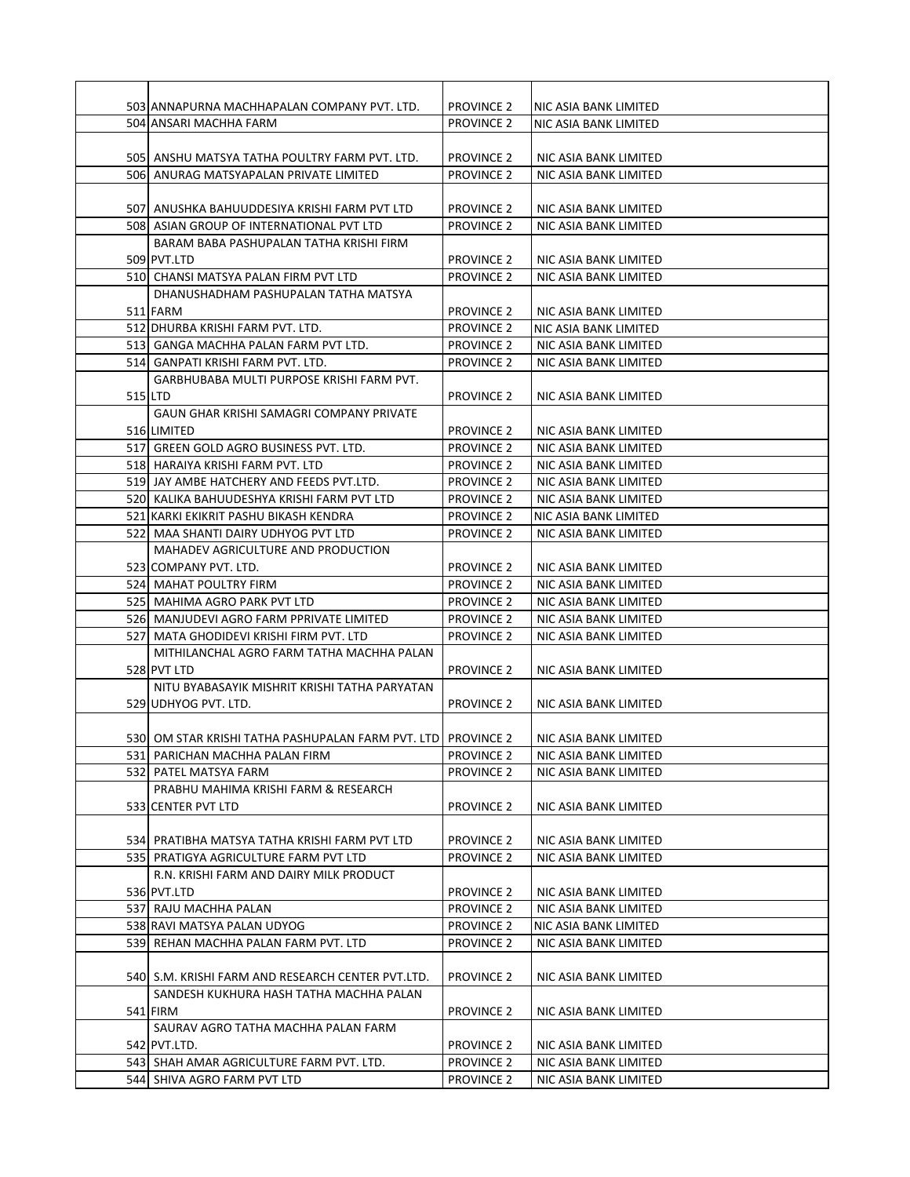| 503 ANNAPURNA MACHHAPALAN COMPANY PVT. LTD.                   | <b>PROVINCE 2</b> | NIC ASIA BANK LIMITED |
|---------------------------------------------------------------|-------------------|-----------------------|
| 504 ANSARI MACHHA FARM                                        | <b>PROVINCE 2</b> | NIC ASIA BANK LIMITED |
|                                                               |                   |                       |
| 505 ANSHU MATSYA TATHA POULTRY FARM PVT. LTD.                 | <b>PROVINCE 2</b> | NIC ASIA BANK LIMITED |
| 506 ANURAG MATSYAPALAN PRIVATE LIMITED                        | <b>PROVINCE 2</b> | NIC ASIA BANK LIMITED |
|                                                               |                   |                       |
| 507 ANUSHKA BAHUUDDESIYA KRISHI FARM PVT LTD                  | <b>PROVINCE 2</b> | NIC ASIA BANK LIMITED |
| 508 ASIAN GROUP OF INTERNATIONAL PVT LTD                      | <b>PROVINCE 2</b> | NIC ASIA BANK LIMITED |
|                                                               |                   |                       |
| BARAM BABA PASHUPALAN TATHA KRISHI FIRM                       |                   |                       |
| 509 PVT.LTD                                                   | <b>PROVINCE 2</b> | NIC ASIA BANK LIMITED |
| 510 CHANSI MATSYA PALAN FIRM PVT LTD                          | <b>PROVINCE 2</b> | NIC ASIA BANK LIMITED |
| DHANUSHADHAM PASHUPALAN TATHA MATSYA                          |                   |                       |
| 511 FARM                                                      | <b>PROVINCE 2</b> | NIC ASIA BANK LIMITED |
| 512 DHURBA KRISHI FARM PVT. LTD.                              | <b>PROVINCE 2</b> | NIC ASIA BANK LIMITED |
| 513 GANGA MACHHA PALAN FARM PVT LTD.                          | <b>PROVINCE 2</b> | NIC ASIA BANK LIMITED |
| 514   GANPATI KRISHI FARM PVT. LTD.                           | <b>PROVINCE 2</b> | NIC ASIA BANK LIMITED |
| GARBHUBABA MULTI PURPOSE KRISHI FARM PVT.                     |                   |                       |
| 515 LTD                                                       | <b>PROVINCE 2</b> | NIC ASIA BANK LIMITED |
| <b>GAUN GHAR KRISHI SAMAGRI COMPANY PRIVATE</b>               |                   |                       |
| 516 LIMITED                                                   | <b>PROVINCE 2</b> | NIC ASIA BANK LIMITED |
| 517 GREEN GOLD AGRO BUSINESS PVT. LTD.                        | <b>PROVINCE 2</b> | NIC ASIA BANK LIMITED |
| 518  HARAIYA KRISHI FARM PVT. LTD                             | <b>PROVINCE 2</b> | NIC ASIA BANK LIMITED |
| 519 JAY AMBE HATCHERY AND FEEDS PVT.LTD.                      | <b>PROVINCE 2</b> | NIC ASIA BANK LIMITED |
| 520  KALIKA BAHUUDESHYA KRISHI FARM PVT LTD                   | <b>PROVINCE 2</b> | NIC ASIA BANK LIMITED |
| 521 KARKI EKIKRIT PASHU BIKASH KENDRA                         | <b>PROVINCE 2</b> | NIC ASIA BANK LIMITED |
| 522 MAA SHANTI DAIRY UDHYOG PVT LTD                           | <b>PROVINCE 2</b> | NIC ASIA BANK LIMITED |
| MAHADEV AGRICULTURE AND PRODUCTION                            |                   |                       |
| 523 COMPANY PVT. LTD.                                         | <b>PROVINCE 2</b> | NIC ASIA BANK LIMITED |
| 524 MAHAT POULTRY FIRM                                        | <b>PROVINCE 2</b> | NIC ASIA BANK LIMITED |
| 525 MAHIMA AGRO PARK PVT LTD                                  | <b>PROVINCE 2</b> | NIC ASIA BANK LIMITED |
|                                                               |                   |                       |
| 526 MANJUDEVI AGRO FARM PPRIVATE LIMITED                      | <b>PROVINCE 2</b> | NIC ASIA BANK LIMITED |
| 527L MATA GHODIDEVI KRISHI FIRM PVT. LTD                      | <b>PROVINCE 2</b> | NIC ASIA BANK LIMITED |
| MITHILANCHAL AGRO FARM TATHA MACHHA PALAN                     |                   |                       |
| 528 PVT LTD                                                   | <b>PROVINCE 2</b> | NIC ASIA BANK LIMITED |
| NITU BYABASAYIK MISHRIT KRISHI TATHA PARYATAN                 |                   |                       |
| 529 UDHYOG PVT. LTD.                                          | <b>PROVINCE 2</b> | NIC ASIA BANK LIMITED |
|                                                               |                   |                       |
| 530 OM STAR KRISHI TATHA PASHUPALAN FARM PVT. LTD  PROVINCE 2 |                   | NIC ASIA BANK LIMITED |
| 531 PARICHAN MACHHA PALAN FIRM                                | <b>PROVINCE 2</b> | NIC ASIA BANK LIMITED |
| 532 PATEL MATSYA FARM                                         | <b>PROVINCE 2</b> | NIC ASIA BANK LIMITED |
| PRABHU MAHIMA KRISHI FARM & RESEARCH                          |                   |                       |
| 533 CENTER PVT LTD                                            | <b>PROVINCE 2</b> | NIC ASIA BANK LIMITED |
|                                                               |                   |                       |
| 534 PRATIBHA MATSYA TATHA KRISHI FARM PVT LTD                 | <b>PROVINCE 2</b> | NIC ASIA BANK LIMITED |
| 535  PRATIGYA AGRICULTURE FARM PVT LTD                        | <b>PROVINCE 2</b> | NIC ASIA BANK LIMITED |
| R.N. KRISHI FARM AND DAIRY MILK PRODUCT                       |                   |                       |
| 536 PVT.LTD                                                   | <b>PROVINCE 2</b> | NIC ASIA BANK LIMITED |
| 537 RAJU MACHHA PALAN                                         | <b>PROVINCE 2</b> | NIC ASIA BANK LIMITED |
| 538 RAVI MATSYA PALAN UDYOG                                   | <b>PROVINCE 2</b> | NIC ASIA BANK LIMITED |
| 539 REHAN MACHHA PALAN FARM PVT. LTD                          | <b>PROVINCE 2</b> | NIC ASIA BANK LIMITED |
|                                                               |                   |                       |
| 540 S.M. KRISHI FARM AND RESEARCH CENTER PVT.LTD.             | <b>PROVINCE 2</b> | NIC ASIA BANK LIMITED |
| SANDESH KUKHURA HASH TATHA MACHHA PALAN                       |                   |                       |
| 541 FIRM                                                      | <b>PROVINCE 2</b> | NIC ASIA BANK LIMITED |
| SAURAV AGRO TATHA MACHHA PALAN FARM                           |                   |                       |
|                                                               |                   |                       |
| 542 PVT.LTD.                                                  | <b>PROVINCE 2</b> | NIC ASIA BANK LIMITED |
| 543 SHAH AMAR AGRICULTURE FARM PVT. LTD.                      | <b>PROVINCE 2</b> | NIC ASIA BANK LIMITED |
| 544 SHIVA AGRO FARM PVT LTD                                   | <b>PROVINCE 2</b> | NIC ASIA BANK LIMITED |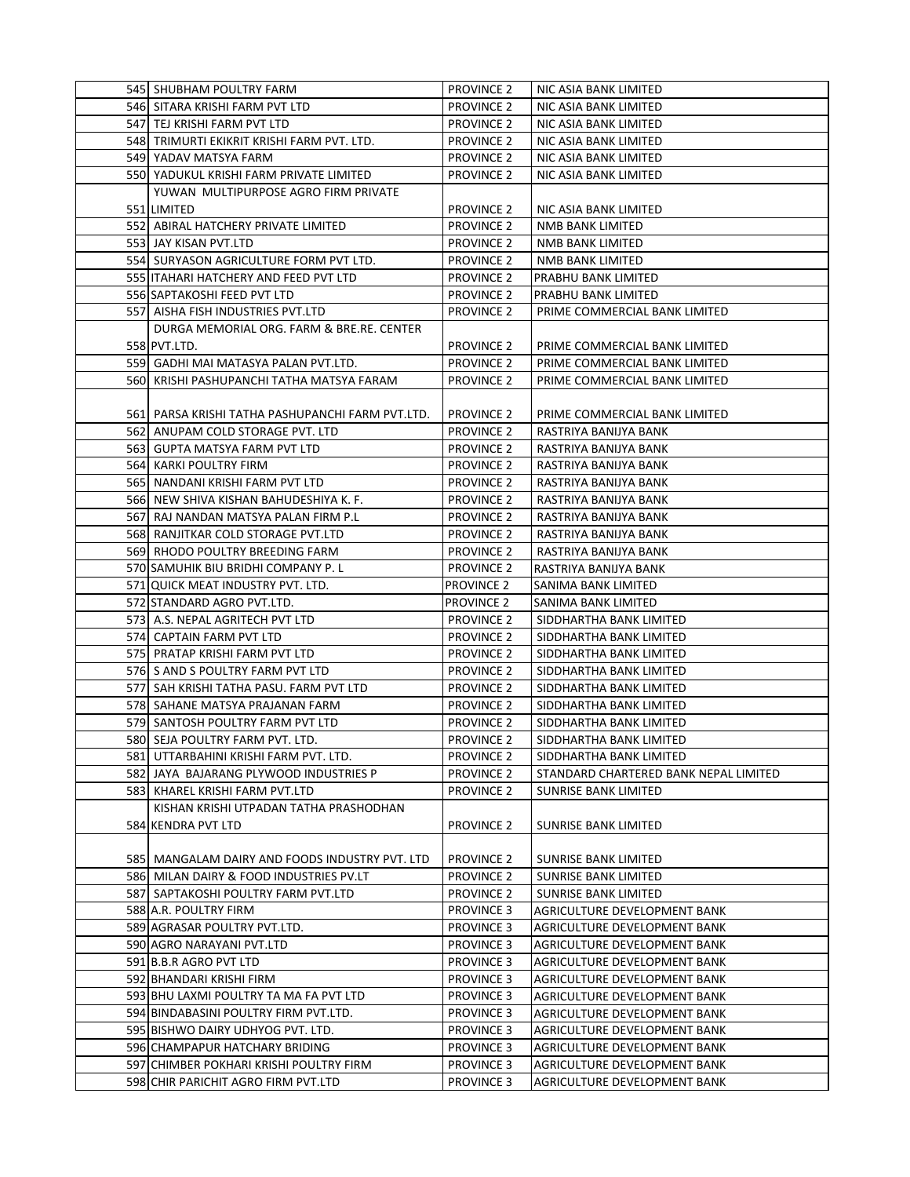| 545 SHUBHAM POULTRY FARM                         | <b>PROVINCE 2</b> | NIC ASIA BANK LIMITED                 |
|--------------------------------------------------|-------------------|---------------------------------------|
| 546  SITARA KRISHI FARM PVT LTD                  | <b>PROVINCE 2</b> | NIC ASIA BANK LIMITED                 |
| 547 TEJ KRISHI FARM PVT LTD                      | <b>PROVINCE 2</b> | NIC ASIA BANK LIMITED                 |
| 548 TRIMURTI EKIKRIT KRISHI FARM PVT. LTD.       | <b>PROVINCE 2</b> | NIC ASIA BANK LIMITED                 |
| 549 YADAV MATSYA FARM                            | <b>PROVINCE 2</b> | NIC ASIA BANK LIMITED                 |
| 550 YADUKUL KRISHI FARM PRIVATE LIMITED          | <b>PROVINCE 2</b> | NIC ASIA BANK LIMITED                 |
| YUWAN MULTIPURPOSE AGRO FIRM PRIVATE             |                   |                                       |
| 551 LIMITED                                      | <b>PROVINCE 2</b> | NIC ASIA BANK LIMITED                 |
| 552 ABIRAL HATCHERY PRIVATE LIMITED              | <b>PROVINCE 2</b> | NMB BANK LIMITED                      |
| 553 JAY KISAN PVT.LTD                            | <b>PROVINCE 2</b> | NMB BANK LIMITED                      |
| 554 SURYASON AGRICULTURE FORM PVT LTD.           | <b>PROVINCE 2</b> | NMB BANK LIMITED                      |
| 555 ITAHARI HATCHERY AND FEED PVT LTD            | <b>PROVINCE 2</b> | PRABHU BANK LIMITED                   |
| 556 SAPTAKOSHI FEED PVT LTD                      | <b>PROVINCE 2</b> | PRABHU BANK LIMITED                   |
| 557 AISHA FISH INDUSTRIES PVT.LTD                | <b>PROVINCE 2</b> | PRIME COMMERCIAL BANK LIMITED         |
| DURGA MEMORIAL ORG. FARM & BRE.RE. CENTER        |                   |                                       |
| 558 PVT.LTD.                                     | <b>PROVINCE 2</b> | PRIME COMMERCIAL BANK LIMITED         |
| 559 GADHI MAI MATASYA PALAN PVT.LTD.             | <b>PROVINCE 2</b> | PRIME COMMERCIAL BANK LIMITED         |
| 560 KRISHI PASHUPANCHI TATHA MATSYA FARAM        | <b>PROVINCE 2</b> | PRIME COMMERCIAL BANK LIMITED         |
|                                                  |                   |                                       |
| 561 PARSA KRISHI TATHA PASHUPANCHI FARM PVT.LTD. | <b>PROVINCE 2</b> | PRIME COMMERCIAL BANK LIMITED         |
| 562 ANUPAM COLD STORAGE PVT. LTD                 | <b>PROVINCE 2</b> | RASTRIYA BANIJYA BANK                 |
| 563 GUPTA MATSYA FARM PVT LTD                    | <b>PROVINCE 2</b> | RASTRIYA BANIJYA BANK                 |
| 564 KARKI POULTRY FIRM                           | <b>PROVINCE 2</b> | RASTRIYA BANIJYA BANK                 |
| 565 NANDANI KRISHI FARM PVT LTD                  | <b>PROVINCE 2</b> | RASTRIYA BANIJYA BANK                 |
| 566 NEW SHIVA KISHAN BAHUDESHIYA K. F.           | <b>PROVINCE 2</b> | RASTRIYA BANIJYA BANK                 |
| 567  RAJ NANDAN MATSYA PALAN FIRM P.L            | <b>PROVINCE 2</b> | RASTRIYA BANIJYA BANK                 |
| 568 RANJITKAR COLD STORAGE PVT.LTD               | <b>PROVINCE 2</b> | RASTRIYA BANIJYA BANK                 |
| 569 RHODO POULTRY BREEDING FARM                  | <b>PROVINCE 2</b> | RASTRIYA BANIJYA BANK                 |
| 570 SAMUHIK BIU BRIDHI COMPANY P. L              | <b>PROVINCE 2</b> | RASTRIYA BANIJYA BANK                 |
| 571 QUICK MEAT INDUSTRY PVT. LTD.                | <b>PROVINCE 2</b> | SANIMA BANK LIMITED                   |
| 572 STANDARD AGRO PVT.LTD.                       | <b>PROVINCE 2</b> | SANIMA BANK LIMITED                   |
| 573 A.S. NEPAL AGRITECH PVT LTD                  | <b>PROVINCE 2</b> | SIDDHARTHA BANK LIMITED               |
| 574 CAPTAIN FARM PVT LTD                         | <b>PROVINCE 2</b> | SIDDHARTHA BANK LIMITED               |
| 575  PRATAP KRISHI FARM PVT LTD                  | <b>PROVINCE 2</b> | SIDDHARTHA BANK LIMITED               |
| 576 S AND S POULTRY FARM PVT LTD                 | <b>PROVINCE 2</b> | SIDDHARTHA BANK LIMITED               |
| 577  SAH KRISHI TATHA PASU. FARM PVT LTD         | <b>PROVINCE 2</b> | SIDDHARTHA BANK LIMITED               |
| 578 SAHANE MATSYA PRAJANAN FARM                  | <b>PROVINCE 2</b> | SIDDHARTHA BANK LIMITED               |
| 579 SANTOSH POULTRY FARM PVT LTD                 | <b>PROVINCE 2</b> | SIDDHARTHA BANK LIMITED               |
| 580 SEJA POULTRY FARM PVT. LTD.                  | <b>PROVINCE 2</b> | SIDDHARTHA BANK LIMITED               |
| 581 UTTARBAHINI KRISHI FARM PVT. LTD.            | <b>PROVINCE 2</b> | SIDDHARTHA BANK LIMITED               |
| 582 JAYA BAJARANG PLYWOOD INDUSTRIES P           | <b>PROVINCE 2</b> | STANDARD CHARTERED BANK NEPAL LIMITED |
| 583 KHAREL KRISHI FARM PVT.LTD                   | <b>PROVINCE 2</b> | SUNRISE BANK LIMITED                  |
| KISHAN KRISHI UTPADAN TATHA PRASHODHAN           |                   |                                       |
| 584 KENDRA PVT LTD                               | <b>PROVINCE 2</b> | SUNRISE BANK LIMITED                  |
|                                                  |                   |                                       |
| 585  MANGALAM DAIRY AND FOODS INDUSTRY PVT. LTD  | <b>PROVINCE 2</b> | SUNRISE BANK LIMITED                  |
| 586 MILAN DAIRY & FOOD INDUSTRIES PV.LT          | <b>PROVINCE 2</b> | <b>SUNRISE BANK LIMITED</b>           |
| 587  SAPTAKOSHI POULTRY FARM PVT.LTD             | <b>PROVINCE 2</b> | SUNRISE BANK LIMITED                  |
| 588 A.R. POULTRY FIRM                            | PROVINCE 3        | AGRICULTURE DEVELOPMENT BANK          |
| 589 AGRASAR POULTRY PVT.LTD.                     | <b>PROVINCE 3</b> | AGRICULTURE DEVELOPMENT BANK          |
| 590 AGRO NARAYANI PVT.LTD                        | <b>PROVINCE 3</b> | AGRICULTURE DEVELOPMENT BANK          |
| 591 B.B.R AGRO PVT LTD                           | <b>PROVINCE 3</b> | AGRICULTURE DEVELOPMENT BANK          |
| 592 BHANDARI KRISHI FIRM                         | <b>PROVINCE 3</b> | AGRICULTURE DEVELOPMENT BANK          |
| 593 BHU LAXMI POULTRY TA MA FA PVT LTD           | <b>PROVINCE 3</b> | AGRICULTURE DEVELOPMENT BANK          |
| 594 BINDABASINI POULTRY FIRM PVT.LTD.            | <b>PROVINCE 3</b> | AGRICULTURE DEVELOPMENT BANK          |
| 595 BISHWO DAIRY UDHYOG PVT. LTD.                | <b>PROVINCE 3</b> | AGRICULTURE DEVELOPMENT BANK          |
| 596 CHAMPAPUR HATCHARY BRIDING                   | <b>PROVINCE 3</b> | AGRICULTURE DEVELOPMENT BANK          |
| 597 CHIMBER POKHARI KRISHI POULTRY FIRM          | <b>PROVINCE 3</b> | AGRICULTURE DEVELOPMENT BANK          |
| 598 CHIR PARICHIT AGRO FIRM PVT.LTD              | <b>PROVINCE 3</b> | AGRICULTURE DEVELOPMENT BANK          |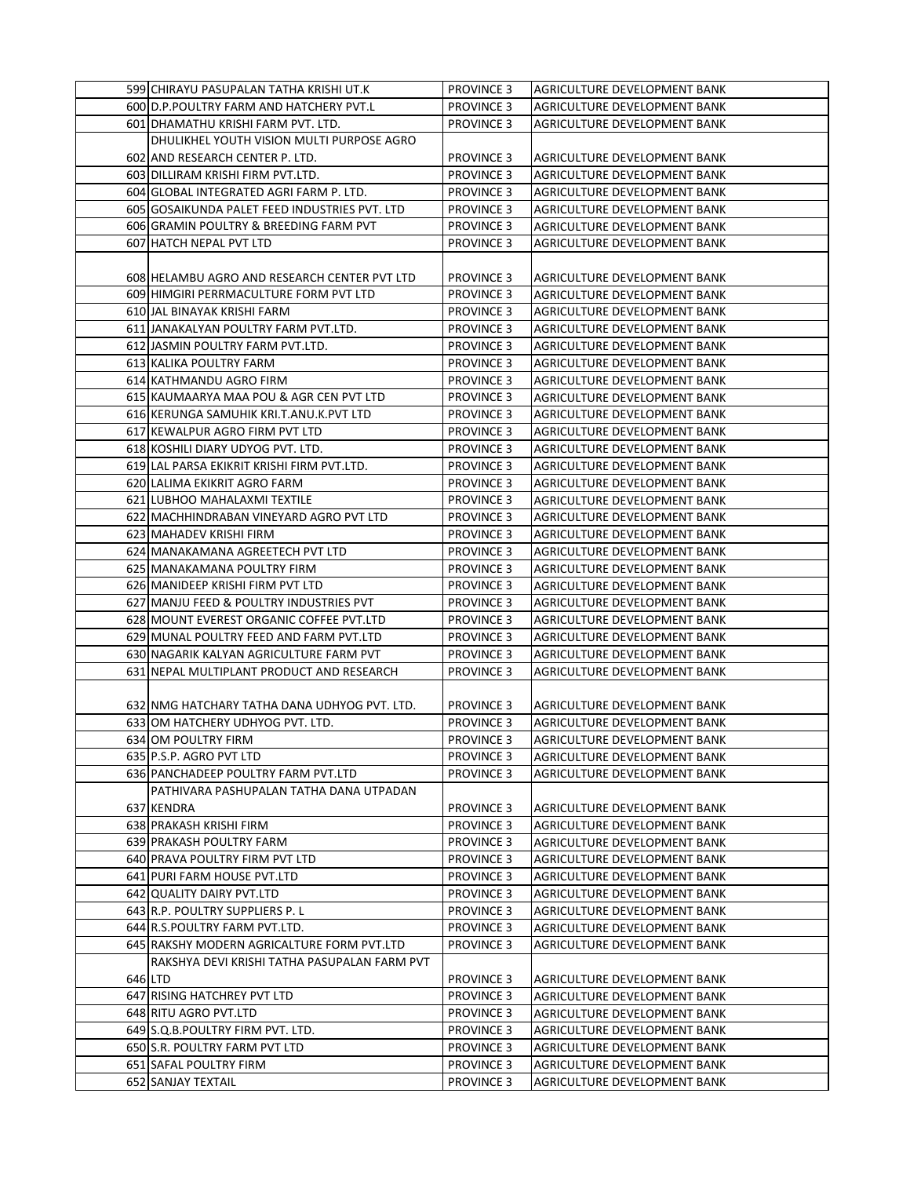| 599 CHIRAYU PASUPALAN TATHA KRISHI UT.K       | <b>PROVINCE 3</b> | AGRICULTURE DEVELOPMENT BANK        |
|-----------------------------------------------|-------------------|-------------------------------------|
| 600 D.P. POULTRY FARM AND HATCHERY PVT.L      | <b>PROVINCE 3</b> | AGRICULTURE DEVELOPMENT BANK        |
| 601 DHAMATHU KRISHI FARM PVT. LTD.            | <b>PROVINCE 3</b> | AGRICULTURE DEVELOPMENT BANK        |
| DHULIKHEL YOUTH VISION MULTI PURPOSE AGRO     |                   |                                     |
| 602 AND RESEARCH CENTER P. LTD.               | <b>PROVINCE 3</b> | AGRICULTURE DEVELOPMENT BANK        |
| 603 DILLIRAM KRISHI FIRM PVT.LTD.             | <b>PROVINCE 3</b> | AGRICULTURE DEVELOPMENT BANK        |
| 604 GLOBAL INTEGRATED AGRI FARM P. LTD.       | <b>PROVINCE 3</b> | AGRICULTURE DEVELOPMENT BANK        |
| 605 GOSAIKUNDA PALET FEED INDUSTRIES PVT. LTD | <b>PROVINCE 3</b> | AGRICULTURE DEVELOPMENT BANK        |
| 606 GRAMIN POULTRY & BREEDING FARM PVT        | <b>PROVINCE 3</b> | AGRICULTURE DEVELOPMENT BANK        |
| 607 HATCH NEPAL PVT LTD                       | <b>PROVINCE 3</b> | AGRICULTURE DEVELOPMENT BANK        |
|                                               |                   |                                     |
|                                               | <b>PROVINCE 3</b> | AGRICULTURE DEVELOPMENT BANK        |
| 608 HELAMBU AGRO AND RESEARCH CENTER PVT LTD  |                   |                                     |
| 609 HIMGIRI PERRMACULTURE FORM PVT LTD        | <b>PROVINCE 3</b> | AGRICULTURE DEVELOPMENT BANK        |
| 610 JAL BINAYAK KRISHI FARM                   | <b>PROVINCE 3</b> | AGRICULTURE DEVELOPMENT BANK        |
| 611 JANAKALYAN POULTRY FARM PVT.LTD.          | <b>PROVINCE 3</b> | AGRICULTURE DEVELOPMENT BANK        |
| 612 JASMIN POULTRY FARM PVT.LTD.              | <b>PROVINCE 3</b> | AGRICULTURE DEVELOPMENT BANK        |
| 613 KALIKA POULTRY FARM                       | <b>PROVINCE 3</b> | AGRICULTURE DEVELOPMENT BANK        |
| 614 KATHMANDU AGRO FIRM                       | <b>PROVINCE 3</b> | AGRICULTURE DEVELOPMENT BANK        |
| 615 KAUMAARYA MAA POU & AGR CEN PVT LTD       | <b>PROVINCE 3</b> | AGRICULTURE DEVELOPMENT BANK        |
| 616 KERUNGA SAMUHIK KRI.T.ANU.K.PVT LTD       | <b>PROVINCE 3</b> | AGRICULTURE DEVELOPMENT BANK        |
| 617 KEWALPUR AGRO FIRM PVT LTD                | <b>PROVINCE 3</b> | AGRICULTURE DEVELOPMENT BANK        |
| 618 KOSHILI DIARY UDYOG PVT. LTD.             | <b>PROVINCE 3</b> | AGRICULTURE DEVELOPMENT BANK        |
| 619 LAL PARSA EKIKRIT KRISHI FIRM PVT.LTD.    | <b>PROVINCE 3</b> | AGRICULTURE DEVELOPMENT BANK        |
| 620 LALIMA EKIKRIT AGRO FARM                  | <b>PROVINCE 3</b> | AGRICULTURE DEVELOPMENT BANK        |
| 621 LUBHOO MAHALAXMI TEXTILE                  | <b>PROVINCE 3</b> | AGRICULTURE DEVELOPMENT BANK        |
| 622 MACHHINDRABAN VINEYARD AGRO PVT LTD       | <b>PROVINCE 3</b> | AGRICULTURE DEVELOPMENT BANK        |
| 623 MAHADEV KRISHI FIRM                       | <b>PROVINCE 3</b> | AGRICULTURE DEVELOPMENT BANK        |
| 624 MANAKAMANA AGREETECH PVT LTD              | <b>PROVINCE 3</b> | AGRICULTURE DEVELOPMENT BANK        |
| 625 MANAKAMANA POULTRY FIRM                   | <b>PROVINCE 3</b> | AGRICULTURE DEVELOPMENT BANK        |
| 626 MANIDEEP KRISHI FIRM PVT LTD              | <b>PROVINCE 3</b> | AGRICULTURE DEVELOPMENT BANK        |
| 627 MANJU FEED & POULTRY INDUSTRIES PVT       | <b>PROVINCE 3</b> | AGRICULTURE DEVELOPMENT BANK        |
| 628 MOUNT EVEREST ORGANIC COFFEE PVT.LTD      | <b>PROVINCE 3</b> | AGRICULTURE DEVELOPMENT BANK        |
| 629 MUNAL POULTRY FEED AND FARM PVT.LTD       | <b>PROVINCE 3</b> | AGRICULTURE DEVELOPMENT BANK        |
| 630 NAGARIK KALYAN AGRICULTURE FARM PVT       | <b>PROVINCE 3</b> | AGRICULTURE DEVELOPMENT BANK        |
| 631 NEPAL MULTIPLANT PRODUCT AND RESEARCH     | <b>PROVINCE 3</b> | AGRICULTURE DEVELOPMENT BANK        |
|                                               |                   |                                     |
| 632 NMG HATCHARY TATHA DANA UDHYOG PVT. LTD.  | <b>PROVINCE 3</b> | AGRICULTURE DEVELOPMENT BANK        |
| 633 OM HATCHERY UDHYOG PVT. LTD.              | <b>PROVINCE 3</b> | AGRICULTURE DEVELOPMENT BANK        |
| 634 OM POULTRY FIRM                           | <b>PROVINCE 3</b> | <b>AGRICULTURE DEVELOPMENT BANK</b> |
| 635 P.S.P. AGRO PVT LTD                       | PROVINCE 3        | AGRICULTURE DEVELOPMENT BANK        |
| 636 PANCHADEEP POULTRY FARM PVT.LTD           | <b>PROVINCE 3</b> | AGRICULTURE DEVELOPMENT BANK        |
| PATHIVARA PASHUPALAN TATHA DANA UTPADAN       |                   |                                     |
| 637 KENDRA                                    | <b>PROVINCE 3</b> | AGRICULTURE DEVELOPMENT BANK        |
| 638 PRAKASH KRISHI FIRM                       | <b>PROVINCE 3</b> | AGRICULTURE DEVELOPMENT BANK        |
| 639 PRAKASH POULTRY FARM                      | <b>PROVINCE 3</b> | AGRICULTURE DEVELOPMENT BANK        |
| 640 PRAVA POULTRY FIRM PVT LTD                | <b>PROVINCE 3</b> | AGRICULTURE DEVELOPMENT BANK        |
| 641 PURI FARM HOUSE PVT.LTD                   | <b>PROVINCE 3</b> | AGRICULTURE DEVELOPMENT BANK        |
| 642 QUALITY DAIRY PVT.LTD                     | <b>PROVINCE 3</b> | AGRICULTURE DEVELOPMENT BANK        |
| 643 R.P. POULTRY SUPPLIERS P. L               | <b>PROVINCE 3</b> | AGRICULTURE DEVELOPMENT BANK        |
| 644 R.S.POULTRY FARM PVT.LTD.                 | <b>PROVINCE 3</b> | AGRICULTURE DEVELOPMENT BANK        |
| 645 RAKSHY MODERN AGRICALTURE FORM PVT.LTD    | <b>PROVINCE 3</b> | AGRICULTURE DEVELOPMENT BANK        |
| RAKSHYA DEVI KRISHI TATHA PASUPALAN FARM PVT  |                   |                                     |
| 646 LTD                                       | <b>PROVINCE 3</b> | AGRICULTURE DEVELOPMENT BANK        |
| 647 RISING HATCHREY PVT LTD                   | <b>PROVINCE 3</b> | AGRICULTURE DEVELOPMENT BANK        |
| 648 RITU AGRO PVT.LTD                         | <b>PROVINCE 3</b> | AGRICULTURE DEVELOPMENT BANK        |
| 649 S.Q.B.POULTRY FIRM PVT. LTD.              | <b>PROVINCE 3</b> | AGRICULTURE DEVELOPMENT BANK        |
| 650 S.R. POULTRY FARM PVT LTD                 | <b>PROVINCE 3</b> | AGRICULTURE DEVELOPMENT BANK        |
| 651 SAFAL POULTRY FIRM                        | <b>PROVINCE 3</b> | AGRICULTURE DEVELOPMENT BANK        |
| 652 SANJAY TEXTAIL                            | <b>PROVINCE 3</b> | AGRICULTURE DEVELOPMENT BANK        |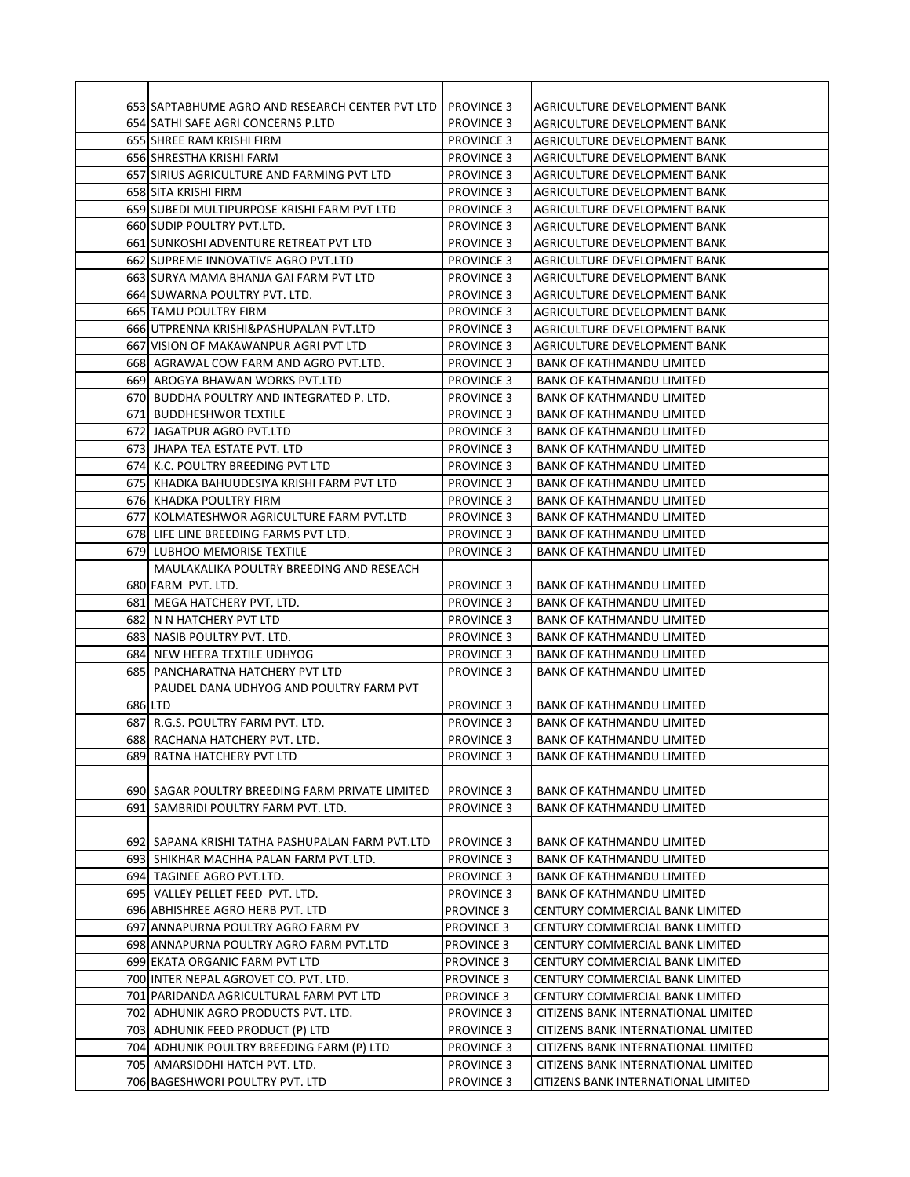| 653 SAPTABHUME AGRO AND RESEARCH CENTER PVT LTD  | <b>PROVINCE 3</b> | AGRICULTURE DEVELOPMENT BANK        |
|--------------------------------------------------|-------------------|-------------------------------------|
| 654 SATHI SAFE AGRI CONCERNS P.LTD               | <b>PROVINCE 3</b> | AGRICULTURE DEVELOPMENT BANK        |
| 655 SHREE RAM KRISHI FIRM                        | <b>PROVINCE 3</b> | AGRICULTURE DEVELOPMENT BANK        |
| 656 SHRESTHA KRISHI FARM                         | <b>PROVINCE 3</b> | AGRICULTURE DEVELOPMENT BANK        |
| 657 SIRIUS AGRICULTURE AND FARMING PVT LTD       | <b>PROVINCE 3</b> | AGRICULTURE DEVELOPMENT BANK        |
| 658 SITA KRISHI FIRM                             | <b>PROVINCE 3</b> | AGRICULTURE DEVELOPMENT BANK        |
| 659 SUBEDI MULTIPURPOSE KRISHI FARM PVT LTD      | <b>PROVINCE 3</b> | AGRICULTURE DEVELOPMENT BANK        |
| 660 SUDIP POULTRY PVT.LTD.                       | <b>PROVINCE 3</b> | AGRICULTURE DEVELOPMENT BANK        |
| 661 SUNKOSHI ADVENTURE RETREAT PVT LTD           | <b>PROVINCE 3</b> | AGRICULTURE DEVELOPMENT BANK        |
| 662 SUPREME INNOVATIVE AGRO PVT.LTD              | <b>PROVINCE 3</b> | AGRICULTURE DEVELOPMENT BANK        |
| 663 SURYA MAMA BHANJA GAI FARM PVT LTD           | <b>PROVINCE 3</b> | AGRICULTURE DEVELOPMENT BANK        |
| 664 SUWARNA POULTRY PVT. LTD.                    | <b>PROVINCE 3</b> | AGRICULTURE DEVELOPMENT BANK        |
| 665 TAMU POULTRY FIRM                            | <b>PROVINCE 3</b> | AGRICULTURE DEVELOPMENT BANK        |
| 666 UTPRENNA KRISHI&PASHUPALAN PVT.LTD           | <b>PROVINCE 3</b> | AGRICULTURE DEVELOPMENT BANK        |
| 667 VISION OF MAKAWANPUR AGRI PVT LTD            | <b>PROVINCE 3</b> | AGRICULTURE DEVELOPMENT BANK        |
| 668  AGRAWAL COW FARM AND AGRO PVT.LTD.          | <b>PROVINCE 3</b> | BANK OF KATHMANDU LIMITED           |
| 669 AROGYA BHAWAN WORKS PVT.LTD                  | <b>PROVINCE 3</b> | <b>BANK OF KATHMANDU LIMITED</b>    |
| 670  BUDDHA POULTRY AND INTEGRATED P. LTD.       | <b>PROVINCE 3</b> | <b>BANK OF KATHMANDU LIMITED</b>    |
| 671  BUDDHESHWOR TEXTILE                         | <b>PROVINCE 3</b> | BANK OF KATHMANDU LIMITED           |
| 672 JAGATPUR AGRO PVT.LTD                        | <b>PROVINCE 3</b> | BANK OF KATHMANDU LIMITED           |
| 673 JHAPA TEA ESTATE PVT. LTD                    | <b>PROVINCE 3</b> | BANK OF KATHMANDU LIMITED           |
| 674J K.C. POULTRY BREEDING PVT LTD               | <b>PROVINCE 3</b> | <b>BANK OF KATHMANDU LIMITED</b>    |
| 675  KHADKA BAHUUDESIYA KRISHI FARM PVT LTD      | <b>PROVINCE 3</b> | <b>BANK OF KATHMANDU LIMITED</b>    |
| 676 KHADKA POULTRY FIRM                          | <b>PROVINCE 3</b> | BANK OF KATHMANDU LIMITED           |
| 677 KOLMATESHWOR AGRICULTURE FARM PVT.LTD        | <b>PROVINCE 3</b> | <b>BANK OF KATHMANDU LIMITED</b>    |
| 678 LIFE LINE BREEDING FARMS PVT LTD.            | <b>PROVINCE 3</b> | <b>BANK OF KATHMANDU LIMITED</b>    |
| 679 LUBHOO MEMORISE TEXTILE                      | <b>PROVINCE 3</b> | <b>BANK OF KATHMANDU LIMITED</b>    |
| MAULAKALIKA POULTRY BREEDING AND RESEACH         |                   |                                     |
| 680 FARM PVT. LTD.                               | <b>PROVINCE 3</b> | BANK OF KATHMANDU LIMITED           |
| 681  MEGA HATCHERY PVT, LTD.                     | <b>PROVINCE 3</b> | BANK OF KATHMANDU LIMITED           |
| 682  N N HATCHERY PVT LTD                        | <b>PROVINCE 3</b> | BANK OF KATHMANDU LIMITED           |
| 683 NASIB POULTRY PVT. LTD.                      | <b>PROVINCE 3</b> | <b>BANK OF KATHMANDU LIMITED</b>    |
| 684 NEW HEERA TEXTILE UDHYOG                     | <b>PROVINCE 3</b> | <b>BANK OF KATHMANDU LIMITED</b>    |
| 685 PANCHARATNA HATCHERY PVT LTD                 | <b>PROVINCE 3</b> | BANK OF KATHMANDU LIMITED           |
| PAUDEL DANA UDHYOG AND POULTRY FARM PVT          |                   |                                     |
| 686 LTD                                          | <b>PROVINCE 3</b> | <b>BANK OF KATHMANDU LIMITED</b>    |
| 687 R.G.S. POULTRY FARM PVT. LTD.                | <b>PROVINCE 3</b> | <b>BANK OF KATHMANDU LIMITED</b>    |
| 688  RACHANA HATCHERY PVT. LTD.                  | <b>PROVINCE 3</b> | <b>BANK OF KATHMANDU LIMITED</b>    |
| 689  RATNA HATCHERY PVT LTD                      | <b>PROVINCE 3</b> | BANK OF KATHMANDU LIMITED           |
|                                                  |                   |                                     |
| 690  SAGAR POULTRY BREEDING FARM PRIVATE LIMITED | <b>PROVINCE 3</b> | BANK OF KATHMANDU LIMITED           |
| 691  SAMBRIDI POULTRY FARM PVT. LTD.             | <b>PROVINCE 3</b> | <b>BANK OF KATHMANDU LIMITED</b>    |
|                                                  |                   |                                     |
| 692  SAPANA KRISHI TATHA PASHUPALAN FARM PVT.LTD | <b>PROVINCE 3</b> | BANK OF KATHMANDU LIMITED           |
| 693 SHIKHAR MACHHA PALAN FARM PVT.LTD.           | <b>PROVINCE 3</b> | <b>BANK OF KATHMANDU LIMITED</b>    |
| 694 TAGINEE AGRO PVT.LTD.                        | <b>PROVINCE 3</b> | <b>BANK OF KATHMANDU LIMITED</b>    |
| 695 VALLEY PELLET FEED PVT. LTD.                 | <b>PROVINCE 3</b> | <b>BANK OF KATHMANDU LIMITED</b>    |
| 696 ABHISHREE AGRO HERB PVT. LTD                 | <b>PROVINCE 3</b> | CENTURY COMMERCIAL BANK LIMITED     |
| 697 ANNAPURNA POULTRY AGRO FARM PV               | <b>PROVINCE 3</b> | CENTURY COMMERCIAL BANK LIMITED     |
| 698 ANNAPURNA POULTRY AGRO FARM PVT.LTD          | <b>PROVINCE 3</b> | CENTURY COMMERCIAL BANK LIMITED     |
| 699 EKATA ORGANIC FARM PVT LTD                   | <b>PROVINCE 3</b> | CENTURY COMMERCIAL BANK LIMITED     |
| 700 INTER NEPAL AGROVET CO. PVT. LTD.            | <b>PROVINCE 3</b> | CENTURY COMMERCIAL BANK LIMITED     |
| 701   PARIDANDA AGRICULTURAL FARM PVT LTD        | <b>PROVINCE 3</b> | CENTURY COMMERCIAL BANK LIMITED     |
| 702  ADHUNIK AGRO PRODUCTS PVT. LTD.             | <b>PROVINCE 3</b> | CITIZENS BANK INTERNATIONAL LIMITED |
| 703  ADHUNIK FEED PRODUCT (P) LTD                | <b>PROVINCE 3</b> | CITIZENS BANK INTERNATIONAL LIMITED |
| 704  ADHUNIK POULTRY BREEDING FARM (P) LTD       | <b>PROVINCE 3</b> | CITIZENS BANK INTERNATIONAL LIMITED |
| 705  AMARSIDDHI HATCH PVT. LTD.                  | <b>PROVINCE 3</b> | CITIZENS BANK INTERNATIONAL LIMITED |
| 706 BAGESHWORI POULTRY PVT. LTD                  | <b>PROVINCE 3</b> | CITIZENS BANK INTERNATIONAL LIMITED |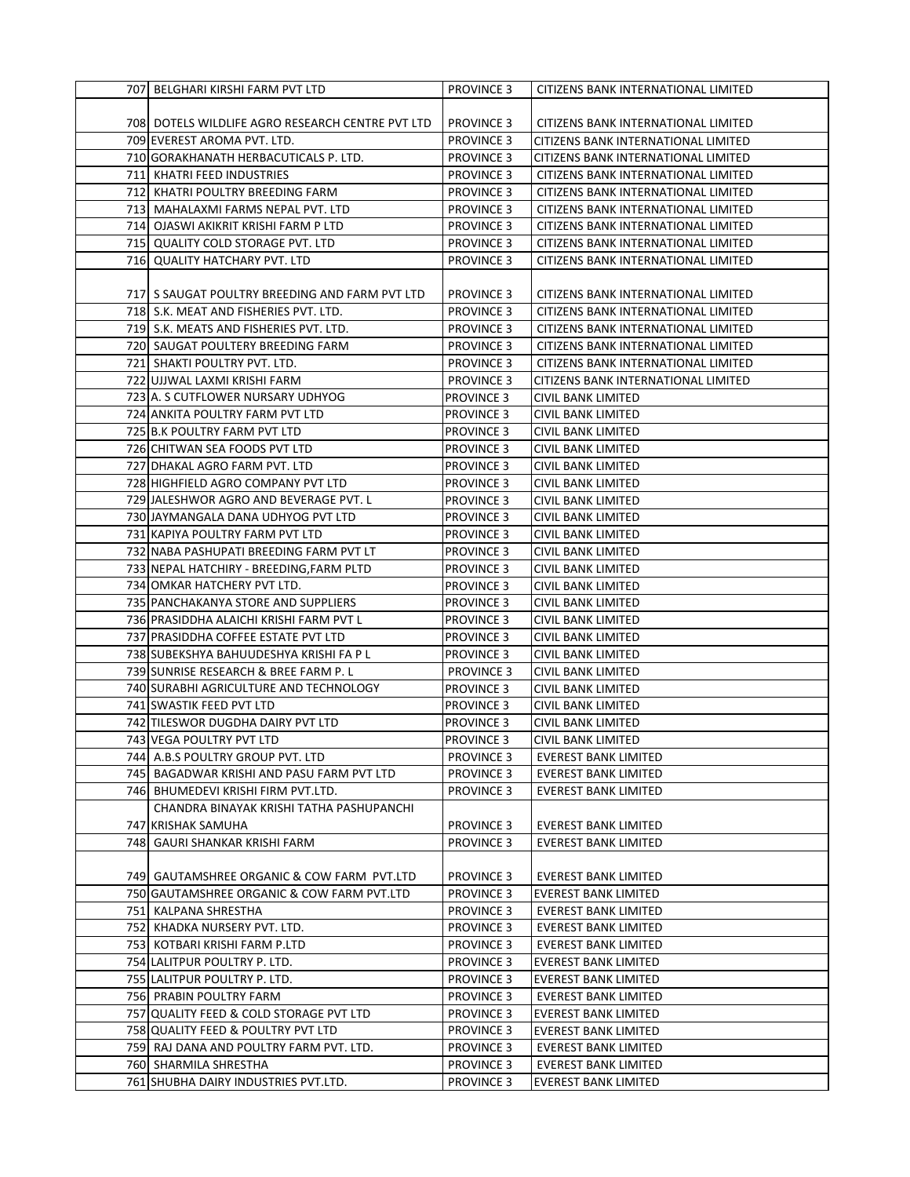| 707 BELGHARI KIRSHI FARM PVT LTD                 | <b>PROVINCE 3</b> | CITIZENS BANK INTERNATIONAL LIMITED |
|--------------------------------------------------|-------------------|-------------------------------------|
|                                                  |                   |                                     |
| 708 DOTELS WILDLIFE AGRO RESEARCH CENTRE PVT LTD | <b>PROVINCE 3</b> | CITIZENS BANK INTERNATIONAL LIMITED |
| 709 EVEREST AROMA PVT. LTD.                      | <b>PROVINCE 3</b> | CITIZENS BANK INTERNATIONAL LIMITED |
| 710 GORAKHANATH HERBACUTICALS P. LTD.            | <b>PROVINCE 3</b> | CITIZENS BANK INTERNATIONAL LIMITED |
| 711 KHATRI FEED INDUSTRIES                       | <b>PROVINCE 3</b> | CITIZENS BANK INTERNATIONAL LIMITED |
| 712 KHATRI POULTRY BREEDING FARM                 | <b>PROVINCE 3</b> | CITIZENS BANK INTERNATIONAL LIMITED |
| 713 MAHALAXMI FARMS NEPAL PVT. LTD               | <b>PROVINCE 3</b> | CITIZENS BANK INTERNATIONAL LIMITED |
| 714 OJASWI AKIKRIT KRISHI FARM P LTD             | <b>PROVINCE 3</b> | CITIZENS BANK INTERNATIONAL LIMITED |
| 715 QUALITY COLD STORAGE PVT. LTD                | <b>PROVINCE 3</b> | CITIZENS BANK INTERNATIONAL LIMITED |
| 716 QUALITY HATCHARY PVT. LTD                    | <b>PROVINCE 3</b> | CITIZENS BANK INTERNATIONAL LIMITED |
|                                                  |                   |                                     |
| 717 S SAUGAT POULTRY BREEDING AND FARM PVT LTD   | <b>PROVINCE 3</b> | CITIZENS BANK INTERNATIONAL LIMITED |
| 718 S.K. MEAT AND FISHERIES PVT. LTD.            | <b>PROVINCE 3</b> | CITIZENS BANK INTERNATIONAL LIMITED |
| 719 S.K. MEATS AND FISHERIES PVT. LTD.           | <b>PROVINCE 3</b> | CITIZENS BANK INTERNATIONAL LIMITED |
| 720 SAUGAT POULTERY BREEDING FARM                | <b>PROVINCE 3</b> | CITIZENS BANK INTERNATIONAL LIMITED |
| 721 SHAKTI POULTRY PVT. LTD.                     | <b>PROVINCE 3</b> | CITIZENS BANK INTERNATIONAL LIMITED |
| 722 UJJWAL LAXMI KRISHI FARM                     | <b>PROVINCE 3</b> | CITIZENS BANK INTERNATIONAL LIMITED |
| 723 A. S CUTFLOWER NURSARY UDHYOG                | <b>PROVINCE 3</b> | CIVIL BANK LIMITED                  |
| 724 ANKITA POULTRY FARM PVT LTD                  | <b>PROVINCE 3</b> | CIVIL BANK LIMITED                  |
| 725 B.K POULTRY FARM PVT LTD                     | <b>PROVINCE 3</b> | CIVIL BANK LIMITED                  |
| 726 CHITWAN SEA FOODS PVT LTD                    | <b>PROVINCE 3</b> | CIVIL BANK LIMITED                  |
| 727 DHAKAL AGRO FARM PVT. LTD                    | <b>PROVINCE 3</b> | <b>CIVIL BANK LIMITED</b>           |
| 728 HIGHFIELD AGRO COMPANY PVT LTD               | <b>PROVINCE 3</b> | CIVIL BANK LIMITED                  |
| 729 JALESHWOR AGRO AND BEVERAGE PVT. L           | <b>PROVINCE 3</b> | CIVIL BANK LIMITED                  |
| 730 JAYMANGALA DANA UDHYOG PVT LTD               | <b>PROVINCE 3</b> | CIVIL BANK LIMITED                  |
| 731 KAPIYA POULTRY FARM PVT LTD                  | <b>PROVINCE 3</b> | CIVIL BANK LIMITED                  |
| 732 NABA PASHUPATI BREEDING FARM PVT LT          | <b>PROVINCE 3</b> | CIVIL BANK LIMITED                  |
| 733 NEPAL HATCHIRY - BREEDING, FARM PLTD         | <b>PROVINCE 3</b> | CIVIL BANK LIMITED                  |
| 734 OMKAR HATCHERY PVT LTD.                      | <b>PROVINCE 3</b> | CIVIL BANK LIMITED                  |
| 735 PANCHAKANYA STORE AND SUPPLIERS              | <b>PROVINCE 3</b> | CIVIL BANK LIMITED                  |
| 736 PRASIDDHA ALAICHI KRISHI FARM PVT L          | <b>PROVINCE 3</b> | CIVIL BANK LIMITED                  |
| 737 PRASIDDHA COFFEE ESTATE PVT LTD              | <b>PROVINCE 3</b> | CIVIL BANK LIMITED                  |
| 738 SUBEKSHYA BAHUUDESHYA KRISHI FA P L          | <b>PROVINCE 3</b> | CIVIL BANK LIMITED                  |
| 739 SUNRISE RESEARCH & BREE FARM P. L            | <b>PROVINCE 3</b> | <b>CIVIL BANK LIMITED</b>           |
| 740 SURABHI AGRICULTURE AND TECHNOLOGY           | <b>PROVINCE 3</b> | CIVIL BANK LIMITED                  |
| 741 SWASTIK FEED PVT LTD                         | <b>PROVINCE 3</b> | CIVIL BANK LIMITED                  |
| 742 TILESWOR DUGDHA DAIRY PVT LTD                | <b>PROVINCE 3</b> | <b>CIVIL BANK LIMITED</b>           |
| 743 VEGA POULTRY PVT LTD                         | <b>PROVINCE 3</b> | CIVIL BANK LIMITED                  |
| 744 A.B.S POULTRY GROUP PVT. LTD                 | <b>PROVINCE 3</b> | <b>EVEREST BANK LIMITED</b>         |
| 745 BAGADWAR KRISHI AND PASU FARM PVT LTD        | <b>PROVINCE 3</b> | <b>EVEREST BANK LIMITED</b>         |
| 746 BHUMEDEVI KRISHI FIRM PVT.LTD.               | <b>PROVINCE 3</b> | <b>EVEREST BANK LIMITED</b>         |
| CHANDRA BINAYAK KRISHI TATHA PASHUPANCHI         |                   |                                     |
| 747 KRISHAK SAMUHA                               | <b>PROVINCE 3</b> | <b>EVEREST BANK LIMITED</b>         |
| 748   GAURI SHANKAR KRISHI FARM                  | <b>PROVINCE 3</b> | <b>EVEREST BANK LIMITED</b>         |
|                                                  |                   |                                     |
| 749 GAUTAMSHREE ORGANIC & COW FARM PVT.LTD       | <b>PROVINCE 3</b> | <b>EVEREST BANK LIMITED</b>         |
| 750 GAUTAMSHREE ORGANIC & COW FARM PVT.LTD       | <b>PROVINCE 3</b> | EVEREST BANK LIMITED                |
| 751 KALPANA SHRESTHA                             | <b>PROVINCE 3</b> | <b>EVEREST BANK LIMITED</b>         |
| 752 KHADKA NURSERY PVT. LTD.                     | <b>PROVINCE 3</b> | <b>EVEREST BANK LIMITED</b>         |
| 753 KOTBARI KRISHI FARM P.LTD                    | <b>PROVINCE 3</b> | EVEREST BANK LIMITED                |
| 754 LALITPUR POULTRY P. LTD.                     | <b>PROVINCE 3</b> | <b>EVEREST BANK LIMITED</b>         |
| 755 LALITPUR POULTRY P. LTD.                     | <b>PROVINCE 3</b> | <b>EVEREST BANK LIMITED</b>         |
| 756 PRABIN POULTRY FARM                          | <b>PROVINCE 3</b> | EVEREST BANK LIMITED                |
| 757 QUALITY FEED & COLD STORAGE PVT LTD          | <b>PROVINCE 3</b> | EVEREST BANK LIMITED                |
| 758 QUALITY FEED & POULTRY PVT LTD               | <b>PROVINCE 3</b> | <b>EVEREST BANK LIMITED</b>         |
| 759 RAJ DANA AND POULTRY FARM PVT. LTD.          | <b>PROVINCE 3</b> | <b>EVEREST BANK LIMITED</b>         |
| 760 SHARMILA SHRESTHA                            | <b>PROVINCE 3</b> | <b>EVEREST BANK LIMITED</b>         |
| 761 SHUBHA DAIRY INDUSTRIES PVT.LTD.             | PROVINCE 3        | EVEREST BANK LIMITED                |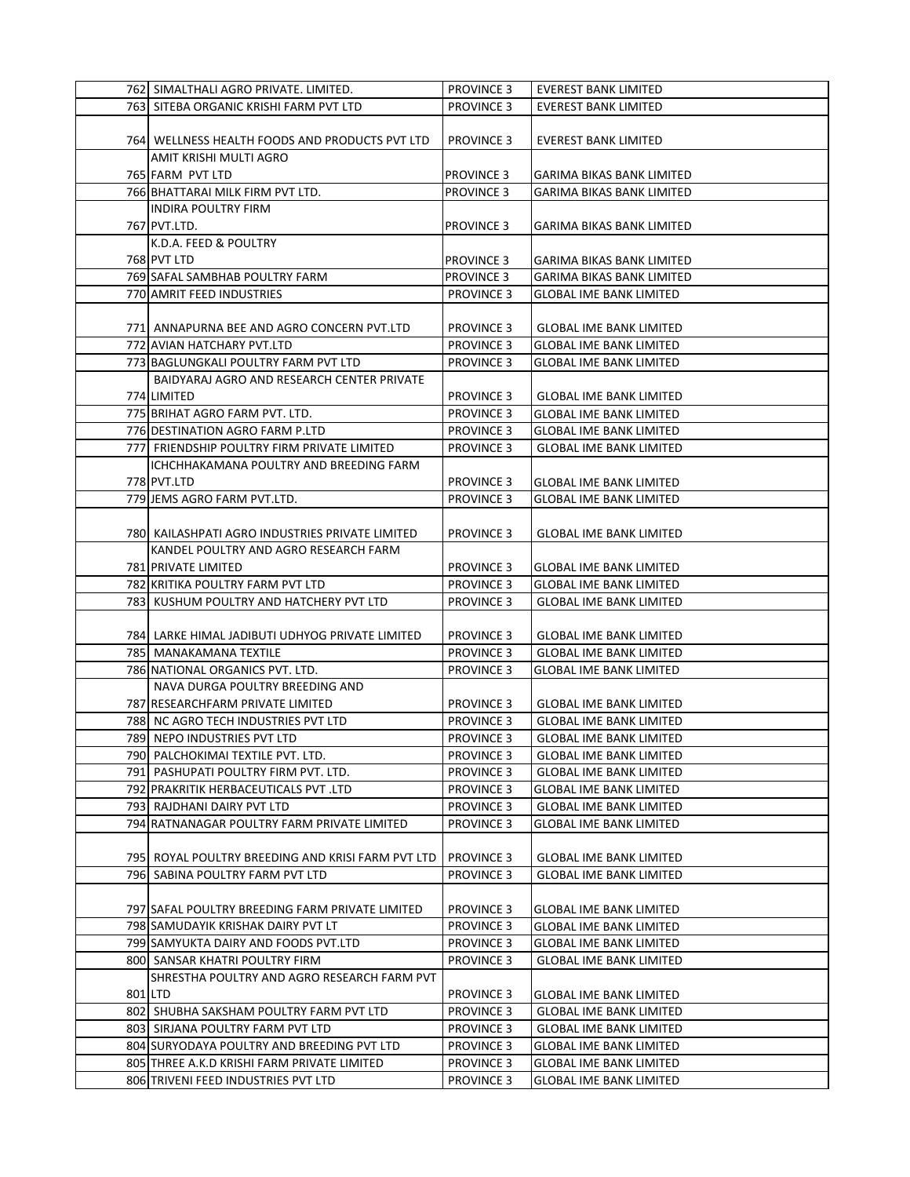| 762 SIMALTHALI AGRO PRIVATE. LIMITED.              | <b>PROVINCE 3</b> | <b>EVEREST BANK LIMITED</b>      |
|----------------------------------------------------|-------------------|----------------------------------|
| 763 SITEBA ORGANIC KRISHI FARM PVT LTD             | <b>PROVINCE 3</b> | <b>EVEREST BANK LIMITED</b>      |
|                                                    |                   |                                  |
| 764 WELLNESS HEALTH FOODS AND PRODUCTS PVT LTD     | <b>PROVINCE 3</b> | <b>EVEREST BANK LIMITED</b>      |
| AMIT KRISHI MULTI AGRO                             |                   |                                  |
| 765 FARM PVT LTD                                   | <b>PROVINCE 3</b> | <b>GARIMA BIKAS BANK LIMITED</b> |
| 766 BHATTARAI MILK FIRM PVT LTD.                   | <b>PROVINCE 3</b> | <b>GARIMA BIKAS BANK LIMITED</b> |
| INDIRA POULTRY FIRM                                |                   |                                  |
| 767 PVT.LTD.                                       | <b>PROVINCE 3</b> | GARIMA BIKAS BANK LIMITED        |
| K.D.A. FEED & POULTRY                              |                   |                                  |
| 768 PVT LTD                                        | <b>PROVINCE 3</b> | <b>GARIMA BIKAS BANK LIMITED</b> |
| 769 SAFAL SAMBHAB POULTRY FARM                     | <b>PROVINCE 3</b> | GARIMA BIKAS BANK LIMITED        |
| 770 AMRIT FEED INDUSTRIES                          | <b>PROVINCE 3</b> | GLOBAL IME BANK LIMITED          |
|                                                    |                   |                                  |
| 771  ANNAPURNA BEE AND AGRO CONCERN PVT.LTD        | <b>PROVINCE 3</b> | <b>GLOBAL IME BANK LIMITED</b>   |
| 772 AVIAN HATCHARY PVT.LTD                         | <b>PROVINCE 3</b> | <b>GLOBAL IME BANK LIMITED</b>   |
| 773 BAGLUNGKALI POULTRY FARM PVT LTD               | <b>PROVINCE 3</b> | <b>GLOBAL IME BANK LIMITED</b>   |
| BAIDYARAJ AGRO AND RESEARCH CENTER PRIVATE         |                   |                                  |
|                                                    |                   |                                  |
| 774 LIMITED                                        | <b>PROVINCE 3</b> | <b>GLOBAL IME BANK LIMITED</b>   |
| 775 BRIHAT AGRO FARM PVT. LTD.                     | <b>PROVINCE 3</b> | <b>GLOBAL IME BANK LIMITED</b>   |
| 776 DESTINATION AGRO FARM P.LTD                    | <b>PROVINCE 3</b> | <b>GLOBAL IME BANK LIMITED</b>   |
| 777 FRIENDSHIP POULTRY FIRM PRIVATE LIMITED        | <b>PROVINCE 3</b> | <b>GLOBAL IME BANK LIMITED</b>   |
| ICHCHHAKAMANA POULTRY AND BREEDING FARM            |                   |                                  |
| 778 PVT.LTD                                        | <b>PROVINCE 3</b> | <b>GLOBAL IME BANK LIMITED</b>   |
| 779 JEMS AGRO FARM PVT.LTD.                        | <b>PROVINCE 3</b> | <b>GLOBAL IME BANK LIMITED</b>   |
|                                                    |                   |                                  |
| 780  KAILASHPATI AGRO INDUSTRIES PRIVATE LIMITED   | <b>PROVINCE 3</b> | <b>GLOBAL IME BANK LIMITED</b>   |
| KANDEL POULTRY AND AGRO RESEARCH FARM              |                   |                                  |
| 781 PRIVATE LIMITED                                | <b>PROVINCE 3</b> | <b>GLOBAL IME BANK LIMITED</b>   |
| 782 KRITIKA POULTRY FARM PVT LTD                   | <b>PROVINCE 3</b> | <b>GLOBAL IME BANK LIMITED</b>   |
| 783 KUSHUM POULTRY AND HATCHERY PVT LTD            | <b>PROVINCE 3</b> | <b>GLOBAL IME BANK LIMITED</b>   |
|                                                    |                   |                                  |
| 784 LARKE HIMAL JADIBUTI UDHYOG PRIVATE LIMITED    | <b>PROVINCE 3</b> | <b>GLOBAL IME BANK LIMITED</b>   |
| 785   MANAKAMANA TEXTILE                           | <b>PROVINCE 3</b> | <b>GLOBAL IME BANK LIMITED</b>   |
| 786 NATIONAL ORGANICS PVT. LTD.                    | <b>PROVINCE 3</b> | <b>GLOBAL IME BANK LIMITED</b>   |
| NAVA DURGA POULTRY BREEDING AND                    |                   |                                  |
| 787 RESEARCHFARM PRIVATE LIMITED                   | <b>PROVINCE 3</b> | GLOBAL IME BANK LIMITED          |
| 788 NC AGRO TECH INDUSTRIES PVT LTD                | <b>PROVINCE 3</b> | <b>GLOBAL IME BANK LIMITED</b>   |
| 789 NEPO INDUSTRIES PVT LTD                        | <b>PROVINCE 3</b> | <b>GLOBAL IME BANK LIMITED</b>   |
| 790 PALCHOKIMAI TEXTILE PVT. LTD.                  | <b>PROVINCE 3</b> | <b>GLOBAL IME BANK LIMITED</b>   |
| 791 PASHUPATI POULTRY FIRM PVT. LTD.               | <b>PROVINCE 3</b> | <b>GLOBAL IME BANK LIMITED</b>   |
| 792 PRAKRITIK HERBACEUTICALS PVT .LTD              | <b>PROVINCE 3</b> | <b>GLOBAL IME BANK LIMITED</b>   |
| 793 RAJDHANI DAIRY PVT LTD                         | <b>PROVINCE 3</b> | <b>GLOBAL IME BANK LIMITED</b>   |
| 794 RATNANAGAR POULTRY FARM PRIVATE LIMITED        | <b>PROVINCE 3</b> | <b>GLOBAL IME BANK LIMITED</b>   |
|                                                    |                   |                                  |
| 795  ROYAL POULTRY BREEDING AND KRISI FARM PVT LTD | <b>PROVINCE 3</b> | <b>GLOBAL IME BANK LIMITED</b>   |
| 796 SABINA POULTRY FARM PVT LTD                    | <b>PROVINCE 3</b> | <b>GLOBAL IME BANK LIMITED</b>   |
|                                                    |                   |                                  |
| 797 SAFAL POULTRY BREEDING FARM PRIVATE LIMITED    | PROVINCE 3        | <b>GLOBAL IME BANK LIMITED</b>   |
| 798 SAMUDAYIK KRISHAK DAIRY PVT LT                 | <b>PROVINCE 3</b> | <b>GLOBAL IME BANK LIMITED</b>   |
| 799 SAMYUKTA DAIRY AND FOODS PVT.LTD               | <b>PROVINCE 3</b> | <b>GLOBAL IME BANK LIMITED</b>   |
| 800 SANSAR KHATRI POULTRY FIRM                     | <b>PROVINCE 3</b> | <b>GLOBAL IME BANK LIMITED</b>   |
| SHRESTHA POULTRY AND AGRO RESEARCH FARM PVT        |                   |                                  |
| 801 LTD                                            | <b>PROVINCE 3</b> | <b>GLOBAL IME BANK LIMITED</b>   |
| 802 SHUBHA SAKSHAM POULTRY FARM PVT LTD            | <b>PROVINCE 3</b> | <b>GLOBAL IME BANK LIMITED</b>   |
| 803 SIRJANA POULTRY FARM PVT LTD                   | <b>PROVINCE 3</b> | <b>GLOBAL IME BANK LIMITED</b>   |
| 804 SURYODAYA POULTRY AND BREEDING PVT LTD         | <b>PROVINCE 3</b> | <b>GLOBAL IME BANK LIMITED</b>   |
| 805 THREE A.K.D KRISHI FARM PRIVATE LIMITED        | <b>PROVINCE 3</b> | <b>GLOBAL IME BANK LIMITED</b>   |
| 806 TRIVENI FEED INDUSTRIES PVT LTD                | <b>PROVINCE 3</b> | <b>GLOBAL IME BANK LIMITED</b>   |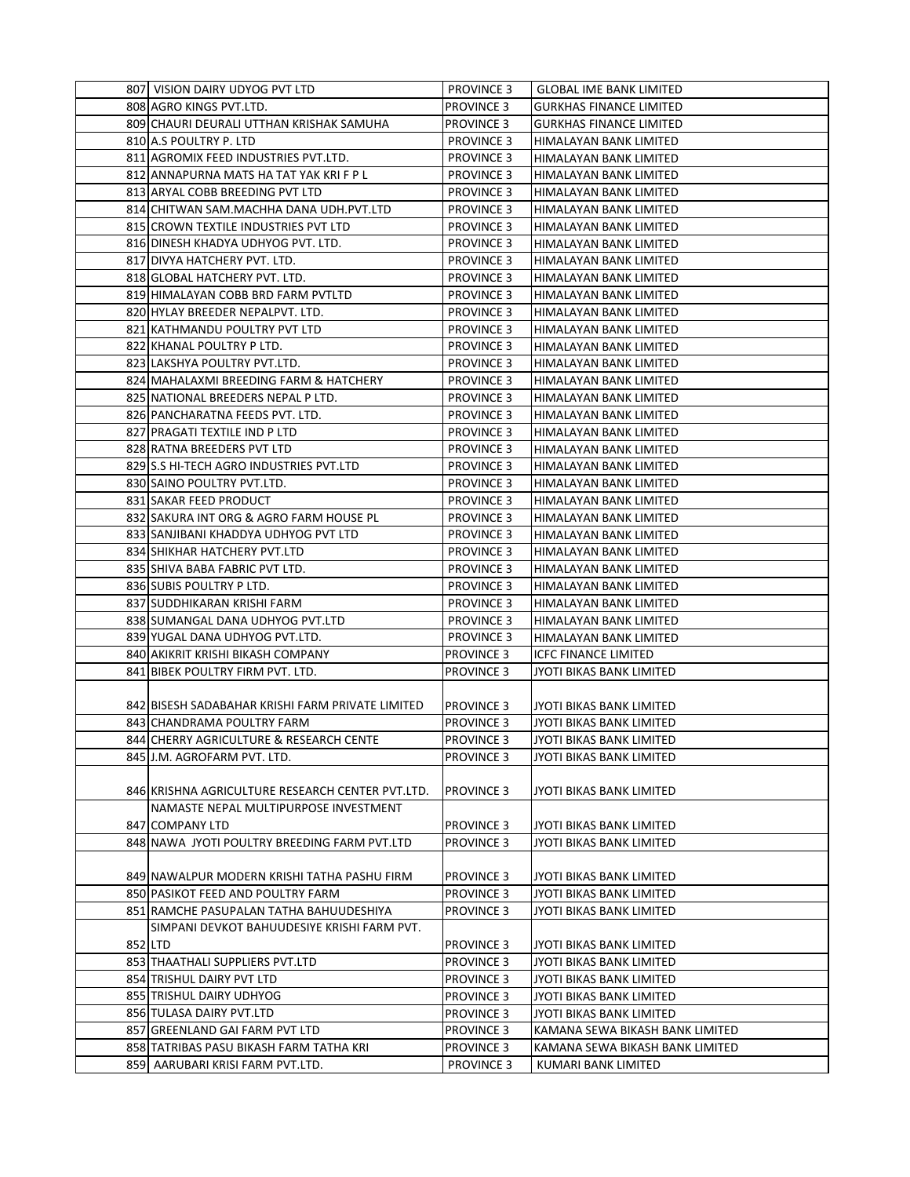| 807 VISION DAIRY UDYOG PVT LTD                   | <b>PROVINCE 3</b> | <b>GLOBAL IME BANK LIMITED</b>                   |
|--------------------------------------------------|-------------------|--------------------------------------------------|
| 808 AGRO KINGS PVT.LTD.                          | <b>PROVINCE 3</b> | <b>GURKHAS FINANCE LIMITED</b>                   |
| 809 CHAURI DEURALI UTTHAN KRISHAK SAMUHA         | <b>PROVINCE 3</b> | <b>GURKHAS FINANCE LIMITED</b>                   |
| 810 A.S POULTRY P. LTD                           | <b>PROVINCE 3</b> |                                                  |
| 811 AGROMIX FEED INDUSTRIES PVT.LTD.             | <b>PROVINCE 3</b> | HIMALAYAN BANK LIMITED                           |
| 812 ANNAPURNA MATS HA TAT YAK KRI F P L          | <b>PROVINCE 3</b> | HIMALAYAN BANK LIMITED<br>HIMALAYAN BANK LIMITED |
| 813 ARYAL COBB BREEDING PVT LTD                  |                   |                                                  |
|                                                  | <b>PROVINCE 3</b> | HIMALAYAN BANK LIMITED                           |
| 814 CHITWAN SAM.MACHHA DANA UDH.PVT.LTD          | <b>PROVINCE 3</b> | HIMALAYAN BANK LIMITED                           |
| 815 CROWN TEXTILE INDUSTRIES PVT LTD             | <b>PROVINCE 3</b> | HIMALAYAN BANK LIMITED                           |
| 816 DINESH KHADYA UDHYOG PVT. LTD.               | <b>PROVINCE 3</b> | HIMALAYAN BANK LIMITED                           |
| 817 DIVYA HATCHERY PVT. LTD.                     | <b>PROVINCE 3</b> | HIMALAYAN BANK LIMITED                           |
| 818 GLOBAL HATCHERY PVT. LTD.                    | <b>PROVINCE 3</b> | <b>HIMALAYAN BANK LIMITED</b>                    |
| 819 HIMALAYAN COBB BRD FARM PVTLTD               | <b>PROVINCE 3</b> | HIMALAYAN BANK LIMITED                           |
| 820 HYLAY BREEDER NEPALPVT. LTD.                 | <b>PROVINCE 3</b> | HIMALAYAN BANK LIMITED                           |
| 821 KATHMANDU POULTRY PVT LTD                    | <b>PROVINCE 3</b> | HIMALAYAN BANK LIMITED                           |
| 822 KHANAL POULTRY P LTD.                        | <b>PROVINCE 3</b> | HIMALAYAN BANK LIMITED                           |
| 823 LAKSHYA POULTRY PVT.LTD.                     | <b>PROVINCE 3</b> | HIMALAYAN BANK LIMITED                           |
| 824 MAHALAXMI BREEDING FARM & HATCHERY           | <b>PROVINCE 3</b> | HIMALAYAN BANK LIMITED                           |
| 825 NATIONAL BREEDERS NEPAL P LTD.               | <b>PROVINCE 3</b> | HIMALAYAN BANK LIMITED                           |
| 826 PANCHARATNA FEEDS PVT. LTD.                  | <b>PROVINCE 3</b> | HIMALAYAN BANK LIMITED                           |
| 827 PRAGATI TEXTILE IND P LTD                    | <b>PROVINCE 3</b> | HIMALAYAN BANK LIMITED                           |
| 828 RATNA BREEDERS PVT LTD                       | <b>PROVINCE 3</b> | HIMALAYAN BANK LIMITED                           |
| 829 S.S HI-TECH AGRO INDUSTRIES PVT.LTD          | <b>PROVINCE 3</b> | HIMALAYAN BANK LIMITED                           |
| 830 SAINO POULTRY PVT.LTD.                       | <b>PROVINCE 3</b> | HIMALAYAN BANK LIMITED                           |
| 831 SAKAR FEED PRODUCT                           | <b>PROVINCE 3</b> | HIMALAYAN BANK LIMITED                           |
| 832 SAKURA INT ORG & AGRO FARM HOUSE PL          | <b>PROVINCE 3</b> | HIMALAYAN BANK LIMITED                           |
| 833 SANJIBANI KHADDYA UDHYOG PVT LTD             | <b>PROVINCE 3</b> | HIMALAYAN BANK LIMITED                           |
| 834 SHIKHAR HATCHERY PVT.LTD                     | <b>PROVINCE 3</b> | HIMALAYAN BANK LIMITED                           |
| 835 SHIVA BABA FABRIC PVT LTD.                   | <b>PROVINCE 3</b> | HIMALAYAN BANK LIMITED                           |
| 836 SUBIS POULTRY P LTD.                         | <b>PROVINCE 3</b> | HIMALAYAN BANK LIMITED                           |
| 837 SUDDHIKARAN KRISHI FARM                      | <b>PROVINCE 3</b> | HIMALAYAN BANK LIMITED                           |
| 838 SUMANGAL DANA UDHYOG PVT.LTD                 | <b>PROVINCE 3</b> | HIMALAYAN BANK LIMITED                           |
| 839 YUGAL DANA UDHYOG PVT.LTD.                   | <b>PROVINCE 3</b> | HIMALAYAN BANK LIMITED                           |
| 840 AKIKRIT KRISHI BIKASH COMPANY                | <b>PROVINCE 3</b> | <b>ICFC FINANCE LIMITED</b>                      |
| 841 BIBEK POULTRY FIRM PVT. LTD.                 | <b>PROVINCE 3</b> | JYOTI BIKAS BANK LIMITED                         |
|                                                  |                   |                                                  |
| 842 BISESH SADABAHAR KRISHI FARM PRIVATE LIMITED | <b>PROVINCE 3</b> | JYOTI BIKAS BANK LIMITED                         |
| 843 CHANDRAMA POULTRY FARM                       | <b>PROVINCE 3</b> | <b>JYOTI BIKAS BANK LIMITED</b>                  |
| 844 CHERRY AGRICULTURE & RESEARCH CENTE          | <b>PROVINCE 3</b> | JYOTI BIKAS BANK LIMITED                         |
| 845 J.M. AGROFARM PVT. LTD.                      | <b>PROVINCE 3</b> | JYOTI BIKAS BANK LIMITED                         |
|                                                  |                   |                                                  |
| 846 KRISHNA AGRICULTURE RESEARCH CENTER PVT.LTD. | <b>PROVINCE 3</b> | JYOTI BIKAS BANK LIMITED                         |
| NAMASTE NEPAL MULTIPURPOSE INVESTMENT            |                   |                                                  |
| 847 COMPANY LTD                                  | <b>PROVINCE 3</b> | JYOTI BIKAS BANK LIMITED                         |
| 848 NAWA JYOTI POULTRY BREEDING FARM PVT.LTD     | <b>PROVINCE 3</b> | JYOTI BIKAS BANK LIMITED                         |
|                                                  |                   |                                                  |
| 849 NAWALPUR MODERN KRISHI TATHA PASHU FIRM      | <b>PROVINCE 3</b> | JYOTI BIKAS BANK LIMITED                         |
| 850 PASIKOT FEED AND POULTRY FARM                | <b>PROVINCE 3</b> | <b>JYOTI BIKAS BANK LIMITED</b>                  |
| 851 RAMCHE PASUPALAN TATHA BAHUUDESHIYA          | <b>PROVINCE 3</b> | JYOTI BIKAS BANK LIMITED                         |
| SIMPANI DEVKOT BAHUUDESIYE KRISHI FARM PVT.      |                   |                                                  |
| 852 LTD                                          | <b>PROVINCE 3</b> | JYOTI BIKAS BANK LIMITED                         |
| 853 THAATHALI SUPPLIERS PVT.LTD                  | <b>PROVINCE 3</b> | JYOTI BIKAS BANK LIMITED                         |
| 854 TRISHUL DAIRY PVT LTD                        | <b>PROVINCE 3</b> | JYOTI BIKAS BANK LIMITED                         |
| 855 TRISHUL DAIRY UDHYOG                         | <b>PROVINCE 3</b> | JYOTI BIKAS BANK LIMITED                         |
| 856 TULASA DAIRY PVT.LTD                         | <b>PROVINCE 3</b> | JYOTI BIKAS BANK LIMITED                         |
| 857 GREENLAND GAI FARM PVT LTD                   | <b>PROVINCE 3</b> | KAMANA SEWA BIKASH BANK LIMITED                  |
| 858 TATRIBAS PASU BIKASH FARM TATHA KRI          | <b>PROVINCE 3</b> | KAMANA SEWA BIKASH BANK LIMITED                  |
| 859 AARUBARI KRISI FARM PVT.LTD.                 | <b>PROVINCE 3</b> | KUMARI BANK LIMITED                              |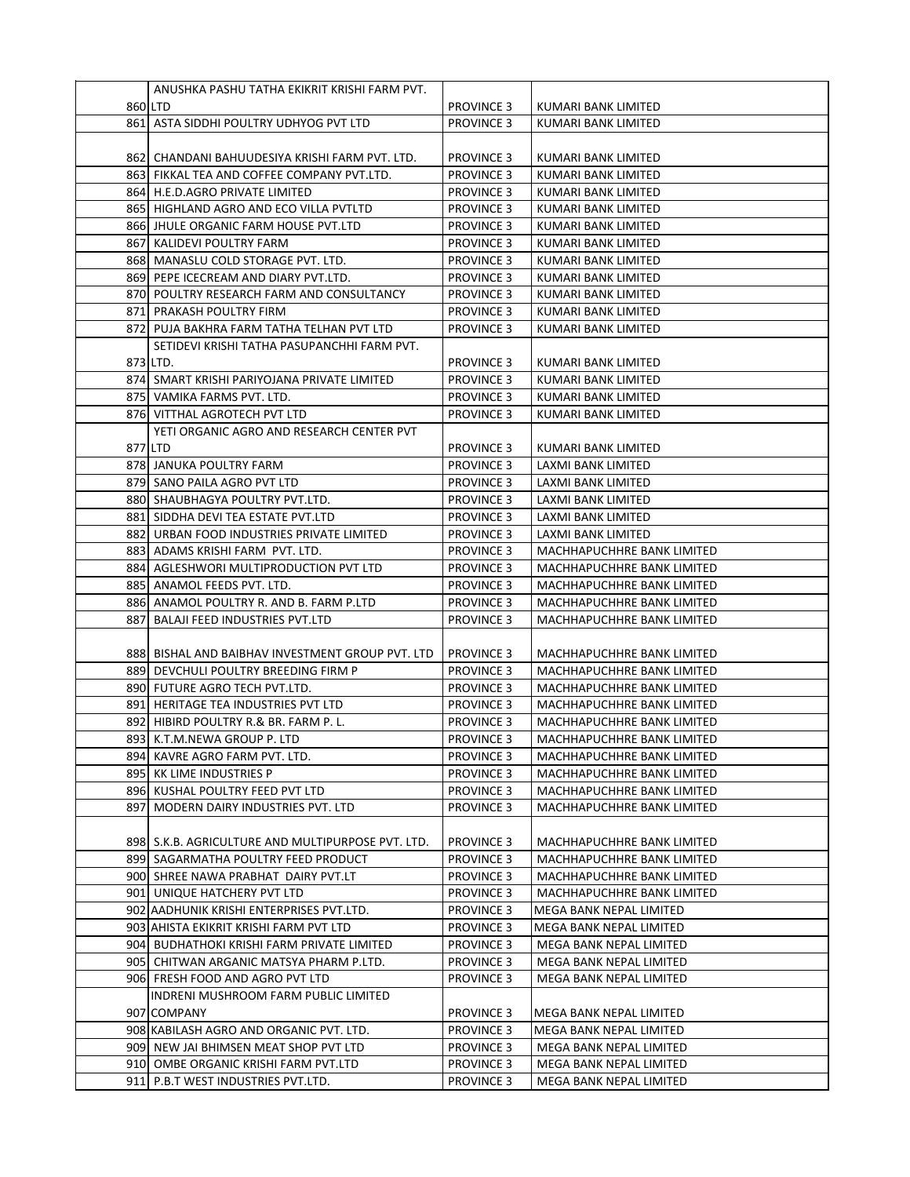|     | ANUSHKA PASHU TATHA EKIKRIT KRISHI FARM PVT.                        |                                        |                                                          |
|-----|---------------------------------------------------------------------|----------------------------------------|----------------------------------------------------------|
|     | 860 LTD                                                             | <b>PROVINCE 3</b>                      | KUMARI BANK LIMITED                                      |
|     | 861 ASTA SIDDHI POULTRY UDHYOG PVT LTD                              | <b>PROVINCE 3</b>                      | KUMARI BANK LIMITED                                      |
|     |                                                                     |                                        |                                                          |
|     | 862 CHANDANI BAHUUDESIYA KRISHI FARM PVT. LTD.                      | <b>PROVINCE 3</b>                      | KUMARI BANK LIMITED                                      |
|     | 863 FIKKAL TEA AND COFFEE COMPANY PVT.LTD.                          | <b>PROVINCE 3</b>                      | KUMARI BANK LIMITED                                      |
|     | 864 H.E.D.AGRO PRIVATE LIMITED                                      | <b>PROVINCE 3</b>                      | KUMARI BANK LIMITED                                      |
|     | 865 HIGHLAND AGRO AND ECO VILLA PVTLTD                              | <b>PROVINCE 3</b>                      | KUMARI BANK LIMITED                                      |
|     | 866 JHULE ORGANIC FARM HOUSE PVT.LTD                                | <b>PROVINCE 3</b>                      | KUMARI BANK LIMITED                                      |
|     | 867 KALIDEVI POULTRY FARM                                           | <b>PROVINCE 3</b>                      | KUMARI BANK LIMITED                                      |
|     | 868 MANASLU COLD STORAGE PVT. LTD.                                  | <b>PROVINCE 3</b>                      | KUMARI BANK LIMITED                                      |
|     | 869 PEPE ICECREAM AND DIARY PVT.LTD.                                | <b>PROVINCE 3</b>                      | KUMARI BANK LIMITED                                      |
|     | 870 POULTRY RESEARCH FARM AND CONSULTANCY                           | <b>PROVINCE 3</b>                      | KUMARI BANK LIMITED                                      |
|     | 871 PRAKASH POULTRY FIRM                                            | <b>PROVINCE 3</b>                      | KUMARI BANK LIMITED                                      |
|     | 872  PUJA BAKHRA FARM TATHA TELHAN PVT LTD                          | <b>PROVINCE 3</b>                      | KUMARI BANK LIMITED                                      |
|     | SETIDEVI KRISHI TATHA PASUPANCHHI FARM PVT.                         |                                        |                                                          |
|     | 873 LTD.                                                            | <b>PROVINCE 3</b>                      | KUMARI BANK LIMITED                                      |
|     | 874 SMART KRISHI PARIYOJANA PRIVATE LIMITED                         | <b>PROVINCE 3</b>                      | KUMARI BANK LIMITED                                      |
|     | 875 VAMIKA FARMS PVT. LTD.                                          | <b>PROVINCE 3</b>                      | KUMARI BANK LIMITED                                      |
|     | 876 VITTHAL AGROTECH PVT LTD                                        | <b>PROVINCE 3</b>                      | KUMARI BANK LIMITED                                      |
|     | YETI ORGANIC AGRO AND RESEARCH CENTER PVT                           |                                        |                                                          |
|     | 877 LTD                                                             | <b>PROVINCE 3</b>                      | KUMARI BANK LIMITED                                      |
|     | 878 JANUKA POULTRY FARM                                             | <b>PROVINCE 3</b>                      | LAXMI BANK LIMITED                                       |
|     | 879 SANO PAILA AGRO PVT LTD                                         | <b>PROVINCE 3</b>                      | LAXMI BANK LIMITED                                       |
|     | 880  SHAUBHAGYA POULTRY PVT.LTD.                                    | <b>PROVINCE 3</b>                      | LAXMI BANK LIMITED                                       |
|     | 881  SIDDHA DEVI TEA ESTATE PVT.LTD                                 | <b>PROVINCE 3</b>                      | LAXMI BANK LIMITED                                       |
|     | 882 URBAN FOOD INDUSTRIES PRIVATE LIMITED                           | <b>PROVINCE 3</b>                      | LAXMI BANK LIMITED                                       |
|     | 883  ADAMS KRISHI FARM PVT. LTD.                                    | <b>PROVINCE 3</b>                      | MACHHAPUCHHRE BANK LIMITED                               |
|     | 884 AGLESHWORI MULTIPRODUCTION PVT LTD                              | <b>PROVINCE 3</b>                      | MACHHAPUCHHRE BANK LIMITED                               |
|     | 885 ANAMOL FEEDS PVT. LTD.                                          | <b>PROVINCE 3</b>                      | MACHHAPUCHHRE BANK LIMITED                               |
|     | 886 ANAMOL POULTRY R. AND B. FARM P.LTD                             | <b>PROVINCE 3</b>                      | MACHHAPUCHHRE BANK LIMITED                               |
| 887 | <b>BALAJI FEED INDUSTRIES PVT.LTD</b>                               | <b>PROVINCE 3</b>                      | MACHHAPUCHHRE BANK LIMITED                               |
|     |                                                                     |                                        |                                                          |
|     | 888 BISHAL AND BAIBHAV INVESTMENT GROUP PVT. LTD                    | <b>PROVINCE 3</b>                      | MACHHAPUCHHRE BANK LIMITED                               |
|     | 889  DEVCHULI POULTRY BREEDING FIRM P                               | <b>PROVINCE 3</b>                      | MACHHAPUCHHRE BANK LIMITED                               |
|     | 890 FUTURE AGRO TECH PVT.LTD.                                       | <b>PROVINCE 3</b>                      | MACHHAPUCHHRE BANK LIMITED                               |
|     | 891 HERITAGE TEA INDUSTRIES PVT LTD                                 | <b>PROVINCE 3</b>                      | MACHHAPUCHHRE BANK LIMITED                               |
|     | 892 HIBIRD POULTRY R.& BR. FARM P. L.                               | <b>PROVINCE 3</b>                      | MACHHAPUCHHRE BANK LIMITED                               |
|     | 893 K.T.M.NEWA GROUP P. LTD                                         | <b>PROVINCE 3</b>                      | MACHHAPUCHHRE BANK LIMITED                               |
|     | 894 KAVRE AGRO FARM PVT. LTD.                                       | <b>PROVINCE 3</b>                      | MACHHAPUCHHRE BANK LIMITED                               |
|     | 895  KK LIME INDUSTRIES P                                           | <b>PROVINCE 3</b>                      | MACHHAPUCHHRE BANK LIMITED<br>MACHHAPUCHHRE BANK LIMITED |
| 897 | 896 KUSHAL POULTRY FEED PVT LTD<br>MODERN DAIRY INDUSTRIES PVT. LTD | <b>PROVINCE 3</b><br><b>PROVINCE 3</b> | MACHHAPUCHHRE BANK LIMITED                               |
|     |                                                                     |                                        |                                                          |
|     | 898 S.K.B. AGRICULTURE AND MULTIPURPOSE PVT. LTD.                   | <b>PROVINCE 3</b>                      | MACHHAPUCHHRE BANK LIMITED                               |
|     | 899 SAGARMATHA POULTRY FEED PRODUCT                                 | <b>PROVINCE 3</b>                      | MACHHAPUCHHRE BANK LIMITED                               |
|     | 900 SHREE NAWA PRABHAT DAIRY PVT.LT                                 | <b>PROVINCE 3</b>                      | MACHHAPUCHHRE BANK LIMITED                               |
|     | 901 UNIQUE HATCHERY PVT LTD                                         | <b>PROVINCE 3</b>                      | MACHHAPUCHHRE BANK LIMITED                               |
|     | 902 AADHUNIK KRISHI ENTERPRISES PVT.LTD.                            | <b>PROVINCE 3</b>                      | MEGA BANK NEPAL LIMITED                                  |
|     | 903 AHISTA EKIKRIT KRISHI FARM PVT LTD                              | <b>PROVINCE 3</b>                      | MEGA BANK NEPAL LIMITED                                  |
|     | 904 BUDHATHOKI KRISHI FARM PRIVATE LIMITED                          | <b>PROVINCE 3</b>                      | MEGA BANK NEPAL LIMITED                                  |
|     | 905  CHITWAN ARGANIC MATSYA PHARM P.LTD.                            | <b>PROVINCE 3</b>                      | MEGA BANK NEPAL LIMITED                                  |
|     | 906 FRESH FOOD AND AGRO PVT LTD                                     | <b>PROVINCE 3</b>                      | MEGA BANK NEPAL LIMITED                                  |
|     | INDRENI MUSHROOM FARM PUBLIC LIMITED                                |                                        |                                                          |
|     | 907 COMPANY                                                         | <b>PROVINCE 3</b>                      | MEGA BANK NEPAL LIMITED                                  |
|     | 908 KABILASH AGRO AND ORGANIC PVT. LTD.                             | <b>PROVINCE 3</b>                      | MEGA BANK NEPAL LIMITED                                  |
|     | 909 NEW JAI BHIMSEN MEAT SHOP PVT LTD                               | <b>PROVINCE 3</b>                      | MEGA BANK NEPAL LIMITED                                  |
|     | 910 OMBE ORGANIC KRISHI FARM PVT.LTD                                | <b>PROVINCE 3</b>                      | MEGA BANK NEPAL LIMITED                                  |
|     | 911 P.B.T WEST INDUSTRIES PVT.LTD.                                  | <b>PROVINCE 3</b>                      | MEGA BANK NEPAL LIMITED                                  |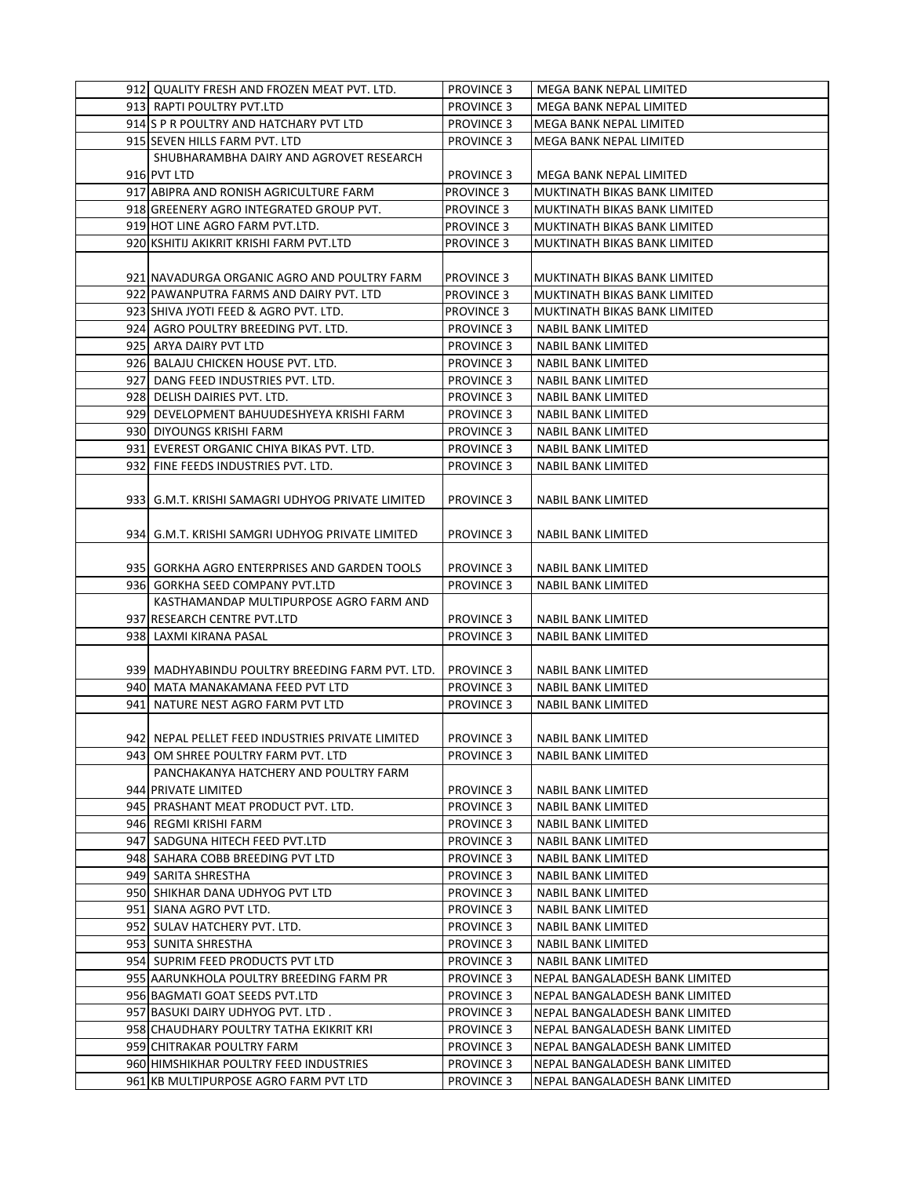| 912 QUALITY FRESH AND FROZEN MEAT PVT. LTD.        | <b>PROVINCE 3</b>                      | MEGA BANK NEPAL LIMITED        |
|----------------------------------------------------|----------------------------------------|--------------------------------|
| 913 RAPTI POULTRY PVT.LTD                          | <b>PROVINCE 3</b>                      | MEGA BANK NEPAL LIMITED        |
| 914 S P R POULTRY AND HATCHARY PVT LTD             | <b>PROVINCE 3</b>                      | MEGA BANK NEPAL LIMITED        |
| 915 SEVEN HILLS FARM PVT. LTD                      | <b>PROVINCE 3</b>                      | MEGA BANK NEPAL LIMITED        |
| SHUBHARAMBHA DAIRY AND AGROVET RESEARCH            |                                        |                                |
| 916 PVT LTD                                        | <b>PROVINCE 3</b>                      | <b>MEGA BANK NEPAL LIMITED</b> |
| 917 ABIPRA AND RONISH AGRICULTURE FARM             | <b>PROVINCE 3</b>                      | MUKTINATH BIKAS BANK LIMITED   |
| 918 GREENERY AGRO INTEGRATED GROUP PVT.            | <b>PROVINCE 3</b>                      | MUKTINATH BIKAS BANK LIMITED   |
| 919 HOT LINE AGRO FARM PVT.LTD.                    | <b>PROVINCE 3</b>                      | MUKTINATH BIKAS BANK LIMITED   |
| 920 KSHITIJ AKIKRIT KRISHI FARM PVT.LTD            | <b>PROVINCE 3</b>                      | MUKTINATH BIKAS BANK LIMITED   |
|                                                    |                                        |                                |
| 921 NAVADURGA ORGANIC AGRO AND POULTRY FARM        | PROVINCE 3                             | MUKTINATH BIKAS BANK LIMITED   |
| 922 PAWANPUTRA FARMS AND DAIRY PVT. LTD            | <b>PROVINCE 3</b>                      | MUKTINATH BIKAS BANK LIMITED   |
| 923 SHIVA JYOTI FEED & AGRO PVT. LTD.              | <b>PROVINCE 3</b>                      | MUKTINATH BIKAS BANK LIMITED   |
| 924 AGRO POULTRY BREEDING PVT. LTD.                | <b>PROVINCE 3</b>                      | NABIL BANK LIMITED             |
| 925 ARYA DAIRY PVT LTD                             | <b>PROVINCE 3</b>                      | NABIL BANK LIMITED             |
| 926 BALAJU CHICKEN HOUSE PVT. LTD.                 | <b>PROVINCE 3</b>                      | NABIL BANK LIMITED             |
| 927 DANG FEED INDUSTRIES PVT. LTD.                 | <b>PROVINCE 3</b>                      | <b>NABIL BANK LIMITED</b>      |
| 928 DELISH DAIRIES PVT. LTD.                       | <b>PROVINCE 3</b>                      | <b>NABIL BANK LIMITED</b>      |
| 929 DEVELOPMENT BAHUUDESHYEYA KRISHI FARM          | <b>PROVINCE 3</b>                      | NABIL BANK LIMITED             |
| 930 DIYOUNGS KRISHI FARM                           | <b>PROVINCE 3</b>                      | NABIL BANK LIMITED             |
| 931 EVEREST ORGANIC CHIYA BIKAS PVT. LTD.          | <b>PROVINCE 3</b>                      | NABIL BANK LIMITED             |
|                                                    |                                        | <b>NABIL BANK LIMITED</b>      |
| 932 FINE FEEDS INDUSTRIES PVT. LTD.                | <b>PROVINCE 3</b>                      |                                |
|                                                    |                                        | <b>NABIL BANK LIMITED</b>      |
| 933   G.M.T. KRISHI SAMAGRI UDHYOG PRIVATE LIMITED | <b>PROVINCE 3</b>                      |                                |
| 934   G.M.T. KRISHI SAMGRI UDHYOG PRIVATE LIMITED  | <b>PROVINCE 3</b>                      |                                |
|                                                    |                                        | NABIL BANK LIMITED             |
| 935 GORKHA AGRO ENTERPRISES AND GARDEN TOOLS       | <b>PROVINCE 3</b>                      | <b>NABIL BANK LIMITED</b>      |
| 936 GORKHA SEED COMPANY PVT.LTD                    | <b>PROVINCE 3</b>                      | <b>NABIL BANK LIMITED</b>      |
| KASTHAMANDAP MULTIPURPOSE AGRO FARM AND            |                                        |                                |
|                                                    |                                        |                                |
| 937 RESEARCH CENTRE PVT.LTD                        | <b>PROVINCE 3</b>                      | NABIL BANK LIMITED             |
| 938 LAXMI KIRANA PASAL                             | <b>PROVINCE 3</b>                      | NABIL BANK LIMITED             |
| 939 MADHYABINDU POULTRY BREEDING FARM PVT. LTD.    |                                        | <b>NABIL BANK LIMITED</b>      |
| 940 MATA MANAKAMANA FEED PVT LTD                   | <b>PROVINCE 3</b><br><b>PROVINCE 3</b> | <b>NABIL BANK LIMITED</b>      |
| 941  NATURE NEST AGRO FARM PVT LTD                 | <b>PROVINCE 3</b>                      | <b>NABIL BANK LIMITED</b>      |
|                                                    |                                        |                                |
| 942 NEPAL PELLET FEED INDUSTRIES PRIVATE LIMITED   | <b>PROVINCE 3</b>                      | <b>NABIL BANK LIMITED</b>      |
| 943 OM SHREE POULTRY FARM PVT. LTD                 | <b>PROVINCE 3</b>                      | <b>NABIL BANK LIMITED</b>      |
| PANCHAKANYA HATCHERY AND POULTRY FARM              |                                        |                                |
| 944 PRIVATE LIMITED                                | <b>PROVINCE 3</b>                      | NABIL BANK LIMITED             |
| 945 PRASHANT MEAT PRODUCT PVT. LTD.                | <b>PROVINCE 3</b>                      | NABIL BANK LIMITED             |
| 946 REGMI KRISHI FARM                              | <b>PROVINCE 3</b>                      | NABIL BANK LIMITED             |
| 947 SADGUNA HITECH FEED PVT.LTD                    | <b>PROVINCE 3</b>                      | <b>NABIL BANK LIMITED</b>      |
|                                                    |                                        |                                |
| 948 SAHARA COBB BREEDING PVT LTD                   | <b>PROVINCE 3</b>                      | NABIL BANK LIMITED             |
| 949 SARITA SHRESTHA                                | <b>PROVINCE 3</b>                      | NABIL BANK LIMITED             |
| 950  SHIKHAR DANA UDHYOG PVT LTD                   | <b>PROVINCE 3</b>                      | NABIL BANK LIMITED             |
| 951 SIANA AGRO PVT LTD.                            | <b>PROVINCE 3</b>                      | NABIL BANK LIMITED             |
| 952 SULAV HATCHERY PVT. LTD.                       | <b>PROVINCE 3</b>                      | NABIL BANK LIMITED             |
| 953 SUNITA SHRESTHA                                | <b>PROVINCE 3</b>                      | NABIL BANK LIMITED             |
| 954 SUPRIM FEED PRODUCTS PVT LTD                   | <b>PROVINCE 3</b>                      | NABIL BANK LIMITED             |
| 955 AARUNKHOLA POULTRY BREEDING FARM PR            | <b>PROVINCE 3</b>                      | NEPAL BANGALADESH BANK LIMITED |
| 956 BAGMATI GOAT SEEDS PVT.LTD                     | <b>PROVINCE 3</b>                      | NEPAL BANGALADESH BANK LIMITED |
| 957 BASUKI DAIRY UDHYOG PVT. LTD.                  | <b>PROVINCE 3</b>                      | NEPAL BANGALADESH BANK LIMITED |
| 958 CHAUDHARY POULTRY TATHA EKIKRIT KRI            | <b>PROVINCE 3</b>                      | NEPAL BANGALADESH BANK LIMITED |
| 959 CHITRAKAR POULTRY FARM                         | <b>PROVINCE 3</b>                      | NEPAL BANGALADESH BANK LIMITED |
| 960 HIMSHIKHAR POULTRY FEED INDUSTRIES             | <b>PROVINCE 3</b>                      | NEPAL BANGALADESH BANK LIMITED |
| 961 KB MULTIPURPOSE AGRO FARM PVT LTD              | <b>PROVINCE 3</b>                      | NEPAL BANGALADESH BANK LIMITED |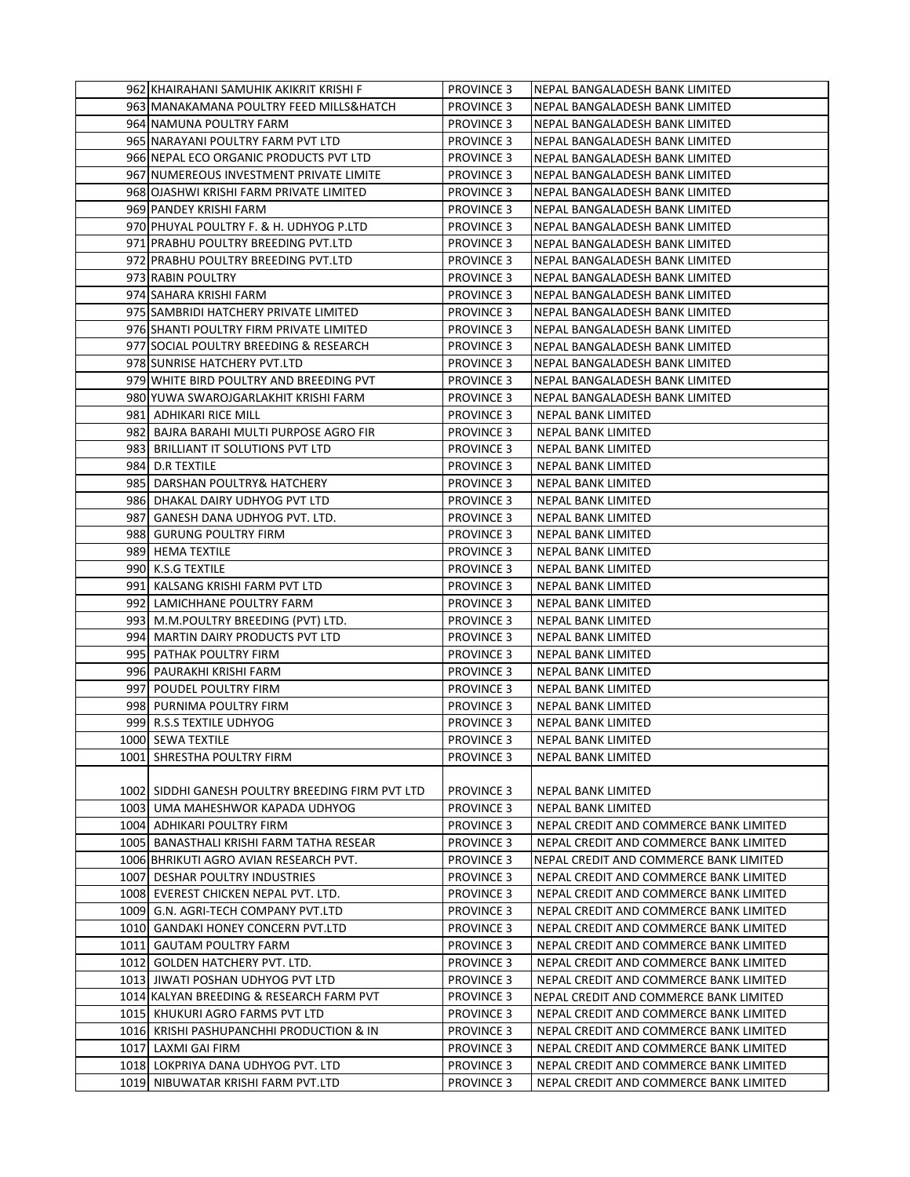| 962 KHAIRAHANI SAMUHIK AKIKRIT KRISHI F          | <b>PROVINCE 3</b> | NEPAL BANGALADESH BANK LIMITED         |
|--------------------------------------------------|-------------------|----------------------------------------|
| 963 MANAKAMANA POULTRY FEED MILLS&HATCH          | <b>PROVINCE 3</b> | NEPAL BANGALADESH BANK LIMITED         |
| 964 NAMUNA POULTRY FARM                          | <b>PROVINCE 3</b> | NEPAL BANGALADESH BANK LIMITED         |
| 965 NARAYANI POULTRY FARM PVT LTD                | <b>PROVINCE 3</b> | NEPAL BANGALADESH BANK LIMITED         |
| 966 NEPAL ECO ORGANIC PRODUCTS PVT LTD           | <b>PROVINCE 3</b> | NEPAL BANGALADESH BANK LIMITED         |
| 967 NUMEREOUS INVESTMENT PRIVATE LIMITE          | <b>PROVINCE 3</b> | NEPAL BANGALADESH BANK LIMITED         |
| 968 OJASHWI KRISHI FARM PRIVATE LIMITED          | <b>PROVINCE 3</b> | NEPAL BANGALADESH BANK LIMITED         |
| 969 PANDEY KRISHI FARM                           | <b>PROVINCE 3</b> | NEPAL BANGALADESH BANK LIMITED         |
| 970 PHUYAL POULTRY F. & H. UDHYOG P.LTD          | <b>PROVINCE 3</b> | NEPAL BANGALADESH BANK LIMITED         |
| 971 PRABHU POULTRY BREEDING PVT.LTD              | <b>PROVINCE 3</b> | NEPAL BANGALADESH BANK LIMITED         |
| 972 PRABHU POULTRY BREEDING PVT.LTD              | <b>PROVINCE 3</b> | NEPAL BANGALADESH BANK LIMITED         |
| 973 RABIN POULTRY                                | <b>PROVINCE 3</b> | NEPAL BANGALADESH BANK LIMITED         |
| 974 SAHARA KRISHI FARM                           | <b>PROVINCE 3</b> | NEPAL BANGALADESH BANK LIMITED         |
| 975 SAMBRIDI HATCHERY PRIVATE LIMITED            | <b>PROVINCE 3</b> | NEPAL BANGALADESH BANK LIMITED         |
| 976 SHANTI POULTRY FIRM PRIVATE LIMITED          | <b>PROVINCE 3</b> | NEPAL BANGALADESH BANK LIMITED         |
| 977 SOCIAL POULTRY BREEDING & RESEARCH           | <b>PROVINCE 3</b> | NEPAL BANGALADESH BANK LIMITED         |
| 978 SUNRISE HATCHERY PVT.LTD                     | <b>PROVINCE 3</b> | NEPAL BANGALADESH BANK LIMITED         |
| 979 WHITE BIRD POULTRY AND BREEDING PVT          | <b>PROVINCE 3</b> | NEPAL BANGALADESH BANK LIMITED         |
| 980 YUWA SWAROJGARLAKHIT KRISHI FARM             | <b>PROVINCE 3</b> | NEPAL BANGALADESH BANK LIMITED         |
| 981  ADHIKARI RICE MILL                          | <b>PROVINCE 3</b> | <b>NEPAL BANK LIMITED</b>              |
| 982  BAJRA BARAHI MULTI PURPOSE AGRO FIR         | <b>PROVINCE 3</b> | NEPAL BANK LIMITED                     |
| 983 BRILLIANT IT SOLUTIONS PVT LTD               | <b>PROVINCE 3</b> | NEPAL BANK LIMITED                     |
| 984 D.R TEXTILE                                  | <b>PROVINCE 3</b> | NEPAL BANK LIMITED                     |
| 985 DARSHAN POULTRY& HATCHERY                    | <b>PROVINCE 3</b> | NEPAL BANK LIMITED                     |
| 986 DHAKAL DAIRY UDHYOG PVT LTD                  | <b>PROVINCE 3</b> | NEPAL BANK LIMITED                     |
| 987 GANESH DANA UDHYOG PVT. LTD.                 | <b>PROVINCE 3</b> | NEPAL BANK LIMITED                     |
| 988 GURUNG POULTRY FIRM                          | <b>PROVINCE 3</b> | NEPAL BANK LIMITED                     |
| 989 HEMA TEXTILE                                 | <b>PROVINCE 3</b> | NEPAL BANK LIMITED                     |
| 990 K.S.G TEXTILE                                | <b>PROVINCE 3</b> | NEPAL BANK LIMITED                     |
| 991 KALSANG KRISHI FARM PVT LTD                  | <b>PROVINCE 3</b> | NEPAL BANK LIMITED                     |
| 992 LAMICHHANE POULTRY FARM                      | <b>PROVINCE 3</b> | NEPAL BANK LIMITED                     |
| 993 M.M.POULTRY BREEDING (PVT) LTD.              | <b>PROVINCE 3</b> | NEPAL BANK LIMITED                     |
| 994 MARTIN DAIRY PRODUCTS PVT LTD                | <b>PROVINCE 3</b> | NEPAL BANK LIMITED                     |
| 995 PATHAK POULTRY FIRM                          | <b>PROVINCE 3</b> | NEPAL BANK LIMITED                     |
| 996 PAURAKHI KRISHI FARM                         | <b>PROVINCE 3</b> | NEPAL BANK LIMITED                     |
| 997 POUDEL POULTRY FIRM                          | <b>PROVINCE 3</b> | NEPAL BANK LIMITED                     |
| 998 PURNIMA POULTRY FIRM                         | <b>PROVINCE 3</b> | NEPAL BANK LIMITED                     |
| 999 R.S.S TEXTILE UDHYOG                         | <b>PROVINCE 3</b> | NEPAL BANK LIMITED                     |
| 1000 SEWA TEXTILE                                | <b>PROVINCE 3</b> | NEPAL BANK LIMITED                     |
| 1001 SHRESTHA POULTRY FIRM                       | <b>PROVINCE 3</b> | NEPAL BANK LIMITED                     |
|                                                  |                   |                                        |
| 1002 SIDDHI GANESH POULTRY BREEDING FIRM PVT LTD | <b>PROVINCE 3</b> | NEPAL BANK LIMITED                     |
| 1003 UMA MAHESHWOR KAPADA UDHYOG                 | <b>PROVINCE 3</b> | NEPAL BANK LIMITED                     |
| 1004 ADHIKARI POULTRY FIRM                       | <b>PROVINCE 3</b> | NEPAL CREDIT AND COMMERCE BANK LIMITED |
| 1005 BANASTHALI KRISHI FARM TATHA RESEAR         | <b>PROVINCE 3</b> | NEPAL CREDIT AND COMMERCE BANK LIMITED |
| 1006 BHRIKUTI AGRO AVIAN RESEARCH PVT.           | <b>PROVINCE 3</b> | NEPAL CREDIT AND COMMERCE BANK LIMITED |
| 1007 DESHAR POULTRY INDUSTRIES                   | <b>PROVINCE 3</b> | NEPAL CREDIT AND COMMERCE BANK LIMITED |
| 1008 EVEREST CHICKEN NEPAL PVT. LTD.             | <b>PROVINCE 3</b> | NEPAL CREDIT AND COMMERCE BANK LIMITED |
| 1009 G.N. AGRI-TECH COMPANY PVT.LTD              | <b>PROVINCE 3</b> | NEPAL CREDIT AND COMMERCE BANK LIMITED |
| 1010 GANDAKI HONEY CONCERN PVT.LTD               | <b>PROVINCE 3</b> | NEPAL CREDIT AND COMMERCE BANK LIMITED |
| 1011  GAUTAM POULTRY FARM                        | <b>PROVINCE 3</b> | NEPAL CREDIT AND COMMERCE BANK LIMITED |
| 1012 GOLDEN HATCHERY PVT. LTD.                   | <b>PROVINCE 3</b> | NEPAL CREDIT AND COMMERCE BANK LIMITED |
| 1013 JIWATI POSHAN UDHYOG PVT LTD                | <b>PROVINCE 3</b> | NEPAL CREDIT AND COMMERCE BANK LIMITED |
| 1014 KALYAN BREEDING & RESEARCH FARM PVT         | <b>PROVINCE 3</b> | NEPAL CREDIT AND COMMERCE BANK LIMITED |
| 1015 KHUKURI AGRO FARMS PVT LTD                  | <b>PROVINCE 3</b> | NEPAL CREDIT AND COMMERCE BANK LIMITED |
| 1016 KRISHI PASHUPANCHHI PRODUCTION & IN         | <b>PROVINCE 3</b> | NEPAL CREDIT AND COMMERCE BANK LIMITED |
| 1017 LAXMI GAI FIRM                              | <b>PROVINCE 3</b> | NEPAL CREDIT AND COMMERCE BANK LIMITED |
| 1018 LOKPRIYA DANA UDHYOG PVT. LTD               | <b>PROVINCE 3</b> | NEPAL CREDIT AND COMMERCE BANK LIMITED |
| 1019 NIBUWATAR KRISHI FARM PVT.LTD               | <b>PROVINCE 3</b> | NEPAL CREDIT AND COMMERCE BANK LIMITED |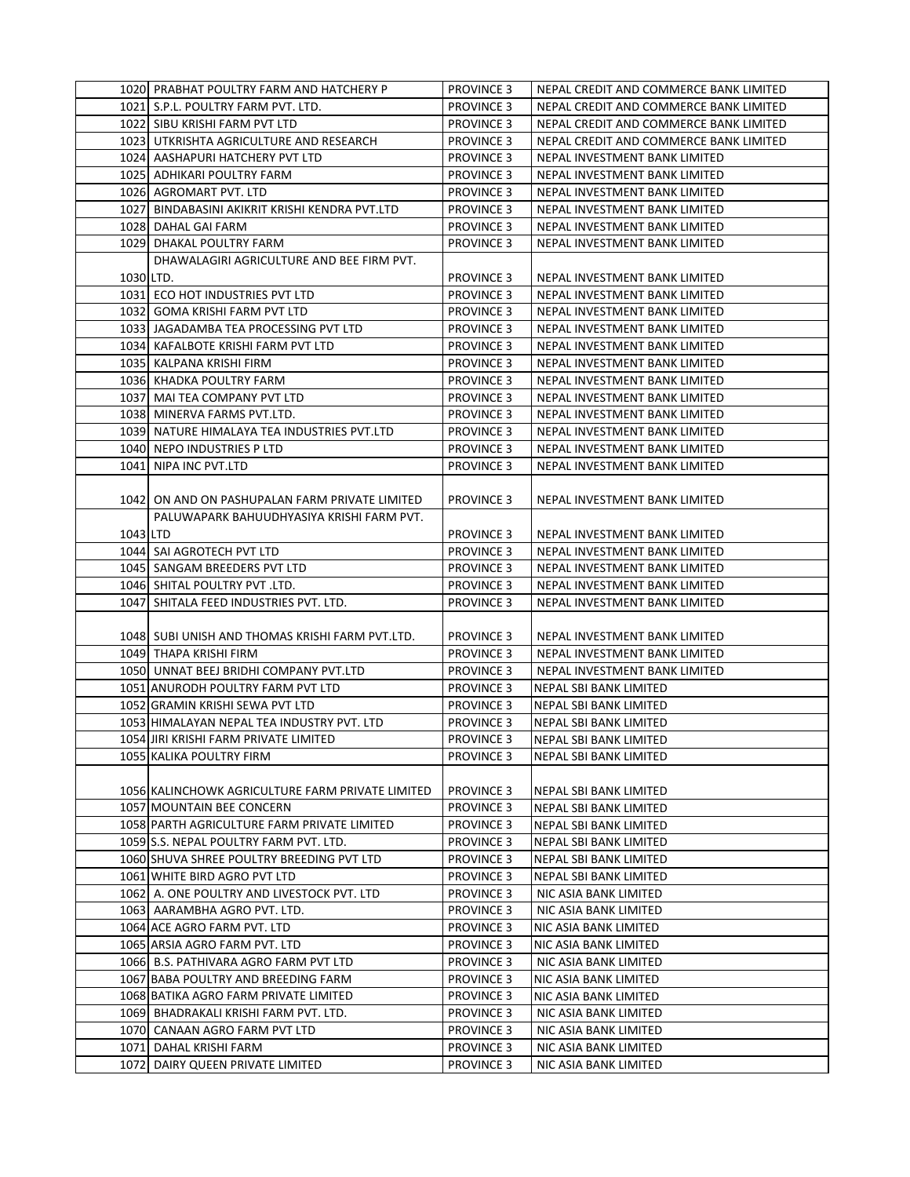|           | 1020 PRABHAT POULTRY FARM AND HATCHERY P         | <b>PROVINCE 3</b> | NEPAL CREDIT AND COMMERCE BANK LIMITED |
|-----------|--------------------------------------------------|-------------------|----------------------------------------|
|           | 1021 S.P.L. POULTRY FARM PVT. LTD.               | <b>PROVINCE 3</b> | NEPAL CREDIT AND COMMERCE BANK LIMITED |
|           | 1022 SIBU KRISHI FARM PVT LTD                    | <b>PROVINCE 3</b> | NEPAL CREDIT AND COMMERCE BANK LIMITED |
|           | 1023 UTKRISHTA AGRICULTURE AND RESEARCH          | <b>PROVINCE 3</b> | NEPAL CREDIT AND COMMERCE BANK LIMITED |
|           | 1024 AASHAPURI HATCHERY PVT LTD                  | <b>PROVINCE 3</b> | NEPAL INVESTMENT BANK LIMITED          |
|           | 1025 ADHIKARI POULTRY FARM                       | <b>PROVINCE 3</b> | NEPAL INVESTMENT BANK LIMITED          |
|           | 1026 AGROMART PVT. LTD                           | <b>PROVINCE 3</b> | NEPAL INVESTMENT BANK LIMITED          |
|           | 1027 BINDABASINI AKIKRIT KRISHI KENDRA PVT.LTD   | <b>PROVINCE 3</b> | NEPAL INVESTMENT BANK LIMITED          |
|           | 1028 DAHAL GAI FARM                              | <b>PROVINCE 3</b> | NEPAL INVESTMENT BANK LIMITED          |
|           | 1029 DHAKAL POULTRY FARM                         | <b>PROVINCE 3</b> | NEPAL INVESTMENT BANK LIMITED          |
|           | DHAWALAGIRI AGRICULTURE AND BEE FIRM PVT.        |                   |                                        |
| 1030 LTD. |                                                  | <b>PROVINCE 3</b> | NEPAL INVESTMENT BANK LIMITED          |
|           | 1031 ECO HOT INDUSTRIES PVT LTD                  | <b>PROVINCE 3</b> | NEPAL INVESTMENT BANK LIMITED          |
|           | 1032 GOMA KRISHI FARM PVT LTD                    | <b>PROVINCE 3</b> | NEPAL INVESTMENT BANK LIMITED          |
|           | 1033 JAGADAMBA TEA PROCESSING PVT LTD            | <b>PROVINCE 3</b> | NEPAL INVESTMENT BANK LIMITED          |
|           | 1034 KAFALBOTE KRISHI FARM PVT LTD               | <b>PROVINCE 3</b> | NEPAL INVESTMENT BANK LIMITED          |
|           | 1035   KALPANA KRISHI FIRM                       | <b>PROVINCE 3</b> | NEPAL INVESTMENT BANK LIMITED          |
|           | 1036 KHADKA POULTRY FARM                         | <b>PROVINCE 3</b> | NEPAL INVESTMENT BANK LIMITED          |
|           | 1037 MAI TEA COMPANY PVT LTD                     | <b>PROVINCE 3</b> | NEPAL INVESTMENT BANK LIMITED          |
|           | 1038 MINERVA FARMS PVT.LTD.                      | <b>PROVINCE 3</b> | NEPAL INVESTMENT BANK LIMITED          |
|           | 1039 NATURE HIMALAYA TEA INDUSTRIES PVT.LTD      | <b>PROVINCE 3</b> | NEPAL INVESTMENT BANK LIMITED          |
|           | 1040 NEPO INDUSTRIES P LTD                       | <b>PROVINCE 3</b> | NEPAL INVESTMENT BANK LIMITED          |
|           | 1041 NIPA INC PVT.LTD                            | <b>PROVINCE 3</b> | NEPAL INVESTMENT BANK LIMITED          |
|           |                                                  |                   |                                        |
|           | 1042 ON AND ON PASHUPALAN FARM PRIVATE LIMITED   | <b>PROVINCE 3</b> | NEPAL INVESTMENT BANK LIMITED          |
|           | PALUWAPARK BAHUUDHYASIYA KRISHI FARM PVT.        |                   |                                        |
| 1043 LTD  |                                                  | <b>PROVINCE 3</b> | NEPAL INVESTMENT BANK LIMITED          |
|           | 1044 SAI AGROTECH PVT LTD                        | <b>PROVINCE 3</b> | NEPAL INVESTMENT BANK LIMITED          |
|           | 1045 SANGAM BREEDERS PVT LTD                     | <b>PROVINCE 3</b> | NEPAL INVESTMENT BANK LIMITED          |
|           | 1046 SHITAL POULTRY PVT .LTD.                    | <b>PROVINCE 3</b> | NEPAL INVESTMENT BANK LIMITED          |
|           |                                                  |                   |                                        |
|           | 1047 SHITALA FEED INDUSTRIES PVT. LTD.           | <b>PROVINCE 3</b> | NEPAL INVESTMENT BANK LIMITED          |
|           |                                                  |                   |                                        |
|           | 1048 SUBI UNISH AND THOMAS KRISHI FARM PVT.LTD.  | <b>PROVINCE 3</b> | NEPAL INVESTMENT BANK LIMITED          |
|           | 1049 THAPA KRISHI FIRM                           | <b>PROVINCE 3</b> | NEPAL INVESTMENT BANK LIMITED          |
|           | 1050 UNNAT BEEJ BRIDHI COMPANY PVT.LTD           | <b>PROVINCE 3</b> | NEPAL INVESTMENT BANK LIMITED          |
|           | 1051 ANURODH POULTRY FARM PVT LTD                | <b>PROVINCE 3</b> | NEPAL SBI BANK LIMITED                 |
|           | 1052 GRAMIN KRISHI SEWA PVT LTD                  | <b>PROVINCE 3</b> | NEPAL SBI BANK LIMITED                 |
|           | 1053 HIMALAYAN NEPAL TEA INDUSTRY PVT. LTD       | <b>PROVINCE 3</b> | NEPAL SBI BANK LIMITED                 |
|           | 1054 JIRI KRISHI FARM PRIVATE LIMITED            | <b>PROVINCE 3</b> | NEPAL SBI BANK LIMITED                 |
|           | 1055 KALIKA POULTRY FIRM                         | <b>PROVINCE 3</b> | NEPAL SBI BANK LIMITED                 |
|           |                                                  |                   |                                        |
|           | 1056 KALINCHOWK AGRICULTURE FARM PRIVATE LIMITED | <b>PROVINCE 3</b> | NEPAL SBI BANK LIMITED                 |
|           | 1057 MOUNTAIN BEE CONCERN                        | <b>PROVINCE 3</b> | NEPAL SBI BANK LIMITED                 |
|           | 1058 PARTH AGRICULTURE FARM PRIVATE LIMITED      | <b>PROVINCE 3</b> | NEPAL SBI BANK LIMITED                 |
|           | 1059 S.S. NEPAL POULTRY FARM PVT. LTD.           | <b>PROVINCE 3</b> | NEPAL SBI BANK LIMITED                 |
|           | 1060 SHUVA SHREE POULTRY BREEDING PVT LTD        | <b>PROVINCE 3</b> | NEPAL SBI BANK LIMITED                 |
|           | 1061 WHITE BIRD AGRO PVT LTD                     | <b>PROVINCE 3</b> | NEPAL SBI BANK LIMITED                 |
|           | 1062 A. ONE POULTRY AND LIVESTOCK PVT. LTD       | <b>PROVINCE 3</b> | NIC ASIA BANK LIMITED                  |
|           | 1063  AARAMBHA AGRO PVT. LTD.                    | <b>PROVINCE 3</b> | NIC ASIA BANK LIMITED                  |
|           | 1064 ACE AGRO FARM PVT. LTD                      | <b>PROVINCE 3</b> | NIC ASIA BANK LIMITED                  |
|           | 1065 ARSIA AGRO FARM PVT. LTD                    | <b>PROVINCE 3</b> | NIC ASIA BANK LIMITED                  |
|           | 1066  B.S. PATHIVARA AGRO FARM PVT LTD           | <b>PROVINCE 3</b> | NIC ASIA BANK LIMITED                  |
|           | 1067 BABA POULTRY AND BREEDING FARM              | <b>PROVINCE 3</b> | NIC ASIA BANK LIMITED                  |
|           | 1068 BATIKA AGRO FARM PRIVATE LIMITED            | <b>PROVINCE 3</b> | NIC ASIA BANK LIMITED                  |
|           | 1069 BHADRAKALI KRISHI FARM PVT. LTD.            | <b>PROVINCE 3</b> | NIC ASIA BANK LIMITED                  |
|           | 1070 CANAAN AGRO FARM PVT LTD                    | <b>PROVINCE 3</b> | NIC ASIA BANK LIMITED                  |
|           | 1071 DAHAL KRISHI FARM                           | <b>PROVINCE 3</b> | NIC ASIA BANK LIMITED                  |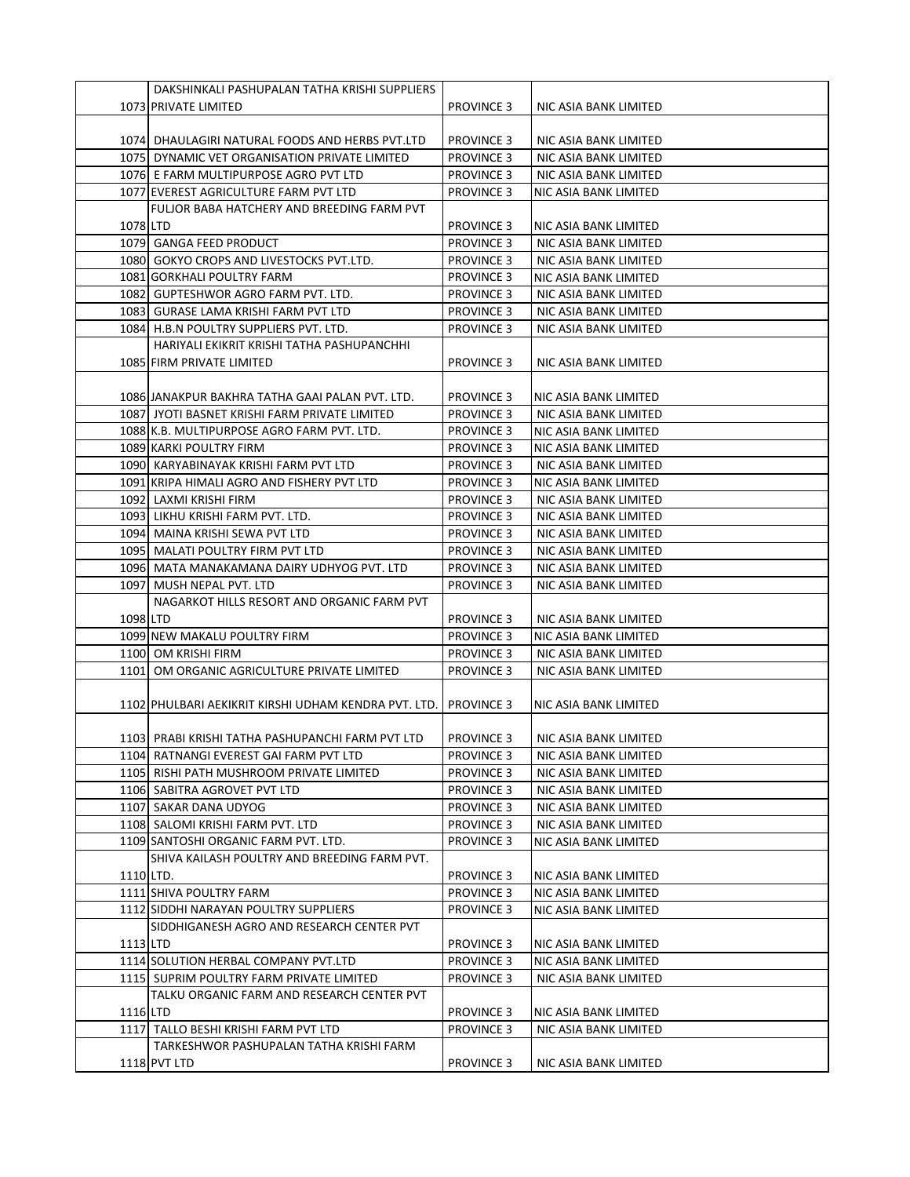|           | DAKSHINKALI PASHUPALAN TATHA KRISHI SUPPLIERS        |                                        |                       |
|-----------|------------------------------------------------------|----------------------------------------|-----------------------|
|           | 1073 PRIVATE LIMITED                                 | <b>PROVINCE 3</b>                      | NIC ASIA BANK LIMITED |
|           |                                                      |                                        |                       |
|           | 1074 DHAULAGIRI NATURAL FOODS AND HERBS PVT.LTD      | <b>PROVINCE 3</b>                      | NIC ASIA BANK LIMITED |
|           | 1075 DYNAMIC VET ORGANISATION PRIVATE LIMITED        | <b>PROVINCE 3</b>                      | NIC ASIA BANK LIMITED |
|           | 1076 E FARM MULTIPURPOSE AGRO PVT LTD                | <b>PROVINCE 3</b>                      | NIC ASIA BANK LIMITED |
|           | 1077 EVEREST AGRICULTURE FARM PVT LTD                | <b>PROVINCE 3</b>                      | NIC ASIA BANK LIMITED |
|           | FULJOR BABA HATCHERY AND BREEDING FARM PVT           |                                        |                       |
| 1078 LTD  |                                                      | <b>PROVINCE 3</b>                      | NIC ASIA BANK LIMITED |
|           | 1079 GANGA FEED PRODUCT                              | <b>PROVINCE 3</b>                      | NIC ASIA BANK LIMITED |
|           | 1080 GOKYO CROPS AND LIVESTOCKS PVT.LTD.             | <b>PROVINCE 3</b>                      | NIC ASIA BANK LIMITED |
|           | 1081 GORKHALI POULTRY FARM                           | <b>PROVINCE 3</b>                      | NIC ASIA BANK LIMITED |
|           | 1082 GUPTESHWOR AGRO FARM PVT. LTD.                  | <b>PROVINCE 3</b>                      | NIC ASIA BANK LIMITED |
|           | 1083 GURASE LAMA KRISHI FARM PVT LTD                 | <b>PROVINCE 3</b>                      | NIC ASIA BANK LIMITED |
|           | 1084 H.B.N POULTRY SUPPLIERS PVT. LTD.               | <b>PROVINCE 3</b>                      | NIC ASIA BANK LIMITED |
|           | HARIYALI EKIKRIT KRISHI TATHA PASHUPANCHHI           |                                        |                       |
|           | 1085 FIRM PRIVATE LIMITED                            | <b>PROVINCE 3</b>                      | NIC ASIA BANK LIMITED |
|           |                                                      |                                        |                       |
|           | 1086 JANAKPUR BAKHRA TATHA GAAI PALAN PVT. LTD.      | <b>PROVINCE 3</b>                      | NIC ASIA BANK LIMITED |
|           | 1087 JYOTI BASNET KRISHI FARM PRIVATE LIMITED        | <b>PROVINCE 3</b>                      | NIC ASIA BANK LIMITED |
|           | 1088 K.B. MULTIPURPOSE AGRO FARM PVT. LTD.           | <b>PROVINCE 3</b>                      | NIC ASIA BANK LIMITED |
|           | 1089 KARKI POULTRY FIRM                              | <b>PROVINCE 3</b>                      | NIC ASIA BANK LIMITED |
|           | 1090 KARYABINAYAK KRISHI FARM PVT LTD                | <b>PROVINCE 3</b>                      | NIC ASIA BANK LIMITED |
|           | 1091 KRIPA HIMALI AGRO AND FISHERY PVT LTD           | <b>PROVINCE 3</b>                      | NIC ASIA BANK LIMITED |
|           | 1092 LAXMI KRISHI FIRM                               | <b>PROVINCE 3</b>                      | NIC ASIA BANK LIMITED |
|           | 1093 LIKHU KRISHI FARM PVT. LTD.                     | <b>PROVINCE 3</b>                      | NIC ASIA BANK LIMITED |
|           | 1094   MAINA KRISHI SEWA PVT LTD                     | <b>PROVINCE 3</b>                      | NIC ASIA BANK LIMITED |
|           | 1095 MALATI POULTRY FIRM PVT LTD                     | <b>PROVINCE 3</b>                      | NIC ASIA BANK LIMITED |
|           | 1096 MATA MANAKAMANA DAIRY UDHYOG PVT. LTD           | <b>PROVINCE 3</b>                      | NIC ASIA BANK LIMITED |
|           | 1097 MUSH NEPAL PVT. LTD                             | <b>PROVINCE 3</b>                      | NIC ASIA BANK LIMITED |
|           | NAGARKOT HILLS RESORT AND ORGANIC FARM PVT           |                                        |                       |
| 1098 LTD  |                                                      | <b>PROVINCE 3</b>                      | NIC ASIA BANK LIMITED |
|           | 1099 NEW MAKALU POULTRY FIRM                         | <b>PROVINCE 3</b>                      | NIC ASIA BANK LIMITED |
|           | 1100 OM KRISHI FIRM                                  | <b>PROVINCE 3</b>                      | NIC ASIA BANK LIMITED |
|           | 1101 OM ORGANIC AGRICULTURE PRIVATE LIMITED          | <b>PROVINCE 3</b>                      | NIC ASIA BANK LIMITED |
|           |                                                      |                                        |                       |
|           | 1102 PHULBARI AEKIKRIT KIRSHI UDHAM KENDRA PVT. LTD. | <b>PROVINCE 3</b>                      | NIC ASIA BANK LIMITED |
|           |                                                      |                                        |                       |
|           | 1103 PRABI KRISHI TATHA PASHUPANCHI FARM PVT LTD     | <b>PROVINCE 3</b>                      | NIC ASIA BANK LIMITED |
|           | 1104 RATNANGI EVEREST GAI FARM PVT LTD               | <b>PROVINCE 3</b>                      | NIC ASIA BANK LIMITED |
|           | 1105 RISHI PATH MUSHROOM PRIVATE LIMITED             |                                        | NIC ASIA BANK LIMITED |
|           | 1106 SABITRA AGROVET PVT LTD                         | <b>PROVINCE 3</b><br><b>PROVINCE 3</b> | NIC ASIA BANK LIMITED |
|           | 1107 SAKAR DANA UDYOG                                | <b>PROVINCE 3</b>                      | NIC ASIA BANK LIMITED |
|           | 1108 SALOMI KRISHI FARM PVT. LTD                     |                                        |                       |
|           |                                                      | <b>PROVINCE 3</b>                      | NIC ASIA BANK LIMITED |
|           | 1109 SANTOSHI ORGANIC FARM PVT. LTD.                 | <b>PROVINCE 3</b>                      | NIC ASIA BANK LIMITED |
|           | SHIVA KAILASH POULTRY AND BREEDING FARM PVT.         |                                        |                       |
| 1110 LTD. |                                                      | <b>PROVINCE 3</b>                      | NIC ASIA BANK LIMITED |
|           | 1111 SHIVA POULTRY FARM                              | <b>PROVINCE 3</b>                      | NIC ASIA BANK LIMITED |
|           | 1112 SIDDHI NARAYAN POULTRY SUPPLIERS                | <b>PROVINCE 3</b>                      | NIC ASIA BANK LIMITED |
|           | SIDDHIGANESH AGRO AND RESEARCH CENTER PVT            |                                        |                       |
| 1113 LTD  |                                                      | <b>PROVINCE 3</b>                      | NIC ASIA BANK LIMITED |
|           | 1114 SOLUTION HERBAL COMPANY PVT.LTD                 | <b>PROVINCE 3</b>                      | NIC ASIA BANK LIMITED |
|           | 1115 SUPRIM POULTRY FARM PRIVATE LIMITED             | <b>PROVINCE 3</b>                      | NIC ASIA BANK LIMITED |
|           | TALKU ORGANIC FARM AND RESEARCH CENTER PVT           |                                        |                       |
| 1116 LTD  |                                                      | <b>PROVINCE 3</b>                      | NIC ASIA BANK LIMITED |
|           | 1117 TALLO BESHI KRISHI FARM PVT LTD                 | <b>PROVINCE 3</b>                      | NIC ASIA BANK LIMITED |
|           | TARKESHWOR PASHUPALAN TATHA KRISHI FARM              |                                        |                       |
|           | 1118 PVT LTD                                         | <b>PROVINCE 3</b>                      | NIC ASIA BANK LIMITED |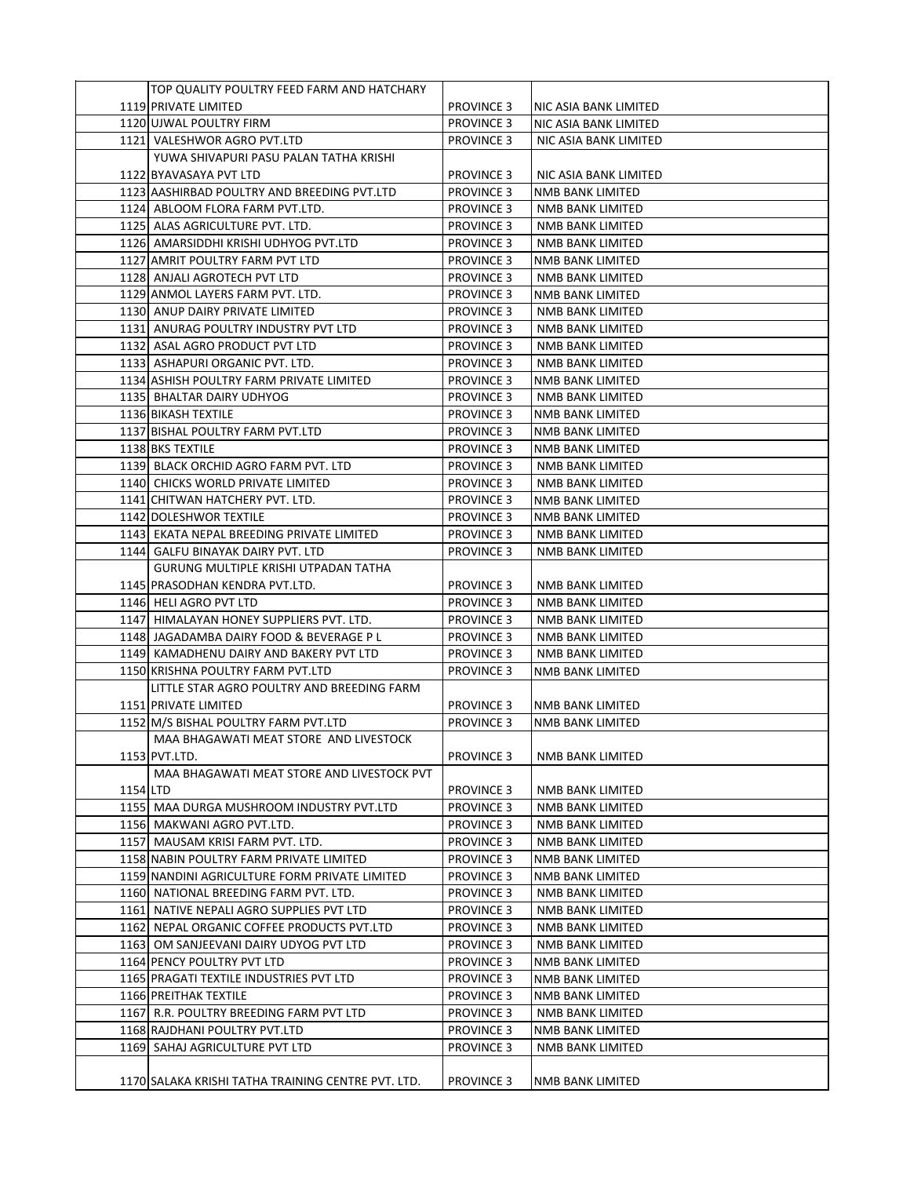|          | TOP QUALITY POULTRY FEED FARM AND HATCHARY         |                                        |                         |
|----------|----------------------------------------------------|----------------------------------------|-------------------------|
|          | 1119 PRIVATE LIMITED                               | <b>PROVINCE 3</b>                      | NIC ASIA BANK LIMITED   |
|          | 1120 UJWAL POULTRY FIRM                            | <b>PROVINCE 3</b>                      | NIC ASIA BANK LIMITED   |
|          | 1121 VALESHWOR AGRO PVT.LTD                        | <b>PROVINCE 3</b>                      | NIC ASIA BANK LIMITED   |
|          | YUWA SHIVAPURI PASU PALAN TATHA KRISHI             |                                        |                         |
|          | 1122 BYAVASAYA PVT LTD                             | <b>PROVINCE 3</b>                      | NIC ASIA BANK LIMITED   |
|          | 1123 AASHIRBAD POULTRY AND BREEDING PVT.LTD        | <b>PROVINCE 3</b>                      | NMB BANK LIMITED        |
|          | 1124 ABLOOM FLORA FARM PVT.LTD.                    | <b>PROVINCE 3</b>                      | NMB BANK LIMITED        |
|          | 1125 ALAS AGRICULTURE PVT. LTD.                    | <b>PROVINCE 3</b>                      | NMB BANK LIMITED        |
|          | 1126 AMARSIDDHI KRISHI UDHYOG PVT.LTD              | <b>PROVINCE 3</b>                      | <b>NMB BANK LIMITED</b> |
|          | 1127 AMRIT POULTRY FARM PVT LTD                    | <b>PROVINCE 3</b>                      | NMB BANK LIMITED        |
|          | 1128 ANJALI AGROTECH PVT LTD                       |                                        |                         |
|          |                                                    | <b>PROVINCE 3</b><br><b>PROVINCE 3</b> | NMB BANK LIMITED        |
|          | 1129 ANMOL LAYERS FARM PVT. LTD.                   |                                        | NMB BANK LIMITED        |
|          | 1130 ANUP DAIRY PRIVATE LIMITED                    | <b>PROVINCE 3</b>                      | NMB BANK LIMITED        |
|          | 1131 ANURAG POULTRY INDUSTRY PVT LTD               | <b>PROVINCE 3</b>                      | NMB BANK LIMITED        |
|          | 1132 ASAL AGRO PRODUCT PVT LTD                     | <b>PROVINCE 3</b>                      | NMB BANK LIMITED        |
|          | 1133 ASHAPURI ORGANIC PVT. LTD.                    | <b>PROVINCE 3</b>                      | NMB BANK LIMITED        |
|          | 1134 ASHISH POULTRY FARM PRIVATE LIMITED           | <b>PROVINCE 3</b>                      | NMB BANK LIMITED        |
|          | 1135 BHALTAR DAIRY UDHYOG                          | <b>PROVINCE 3</b>                      | NMB BANK LIMITED        |
|          | 1136 BIKASH TEXTILE                                | <b>PROVINCE 3</b>                      | <b>NMB BANK LIMITED</b> |
|          | 1137 BISHAL POULTRY FARM PVT.LTD                   | <b>PROVINCE 3</b>                      | NMB BANK LIMITED        |
|          | 1138 BKS TEXTILE                                   | <b>PROVINCE 3</b>                      | NMB BANK LIMITED        |
|          | 1139 BLACK ORCHID AGRO FARM PVT. LTD               | <b>PROVINCE 3</b>                      | <b>NMB BANK LIMITED</b> |
|          | 1140 CHICKS WORLD PRIVATE LIMITED                  | <b>PROVINCE 3</b>                      | NMB BANK LIMITED        |
|          | 1141 CHITWAN HATCHERY PVT. LTD.                    | <b>PROVINCE 3</b>                      | NMB BANK LIMITED        |
|          | 1142 DOLESHWOR TEXTILE                             | <b>PROVINCE 3</b>                      | NMB BANK LIMITED        |
|          | 1143 EKATA NEPAL BREEDING PRIVATE LIMITED          | <b>PROVINCE 3</b>                      | NMB BANK LIMITED        |
|          | 1144  GALFU BINAYAK DAIRY PVT. LTD                 | <b>PROVINCE 3</b>                      | NMB BANK LIMITED        |
|          | GURUNG MULTIPLE KRISHI UTPADAN TATHA               |                                        |                         |
|          | 1145 PRASODHAN KENDRA PVT.LTD.                     | <b>PROVINCE 3</b>                      | NMB BANK LIMITED        |
|          | 1146 HELI AGRO PVT LTD                             | <b>PROVINCE 3</b>                      | NMB BANK LIMITED        |
|          | 1147 HIMALAYAN HONEY SUPPLIERS PVT. LTD.           | <b>PROVINCE 3</b>                      | NMB BANK LIMITED        |
|          | 1148 JAGADAMBA DAIRY FOOD & BEVERAGE P L           | <b>PROVINCE 3</b>                      | NMB BANK LIMITED        |
|          | 1149 KAMADHENU DAIRY AND BAKERY PVT LTD            | <b>PROVINCE 3</b>                      | NMB BANK LIMITED        |
|          | 1150 KRISHNA POULTRY FARM PVT.LTD                  | <b>PROVINCE 3</b>                      | NMB BANK LIMITED        |
|          | LITTLE STAR AGRO POULTRY AND BREEDING FARM         |                                        |                         |
|          | 1151 PRIVATE LIMITED                               | <b>PROVINCE 3</b>                      | NMB BANK LIMITED        |
|          | 1152 M/S BISHAL POULTRY FARM PVT.LTD               | <b>PROVINCE 3</b>                      | NMB BANK LIMITED        |
|          | MAA BHAGAWATI MEAT STORE AND LIVESTOCK             |                                        |                         |
|          | 1153 PVT.LTD.                                      | PROVINCE 3                             | NMB BANK LIMITED        |
|          | MAA BHAGAWATI MEAT STORE AND LIVESTOCK PVT         |                                        |                         |
| 1154 LTD |                                                    | <b>PROVINCE 3</b>                      | NMB BANK LIMITED        |
|          | 1155 MAA DURGA MUSHROOM INDUSTRY PVT.LTD           |                                        |                         |
|          |                                                    | <b>PROVINCE 3</b>                      | NMB BANK LIMITED        |
|          | 1156 MAKWANI AGRO PVT.LTD.                         | <b>PROVINCE 3</b>                      | NMB BANK LIMITED        |
|          | 1157 MAUSAM KRISI FARM PVT. LTD.                   | <b>PROVINCE 3</b>                      | NMB BANK LIMITED        |
|          | 1158 NABIN POULTRY FARM PRIVATE LIMITED            | <b>PROVINCE 3</b>                      | NMB BANK LIMITED        |
|          | 1159 NANDINI AGRICULTURE FORM PRIVATE LIMITED      | <b>PROVINCE 3</b>                      | <b>NMB BANK LIMITED</b> |
|          | 1160 NATIONAL BREEDING FARM PVT. LTD.              | <b>PROVINCE 3</b>                      | <b>NMB BANK LIMITED</b> |
|          | 1161 NATIVE NEPALI AGRO SUPPLIES PVT LTD           | <b>PROVINCE 3</b>                      | NMB BANK LIMITED        |
|          | 1162 NEPAL ORGANIC COFFEE PRODUCTS PVT.LTD         | <b>PROVINCE 3</b>                      | NMB BANK LIMITED        |
|          | 1163 OM SANJEEVANI DAIRY UDYOG PVT LTD             | <b>PROVINCE 3</b>                      | NMB BANK LIMITED        |
|          | 1164 PENCY POULTRY PVT LTD                         | <b>PROVINCE 3</b>                      | NMB BANK LIMITED        |
|          | 1165 PRAGATI TEXTILE INDUSTRIES PVT LTD            | <b>PROVINCE 3</b>                      | NMB BANK LIMITED        |
|          | 1166 PREITHAK TEXTILE                              | <b>PROVINCE 3</b>                      | NMB BANK LIMITED        |
|          | 1167 R.R. POULTRY BREEDING FARM PVT LTD            | <b>PROVINCE 3</b>                      | NMB BANK LIMITED        |
|          | 1168 RAJDHANI POULTRY PVT.LTD                      | <b>PROVINCE 3</b>                      | NMB BANK LIMITED        |
|          | 1169 SAHAJ AGRICULTURE PVT LTD                     | <b>PROVINCE 3</b>                      | NMB BANK LIMITED        |
|          |                                                    |                                        |                         |
|          | 1170 SALAKA KRISHI TATHA TRAINING CENTRE PVT. LTD. | <b>PROVINCE 3</b>                      | NMB BANK LIMITED        |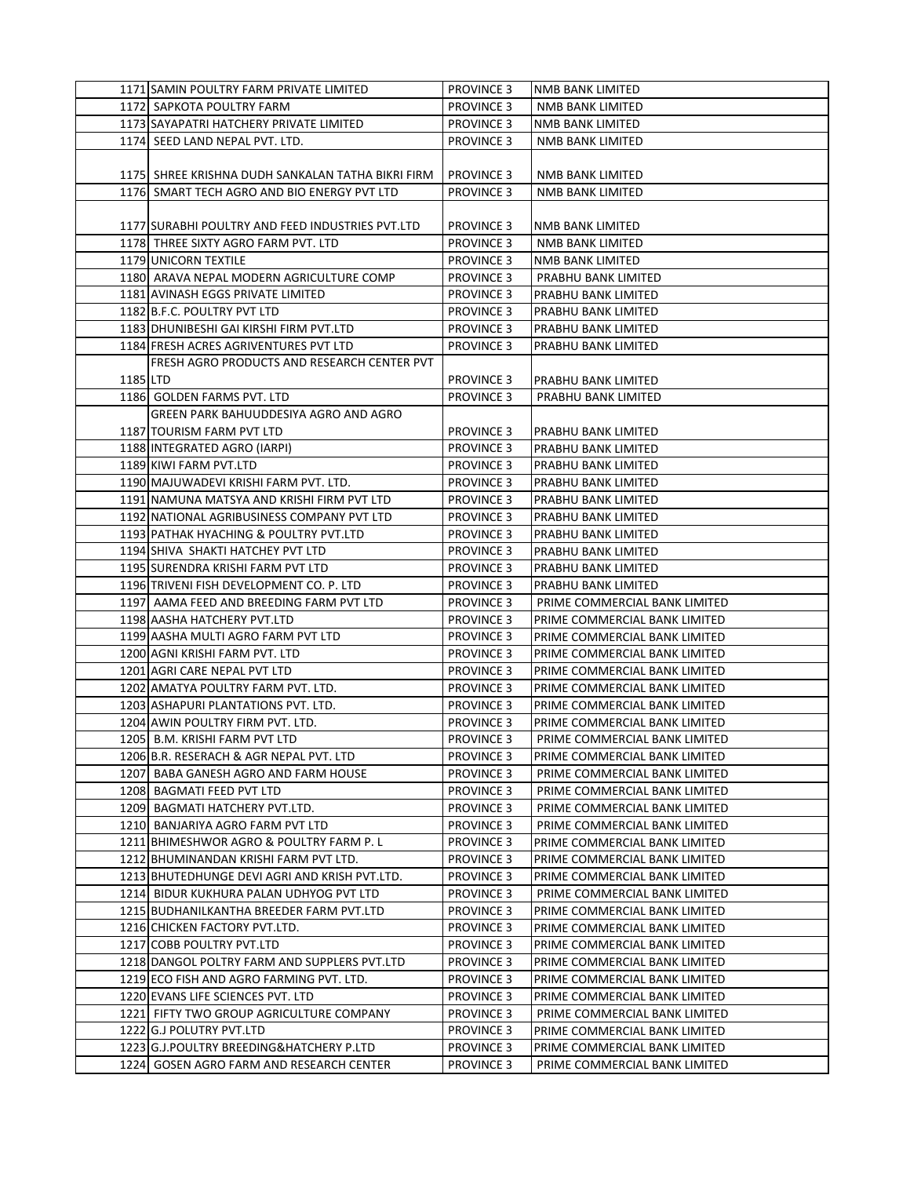|          | 1171 SAMIN POULTRY FARM PRIVATE LIMITED           | <b>PROVINCE 3</b> | NMB BANK LIMITED              |
|----------|---------------------------------------------------|-------------------|-------------------------------|
|          | 1172 SAPKOTA POULTRY FARM                         | <b>PROVINCE 3</b> | NMB BANK LIMITED              |
|          | 1173 SAYAPATRI HATCHERY PRIVATE LIMITED           | <b>PROVINCE 3</b> | NMB BANK LIMITED              |
|          | 1174 SEED LAND NEPAL PVT. LTD.                    | <b>PROVINCE 3</b> | NMB BANK LIMITED              |
|          |                                                   |                   |                               |
|          | 1175 SHREE KRISHNA DUDH SANKALAN TATHA BIKRI FIRM | <b>PROVINCE 3</b> | NMB BANK LIMITED              |
|          | 1176 SMART TECH AGRO AND BIO ENERGY PVT LTD       | <b>PROVINCE 3</b> | NMB BANK LIMITED              |
|          |                                                   |                   |                               |
|          | 1177 SURABHI POULTRY AND FEED INDUSTRIES PVT.LTD  | <b>PROVINCE 3</b> | NMB BANK LIMITED              |
|          | 1178 THREE SIXTY AGRO FARM PVT. LTD               | <b>PROVINCE 3</b> | NMB BANK LIMITED              |
|          | 1179 UNICORN TEXTILE                              | <b>PROVINCE 3</b> | NMB BANK LIMITED              |
|          | 1180 ARAVA NEPAL MODERN AGRICULTURE COMP          | <b>PROVINCE 3</b> | PRABHU BANK LIMITED           |
|          | 1181 AVINASH EGGS PRIVATE LIMITED                 | <b>PROVINCE 3</b> | PRABHU BANK LIMITED           |
|          | 1182 B.F.C. POULTRY PVT LTD                       | <b>PROVINCE 3</b> | PRABHU BANK LIMITED           |
|          | 1183 DHUNIBESHI GAI KIRSHI FIRM PVT.LTD           | <b>PROVINCE 3</b> | PRABHU BANK LIMITED           |
|          | 1184 FRESH ACRES AGRIVENTURES PVT LTD             | <b>PROVINCE 3</b> | PRABHU BANK LIMITED           |
|          | FRESH AGRO PRODUCTS AND RESEARCH CENTER PVT       |                   |                               |
| 1185 LTD |                                                   | PROVINCE 3        | PRABHU BANK LIMITED           |
|          | 1186 GOLDEN FARMS PVT. LTD                        | <b>PROVINCE 3</b> | PRABHU BANK LIMITED           |
|          | GREEN PARK BAHUUDDESIYA AGRO AND AGRO             |                   |                               |
|          | 1187 TOURISM FARM PVT LTD                         | <b>PROVINCE 3</b> | PRABHU BANK LIMITED           |
|          | 1188 INTEGRATED AGRO (IARPI)                      | <b>PROVINCE 3</b> | PRABHU BANK LIMITED           |
|          | 1189 KIWI FARM PVT.LTD                            | <b>PROVINCE 3</b> | PRABHU BANK LIMITED           |
|          | 1190 MAJUWADEVI KRISHI FARM PVT. LTD.             | <b>PROVINCE 3</b> | PRABHU BANK LIMITED           |
|          | 1191 NAMUNA MATSYA AND KRISHI FIRM PVT LTD        | <b>PROVINCE 3</b> | PRABHU BANK LIMITED           |
|          | 1192 NATIONAL AGRIBUSINESS COMPANY PVT LTD        | <b>PROVINCE 3</b> | PRABHU BANK LIMITED           |
|          | 1193 PATHAK HYACHING & POULTRY PVT.LTD            | <b>PROVINCE 3</b> | PRABHU BANK LIMITED           |
|          | 1194 SHIVA SHAKTI HATCHEY PVT LTD                 | <b>PROVINCE 3</b> | PRABHU BANK LIMITED           |
|          | 1195 SURENDRA KRISHI FARM PVT LTD                 | <b>PROVINCE 3</b> | PRABHU BANK LIMITED           |
|          | 1196 TRIVENI FISH DEVELOPMENT CO. P. LTD          | <b>PROVINCE 3</b> | PRABHU BANK LIMITED           |
|          | 1197 AAMA FEED AND BREEDING FARM PVT LTD          | <b>PROVINCE 3</b> | PRIME COMMERCIAL BANK LIMITED |
|          | 1198 AASHA HATCHERY PVT.LTD                       | <b>PROVINCE 3</b> | PRIME COMMERCIAL BANK LIMITED |
|          | 1199 AASHA MULTI AGRO FARM PVT LTD                | <b>PROVINCE 3</b> | PRIME COMMERCIAL BANK LIMITED |
|          | 1200 AGNI KRISHI FARM PVT. LTD                    | <b>PROVINCE 3</b> | PRIME COMMERCIAL BANK LIMITED |
|          | 1201 AGRI CARE NEPAL PVT LTD                      | <b>PROVINCE 3</b> | PRIME COMMERCIAL BANK LIMITED |
|          | 1202 AMATYA POULTRY FARM PVT. LTD.                | <b>PROVINCE 3</b> | PRIME COMMERCIAL BANK LIMITED |
|          | 1203 ASHAPURI PLANTATIONS PVT. LTD.               | <b>PROVINCE 3</b> | PRIME COMMERCIAL BANK LIMITED |
|          | 1204 AWIN POULTRY FIRM PVT. LTD.                  | <b>PROVINCE 3</b> | PRIME COMMERCIAL BANK LIMITED |
|          | 1205 B.M. KRISHI FARM PVT LTD                     | <b>PROVINCE 3</b> | PRIME COMMERCIAL BANK LIMITED |
|          | 1206 B.R. RESERACH & AGR NEPAL PVT. LTD           | <b>PROVINCE 3</b> | PRIME COMMERCIAL BANK LIMITED |
|          | 1207 BABA GANESH AGRO AND FARM HOUSE              | <b>PROVINCE 3</b> | PRIME COMMERCIAL BANK LIMITED |
|          | 1208 BAGMATI FEED PVT LTD                         | <b>PROVINCE 3</b> | PRIME COMMERCIAL BANK LIMITED |
|          | 1209 BAGMATI HATCHERY PVT.LTD.                    | <b>PROVINCE 3</b> | PRIME COMMERCIAL BANK LIMITED |
|          | 1210 BANJARIYA AGRO FARM PVT LTD                  | <b>PROVINCE 3</b> | PRIME COMMERCIAL BANK LIMITED |
|          | 1211 BHIMESHWOR AGRO & POULTRY FARM P. L          | <b>PROVINCE 3</b> | PRIME COMMERCIAL BANK LIMITED |
|          | 1212 BHUMINANDAN KRISHI FARM PVT LTD.             | <b>PROVINCE 3</b> | PRIME COMMERCIAL BANK LIMITED |
|          | 1213 BHUTEDHUNGE DEVI AGRI AND KRISH PVT.LTD.     | <b>PROVINCE 3</b> | PRIME COMMERCIAL BANK LIMITED |
|          | 1214 BIDUR KUKHURA PALAN UDHYOG PVT LTD           | <b>PROVINCE 3</b> | PRIME COMMERCIAL BANK LIMITED |
|          | 1215 BUDHANILKANTHA BREEDER FARM PVT.LTD          | <b>PROVINCE 3</b> | PRIME COMMERCIAL BANK LIMITED |
|          | 1216 CHICKEN FACTORY PVT.LTD.                     | <b>PROVINCE 3</b> | PRIME COMMERCIAL BANK LIMITED |
|          | 1217 COBB POULTRY PVT.LTD                         | <b>PROVINCE 3</b> | PRIME COMMERCIAL BANK LIMITED |
|          | 1218 DANGOL POLTRY FARM AND SUPPLERS PVT.LTD      | <b>PROVINCE 3</b> | PRIME COMMERCIAL BANK LIMITED |
|          | 1219 ECO FISH AND AGRO FARMING PVT. LTD.          | <b>PROVINCE 3</b> | PRIME COMMERCIAL BANK LIMITED |
|          | 1220 EVANS LIFE SCIENCES PVT. LTD                 | <b>PROVINCE 3</b> | PRIME COMMERCIAL BANK LIMITED |
|          | 1221 FIFTY TWO GROUP AGRICULTURE COMPANY          | <b>PROVINCE 3</b> | PRIME COMMERCIAL BANK LIMITED |
|          | 1222 G.J POLUTRY PVT.LTD                          | <b>PROVINCE 3</b> | PRIME COMMERCIAL BANK LIMITED |
|          | 1223 G.J.POULTRY BREEDING&HATCHERY P.LTD          | <b>PROVINCE 3</b> | PRIME COMMERCIAL BANK LIMITED |
|          | 1224 GOSEN AGRO FARM AND RESEARCH CENTER          | <b>PROVINCE 3</b> | PRIME COMMERCIAL BANK LIMITED |
|          |                                                   |                   |                               |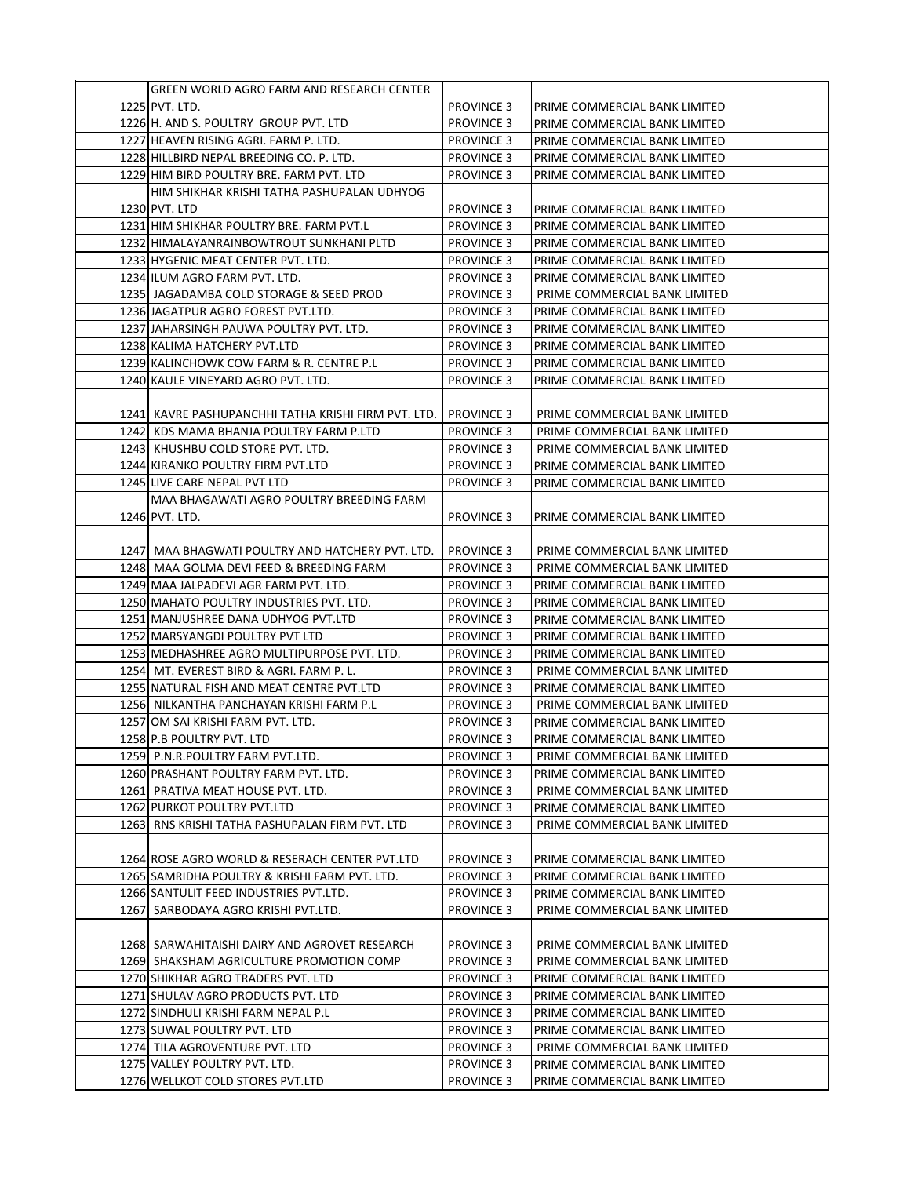| GREEN WORLD AGRO FARM AND RESEARCH CENTER                                     |                                        |                               |
|-------------------------------------------------------------------------------|----------------------------------------|-------------------------------|
| 1225 PVT. LTD.                                                                | <b>PROVINCE 3</b>                      | PRIME COMMERCIAL BANK LIMITED |
| 1226 H. AND S. POULTRY GROUP PVT. LTD                                         | <b>PROVINCE 3</b>                      | PRIME COMMERCIAL BANK LIMITED |
| 1227 HEAVEN RISING AGRI. FARM P. LTD.                                         | <b>PROVINCE 3</b>                      | PRIME COMMERCIAL BANK LIMITED |
| 1228 HILLBIRD NEPAL BREEDING CO. P. LTD.                                      | <b>PROVINCE 3</b>                      | PRIME COMMERCIAL BANK LIMITED |
| 1229 HIM BIRD POULTRY BRE. FARM PVT. LTD                                      | <b>PROVINCE 3</b>                      | PRIME COMMERCIAL BANK LIMITED |
| HIM SHIKHAR KRISHI TATHA PASHUPALAN UDHYOG                                    |                                        |                               |
| 1230 PVT. LTD                                                                 | <b>PROVINCE 3</b>                      | PRIME COMMERCIAL BANK LIMITED |
| 1231 HIM SHIKHAR POULTRY BRE. FARM PVT.L                                      | <b>PROVINCE 3</b>                      | PRIME COMMERCIAL BANK LIMITED |
| 1232 HIMALAYANRAINBOWTROUT SUNKHANI PLTD                                      |                                        |                               |
|                                                                               | <b>PROVINCE 3</b>                      | PRIME COMMERCIAL BANK LIMITED |
| 1233 HYGENIC MEAT CENTER PVT. LTD.                                            | <b>PROVINCE 3</b>                      | PRIME COMMERCIAL BANK LIMITED |
| 1234 ILUM AGRO FARM PVT. LTD.                                                 | <b>PROVINCE 3</b>                      | PRIME COMMERCIAL BANK LIMITED |
| 1235  JAGADAMBA COLD STORAGE & SEED PROD                                      | <b>PROVINCE 3</b>                      | PRIME COMMERCIAL BANK LIMITED |
| 1236 JAGATPUR AGRO FOREST PVT.LTD.                                            | <b>PROVINCE 3</b>                      | PRIME COMMERCIAL BANK LIMITED |
| 1237 JAHARSINGH PAUWA POULTRY PVT. LTD.                                       | <b>PROVINCE 3</b>                      | PRIME COMMERCIAL BANK LIMITED |
| 1238 KALIMA HATCHERY PVT.LTD                                                  | <b>PROVINCE 3</b>                      | PRIME COMMERCIAL BANK LIMITED |
| 1239 KALINCHOWK COW FARM & R. CENTRE P.L                                      | <b>PROVINCE 3</b>                      | PRIME COMMERCIAL BANK LIMITED |
| 1240 KAULE VINEYARD AGRO PVT. LTD.                                            | <b>PROVINCE 3</b>                      | PRIME COMMERCIAL BANK LIMITED |
|                                                                               |                                        |                               |
| 1241  KAVRE PASHUPANCHHI TATHA KRISHI FIRM PVT. LTD.                          | <b>PROVINCE 3</b>                      | PRIME COMMERCIAL BANK LIMITED |
| 1242 KDS MAMA BHANJA POULTRY FARM P.LTD                                       | <b>PROVINCE 3</b>                      | PRIME COMMERCIAL BANK LIMITED |
| 1243 KHUSHBU COLD STORE PVT. LTD.                                             | <b>PROVINCE 3</b>                      | PRIME COMMERCIAL BANK LIMITED |
| 1244 KIRANKO POULTRY FIRM PVT.LTD                                             | <b>PROVINCE 3</b>                      | PRIME COMMERCIAL BANK LIMITED |
| 1245 LIVE CARE NEPAL PVT LTD                                                  | <b>PROVINCE 3</b>                      | PRIME COMMERCIAL BANK LIMITED |
| MAA BHAGAWATI AGRO POULTRY BREEDING FARM                                      |                                        |                               |
| 1246 PVT. LTD.                                                                | <b>PROVINCE 3</b>                      | PRIME COMMERCIAL BANK LIMITED |
|                                                                               |                                        |                               |
| 1247  MAA BHAGWATI POULTRY AND HATCHERY PVT. LTD.                             | <b>PROVINCE 3</b>                      | PRIME COMMERCIAL BANK LIMITED |
| 1248 MAA GOLMA DEVI FEED & BREEDING FARM                                      | <b>PROVINCE 3</b>                      | PRIME COMMERCIAL BANK LIMITED |
| 1249 MAA JALPADEVI AGR FARM PVT. LTD.                                         | <b>PROVINCE 3</b>                      | PRIME COMMERCIAL BANK LIMITED |
| 1250 MAHATO POULTRY INDUSTRIES PVT. LTD.                                      | <b>PROVINCE 3</b>                      | PRIME COMMERCIAL BANK LIMITED |
| 1251 MANJUSHREE DANA UDHYOG PVT.LTD                                           | <b>PROVINCE 3</b>                      | PRIME COMMERCIAL BANK LIMITED |
| 1252 MARSYANGDI POULTRY PVT LTD                                               | <b>PROVINCE 3</b>                      | PRIME COMMERCIAL BANK LIMITED |
| 1253 MEDHASHREE AGRO MULTIPURPOSE PVT. LTD.                                   | <b>PROVINCE 3</b>                      | PRIME COMMERCIAL BANK LIMITED |
| 1254 MT. EVEREST BIRD & AGRI. FARM P.L.                                       | <b>PROVINCE 3</b>                      | PRIME COMMERCIAL BANK LIMITED |
| 1255 NATURAL FISH AND MEAT CENTRE PVT.LTD                                     | <b>PROVINCE 3</b>                      | PRIME COMMERCIAL BANK LIMITED |
| 1256 NILKANTHA PANCHAYAN KRISHI FARM P.L                                      | <b>PROVINCE 3</b>                      | PRIME COMMERCIAL BANK LIMITED |
| 1257 JOM SAI KRISHI FARM PVT. LTD.                                            | <b>PROVINCE 3</b>                      | PRIME COMMERCIAL BANK LIMITED |
| 1258 P.B POULTRY PVT. LTD                                                     | <b>PROVINCE 3</b>                      | PRIME COMMERCIAL BANK LIMITED |
| 1259 P.N.R.POULTRY FARM PVT.LTD.                                              | <b>PROVINCE 3</b>                      | PRIME COMMERCIAL BANK LIMITED |
| 1260 PRASHANT POULTRY FARM PVT. LTD.                                          | <b>PROVINCE 3</b>                      | PRIME COMMERCIAL BANK LIMITED |
| 1261 PRATIVA MEAT HOUSE PVT. LTD.                                             | <b>PROVINCE 3</b>                      | PRIME COMMERCIAL BANK LIMITED |
|                                                                               |                                        | PRIME COMMERCIAL BANK LIMITED |
| 1262 PURKOT POULTRY PVT.LTD<br>1263 RNS KRISHI TATHA PASHUPALAN FIRM PVT. LTD | <b>PROVINCE 3</b><br><b>PROVINCE 3</b> | PRIME COMMERCIAL BANK LIMITED |
|                                                                               |                                        |                               |
|                                                                               |                                        |                               |
| 1264 ROSE AGRO WORLD & RESERACH CENTER PVT.LTD                                | <b>PROVINCE 3</b>                      | PRIME COMMERCIAL BANK LIMITED |
| 1265 SAMRIDHA POULTRY & KRISHI FARM PVT. LTD.                                 | <b>PROVINCE 3</b>                      | PRIME COMMERCIAL BANK LIMITED |
| 1266 SANTULIT FEED INDUSTRIES PVT.LTD.                                        | <b>PROVINCE 3</b>                      | PRIME COMMERCIAL BANK LIMITED |
| 1267 SARBODAYA AGRO KRISHI PVT.LTD.                                           | <b>PROVINCE 3</b>                      | PRIME COMMERCIAL BANK LIMITED |
|                                                                               |                                        |                               |
| 1268 SARWAHITAISHI DAIRY AND AGROVET RESEARCH                                 | PROVINCE 3                             | PRIME COMMERCIAL BANK LIMITED |
| 1269 SHAKSHAM AGRICULTURE PROMOTION COMP                                      | <b>PROVINCE 3</b>                      | PRIME COMMERCIAL BANK LIMITED |
| 1270 SHIKHAR AGRO TRADERS PVT. LTD                                            | <b>PROVINCE 3</b>                      | PRIME COMMERCIAL BANK LIMITED |
| 1271 SHULAV AGRO PRODUCTS PVT. LTD                                            | <b>PROVINCE 3</b>                      | PRIME COMMERCIAL BANK LIMITED |
| 1272 SINDHULI KRISHI FARM NEPAL P.L                                           | <b>PROVINCE 3</b>                      | PRIME COMMERCIAL BANK LIMITED |
| 1273 SUWAL POULTRY PVT. LTD                                                   | <b>PROVINCE 3</b>                      | PRIME COMMERCIAL BANK LIMITED |
| 1274 TILA AGROVENTURE PVT. LTD                                                | <b>PROVINCE 3</b>                      | PRIME COMMERCIAL BANK LIMITED |
| 1275 VALLEY POULTRY PVT. LTD.                                                 | <b>PROVINCE 3</b>                      | PRIME COMMERCIAL BANK LIMITED |
| 1276 WELLKOT COLD STORES PVT.LTD                                              | <b>PROVINCE 3</b>                      | PRIME COMMERCIAL BANK LIMITED |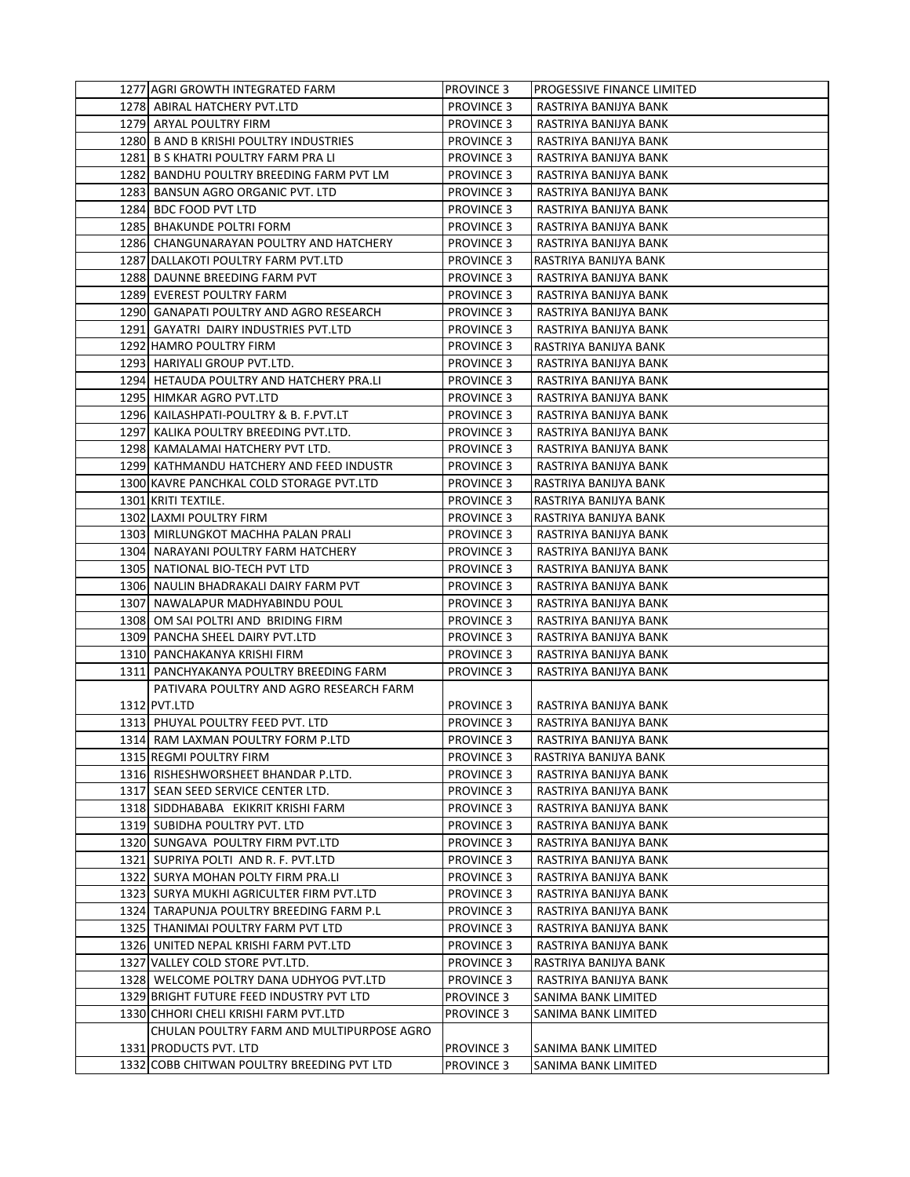| 1277 AGRI GROWTH INTEGRATED FARM                                                   | <b>PROVINCE 3</b> | PROGESSIVE FINANCE LIMITED |
|------------------------------------------------------------------------------------|-------------------|----------------------------|
| 1278 ABIRAL HATCHERY PVT.LTD                                                       | <b>PROVINCE 3</b> | RASTRIYA BANIJYA BANK      |
| 1279 ARYAL POULTRY FIRM                                                            | <b>PROVINCE 3</b> | RASTRIYA BANIJYA BANK      |
| 1280 B AND B KRISHI POULTRY INDUSTRIES                                             | <b>PROVINCE 3</b> | RASTRIYA BANIJYA BANK      |
| 1281 B S KHATRI POULTRY FARM PRA LI                                                | <b>PROVINCE 3</b> | RASTRIYA BANIJYA BANK      |
| 1282 BANDHU POULTRY BREEDING FARM PVT LM                                           | <b>PROVINCE 3</b> | RASTRIYA BANIJYA BANK      |
| 1283 BANSUN AGRO ORGANIC PVT. LTD                                                  | <b>PROVINCE 3</b> | RASTRIYA BANIJYA BANK      |
| 1284 BDC FOOD PVT LTD                                                              | <b>PROVINCE 3</b> | RASTRIYA BANIJYA BANK      |
| 1285 BHAKUNDE POLTRI FORM                                                          | <b>PROVINCE 3</b> | RASTRIYA BANIJYA BANK      |
| 1286 CHANGUNARAYAN POULTRY AND HATCHERY                                            | <b>PROVINCE 3</b> | RASTRIYA BANIJYA BANK      |
| 1287 DALLAKOTI POULTRY FARM PVT.LTD                                                | <b>PROVINCE 3</b> | RASTRIYA BANIJYA BANK      |
| 1288 DAUNNE BREEDING FARM PVT                                                      | <b>PROVINCE 3</b> | RASTRIYA BANIJYA BANK      |
| 1289 EVEREST POULTRY FARM                                                          | <b>PROVINCE 3</b> | RASTRIYA BANIJYA BANK      |
| 1290 GANAPATI POULTRY AND AGRO RESEARCH                                            | <b>PROVINCE 3</b> | RASTRIYA BANIJYA BANK      |
| 1291 GAYATRI DAIRY INDUSTRIES PVT.LTD                                              | <b>PROVINCE 3</b> | RASTRIYA BANIJYA BANK      |
| 1292 HAMRO POULTRY FIRM                                                            | <b>PROVINCE 3</b> | RASTRIYA BANIJYA BANK      |
| 1293 HARIYALI GROUP PVT.LTD.                                                       | <b>PROVINCE 3</b> | RASTRIYA BANIJYA BANK      |
| 1294 HETAUDA POULTRY AND HATCHERY PRA.LI                                           | <b>PROVINCE 3</b> | RASTRIYA BANIJYA BANK      |
| 1295 HIMKAR AGRO PVT.LTD                                                           | <b>PROVINCE 3</b> | RASTRIYA BANIJYA BANK      |
| 1296 KAILASHPATI-POULTRY & B. F. PVT.LT                                            | <b>PROVINCE 3</b> | RASTRIYA BANIJYA BANK      |
| 1297 KALIKA POULTRY BREEDING PVT.LTD.                                              | <b>PROVINCE 3</b> | RASTRIYA BANIJYA BANK      |
| 1298 KAMALAMAI HATCHERY PVT LTD.                                                   | <b>PROVINCE 3</b> | RASTRIYA BANIJYA BANK      |
| 1299 KATHMANDU HATCHERY AND FEED INDUSTR                                           | <b>PROVINCE 3</b> | RASTRIYA BANIJYA BANK      |
| 1300 KAVRE PANCHKAL COLD STORAGE PVT.LTD                                           | <b>PROVINCE 3</b> | RASTRIYA BANIJYA BANK      |
| 1301 KRITI TEXTILE.                                                                | <b>PROVINCE 3</b> | RASTRIYA BANIJYA BANK      |
| 1302 LAXMI POULTRY FIRM                                                            | <b>PROVINCE 3</b> | RASTRIYA BANIJYA BANK      |
| 1303 MIRLUNGKOT MACHHA PALAN PRALI                                                 | <b>PROVINCE 3</b> | RASTRIYA BANIJYA BANK      |
| 1304 NARAYANI POULTRY FARM HATCHERY                                                | <b>PROVINCE 3</b> | RASTRIYA BANIJYA BANK      |
| 1305 NATIONAL BIO-TECH PVT LTD                                                     | <b>PROVINCE 3</b> | RASTRIYA BANIJYA BANK      |
| 1306 NAULIN BHADRAKALI DAIRY FARM PVT                                              | <b>PROVINCE 3</b> | RASTRIYA BANIJYA BANK      |
| 1307 NAWALAPUR MADHYABINDU POUL                                                    | <b>PROVINCE 3</b> | RASTRIYA BANIJYA BANK      |
| 1308 OM SAI POLTRI AND BRIDING FIRM                                                | <b>PROVINCE 3</b> | RASTRIYA BANIJYA BANK      |
| 1309 PANCHA SHEEL DAIRY PVT.LTD                                                    | <b>PROVINCE 3</b> | RASTRIYA BANIJYA BANK      |
| 1310  PANCHAKANYA KRISHI FIRM                                                      | <b>PROVINCE 3</b> | RASTRIYA BANIJYA BANK      |
| 1311 PANCHYAKANYA POULTRY BREEDING FARM                                            | <b>PROVINCE 3</b> | RASTRIYA BANIJYA BANK      |
| PATIVARA POULTRY AND AGRO RESEARCH FARM                                            |                   |                            |
| 1312 PVT.LTD                                                                       | <b>PROVINCE 3</b> | RASTRIYA BANIJYA BANK      |
| 1313 PHUYAL POULTRY FEED PVT. LTD                                                  | <b>PROVINCE 3</b> | RASTRIYA BANIJYA BANK      |
| 1314 RAM LAXMAN POULTRY FORM P.LTD                                                 | <b>PROVINCE 3</b> | RASTRIYA BANIJYA BANK      |
| 1315 REGMI POULTRY FIRM                                                            | <b>PROVINCE 3</b> | RASTRIYA BANIJYA BANK      |
| 1316 RISHESHWORSHEET BHANDAR P.LTD.                                                | <b>PROVINCE 3</b> | RASTRIYA BANIJYA BANK      |
| 1317 SEAN SEED SERVICE CENTER LTD.                                                 | <b>PROVINCE 3</b> | RASTRIYA BANIJYA BANK      |
| 1318 SIDDHABABA EKIKRIT KRISHI FARM                                                | <b>PROVINCE 3</b> | RASTRIYA BANIJYA BANK      |
| 1319 SUBIDHA POULTRY PVT. LTD                                                      | <b>PROVINCE 3</b> | RASTRIYA BANIJYA BANK      |
| 1320 SUNGAVA POULTRY FIRM PVT.LTD                                                  | <b>PROVINCE 3</b> | RASTRIYA BANIJYA BANK      |
| 1321 SUPRIYA POLTI AND R. F. PVT.LTD                                               | <b>PROVINCE 3</b> | RASTRIYA BANIJYA BANK      |
| 1322 SURYA MOHAN POLTY FIRM PRA.LI                                                 | <b>PROVINCE 3</b> | RASTRIYA BANIJYA BANK      |
| 1323 SURYA MUKHI AGRICULTER FIRM PVT.LTD                                           | <b>PROVINCE 3</b> | RASTRIYA BANIJYA BANK      |
| 1324 TARAPUNJA POULTRY BREEDING FARM P.L                                           | <b>PROVINCE 3</b> | RASTRIYA BANIJYA BANK      |
| 1325 THANIMAI POULTRY FARM PVT LTD                                                 | <b>PROVINCE 3</b> | RASTRIYA BANIJYA BANK      |
| 1326 UNITED NEPAL KRISHI FARM PVT.LTD                                              | <b>PROVINCE 3</b> | RASTRIYA BANIJYA BANK      |
| 1327 VALLEY COLD STORE PVT.LTD.                                                    | <b>PROVINCE 3</b> | RASTRIYA BANIJYA BANK      |
| 1328 WELCOME POLTRY DANA UDHYOG PVT.LTD                                            | <b>PROVINCE 3</b> | RASTRIYA BANIJYA BANK      |
| 1329 BRIGHT FUTURE FEED INDUSTRY PVT LTD                                           | PROVINCE 3        | SANIMA BANK LIMITED        |
| 1330 CHHORI CHELI KRISHI FARM PVT.LTD<br>CHULAN POULTRY FARM AND MULTIPURPOSE AGRO | <b>PROVINCE 3</b> | SANIMA BANK LIMITED        |
| 1331 PRODUCTS PVT. LTD                                                             | <b>PROVINCE 3</b> | SANIMA BANK LIMITED        |
| 1332 COBB CHITWAN POULTRY BREEDING PVT LTD                                         | <b>PROVINCE 3</b> | SANIMA BANK LIMITED        |
|                                                                                    |                   |                            |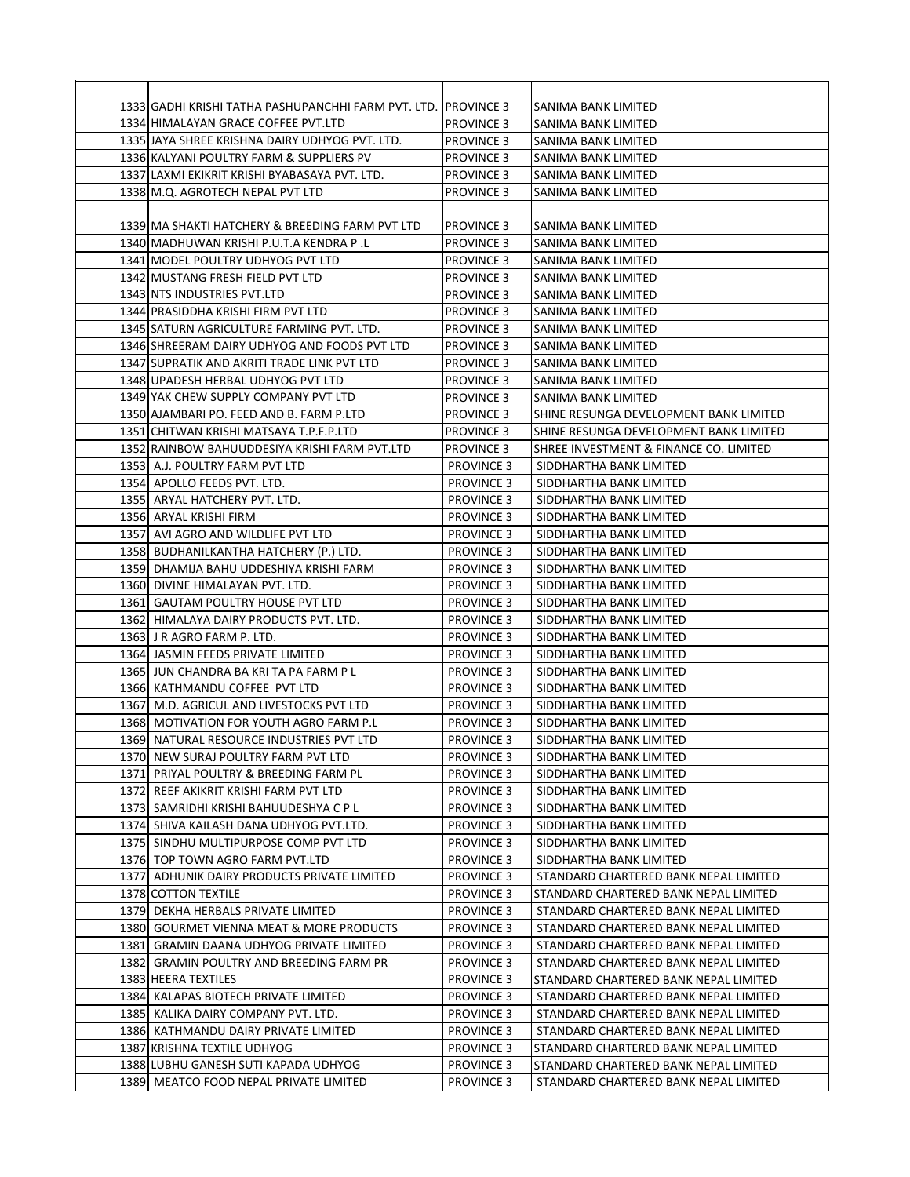| 1333 GADHI KRISHI TATHA PASHUPANCHHI FARM PVT. LTD.  PROVINCE 3 |                   | SANIMA BANK LIMITED                    |
|-----------------------------------------------------------------|-------------------|----------------------------------------|
| 1334 HIMALAYAN GRACE COFFEE PVT.LTD                             | <b>PROVINCE 3</b> | SANIMA BANK LIMITED                    |
| 1335 JAYA SHREE KRISHNA DAIRY UDHYOG PVT. LTD.                  | <b>PROVINCE 3</b> | SANIMA BANK LIMITED                    |
| 1336 KALYANI POULTRY FARM & SUPPLIERS PV                        | <b>PROVINCE 3</b> | SANIMA BANK LIMITED                    |
| 1337 LAXMI EKIKRIT KRISHI BYABASAYA PVT. LTD.                   | <b>PROVINCE 3</b> | SANIMA BANK LIMITED                    |
| 1338 M.Q. AGROTECH NEPAL PVT LTD                                | <b>PROVINCE 3</b> | SANIMA BANK LIMITED                    |
|                                                                 |                   |                                        |
| 1339 MA SHAKTI HATCHERY & BREEDING FARM PVT LTD                 | <b>PROVINCE 3</b> | ISANIMA BANK LIMITED                   |
| 1340 MADHUWAN KRISHI P.U.T.A KENDRA P.L                         | <b>PROVINCE 3</b> | SANIMA BANK LIMITED                    |
| 1341 MODEL POULTRY UDHYOG PVT LTD                               | <b>PROVINCE 3</b> | SANIMA BANK LIMITED                    |
| 1342 MUSTANG FRESH FIELD PVT LTD                                | <b>PROVINCE 3</b> | SANIMA BANK LIMITED                    |
| 1343 NTS INDUSTRIES PVT.LTD                                     | <b>PROVINCE 3</b> | SANIMA BANK LIMITED                    |
| 1344 PRASIDDHA KRISHI FIRM PVT LTD                              | <b>PROVINCE 3</b> | SANIMA BANK LIMITED                    |
| 1345 SATURN AGRICULTURE FARMING PVT. LTD.                       | <b>PROVINCE 3</b> | SANIMA BANK LIMITED                    |
| 1346 SHREERAM DAIRY UDHYOG AND FOODS PVT LTD                    | <b>PROVINCE 3</b> | SANIMA BANK LIMITED                    |
| 1347 SUPRATIK AND AKRITI TRADE LINK PVT LTD                     | <b>PROVINCE 3</b> | SANIMA BANK LIMITED                    |
| 1348 UPADESH HERBAL UDHYOG PVT LTD                              | <b>PROVINCE 3</b> | SANIMA BANK LIMITED                    |
| 1349 YAK CHEW SUPPLY COMPANY PVT LTD                            | <b>PROVINCE 3</b> | SANIMA BANK LIMITED                    |
| 1350 AJAMBARI PO. FEED AND B. FARM P.LTD                        | <b>PROVINCE 3</b> | SHINE RESUNGA DEVELOPMENT BANK LIMITED |
| 1351 CHITWAN KRISHI MATSAYA T.P.F.P.LTD                         | <b>PROVINCE 3</b> | SHINE RESUNGA DEVELOPMENT BANK LIMITED |
| 1352 RAINBOW BAHUUDDESIYA KRISHI FARM PVT.LTD                   | <b>PROVINCE 3</b> | SHREE INVESTMENT & FINANCE CO. LIMITED |
| 1353 A.J. POULTRY FARM PVT LTD                                  | <b>PROVINCE 3</b> | SIDDHARTHA BANK LIMITED                |
| 1354 APOLLO FEEDS PVT. LTD.                                     | <b>PROVINCE 3</b> | SIDDHARTHA BANK LIMITED                |
| 1355 ARYAL HATCHERY PVT. LTD.                                   | <b>PROVINCE 3</b> | SIDDHARTHA BANK LIMITED                |
| 1356 ARYAL KRISHI FIRM                                          | <b>PROVINCE 3</b> | SIDDHARTHA BANK LIMITED                |
| 1357 AVI AGRO AND WILDLIFE PVT LTD                              | <b>PROVINCE 3</b> | SIDDHARTHA BANK LIMITED                |
| 1358  BUDHANILKANTHA HATCHERY (P.) LTD.                         | <b>PROVINCE 3</b> | SIDDHARTHA BANK LIMITED                |
| 1359 DHAMIJA BAHU UDDESHIYA KRISHI FARM                         | <b>PROVINCE 3</b> | SIDDHARTHA BANK LIMITED                |
| 1360 DIVINE HIMALAYAN PVT. LTD.                                 | <b>PROVINCE 3</b> | SIDDHARTHA BANK LIMITED                |
| 1361 GAUTAM POULTRY HOUSE PVT LTD                               | <b>PROVINCE 3</b> | SIDDHARTHA BANK LIMITED                |
| 1362 HIMALAYA DAIRY PRODUCTS PVT. LTD.                          | <b>PROVINCE 3</b> | SIDDHARTHA BANK LIMITED                |
| 1363 J R AGRO FARM P. LTD.                                      | <b>PROVINCE 3</b> | SIDDHARTHA BANK LIMITED                |
| 1364 JASMIN FEEDS PRIVATE LIMITED                               | <b>PROVINCE 3</b> | SIDDHARTHA BANK LIMITED                |
| 1365 JUN CHANDRA BA KRI TA PA FARM P L                          | <b>PROVINCE 3</b> | SIDDHARTHA BANK LIMITED                |
| 1366 KATHMANDU COFFEE PVT LTD                                   | <b>PROVINCE 3</b> | SIDDHARTHA BANK LIMITED                |
| 1367 M.D. AGRICUL AND LIVESTOCKS PVT LTD                        | <b>PROVINCE 3</b> | SIDDHARTHA BANK LIMITED                |
| 1368 MOTIVATION FOR YOUTH AGRO FARM P.L                         | <b>PROVINCE 3</b> | SIDDHARTHA BANK LIMITED                |
| 1369 NATURAL RESOURCE INDUSTRIES PVT LTD                        | <b>PROVINCE 3</b> | SIDDHARTHA BANK LIMITED                |
| 1370 NEW SURAJ POULTRY FARM PVT LTD                             | <b>PROVINCE 3</b> | SIDDHARTHA BANK LIMITED                |
| 1371 PRIYAL POULTRY & BREEDING FARM PL                          | <b>PROVINCE 3</b> | SIDDHARTHA BANK LIMITED                |
| 1372 REEF AKIKRIT KRISHI FARM PVT LTD                           | <b>PROVINCE 3</b> | SIDDHARTHA BANK LIMITED                |
| 1373 SAMRIDHI KRISHI BAHUUDESHYA C P L                          | <b>PROVINCE 3</b> | SIDDHARTHA BANK LIMITED                |
| 1374 SHIVA KAILASH DANA UDHYOG PVT.LTD.                         | <b>PROVINCE 3</b> | SIDDHARTHA BANK LIMITED                |
| 1375 SINDHU MULTIPURPOSE COMP PVT LTD                           | <b>PROVINCE 3</b> | SIDDHARTHA BANK LIMITED                |
| 1376 TOP TOWN AGRO FARM PVT.LTD                                 | <b>PROVINCE 3</b> | SIDDHARTHA BANK LIMITED                |
| 1377 ADHUNIK DAIRY PRODUCTS PRIVATE LIMITED                     | <b>PROVINCE 3</b> | STANDARD CHARTERED BANK NEPAL LIMITED  |
| 1378 COTTON TEXTILE                                             | <b>PROVINCE 3</b> | STANDARD CHARTERED BANK NEPAL LIMITED  |
| 1379 DEKHA HERBALS PRIVATE LIMITED                              | <b>PROVINCE 3</b> | STANDARD CHARTERED BANK NEPAL LIMITED  |
| 1380 GOURMET VIENNA MEAT & MORE PRODUCTS                        | <b>PROVINCE 3</b> | STANDARD CHARTERED BANK NEPAL LIMITED  |
| 1381 GRAMIN DAANA UDHYOG PRIVATE LIMITED                        | <b>PROVINCE 3</b> | STANDARD CHARTERED BANK NEPAL LIMITED  |
| 1382 GRAMIN POULTRY AND BREEDING FARM PR                        | <b>PROVINCE 3</b> | STANDARD CHARTERED BANK NEPAL LIMITED  |
| 1383 HEERA TEXTILES                                             | <b>PROVINCE 3</b> | STANDARD CHARTERED BANK NEPAL LIMITED  |
| 1384 KALAPAS BIOTECH PRIVATE LIMITED                            | <b>PROVINCE 3</b> | STANDARD CHARTERED BANK NEPAL LIMITED  |
| 1385   KALIKA DAIRY COMPANY PVT. LTD.                           | <b>PROVINCE 3</b> | STANDARD CHARTERED BANK NEPAL LIMITED  |
| 1386 KATHMANDU DAIRY PRIVATE LIMITED                            | <b>PROVINCE 3</b> | STANDARD CHARTERED BANK NEPAL LIMITED  |
| 1387 KRISHNA TEXTILE UDHYOG                                     | <b>PROVINCE 3</b> | STANDARD CHARTERED BANK NEPAL LIMITED  |
| 1388 LUBHU GANESH SUTI KAPADA UDHYOG                            | <b>PROVINCE 3</b> | STANDARD CHARTERED BANK NEPAL LIMITED  |
| 1389 MEATCO FOOD NEPAL PRIVATE LIMITED                          | <b>PROVINCE 3</b> | STANDARD CHARTERED BANK NEPAL LIMITED  |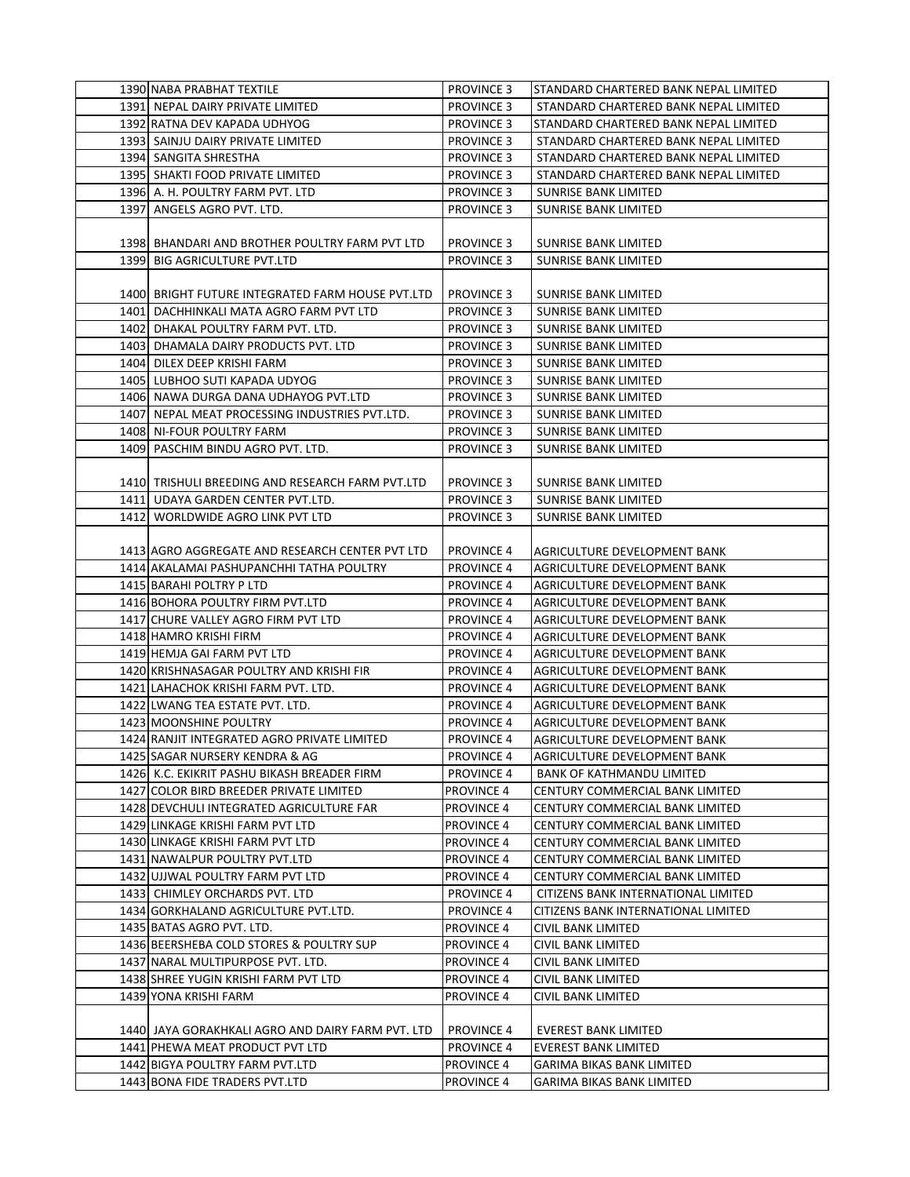|      | 1390 NABA PRABHAT TEXTILE                                                      | <b>PROVINCE 3</b>                      | STANDARD CHARTERED BANK NEPAL LIMITED               |
|------|--------------------------------------------------------------------------------|----------------------------------------|-----------------------------------------------------|
|      | 1391 NEPAL DAIRY PRIVATE LIMITED                                               | <b>PROVINCE 3</b>                      | STANDARD CHARTERED BANK NEPAL LIMITED               |
|      | 1392 RATNA DEV KAPADA UDHYOG                                                   | <b>PROVINCE 3</b>                      | STANDARD CHARTERED BANK NEPAL LIMITED               |
|      | 1393 SAINJU DAIRY PRIVATE LIMITED                                              | <b>PROVINCE 3</b>                      | STANDARD CHARTERED BANK NEPAL LIMITED               |
|      | 1394 SANGITA SHRESTHA                                                          | <b>PROVINCE 3</b>                      | STANDARD CHARTERED BANK NEPAL LIMITED               |
|      | 1395 SHAKTI FOOD PRIVATE LIMITED                                               | <b>PROVINCE 3</b>                      | STANDARD CHARTERED BANK NEPAL LIMITED               |
|      | 1396 A. H. POULTRY FARM PVT. LTD                                               | <b>PROVINCE 3</b>                      | SUNRISE BANK LIMITED                                |
|      | 1397 ANGELS AGRO PVT. LTD.                                                     | <b>PROVINCE 3</b>                      | <b>SUNRISE BANK LIMITED</b>                         |
|      |                                                                                |                                        |                                                     |
|      |                                                                                |                                        |                                                     |
|      | 1398 BHANDARI AND BROTHER POULTRY FARM PVT LTD<br>1399 BIG AGRICULTURE PVT.LTD | <b>PROVINCE 3</b><br><b>PROVINCE 3</b> | SUNRISE BANK LIMITED<br><b>SUNRISE BANK LIMITED</b> |
|      |                                                                                |                                        |                                                     |
|      |                                                                                |                                        |                                                     |
|      | 1400 BRIGHT FUTURE INTEGRATED FARM HOUSE PVT.LTD                               | <b>PROVINCE 3</b>                      | SUNRISE BANK LIMITED                                |
|      | 1401 DACHHINKALI MATA AGRO FARM PVT LTD                                        | <b>PROVINCE 3</b>                      | <b>SUNRISE BANK LIMITED</b>                         |
|      | 1402 DHAKAL POULTRY FARM PVT. LTD.                                             | <b>PROVINCE 3</b>                      | SUNRISE BANK LIMITED                                |
|      | 1403 DHAMALA DAIRY PRODUCTS PVT. LTD                                           | <b>PROVINCE 3</b>                      | <b>SUNRISE BANK LIMITED</b>                         |
|      | 1404 DILEX DEEP KRISHI FARM                                                    | <b>PROVINCE 3</b>                      | <b>SUNRISE BANK LIMITED</b>                         |
|      | 1405 LUBHOO SUTI KAPADA UDYOG                                                  | <b>PROVINCE 3</b>                      | <b>SUNRISE BANK LIMITED</b>                         |
|      | 1406 NAWA DURGA DANA UDHAYOG PVT.LTD                                           | <b>PROVINCE 3</b>                      | SUNRISE BANK LIMITED                                |
|      | 1407 NEPAL MEAT PROCESSING INDUSTRIES PVT.LTD.                                 | <b>PROVINCE 3</b>                      | <b>SUNRISE BANK LIMITED</b>                         |
|      | 1408 NI-FOUR POULTRY FARM                                                      | <b>PROVINCE 3</b>                      | <b>SUNRISE BANK LIMITED</b>                         |
|      | 1409 PASCHIM BINDU AGRO PVT. LTD.                                              | <b>PROVINCE 3</b>                      | <b>SUNRISE BANK LIMITED</b>                         |
|      |                                                                                |                                        |                                                     |
|      | 1410 TRISHULI BREEDING AND RESEARCH FARM PVT.LTD                               | <b>PROVINCE 3</b>                      | SUNRISE BANK LIMITED                                |
|      | 1411 UDAYA GARDEN CENTER PVT.LTD.                                              | <b>PROVINCE 3</b>                      | SUNRISE BANK LIMITED                                |
| 1412 | WORLDWIDE AGRO LINK PVT LTD                                                    | <b>PROVINCE 3</b>                      | <b>SUNRISE BANK LIMITED</b>                         |
|      |                                                                                |                                        |                                                     |
|      | 1413 AGRO AGGREGATE AND RESEARCH CENTER PVT LTD                                | <b>PROVINCE 4</b>                      | AGRICULTURE DEVELOPMENT BANK                        |
|      | 1414 AKALAMAI PASHUPANCHHI TATHA POULTRY                                       | <b>PROVINCE 4</b>                      | AGRICULTURE DEVELOPMENT BANK                        |
|      | 1415 BARAHI POLTRY P LTD                                                       | <b>PROVINCE 4</b>                      | AGRICULTURE DEVELOPMENT BANK                        |
|      | 1416 BOHORA POULTRY FIRM PVT.LTD                                               | <b>PROVINCE 4</b>                      | AGRICULTURE DEVELOPMENT BANK                        |
|      | 1417 CHURE VALLEY AGRO FIRM PVT LTD                                            | <b>PROVINCE 4</b>                      | AGRICULTURE DEVELOPMENT BANK                        |
|      | 1418 HAMRO KRISHI FIRM                                                         | <b>PROVINCE 4</b>                      | AGRICULTURE DEVELOPMENT BANK                        |
|      | 1419 HEMJA GAI FARM PVT LTD                                                    | <b>PROVINCE 4</b>                      | AGRICULTURE DEVELOPMENT BANK                        |
|      | 1420 KRISHNASAGAR POULTRY AND KRISHI FIR                                       | <b>PROVINCE 4</b>                      | AGRICULTURE DEVELOPMENT BANK                        |
|      | 1421 LAHACHOK KRISHI FARM PVT. LTD.                                            | <b>PROVINCE 4</b>                      | AGRICULTURE DEVELOPMENT BANK                        |
|      | 1422 LWANG TEA ESTATE PVT. LTD.                                                | <b>PROVINCE 4</b>                      | AGRICULTURE DEVELOPMENT BANK                        |
|      | 1423 MOONSHINE POULTRY                                                         | <b>PROVINCE 4</b>                      | AGRICULTURE DEVELOPMENT BANK                        |
|      | 1424 RANJIT INTEGRATED AGRO PRIVATE LIMITED                                    | <b>PROVINCE 4</b>                      | AGRICULTURE DEVELOPMENT BANK                        |
|      | 1425 SAGAR NURSERY KENDRA & AG                                                 | <b>PROVINCE 4</b>                      | AGRICULTURE DEVELOPMENT BANK                        |
|      | 1426 K.C. EKIKRIT PASHU BIKASH BREADER FIRM                                    | <b>PROVINCE 4</b>                      | BANK OF KATHMANDU LIMITED                           |
|      | 1427 COLOR BIRD BREEDER PRIVATE LIMITED                                        | PROVINCE 4                             | CENTURY COMMERCIAL BANK LIMITED                     |
|      | 1428 DEVCHULI INTEGRATED AGRICULTURE FAR                                       | <b>PROVINCE 4</b>                      | CENTURY COMMERCIAL BANK LIMITED                     |
|      | 1429 LINKAGE KRISHI FARM PVT LTD                                               | <b>PROVINCE 4</b>                      | <b>CENTURY COMMERCIAL BANK LIMITED</b>              |
|      | 1430 LINKAGE KRISHI FARM PVT LTD                                               | PROVINCE 4                             | CENTURY COMMERCIAL BANK LIMITED                     |
|      | 1431 NAWALPUR POULTRY PVT.LTD                                                  | <b>PROVINCE 4</b>                      | CENTURY COMMERCIAL BANK LIMITED                     |
|      | 1432 UJJWAL POULTRY FARM PVT LTD                                               | <b>PROVINCE 4</b>                      | CENTURY COMMERCIAL BANK LIMITED                     |
|      | 1433 CHIMLEY ORCHARDS PVT. LTD                                                 | <b>PROVINCE 4</b>                      | CITIZENS BANK INTERNATIONAL LIMITED                 |
|      | 1434 GORKHALAND AGRICULTURE PVT.LTD.                                           | <b>PROVINCE 4</b>                      | CITIZENS BANK INTERNATIONAL LIMITED                 |
|      | 1435 BATAS AGRO PVT. LTD.                                                      | <b>PROVINCE 4</b>                      | CIVIL BANK LIMITED                                  |
|      | 1436 BEERSHEBA COLD STORES & POULTRY SUP                                       | <b>PROVINCE 4</b>                      | CIVIL BANK LIMITED                                  |
|      | 1437 NARAL MULTIPURPOSE PVT. LTD.                                              | <b>PROVINCE 4</b>                      | CIVIL BANK LIMITED                                  |
|      | 1438 SHREE YUGIN KRISHI FARM PVT LTD                                           | PROVINCE 4                             | CIVIL BANK LIMITED                                  |
|      | 1439 YONA KRISHI FARM                                                          | <b>PROVINCE 4</b>                      | CIVIL BANK LIMITED                                  |
|      |                                                                                |                                        |                                                     |
|      | 1440 JAYA GORAKHKALI AGRO AND DAIRY FARM PVT. LTD                              | <b>PROVINCE 4</b>                      | <b>EVEREST BANK LIMITED</b>                         |
|      | 1441 PHEWA MEAT PRODUCT PVT LTD                                                | <b>PROVINCE 4</b>                      | <b>EVEREST BANK LIMITED</b>                         |
|      | 1442 BIGYA POULTRY FARM PVT.LTD                                                | PROVINCE 4                             | GARIMA BIKAS BANK LIMITED                           |
|      | 1443 BONA FIDE TRADERS PVT.LTD                                                 | PROVINCE 4                             | GARIMA BIKAS BANK LIMITED                           |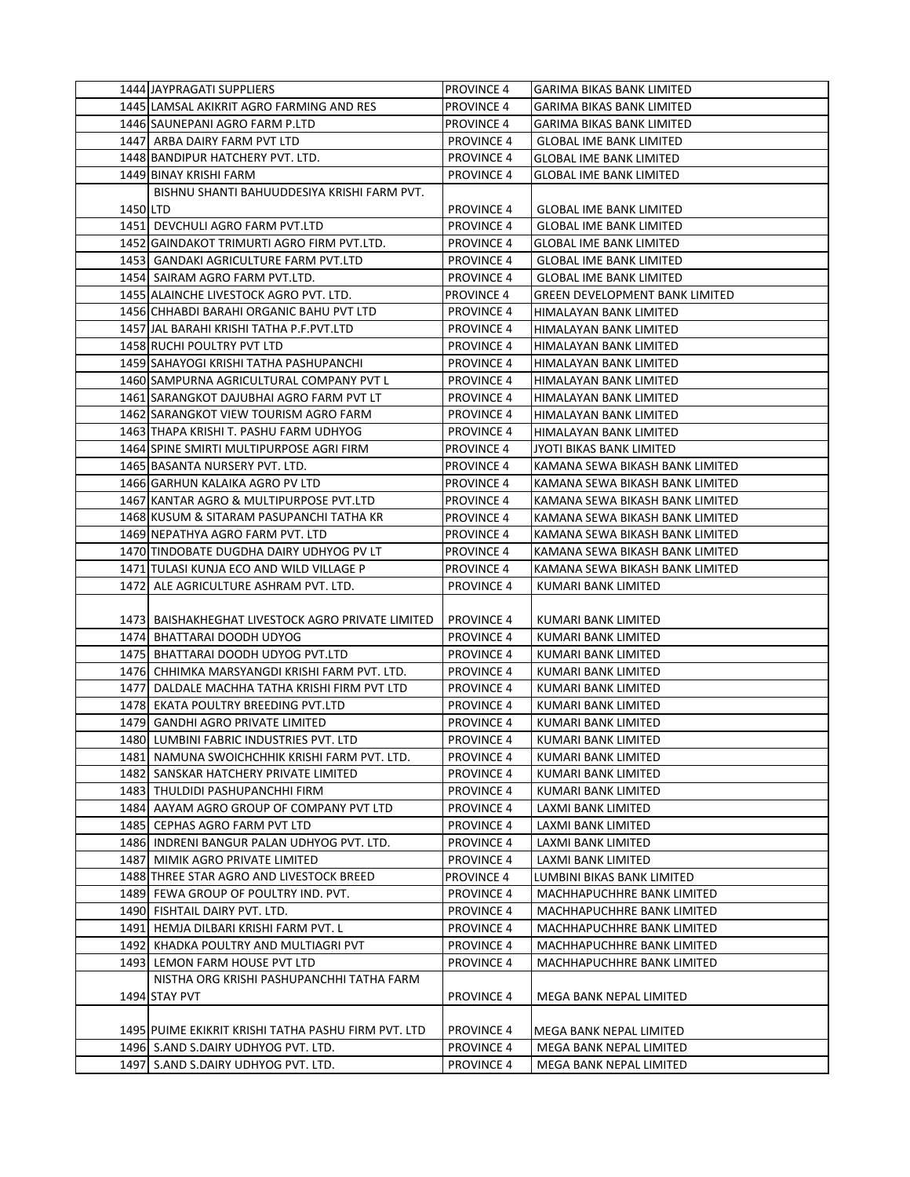|          | 1444 JAYPRAGATI SUPPLIERS                           | <b>PROVINCE 4</b> | <b>GARIMA BIKAS BANK LIMITED</b>      |
|----------|-----------------------------------------------------|-------------------|---------------------------------------|
|          | 1445 LAMSAL AKIKRIT AGRO FARMING AND RES            | <b>PROVINCE 4</b> | GARIMA BIKAS BANK LIMITED             |
|          | 1446 SAUNEPANI AGRO FARM P.LTD                      | <b>PROVINCE 4</b> | <b>GARIMA BIKAS BANK LIMITED</b>      |
|          | 1447 ARBA DAIRY FARM PVT LTD                        | <b>PROVINCE 4</b> | <b>GLOBAL IME BANK LIMITED</b>        |
|          | 1448 BANDIPUR HATCHERY PVT. LTD.                    | <b>PROVINCE 4</b> | <b>GLOBAL IME BANK LIMITED</b>        |
|          | 1449 BINAY KRISHI FARM                              | <b>PROVINCE 4</b> | <b>GLOBAL IME BANK LIMITED</b>        |
|          | BISHNU SHANTI BAHUUDDESIYA KRISHI FARM PVT.         |                   |                                       |
| 1450 LTD |                                                     | <b>PROVINCE 4</b> | <b>GLOBAL IME BANK LIMITED</b>        |
|          | 1451 DEVCHULI AGRO FARM PVT.LTD                     | <b>PROVINCE 4</b> | <b>GLOBAL IME BANK LIMITED</b>        |
|          | 1452 GAINDAKOT TRIMURTI AGRO FIRM PVT.LTD.          | <b>PROVINCE 4</b> | <b>GLOBAL IME BANK LIMITED</b>        |
|          | 1453  GANDAKI AGRICULTURE FARM PVT.LTD              | <b>PROVINCE 4</b> | <b>GLOBAL IME BANK LIMITED</b>        |
|          | 1454 SAIRAM AGRO FARM PVT.LTD.                      | <b>PROVINCE 4</b> | <b>GLOBAL IME BANK LIMITED</b>        |
|          | 1455 ALAINCHE LIVESTOCK AGRO PVT. LTD.              | <b>PROVINCE 4</b> | <b>GREEN DEVELOPMENT BANK LIMITED</b> |
|          | 1456 CHHABDI BARAHI ORGANIC BAHU PVT LTD            | <b>PROVINCE 4</b> | HIMALAYAN BANK LIMITED                |
|          | 1457 JAL BARAHI KRISHI TATHA P.F.PVT.LTD            | <b>PROVINCE 4</b> | HIMALAYAN BANK LIMITED                |
|          | 1458 RUCHI POULTRY PVT LTD                          | <b>PROVINCE 4</b> | HIMALAYAN BANK LIMITED                |
|          | 1459 SAHAYOGI KRISHI TATHA PASHUPANCHI              | <b>PROVINCE 4</b> | HIMALAYAN BANK LIMITED                |
|          | 1460 SAMPURNA AGRICULTURAL COMPANY PVT L            | <b>PROVINCE 4</b> | HIMALAYAN BANK LIMITED                |
|          | 1461 SARANGKOT DAJUBHAI AGRO FARM PVT LT            | <b>PROVINCE 4</b> | HIMALAYAN BANK LIMITED                |
|          | 1462 SARANGKOT VIEW TOURISM AGRO FARM               | <b>PROVINCE 4</b> | HIMALAYAN BANK LIMITED                |
|          | 1463 THAPA KRISHI T. PASHU FARM UDHYOG              | <b>PROVINCE 4</b> | HIMALAYAN BANK LIMITED                |
|          | 1464 SPINE SMIRTI MULTIPURPOSE AGRI FIRM            | <b>PROVINCE 4</b> | JYOTI BIKAS BANK LIMITED              |
|          | 1465 BASANTA NURSERY PVT. LTD.                      | <b>PROVINCE 4</b> | KAMANA SEWA BIKASH BANK LIMITED       |
|          | 1466 GARHUN KALAIKA AGRO PV LTD                     | <b>PROVINCE 4</b> | KAMANA SEWA BIKASH BANK LIMITED       |
|          | 1467 KANTAR AGRO & MULTIPURPOSE PVT.LTD             | <b>PROVINCE 4</b> | KAMANA SEWA BIKASH BANK LIMITED       |
|          | 1468 KUSUM & SITARAM PASUPANCHI TATHA KR            | <b>PROVINCE 4</b> | KAMANA SEWA BIKASH BANK LIMITED       |
|          | 1469 NEPATHYA AGRO FARM PVT. LTD                    | <b>PROVINCE 4</b> | KAMANA SEWA BIKASH BANK LIMITED       |
|          | 1470 TINDOBATE DUGDHA DAIRY UDHYOG PV LT            | <b>PROVINCE 4</b> | KAMANA SEWA BIKASH BANK LIMITED       |
|          | 1471 TULASI KUNJA ECO AND WILD VILLAGE P            | <b>PROVINCE 4</b> | KAMANA SEWA BIKASH BANK LIMITED       |
|          |                                                     |                   |                                       |
|          | 1472 ALE AGRICULTURE ASHRAM PVT. LTD.               | <b>PROVINCE 4</b> | KUMARI BANK LIMITED                   |
|          |                                                     |                   |                                       |
|          | 1473 BAISHAKHEGHAT LIVESTOCK AGRO PRIVATE LIMITED   | <b>PROVINCE 4</b> | KUMARI BANK LIMITED                   |
|          | 1474 BHATTARAI DOODH UDYOG                          | <b>PROVINCE 4</b> | KUMARI BANK LIMITED                   |
|          | 1475 BHATTARAI DOODH UDYOG PVT.LTD                  | <b>PROVINCE 4</b> | KUMARI BANK LIMITED                   |
|          | 1476 CHHIMKA MARSYANGDI KRISHI FARM PVT. LTD.       | <b>PROVINCE 4</b> | KUMARI BANK LIMITED                   |
|          | 1477 DALDALE MACHHA TATHA KRISHI FIRM PVT LTD       | <b>PROVINCE 4</b> | KUMARI BANK LIMITED                   |
|          | 1478 EKATA POULTRY BREEDING PVT.LTD                 | <b>PROVINCE 4</b> | KUMARI BANK LIMITED                   |
|          | 1479   GANDHI AGRO PRIVATE LIMITED                  | <b>PROVINCE 4</b> | KUMARI BANK LIMITED                   |
|          | 1480 LUMBINI FABRIC INDUSTRIES PVT. LTD             | <b>PROVINCE 4</b> | KUMARI BANK LIMITED                   |
|          | 1481 NAMUNA SWOICHCHHIK KRISHI FARM PVT. LTD.       | <b>PROVINCE 4</b> | KUMARI BANK LIMITED                   |
|          | 1482 SANSKAR HATCHERY PRIVATE LIMITED               | <b>PROVINCE 4</b> | KUMARI BANK LIMITED                   |
|          | 1483 THULDIDI PASHUPANCHHI FIRM                     | <b>PROVINCE 4</b> | KUMARI BANK LIMITED                   |
|          | 1484 AAYAM AGRO GROUP OF COMPANY PVT LTD            | <b>PROVINCE 4</b> | LAXMI BANK LIMITED                    |
|          | 1485 CEPHAS AGRO FARM PVT LTD                       | <b>PROVINCE 4</b> | LAXMI BANK LIMITED                    |
|          | 1486 INDRENI BANGUR PALAN UDHYOG PVT. LTD.          | <b>PROVINCE 4</b> | LAXMI BANK LIMITED                    |
|          | 1487 MIMIK AGRO PRIVATE LIMITED                     | <b>PROVINCE 4</b> | LAXMI BANK LIMITED                    |
|          | 1488 THREE STAR AGRO AND LIVESTOCK BREED            | PROVINCE 4        | LUMBINI BIKAS BANK LIMITED            |
|          | 1489 FEWA GROUP OF POULTRY IND. PVT.                | <b>PROVINCE 4</b> | MACHHAPUCHHRE BANK LIMITED            |
|          | 1490 FISHTAIL DAIRY PVT. LTD.                       | <b>PROVINCE 4</b> | MACHHAPUCHHRE BANK LIMITED            |
|          | 1491 HEMJA DILBARI KRISHI FARM PVT. L               | <b>PROVINCE 4</b> | MACHHAPUCHHRE BANK LIMITED            |
|          | 1492 KHADKA POULTRY AND MULTIAGRI PVT               | <b>PROVINCE 4</b> | MACHHAPUCHHRE BANK LIMITED            |
|          | 1493 LEMON FARM HOUSE PVT LTD                       | <b>PROVINCE 4</b> | MACHHAPUCHHRE BANK LIMITED            |
|          | NISTHA ORG KRISHI PASHUPANCHHI TATHA FARM           | <b>PROVINCE 4</b> |                                       |
|          | 1494 STAY PVT                                       |                   | MEGA BANK NEPAL LIMITED               |
|          | 1495 PUIME EKIKRIT KRISHI TATHA PASHU FIRM PVT. LTD | <b>PROVINCE 4</b> | MEGA BANK NEPAL LIMITED               |
|          | 1496 S.AND S.DAIRY UDHYOG PVT. LTD.                 | <b>PROVINCE 4</b> | MEGA BANK NEPAL LIMITED               |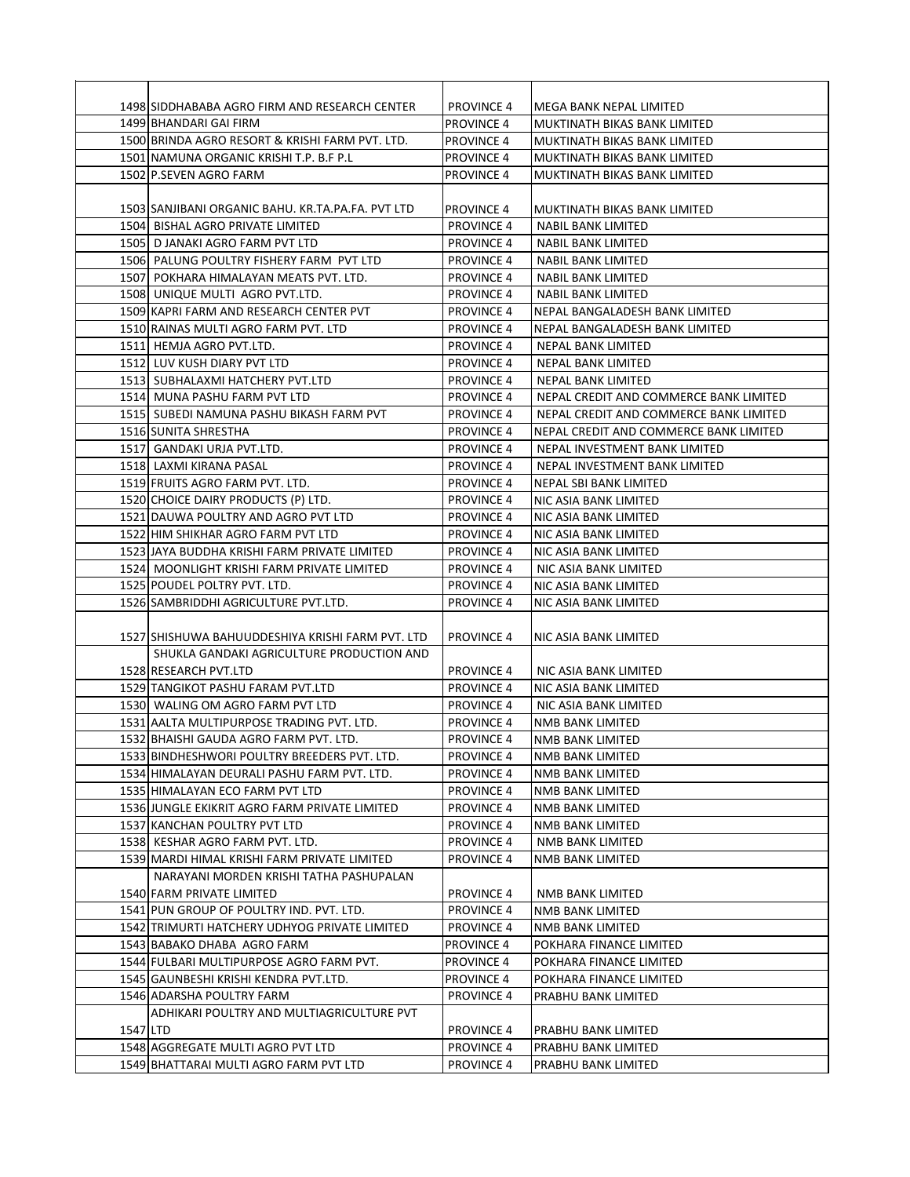|          | 1498 SIDDHABABA AGRO FIRM AND RESEARCH CENTER                            | <b>PROVINCE 4</b>                      | MEGA BANK NEPAL LIMITED                                             |
|----------|--------------------------------------------------------------------------|----------------------------------------|---------------------------------------------------------------------|
|          | 1499 BHANDARI GAI FIRM                                                   | <b>PROVINCE 4</b>                      | MUKTINATH BIKAS BANK LIMITED                                        |
|          | 1500 BRINDA AGRO RESORT & KRISHI FARM PVT. LTD.                          | <b>PROVINCE 4</b>                      | MUKTINATH BIKAS BANK LIMITED                                        |
|          | 1501 NAMUNA ORGANIC KRISHI T.P. B.F P.L                                  | <b>PROVINCE 4</b>                      | MUKTINATH BIKAS BANK LIMITED                                        |
|          | 1502 P.SEVEN AGRO FARM                                                   | <b>PROVINCE 4</b>                      | MUKTINATH BIKAS BANK LIMITED                                        |
|          |                                                                          |                                        |                                                                     |
|          | 1503 SANJIBANI ORGANIC BAHU. KR.TA.PA.FA. PVT LTD                        | <b>PROVINCE 4</b>                      | MUKTINATH BIKAS BANK LIMITED                                        |
|          | 1504 BISHAL AGRO PRIVATE LIMITED                                         | <b>PROVINCE 4</b>                      | NABIL BANK LIMITED                                                  |
|          | 1505 D JANAKI AGRO FARM PVT LTD                                          | <b>PROVINCE 4</b>                      | <b>NABIL BANK LIMITED</b>                                           |
|          | 1506 PALUNG POULTRY FISHERY FARM PVT LTD                                 | <b>PROVINCE 4</b>                      | <b>NABIL BANK LIMITED</b>                                           |
|          | 1507 POKHARA HIMALAYAN MEATS PVT. LTD.                                   | <b>PROVINCE 4</b>                      | <b>NABIL BANK LIMITED</b>                                           |
|          | 1508 UNIQUE MULTI AGRO PVT.LTD.                                          | <b>PROVINCE 4</b>                      | NABIL BANK LIMITED                                                  |
|          | 1509 KAPRI FARM AND RESEARCH CENTER PVT                                  | <b>PROVINCE 4</b>                      | NEPAL BANGALADESH BANK LIMITED                                      |
|          | 1510 RAINAS MULTI AGRO FARM PVT. LTD                                     | <b>PROVINCE 4</b>                      | NEPAL BANGALADESH BANK LIMITED                                      |
|          | 1511 HEMJA AGRO PVT.LTD.                                                 | <b>PROVINCE 4</b>                      | <b>NEPAL BANK LIMITED</b>                                           |
|          | 1512 LUV KUSH DIARY PVT LTD                                              | <b>PROVINCE 4</b>                      | NEPAL BANK LIMITED                                                  |
|          | 1513 SUBHALAXMI HATCHERY PVT.LTD                                         | <b>PROVINCE 4</b>                      | <b>NEPAL BANK LIMITED</b><br>NEPAL CREDIT AND COMMERCE BANK LIMITED |
|          | 1514 MUNA PASHU FARM PVT LTD<br>1515 SUBEDI NAMUNA PASHU BIKASH FARM PVT | <b>PROVINCE 4</b><br><b>PROVINCE 4</b> | NEPAL CREDIT AND COMMERCE BANK LIMITED                              |
|          | 1516 SUNITA SHRESTHA                                                     | <b>PROVINCE 4</b>                      | NEPAL CREDIT AND COMMERCE BANK LIMITED                              |
|          | 1517 GANDAKI URJA PVT.LTD.                                               | <b>PROVINCE 4</b>                      | NEPAL INVESTMENT BANK LIMITED                                       |
|          | 1518 LAXMI KIRANA PASAL                                                  | <b>PROVINCE 4</b>                      | NEPAL INVESTMENT BANK LIMITED                                       |
|          | 1519 FRUITS AGRO FARM PVT. LTD.                                          | <b>PROVINCE 4</b>                      | NEPAL SBI BANK LIMITED                                              |
|          | 1520 CHOICE DAIRY PRODUCTS (P) LTD.                                      | <b>PROVINCE 4</b>                      | NIC ASIA BANK LIMITED                                               |
|          | 1521 DAUWA POULTRY AND AGRO PVT LTD                                      | <b>PROVINCE 4</b>                      | NIC ASIA BANK LIMITED                                               |
|          | 1522 HIM SHIKHAR AGRO FARM PVT LTD                                       | <b>PROVINCE 4</b>                      | NIC ASIA BANK LIMITED                                               |
|          | 1523 JAYA BUDDHA KRISHI FARM PRIVATE LIMITED                             | <b>PROVINCE 4</b>                      | NIC ASIA BANK LIMITED                                               |
|          | 1524 MOONLIGHT KRISHI FARM PRIVATE LIMITED                               | <b>PROVINCE 4</b>                      | NIC ASIA BANK LIMITED                                               |
|          | 1525 POUDEL POLTRY PVT. LTD.                                             | <b>PROVINCE 4</b>                      | NIC ASIA BANK LIMITED                                               |
|          | 1526 SAMBRIDDHI AGRICULTURE PVT.LTD.                                     | <b>PROVINCE 4</b>                      | NIC ASIA BANK LIMITED                                               |
|          |                                                                          |                                        |                                                                     |
|          | 1527 SHISHUWA BAHUUDDESHIYA KRISHI FARM PVT. LTD                         | <b>PROVINCE 4</b>                      | NIC ASIA BANK LIMITED                                               |
|          | SHUKLA GANDAKI AGRICULTURE PRODUCTION AND                                |                                        |                                                                     |
|          | 1528 RESEARCH PVT.LTD                                                    | <b>PROVINCE 4</b>                      | NIC ASIA BANK LIMITED                                               |
|          | 1529 TANGIKOT PASHU FARAM PVT.LTD                                        | <b>PROVINCE 4</b>                      | NIC ASIA BANK LIMITED                                               |
|          | 1530 WALING OM AGRO FARM PVT LTD                                         | <b>PROVINCE 4</b>                      | NIC ASIA BANK LIMITED                                               |
|          | 1531 AALTA MULTIPURPOSE TRADING PVT. LTD.                                | <b>PROVINCE 4</b>                      | NMB BANK LIMITED                                                    |
|          | 1532 BHAISHI GAUDA AGRO FARM PVT. LTD.                                   | <b>PROVINCE 4</b>                      | NMB BANK LIMITED                                                    |
|          | 1533 BINDHESHWORI POULTRY BREEDERS PVT. LTD.                             | <b>PROVINCE 4</b>                      | NMB BANK LIMITED                                                    |
|          | 1534 HIMALAYAN DEURALI PASHU FARM PVT. LTD.                              | <b>PROVINCE 4</b>                      | NMB BANK LIMITED                                                    |
|          | 1535 HIMALAYAN ECO FARM PVT LTD                                          | <b>PROVINCE 4</b>                      | NMB BANK LIMITED                                                    |
|          | 1536 JUNGLE EKIKRIT AGRO FARM PRIVATE LIMITED                            | <b>PROVINCE 4</b>                      | NMB BANK LIMITED                                                    |
|          | 1537 KANCHAN POULTRY PVT LTD                                             | <b>PROVINCE 4</b>                      | <b>NMB BANK LIMITED</b>                                             |
|          | 1538 KESHAR AGRO FARM PVT. LTD.                                          | <b>PROVINCE 4</b>                      | NMB BANK LIMITED                                                    |
|          | 1539 MARDI HIMAL KRISHI FARM PRIVATE LIMITED                             | <b>PROVINCE 4</b>                      | NMB BANK LIMITED                                                    |
|          | NARAYANI MORDEN KRISHI TATHA PASHUPALAN                                  |                                        |                                                                     |
|          | 1540 FARM PRIVATE LIMITED                                                | <b>PROVINCE 4</b>                      | NMB BANK LIMITED                                                    |
|          | 1541 PUN GROUP OF POULTRY IND. PVT. LTD.                                 | <b>PROVINCE 4</b>                      | NMB BANK LIMITED                                                    |
|          | 1542 TRIMURTI HATCHERY UDHYOG PRIVATE LIMITED                            | <b>PROVINCE 4</b>                      | NMB BANK LIMITED                                                    |
|          | 1543 BABAKO DHABA AGRO FARM                                              | <b>PROVINCE 4</b>                      | POKHARA FINANCE LIMITED                                             |
|          | 1544 FULBARI MULTIPURPOSE AGRO FARM PVT.                                 | <b>PROVINCE 4</b>                      | POKHARA FINANCE LIMITED                                             |
|          | 1545 GAUNBESHI KRISHI KENDRA PVT.LTD.                                    | <b>PROVINCE 4</b>                      | POKHARA FINANCE LIMITED                                             |
|          | 1546 ADARSHA POULTRY FARM                                                | <b>PROVINCE 4</b>                      | PRABHU BANK LIMITED                                                 |
|          | ADHIKARI POULTRY AND MULTIAGRICULTURE PVT                                |                                        |                                                                     |
| 1547 LTD |                                                                          | <b>PROVINCE 4</b>                      | PRABHU BANK LIMITED                                                 |
|          | 1548 AGGREGATE MULTI AGRO PVT LTD                                        | <b>PROVINCE 4</b>                      | PRABHU BANK LIMITED                                                 |
|          | 1549 BHATTARAI MULTI AGRO FARM PVT LTD                                   | <b>PROVINCE 4</b>                      | PRABHU BANK LIMITED                                                 |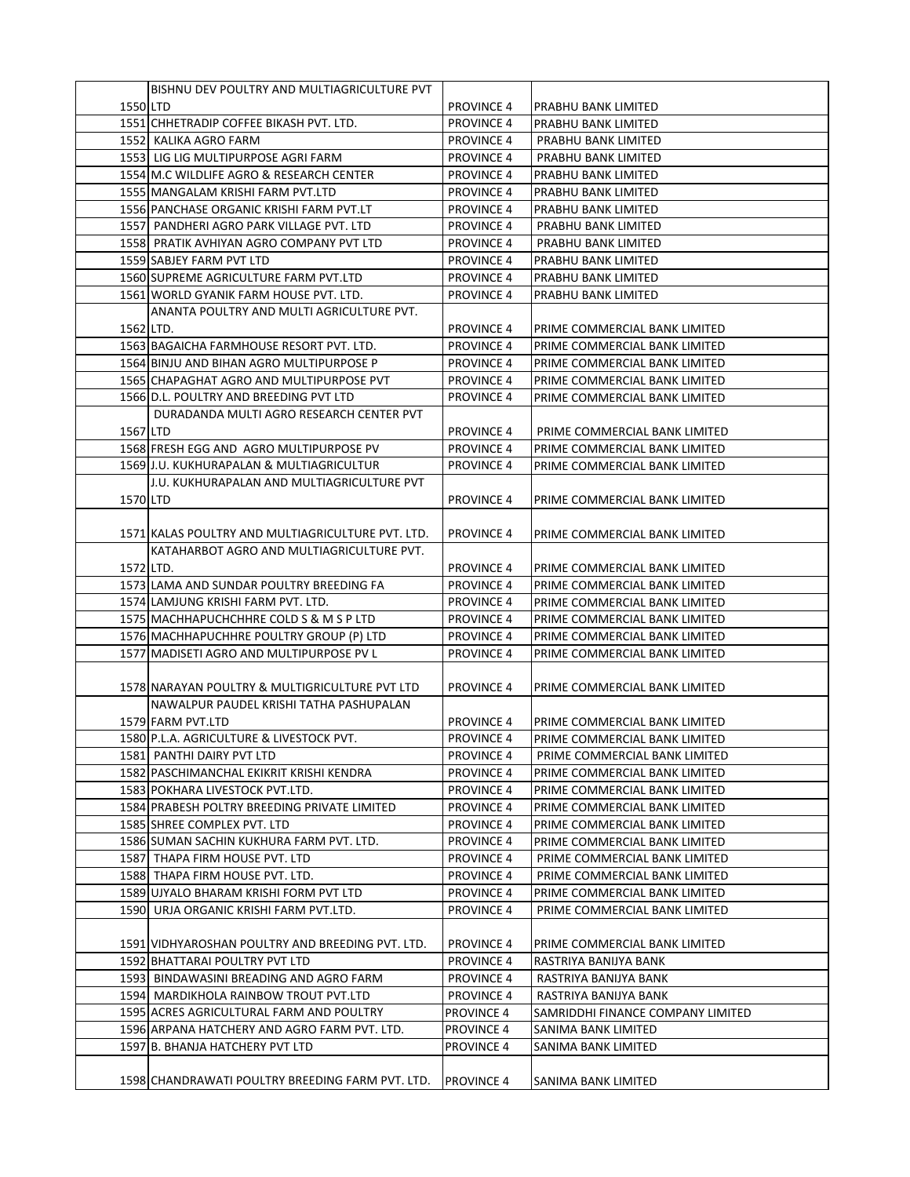|           | BISHNU DEV POULTRY AND MULTIAGRICULTURE PVT       |                   |                                   |
|-----------|---------------------------------------------------|-------------------|-----------------------------------|
| 1550 LTD  |                                                   | <b>PROVINCE 4</b> | PRABHU BANK LIMITED               |
|           | 1551 CHHETRADIP COFFEE BIKASH PVT. LTD.           | <b>PROVINCE 4</b> | PRABHU BANK LIMITED               |
|           | 1552 KALIKA AGRO FARM                             | <b>PROVINCE 4</b> | PRABHU BANK LIMITED               |
|           | 1553 LIG LIG MULTIPURPOSE AGRI FARM               | <b>PROVINCE 4</b> | PRABHU BANK LIMITED               |
|           | 1554 M.C WILDLIFE AGRO & RESEARCH CENTER          | <b>PROVINCE 4</b> | PRABHU BANK LIMITED               |
|           | 1555 MANGALAM KRISHI FARM PVT.LTD                 | <b>PROVINCE 4</b> | PRABHU BANK LIMITED               |
|           | 1556 PANCHASE ORGANIC KRISHI FARM PVT.LT          | <b>PROVINCE 4</b> | PRABHU BANK LIMITED               |
|           | 1557 PANDHERI AGRO PARK VILLAGE PVT. LTD          | <b>PROVINCE 4</b> | PRABHU BANK LIMITED               |
|           | 1558 PRATIK AVHIYAN AGRO COMPANY PVT LTD          | <b>PROVINCE 4</b> | PRABHU BANK LIMITED               |
|           | 1559 SABJEY FARM PVT LTD                          | <b>PROVINCE 4</b> | PRABHU BANK LIMITED               |
|           | 1560 SUPREME AGRICULTURE FARM PVT.LTD             | <b>PROVINCE 4</b> | PRABHU BANK LIMITED               |
|           |                                                   |                   |                                   |
|           | 1561 WORLD GYANIK FARM HOUSE PVT. LTD.            | <b>PROVINCE 4</b> | PRABHU BANK LIMITED               |
|           | ANANTA POULTRY AND MULTI AGRICULTURE PVT.         |                   |                                   |
| 1562 LTD. |                                                   | <b>PROVINCE 4</b> | PRIME COMMERCIAL BANK LIMITED     |
|           | 1563 BAGAICHA FARMHOUSE RESORT PVT. LTD.          | <b>PROVINCE 4</b> | PRIME COMMERCIAL BANK LIMITED     |
|           | 1564 BINJU AND BIHAN AGRO MULTIPURPOSE P          | <b>PROVINCE 4</b> | PRIME COMMERCIAL BANK LIMITED     |
|           | 1565 CHAPAGHAT AGRO AND MULTIPURPOSE PVT          | <b>PROVINCE 4</b> | PRIME COMMERCIAL BANK LIMITED     |
|           | 1566 D.L. POULTRY AND BREEDING PVT LTD            | <b>PROVINCE 4</b> | PRIME COMMERCIAL BANK LIMITED     |
|           | DURADANDA MULTI AGRO RESEARCH CENTER PVT          |                   |                                   |
| 1567 LTD  |                                                   | <b>PROVINCE 4</b> | PRIME COMMERCIAL BANK LIMITED     |
|           | 1568 FRESH EGG AND AGRO MULTIPURPOSE PV           | <b>PROVINCE 4</b> | PRIME COMMERCIAL BANK LIMITED     |
|           | 1569 J.U. KUKHURAPALAN & MULTIAGRICULTUR          | <b>PROVINCE 4</b> | PRIME COMMERCIAL BANK LIMITED     |
|           | J.U. KUKHURAPALAN AND MULTIAGRICULTURE PVT        |                   |                                   |
| 1570 LTD  |                                                   | <b>PROVINCE 4</b> | PRIME COMMERCIAL BANK LIMITED     |
|           |                                                   |                   |                                   |
|           | 1571 KALAS POULTRY AND MULTIAGRICULTURE PVT. LTD. | <b>PROVINCE 4</b> | PRIME COMMERCIAL BANK LIMITED     |
|           | KATAHARBOT AGRO AND MULTIAGRICULTURE PVT.         |                   |                                   |
| 1572 LTD. |                                                   | <b>PROVINCE 4</b> | IPRIME COMMERCIAL BANK LIMITED    |
|           | 1573 LAMA AND SUNDAR POULTRY BREEDING FA          | <b>PROVINCE 4</b> | PRIME COMMERCIAL BANK LIMITED     |
|           | 1574 LAMJUNG KRISHI FARM PVT. LTD.                | <b>PROVINCE 4</b> | PRIME COMMERCIAL BANK LIMITED     |
|           | 1575 MACHHAPUCHCHHRE COLD S & M S P LTD           | <b>PROVINCE 4</b> | PRIME COMMERCIAL BANK LIMITED     |
|           | 1576 MACHHAPUCHHRE POULTRY GROUP (P) LTD          | <b>PROVINCE 4</b> | PRIME COMMERCIAL BANK LIMITED     |
|           | 1577 MADISETI AGRO AND MULTIPURPOSE PV L          | <b>PROVINCE 4</b> | PRIME COMMERCIAL BANK LIMITED     |
|           |                                                   |                   |                                   |
|           |                                                   |                   |                                   |
|           | 1578 NARAYAN POULTRY & MULTIGRICULTURE PVT LTD    | <b>PROVINCE 4</b> | PRIME COMMERCIAL BANK LIMITED     |
|           | NAWALPUR PAUDEL KRISHI TATHA PASHUPALAN           |                   |                                   |
|           | 1579 FARM PVT.LTD                                 | <b>PROVINCE 4</b> | PRIME COMMERCIAL BANK LIMITED     |
|           | 1580 P.L.A. AGRICULTURE & LIVESTOCK PVT.          | <b>PROVINCE 4</b> | PRIME COMMERCIAL BANK LIMITED     |
|           | 1581 PANTHI DAIRY PVT LTD                         | <b>PROVINCE 4</b> | PRIME COMMERCIAL BANK LIMITED     |
|           | 1582 PASCHIMANCHAL EKIKRIT KRISHI KENDRA          | <b>PROVINCE 4</b> | PRIME COMMERCIAL BANK LIMITED     |
|           | 1583 POKHARA LIVESTOCK PVT.LTD.                   | <b>PROVINCE 4</b> | PRIME COMMERCIAL BANK LIMITED     |
|           | 1584 PRABESH POLTRY BREEDING PRIVATE LIMITED      | <b>PROVINCE 4</b> | PRIME COMMERCIAL BANK LIMITED     |
|           | 1585 SHREE COMPLEX PVT. LTD                       | <b>PROVINCE 4</b> | PRIME COMMERCIAL BANK LIMITED     |
|           | 1586 SUMAN SACHIN KUKHURA FARM PVT. LTD.          | <b>PROVINCE 4</b> | PRIME COMMERCIAL BANK LIMITED     |
|           | 1587 THAPA FIRM HOUSE PVT. LTD                    | <b>PROVINCE 4</b> | PRIME COMMERCIAL BANK LIMITED     |
|           | 1588 THAPA FIRM HOUSE PVT. LTD.                   | <b>PROVINCE 4</b> | PRIME COMMERCIAL BANK LIMITED     |
|           | 1589 UJYALO BHARAM KRISHI FORM PVT LTD            | <b>PROVINCE 4</b> | PRIME COMMERCIAL BANK LIMITED     |
|           | 1590 URJA ORGANIC KRISHI FARM PVT.LTD.            | <b>PROVINCE 4</b> | PRIME COMMERCIAL BANK LIMITED     |
|           |                                                   |                   |                                   |
|           | 1591 VIDHYAROSHAN POULTRY AND BREEDING PVT. LTD.  | <b>PROVINCE 4</b> | PRIME COMMERCIAL BANK LIMITED     |
|           | 1592 BHATTARAI POULTRY PVT LTD                    | <b>PROVINCE 4</b> | RASTRIYA BANIJYA BANK             |
|           | 1593 BINDAWASINI BREADING AND AGRO FARM           | <b>PROVINCE 4</b> | RASTRIYA BANIJYA BANK             |
|           | 1594 MARDIKHOLA RAINBOW TROUT PVT.LTD             | <b>PROVINCE 4</b> | RASTRIYA BANIJYA BANK             |
|           | 1595 ACRES AGRICULTURAL FARM AND POULTRY          | <b>PROVINCE 4</b> | SAMRIDDHI FINANCE COMPANY LIMITED |
|           | 1596 ARPANA HATCHERY AND AGRO FARM PVT. LTD.      | <b>PROVINCE 4</b> | SANIMA BANK LIMITED               |
|           |                                                   |                   |                                   |
|           | 1597 B. BHANJA HATCHERY PVT LTD                   | <b>PROVINCE 4</b> | SANIMA BANK LIMITED               |
|           |                                                   |                   |                                   |
|           | 1598 CHANDRAWATI POULTRY BREEDING FARM PVT. LTD.  | <b>PROVINCE 4</b> | SANIMA BANK LIMITED               |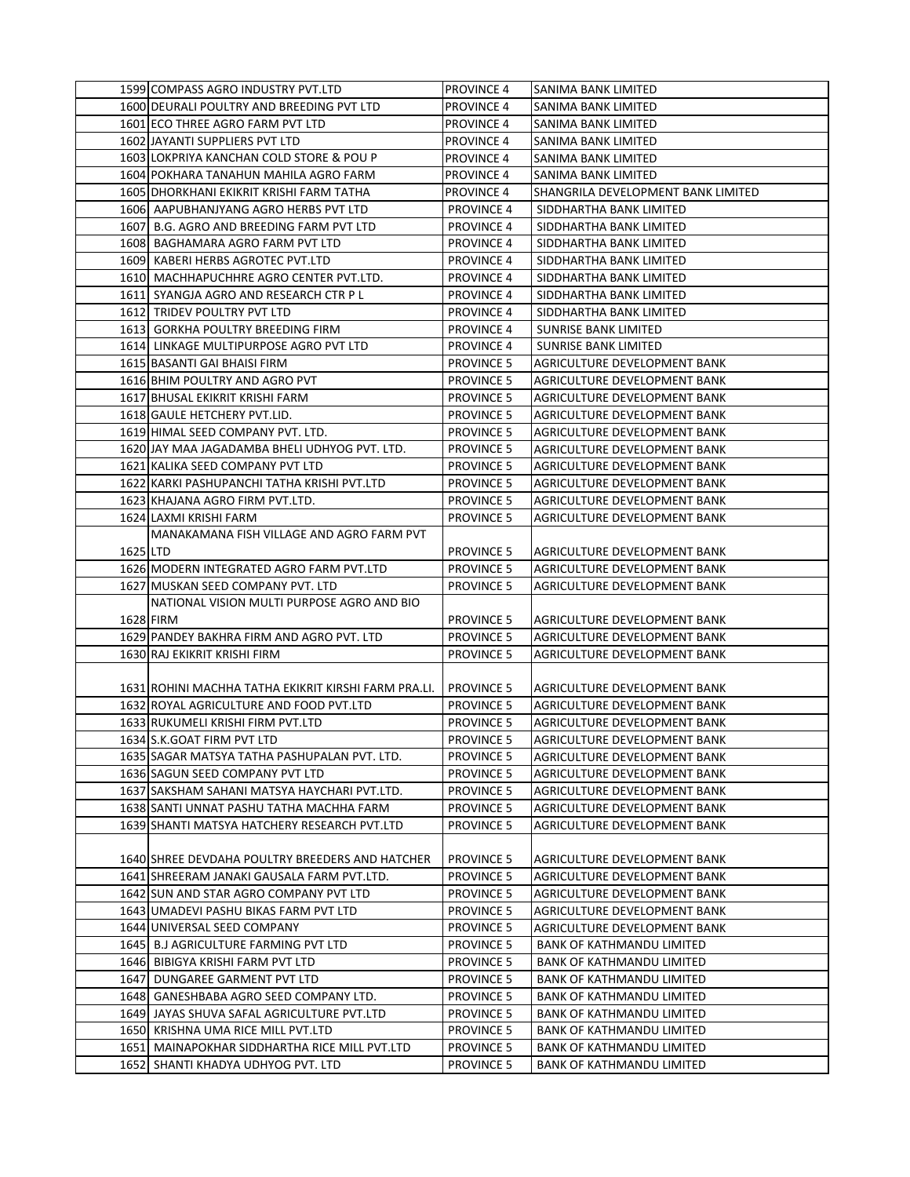|          | 1599 COMPASS AGRO INDUSTRY PVT.LTD                                                  | <b>PROVINCE 4</b>                      | SANIMA BANK LIMITED                                    |
|----------|-------------------------------------------------------------------------------------|----------------------------------------|--------------------------------------------------------|
|          | 1600 DEURALI POULTRY AND BREEDING PVT LTD                                           | <b>PROVINCE 4</b>                      | SANIMA BANK LIMITED                                    |
|          | 1601 ECO THREE AGRO FARM PVT LTD                                                    | <b>PROVINCE 4</b>                      | SANIMA BANK LIMITED                                    |
|          | 1602 JAYANTI SUPPLIERS PVT LTD                                                      | <b>PROVINCE 4</b>                      | SANIMA BANK LIMITED                                    |
|          | 1603 LOKPRIYA KANCHAN COLD STORE & POU P                                            | <b>PROVINCE 4</b>                      | SANIMA BANK LIMITED                                    |
|          | 1604 POKHARA TANAHUN MAHILA AGRO FARM                                               | <b>PROVINCE 4</b>                      | <b>SANIMA BANK LIMITED</b>                             |
|          | 1605 DHORKHANI EKIKRIT KRISHI FARM TATHA                                            | <b>PROVINCE 4</b>                      | SHANGRILA DEVELOPMENT BANK LIMITED                     |
|          | 1606 AAPUBHANJYANG AGRO HERBS PVT LTD                                               | <b>PROVINCE 4</b>                      | SIDDHARTHA BANK LIMITED                                |
|          | 1607 B.G. AGRO AND BREEDING FARM PVT LTD                                            | <b>PROVINCE 4</b>                      | SIDDHARTHA BANK LIMITED                                |
|          | 1608 BAGHAMARA AGRO FARM PVT LTD                                                    | <b>PROVINCE 4</b>                      | SIDDHARTHA BANK LIMITED                                |
|          | 1609 KABERI HERBS AGROTEC PVT.LTD                                                   | <b>PROVINCE 4</b>                      | SIDDHARTHA BANK LIMITED                                |
|          | 1610 MACHHAPUCHHRE AGRO CENTER PVT.LTD.                                             | <b>PROVINCE 4</b>                      | SIDDHARTHA BANK LIMITED                                |
|          | 1611 SYANGJA AGRO AND RESEARCH CTR P L                                              | <b>PROVINCE 4</b>                      | SIDDHARTHA BANK LIMITED                                |
|          | 1612 TRIDEV POULTRY PVT LTD                                                         | <b>PROVINCE 4</b>                      | SIDDHARTHA BANK LIMITED                                |
|          | 1613 GORKHA POULTRY BREEDING FIRM                                                   | <b>PROVINCE 4</b>                      | <b>SUNRISE BANK LIMITED</b>                            |
|          | 1614 LINKAGE MULTIPURPOSE AGRO PVT LTD                                              | <b>PROVINCE 4</b>                      | SUNRISE BANK LIMITED                                   |
|          | 1615 BASANTI GAI BHAISI FIRM                                                        | <b>PROVINCE 5</b>                      | AGRICULTURE DEVELOPMENT BANK                           |
|          | 1616 BHIM POULTRY AND AGRO PVT                                                      | <b>PROVINCE 5</b>                      | AGRICULTURE DEVELOPMENT BANK                           |
|          | 1617 BHUSAL EKIKRIT KRISHI FARM                                                     | <b>PROVINCE 5</b>                      | AGRICULTURE DEVELOPMENT BANK                           |
|          | 1618 GAULE HETCHERY PVT.LID.                                                        | <b>PROVINCE 5</b>                      | AGRICULTURE DEVELOPMENT BANK                           |
|          | 1619 HIMAL SEED COMPANY PVT. LTD.                                                   | <b>PROVINCE 5</b>                      | AGRICULTURE DEVELOPMENT BANK                           |
|          | 1620 JAY MAA JAGADAMBA BHELI UDHYOG PVT. LTD.                                       | <b>PROVINCE 5</b>                      | AGRICULTURE DEVELOPMENT BANK                           |
|          | 1621 KALIKA SEED COMPANY PVT LTD                                                    | <b>PROVINCE 5</b>                      | AGRICULTURE DEVELOPMENT BANK                           |
|          | 1622 KARKI PASHUPANCHI TATHA KRISHI PVT.LTD                                         | <b>PROVINCE 5</b>                      | AGRICULTURE DEVELOPMENT BANK                           |
|          | 1623 KHAJANA AGRO FIRM PVT.LTD.                                                     | <b>PROVINCE 5</b>                      | <b>AGRICULTURE DEVELOPMENT BANK</b>                    |
|          | 1624 LAXMI KRISHI FARM                                                              | <b>PROVINCE 5</b>                      | AGRICULTURE DEVELOPMENT BANK                           |
|          | MANAKAMANA FISH VILLAGE AND AGRO FARM PVT                                           |                                        |                                                        |
| 1625 LTD |                                                                                     | <b>PROVINCE 5</b>                      | AGRICULTURE DEVELOPMENT BANK                           |
|          | 1626 MODERN INTEGRATED AGRO FARM PVT.LTD                                            | <b>PROVINCE 5</b>                      | AGRICULTURE DEVELOPMENT BANK                           |
|          | 1627 MUSKAN SEED COMPANY PVT. LTD                                                   | <b>PROVINCE 5</b>                      | AGRICULTURE DEVELOPMENT BANK                           |
|          | NATIONAL VISION MULTI PURPOSE AGRO AND BIO                                          |                                        |                                                        |
|          | 1628 FIRM                                                                           | <b>PROVINCE 5</b>                      | AGRICULTURE DEVELOPMENT BANK                           |
|          | 1629 PANDEY BAKHRA FIRM AND AGRO PVT. LTD                                           | <b>PROVINCE 5</b>                      | AGRICULTURE DEVELOPMENT BANK                           |
|          | 1630 RAJ EKIKRIT KRISHI FIRM                                                        | <b>PROVINCE 5</b>                      | AGRICULTURE DEVELOPMENT BANK                           |
|          |                                                                                     |                                        |                                                        |
|          | 1631 ROHINI MACHHA TATHA EKIKRIT KIRSHI FARM PRA.LI.                                | <b>PROVINCE 5</b>                      | AGRICULTURE DEVELOPMENT BANK                           |
|          | 1632 ROYAL AGRICULTURE AND FOOD PVT.LTD                                             | <b>PROVINCE 5</b>                      | AGRICULTURE DEVELOPMENT BANK                           |
|          | 1633 RUKUMELI KRISHI FIRM PVT.LTD                                                   | <b>PROVINCE 5</b>                      | AGRICULTURE DEVELOPMENT BANK                           |
|          | 1634 S.K.GOAT FIRM PVT LTD                                                          | <b>PROVINCE 5</b>                      | AGRICULTURE DEVELOPMENT BANK                           |
|          | 1635 SAGAR MATSYA TATHA PASHUPALAN PVT. LTD.                                        | <b>PROVINCE 5</b>                      | AGRICULTURE DEVELOPMENT BANK                           |
|          | 1636 SAGUN SEED COMPANY PVT LTD                                                     | <b>PROVINCE 5</b>                      | AGRICULTURE DEVELOPMENT BANK                           |
|          | 1637 SAKSHAM SAHANI MATSYA HAYCHARI PVT.LTD.                                        | <b>PROVINCE 5</b>                      | AGRICULTURE DEVELOPMENT BANK                           |
|          | 1638 SANTI UNNAT PASHU TATHA MACHHA FARM                                            | PROVINCE 5                             | AGRICULTURE DEVELOPMENT BANK                           |
|          | 1639 SHANTI MATSYA HATCHERY RESEARCH PVT.LTD                                        | <b>PROVINCE 5</b>                      | AGRICULTURE DEVELOPMENT BANK                           |
|          |                                                                                     |                                        |                                                        |
|          | 1640 SHREE DEVDAHA POULTRY BREEDERS AND HATCHER                                     | <b>PROVINCE 5</b>                      | AGRICULTURE DEVELOPMENT BANK                           |
|          | 1641 SHREERAM JANAKI GAUSALA FARM PVT.LTD.                                          | <b>PROVINCE 5</b>                      | AGRICULTURE DEVELOPMENT BANK                           |
|          | 1642 SUN AND STAR AGRO COMPANY PVT LTD                                              | <b>PROVINCE 5</b>                      | AGRICULTURE DEVELOPMENT BANK                           |
|          | 1643 UMADEVI PASHU BIKAS FARM PVT LTD                                               | <b>PROVINCE 5</b>                      | AGRICULTURE DEVELOPMENT BANK                           |
|          | 1644 UNIVERSAL SEED COMPANY                                                         | <b>PROVINCE 5</b>                      | AGRICULTURE DEVELOPMENT BANK                           |
|          |                                                                                     |                                        |                                                        |
|          | 1645 B.J AGRICULTURE FARMING PVT LTD                                                | <b>PROVINCE 5</b>                      | BANK OF KATHMANDU LIMITED                              |
|          | 1646 BIBIGYA KRISHI FARM PVT LTD                                                    | <b>PROVINCE 5</b>                      | <b>BANK OF KATHMANDU LIMITED</b>                       |
|          | 1647 DUNGAREE GARMENT PVT LTD                                                       | <b>PROVINCE 5</b>                      | <b>BANK OF KATHMANDU LIMITED</b>                       |
|          | 1648 GANESHBABA AGRO SEED COMPANY LTD.                                              | <b>PROVINCE 5</b>                      | BANK OF KATHMANDU LIMITED                              |
|          | 1649 JAYAS SHUVA SAFAL AGRICULTURE PVT.LTD                                          | <b>PROVINCE 5</b>                      | <b>BANK OF KATHMANDU LIMITED</b>                       |
|          | 1650 KRISHNA UMA RICE MILL PVT.LTD                                                  | <b>PROVINCE 5</b>                      | <b>BANK OF KATHMANDU LIMITED</b>                       |
|          | 1651 MAINAPOKHAR SIDDHARTHA RICE MILL PVT.LTD<br>1652 SHANTI KHADYA UDHYOG PVT. LTD | <b>PROVINCE 5</b><br><b>PROVINCE 5</b> | BANK OF KATHMANDU LIMITED<br>BANK OF KATHMANDU LIMITED |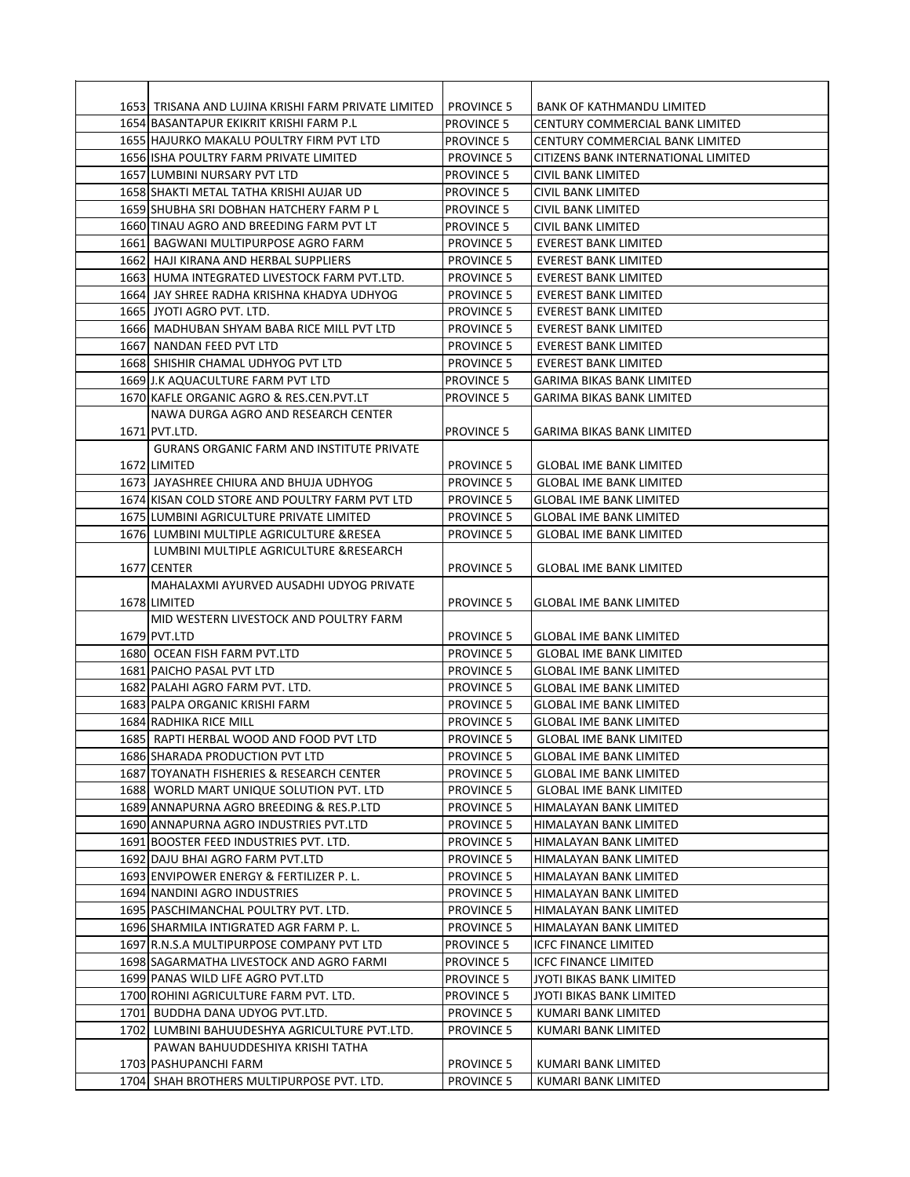| 1653 TRISANA AND LUJINA KRISHI FARM PRIVATE LIMITED | <b>PROVINCE 5</b> | BANK OF KATHMANDU LIMITED           |
|-----------------------------------------------------|-------------------|-------------------------------------|
| 1654 BASANTAPUR EKIKRIT KRISHI FARM P.L             | <b>PROVINCE 5</b> | CENTURY COMMERCIAL BANK LIMITED     |
| 1655 HAJURKO MAKALU POULTRY FIRM PVT LTD            | <b>PROVINCE 5</b> | CENTURY COMMERCIAL BANK LIMITED     |
| 1656 ISHA POULTRY FARM PRIVATE LIMITED              | <b>PROVINCE 5</b> | CITIZENS BANK INTERNATIONAL LIMITED |
| 1657 LUMBINI NURSARY PVT LTD                        | <b>PROVINCE 5</b> | CIVIL BANK LIMITED                  |
| 1658 SHAKTI METAL TATHA KRISHI AUJAR UD             | <b>PROVINCE 5</b> | CIVIL BANK LIMITED                  |
| 1659 SHUBHA SRI DOBHAN HATCHERY FARM PL             | <b>PROVINCE 5</b> | CIVIL BANK LIMITED                  |
| 1660 TINAU AGRO AND BREEDING FARM PVT LT            | <b>PROVINCE 5</b> | CIVIL BANK LIMITED                  |
| 1661 BAGWANI MULTIPURPOSE AGRO FARM                 | <b>PROVINCE 5</b> | EVEREST BANK LIMITED                |
| 1662 HAJI KIRANA AND HERBAL SUPPLIERS               | <b>PROVINCE 5</b> | EVEREST BANK LIMITED                |
| 1663 HUMA INTEGRATED LIVESTOCK FARM PVT.LTD.        | <b>PROVINCE 5</b> | EVEREST BANK LIMITED                |
| 1664  JAY SHREE RADHA KRISHNA KHADYA UDHYOG         | <b>PROVINCE 5</b> | EVEREST BANK LIMITED                |
| 1665 JYOTI AGRO PVT. LTD.                           | <b>PROVINCE 5</b> | <b>EVEREST BANK LIMITED</b>         |
| 1666 MADHUBAN SHYAM BABA RICE MILL PVT LTD          | <b>PROVINCE 5</b> | <b>EVEREST BANK LIMITED</b>         |
| 1667 NANDAN FEED PVT LTD                            | <b>PROVINCE 5</b> | EVEREST BANK LIMITED                |
| 1668 SHISHIR CHAMAL UDHYOG PVT LTD                  | <b>PROVINCE 5</b> | EVEREST BANK LIMITED                |
| 1669 J.K AQUACULTURE FARM PVT LTD                   | <b>PROVINCE 5</b> | <b>GARIMA BIKAS BANK LIMITED</b>    |
| 1670 KAFLE ORGANIC AGRO & RES.CEN.PVT.LT            | <b>PROVINCE 5</b> | GARIMA BIKAS BANK LIMITED           |
| NAWA DURGA AGRO AND RESEARCH CENTER                 |                   |                                     |
| 1671 PVT.LTD.                                       | <b>PROVINCE 5</b> | <b>GARIMA BIKAS BANK LIMITED</b>    |
| <b>GURANS ORGANIC FARM AND INSTITUTE PRIVATE</b>    |                   |                                     |
| 1672 LIMITED                                        | <b>PROVINCE 5</b> | <b>GLOBAL IME BANK LIMITED</b>      |
| 1673 JAYASHREE CHIURA AND BHUJA UDHYOG              | <b>PROVINCE 5</b> | <b>GLOBAL IME BANK LIMITED</b>      |
| 1674 KISAN COLD STORE AND POULTRY FARM PVT LTD      | <b>PROVINCE 5</b> | GLOBAL IME BANK LIMITED             |
| 1675 LUMBINI AGRICULTURE PRIVATE LIMITED            | <b>PROVINCE 5</b> | <b>GLOBAL IME BANK LIMITED</b>      |
| 1676 LUMBINI MULTIPLE AGRICULTURE & RESEA           | <b>PROVINCE 5</b> | <b>GLOBAL IME BANK LIMITED</b>      |
| LUMBINI MULTIPLE AGRICULTURE & RESEARCH             |                   |                                     |
| 1677 CENTER                                         | <b>PROVINCE 5</b> | <b>GLOBAL IME BANK LIMITED</b>      |
| MAHALAXMI AYURVED AUSADHI UDYOG PRIVATE             |                   |                                     |
| 1678 LIMITED                                        | <b>PROVINCE 5</b> | GLOBAL IME BANK LIMITED             |
| MID WESTERN LIVESTOCK AND POULTRY FARM              |                   |                                     |
| 1679 PVT.LTD                                        | <b>PROVINCE 5</b> | <b>GLOBAL IME BANK LIMITED</b>      |
| 1680 OCEAN FISH FARM PVT.LTD                        | <b>PROVINCE 5</b> | <b>GLOBAL IME BANK LIMITED</b>      |
| 1681 PAICHO PASAL PVT LTD                           | <b>PROVINCE 5</b> | <b>GLOBAL IME BANK LIMITED</b>      |
| 1682 PALAHI AGRO FARM PVT. LTD.                     | <b>PROVINCE 5</b> | <b>GLOBAL IME BANK LIMITED</b>      |
| 1683 PALPA ORGANIC KRISHI FARM                      | <b>PROVINCE 5</b> | <b>GLOBAL IME BANK LIMITED</b>      |
| 1684 RADHIKA RICE MILL                              | <b>PROVINCE 5</b> | <b>GLOBAL IME BANK LIMITED</b>      |
| 1685 RAPTI HERBAL WOOD AND FOOD PVT LTD             | <b>PROVINCE 5</b> | <b>GLOBAL IME BANK LIMITED</b>      |
| 1686 SHARADA PRODUCTION PVT LTD                     | <b>PROVINCE 5</b> | <b>GLOBAL IME BANK LIMITED</b>      |
| 1687 TOYANATH FISHERIES & RESEARCH CENTER           | <b>PROVINCE 5</b> | <b>GLOBAL IME BANK LIMITED</b>      |
| 1688 WORLD MART UNIQUE SOLUTION PVT. LTD            | <b>PROVINCE 5</b> | <b>GLOBAL IME BANK LIMITED</b>      |
| 1689 ANNAPURNA AGRO BREEDING & RES.P.LTD            | <b>PROVINCE 5</b> | HIMALAYAN BANK LIMITED              |
| 1690 ANNAPURNA AGRO INDUSTRIES PVT.LTD              | <b>PROVINCE 5</b> | HIMALAYAN BANK LIMITED              |
| 1691 BOOSTER FEED INDUSTRIES PVT. LTD.              | <b>PROVINCE 5</b> | HIMALAYAN BANK LIMITED              |
| 1692 DAJU BHAI AGRO FARM PVT.LTD                    | <b>PROVINCE 5</b> | HIMALAYAN BANK LIMITED              |
| 1693 ENVIPOWER ENERGY & FERTILIZER P.L.             | <b>PROVINCE 5</b> | HIMALAYAN BANK LIMITED              |
| 1694 NANDINI AGRO INDUSTRIES                        | <b>PROVINCE 5</b> | HIMALAYAN BANK LIMITED              |
| 1695 PASCHIMANCHAL POULTRY PVT. LTD.                | <b>PROVINCE 5</b> | HIMALAYAN BANK LIMITED              |
| 1696 SHARMILA INTIGRATED AGR FARM P.L.              | <b>PROVINCE 5</b> | HIMALAYAN BANK LIMITED              |
| 1697 R.N.S.A MULTIPURPOSE COMPANY PVT LTD           | <b>PROVINCE 5</b> | <b>ICFC FINANCE LIMITED</b>         |
| 1698 SAGARMATHA LIVESTOCK AND AGRO FARMI            | <b>PROVINCE 5</b> | <b>ICFC FINANCE LIMITED</b>         |
| 1699 PANAS WILD LIFE AGRO PVT.LTD                   | <b>PROVINCE 5</b> | JYOTI BIKAS BANK LIMITED            |
| 1700 ROHINI AGRICULTURE FARM PVT. LTD.              | <b>PROVINCE 5</b> | JYOTI BIKAS BANK LIMITED            |
| 1701 BUDDHA DANA UDYOG PVT.LTD.                     | <b>PROVINCE 5</b> | KUMARI BANK LIMITED                 |
| 1702 LUMBINI BAHUUDESHYA AGRICULTURE PVT.LTD.       |                   |                                     |
| PAWAN BAHUUDDESHIYA KRISHI TATHA                    | <b>PROVINCE 5</b> | KUMARI BANK LIMITED                 |
|                                                     |                   |                                     |
| 1703 PASHUPANCHI FARM                               | <b>PROVINCE 5</b> | KUMARI BANK LIMITED                 |
| 1704 SHAH BROTHERS MULTIPURPOSE PVT. LTD.           | <b>PROVINCE 5</b> | KUMARI BANK LIMITED                 |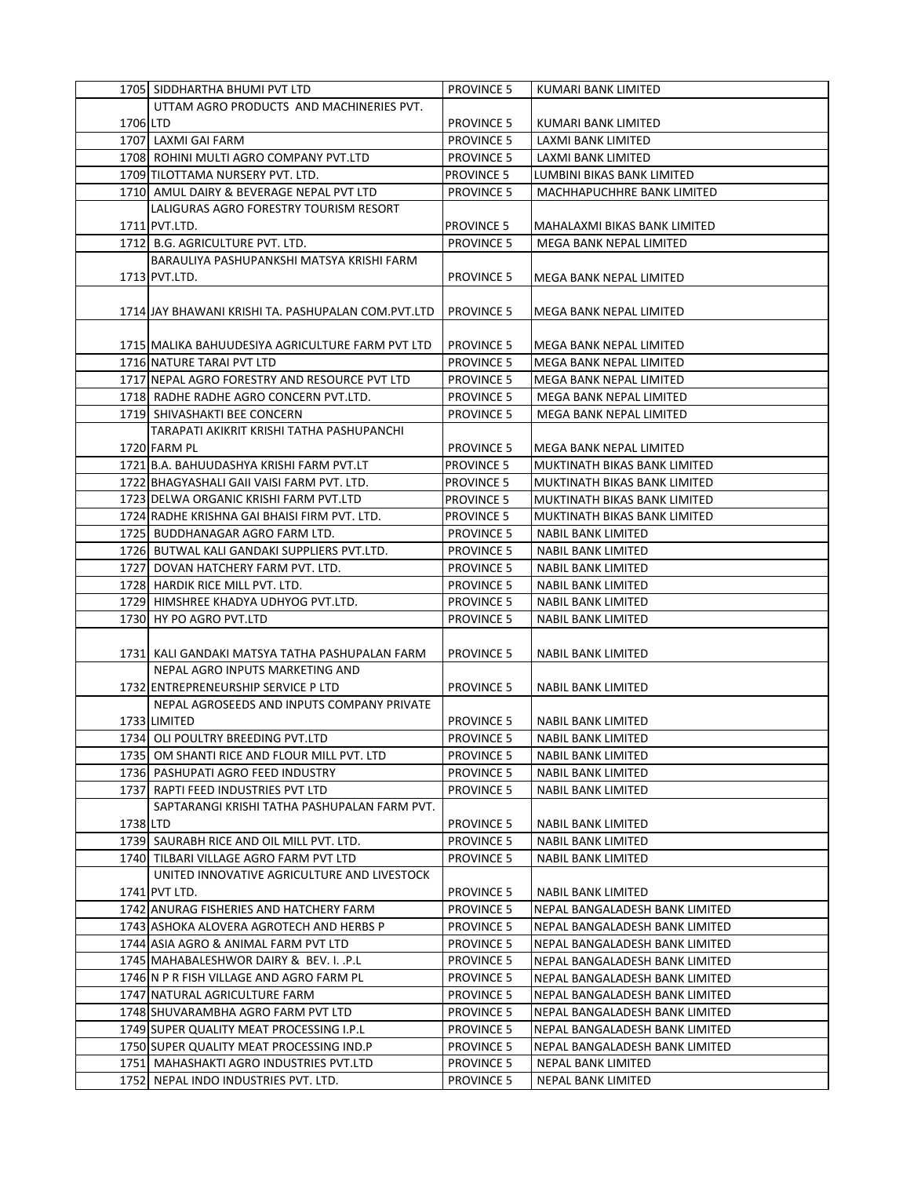|          | 1705 SIDDHARTHA BHUMI PVT LTD                      | <b>PROVINCE 5</b> | KUMARI BANK LIMITED            |
|----------|----------------------------------------------------|-------------------|--------------------------------|
|          | UTTAM AGRO PRODUCTS AND MACHINERIES PVT.           |                   |                                |
| 1706 LTD |                                                    | <b>PROVINCE 5</b> | KUMARI BANK LIMITED            |
|          | 1707 LAXMI GAI FARM                                | <b>PROVINCE 5</b> | LAXMI BANK LIMITED             |
|          | 1708 ROHINI MULTI AGRO COMPANY PVT.LTD             | <b>PROVINCE 5</b> | LAXMI BANK LIMITED             |
|          | 1709 TILOTTAMA NURSERY PVT. LTD.                   | <b>PROVINCE 5</b> | LUMBINI BIKAS BANK LIMITED     |
|          | 1710 AMUL DAIRY & BEVERAGE NEPAL PVT LTD           | <b>PROVINCE 5</b> | MACHHAPUCHHRE BANK LIMITED     |
|          | LALIGURAS AGRO FORESTRY TOURISM RESORT             |                   |                                |
|          | 1711 PVT.LTD.                                      | <b>PROVINCE 5</b> | MAHALAXMI BIKAS BANK LIMITED   |
|          | 1712 B.G. AGRICULTURE PVT. LTD.                    | <b>PROVINCE 5</b> | MEGA BANK NEPAL LIMITED        |
|          | BARAULIYA PASHUPANKSHI MATSYA KRISHI FARM          |                   |                                |
|          | 1713 PVT.LTD.                                      | <b>PROVINCE 5</b> | MEGA BANK NEPAL LIMITED        |
|          |                                                    |                   |                                |
|          | 1714 JAY BHAWANI KRISHI TA. PASHUPALAN COM.PVT.LTD | <b>PROVINCE 5</b> | MEGA BANK NEPAL LIMITED        |
|          |                                                    |                   |                                |
|          | 1715 MALIKA BAHUUDESIYA AGRICULTURE FARM PVT LTD   | <b>PROVINCE 5</b> | MEGA BANK NEPAL LIMITED        |
|          | 1716 NATURE TARAI PVT LTD                          | <b>PROVINCE 5</b> | MEGA BANK NEPAL LIMITED        |
|          | 1717 NEPAL AGRO FORESTRY AND RESOURCE PVT LTD      | <b>PROVINCE 5</b> | MEGA BANK NEPAL LIMITED        |
|          | 1718 RADHE RADHE AGRO CONCERN PVT.LTD.             | <b>PROVINCE 5</b> | MEGA BANK NEPAL LIMITED        |
|          | 1719 SHIVASHAKTI BEE CONCERN                       | <b>PROVINCE 5</b> | MEGA BANK NEPAL LIMITED        |
|          | TARAPATI AKIKRIT KRISHI TATHA PASHUPANCHI          |                   |                                |
|          | 1720 FARM PL                                       | <b>PROVINCE 5</b> | MEGA BANK NEPAL LIMITED        |
|          | 1721 B.A. BAHUUDASHYA KRISHI FARM PVT.LT           | <b>PROVINCE 5</b> | MUKTINATH BIKAS BANK LIMITED   |
|          | 1722 BHAGYASHALI GAII VAISI FARM PVT. LTD.         | <b>PROVINCE 5</b> | MUKTINATH BIKAS BANK LIMITED   |
|          | 1723 DELWA ORGANIC KRISHI FARM PVT.LTD             | <b>PROVINCE 5</b> | MUKTINATH BIKAS BANK LIMITED   |
|          | 1724 RADHE KRISHNA GAI BHAISI FIRM PVT. LTD.       | <b>PROVINCE 5</b> | MUKTINATH BIKAS BANK LIMITED   |
|          | 1725 BUDDHANAGAR AGRO FARM LTD.                    | <b>PROVINCE 5</b> | NABIL BANK LIMITED             |
|          | 1726 BUTWAL KALI GANDAKI SUPPLIERS PVT.LTD.        | <b>PROVINCE 5</b> | NABIL BANK LIMITED             |
|          | 1727 DOVAN HATCHERY FARM PVT. LTD.                 | <b>PROVINCE 5</b> | NABIL BANK LIMITED             |
|          | 1728 HARDIK RICE MILL PVT. LTD.                    | <b>PROVINCE 5</b> | NABIL BANK LIMITED             |
|          | 1729 HIMSHREE KHADYA UDHYOG PVT.LTD.               | <b>PROVINCE 5</b> | NABIL BANK LIMITED             |
|          | 1730 HY PO AGRO PVT.LTD                            | <b>PROVINCE 5</b> | <b>NABIL BANK LIMITED</b>      |
|          |                                                    |                   |                                |
|          | 1731LKALI GANDAKI MATSYA TATHA PASHUPALAN FARM     | <b>PROVINCE 5</b> | <b>NABIL BANK LIMITED</b>      |
|          | NEPAL AGRO INPUTS MARKETING AND                    |                   |                                |
|          | 1732 ENTREPRENEURSHIP SERVICE P LTD                | <b>PROVINCE 5</b> | <b>NABIL BANK LIMITED</b>      |
|          | NEPAL AGROSEEDS AND INPUTS COMPANY PRIVATE         |                   |                                |
|          | 1733 LIMITED                                       | <b>PROVINCE 5</b> | NABIL BANK LIMITED             |
|          | 1734 OLI POULTRY BREEDING PVT.LTD                  | <b>PROVINCE 5</b> | <b>NABIL BANK LIMITED</b>      |
|          | 1735 OM SHANTI RICE AND FLOUR MILL PVT. LTD        | <b>PROVINCE 5</b> | NABIL BANK LIMITED             |
|          | 1736 PASHUPATI AGRO FEED INDUSTRY                  | <b>PROVINCE 5</b> | <b>NABIL BANK LIMITED</b>      |
|          | 1737 RAPTI FEED INDUSTRIES PVT LTD                 | <b>PROVINCE 5</b> | NABIL BANK LIMITED             |
|          | SAPTARANGI KRISHI TATHA PASHUPALAN FARM PVT.       |                   |                                |
| 1738 LTD |                                                    | <b>PROVINCE 5</b> | NABIL BANK LIMITED             |
|          | 1739 SAURABH RICE AND OIL MILL PVT. LTD.           | <b>PROVINCE 5</b> | NABIL BANK LIMITED             |
|          | 1740 TILBARI VILLAGE AGRO FARM PVT LTD             | <b>PROVINCE 5</b> | NABIL BANK LIMITED             |
|          | UNITED INNOVATIVE AGRICULTURE AND LIVESTOCK        |                   |                                |
|          | 1741 PVT LTD.                                      | <b>PROVINCE 5</b> | NABIL BANK LIMITED             |
|          | 1742 ANURAG FISHERIES AND HATCHERY FARM            | <b>PROVINCE 5</b> | NEPAL BANGALADESH BANK LIMITED |
|          | 1743 ASHOKA ALOVERA AGROTECH AND HERBS P           | <b>PROVINCE 5</b> | NEPAL BANGALADESH BANK LIMITED |
|          | 1744 ASIA AGRO & ANIMAL FARM PVT LTD               | <b>PROVINCE 5</b> | NEPAL BANGALADESH BANK LIMITED |
|          | 1745 MAHABALESHWOR DAIRY & BEV. I. .P.L            | <b>PROVINCE 5</b> | NEPAL BANGALADESH BANK LIMITED |
|          | 1746 N P R FISH VILLAGE AND AGRO FARM PL           | <b>PROVINCE 5</b> | NEPAL BANGALADESH BANK LIMITED |
|          | 1747 NATURAL AGRICULTURE FARM                      | <b>PROVINCE 5</b> | NEPAL BANGALADESH BANK LIMITED |
|          | 1748 SHUVARAMBHA AGRO FARM PVT LTD                 | <b>PROVINCE 5</b> | NEPAL BANGALADESH BANK LIMITED |
|          | 1749 SUPER QUALITY MEAT PROCESSING I.P.L           | <b>PROVINCE 5</b> | NEPAL BANGALADESH BANK LIMITED |
|          | 1750 SUPER QUALITY MEAT PROCESSING IND.P           | <b>PROVINCE 5</b> | NEPAL BANGALADESH BANK LIMITED |
|          | 1751  MAHASHAKTI AGRO INDUSTRIES PVT.LTD           | <b>PROVINCE 5</b> | NEPAL BANK LIMITED             |
|          | 1752 NEPAL INDO INDUSTRIES PVT. LTD.               | <b>PROVINCE 5</b> | NEPAL BANK LIMITED             |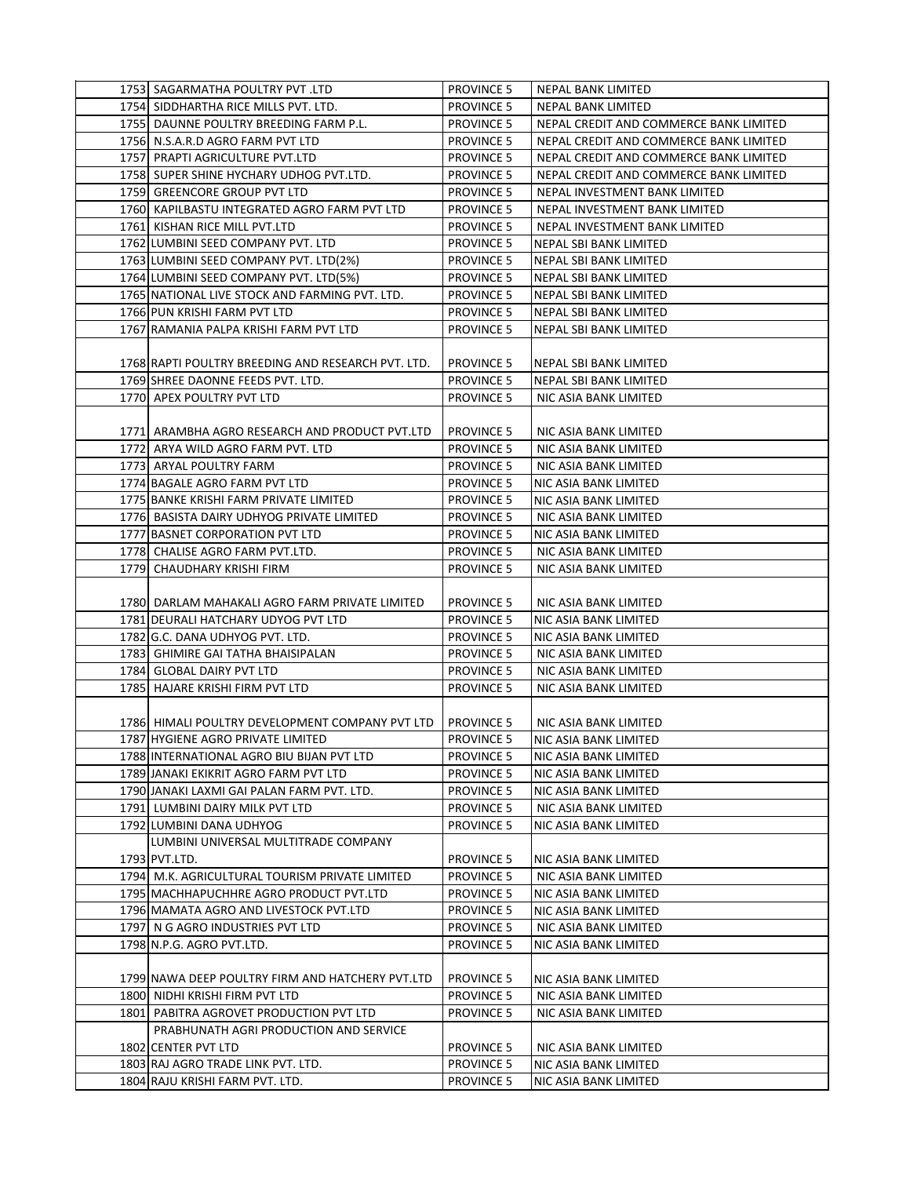| 1753 SAGARMATHA POULTRY PVT .LTD                   | <b>PROVINCE 5</b> | NEPAL BANK LIMITED                     |
|----------------------------------------------------|-------------------|----------------------------------------|
| 1754 SIDDHARTHA RICE MILLS PVT. LTD.               | <b>PROVINCE 5</b> | NEPAL BANK LIMITED                     |
| 1755 DAUNNE POULTRY BREEDING FARM P.L.             | <b>PROVINCE 5</b> | NEPAL CREDIT AND COMMERCE BANK LIMITED |
| 1756 N.S.A.R.D AGRO FARM PVT LTD                   | <b>PROVINCE 5</b> | NEPAL CREDIT AND COMMERCE BANK LIMITED |
| 1757 PRAPTI AGRICULTURE PVT.LTD                    | <b>PROVINCE 5</b> | NEPAL CREDIT AND COMMERCE BANK LIMITED |
| 1758 SUPER SHINE HYCHARY UDHOG PVT.LTD.            | <b>PROVINCE 5</b> | NEPAL CREDIT AND COMMERCE BANK LIMITED |
| 1759 GREENCORE GROUP PVT LTD                       | <b>PROVINCE 5</b> | NEPAL INVESTMENT BANK LIMITED          |
| 1760 KAPILBASTU INTEGRATED AGRO FARM PVT LTD       | <b>PROVINCE 5</b> | NEPAL INVESTMENT BANK LIMITED          |
| 1761 KISHAN RICE MILL PVT.LTD                      | <b>PROVINCE 5</b> | NEPAL INVESTMENT BANK LIMITED          |
| 1762 LUMBINI SEED COMPANY PVT. LTD                 | <b>PROVINCE 5</b> | NEPAL SBI BANK LIMITED                 |
| 1763 LUMBINI SEED COMPANY PVT. LTD(2%)             | <b>PROVINCE 5</b> | NEPAL SBI BANK LIMITED                 |
| 1764 LUMBINI SEED COMPANY PVT. LTD(5%)             | <b>PROVINCE 5</b> | NEPAL SBI BANK LIMITED                 |
| 1765 NATIONAL LIVE STOCK AND FARMING PVT. LTD.     | <b>PROVINCE 5</b> | NEPAL SBI BANK LIMITED                 |
| 1766 PUN KRISHI FARM PVT LTD                       | <b>PROVINCE 5</b> | NEPAL SBI BANK LIMITED                 |
| 1767 RAMANIA PALPA KRISHI FARM PVT LTD             | <b>PROVINCE 5</b> | NEPAL SBI BANK LIMITED                 |
|                                                    |                   |                                        |
| 1768 RAPTI POULTRY BREEDING AND RESEARCH PVT. LTD. | <b>PROVINCE 5</b> | NEPAL SBI BANK LIMITED                 |
| 1769 SHREE DAONNE FEEDS PVT. LTD.                  | <b>PROVINCE 5</b> | NEPAL SBI BANK LIMITED                 |
| 1770 APEX POULTRY PVT LTD                          | <b>PROVINCE 5</b> | NIC ASIA BANK LIMITED                  |
|                                                    |                   |                                        |
| 1771 ARAMBHA AGRO RESEARCH AND PRODUCT PVT.LTD     | <b>PROVINCE 5</b> | NIC ASIA BANK LIMITED                  |
| 1772 ARYA WILD AGRO FARM PVT. LTD                  | <b>PROVINCE 5</b> | NIC ASIA BANK LIMITED                  |
| 1773 ARYAL POULTRY FARM                            | <b>PROVINCE 5</b> | NIC ASIA BANK LIMITED                  |
| 1774 BAGALE AGRO FARM PVT LTD                      | <b>PROVINCE 5</b> | NIC ASIA BANK LIMITED                  |
| 1775 BANKE KRISHI FARM PRIVATE LIMITED             | <b>PROVINCE 5</b> | NIC ASIA BANK LIMITED                  |
| 1776 BASISTA DAIRY UDHYOG PRIVATE LIMITED          | <b>PROVINCE 5</b> | NIC ASIA BANK LIMITED                  |
| 1777 BASNET CORPORATION PVT LTD                    | <b>PROVINCE 5</b> | NIC ASIA BANK LIMITED                  |
| 1778 CHALISE AGRO FARM PVT.LTD.                    | <b>PROVINCE 5</b> | NIC ASIA BANK LIMITED                  |
| 1779 CHAUDHARY KRISHI FIRM                         | <b>PROVINCE 5</b> | NIC ASIA BANK LIMITED                  |
|                                                    |                   |                                        |
| 1780 DARLAM MAHAKALI AGRO FARM PRIVATE LIMITED     | <b>PROVINCE 5</b> | NIC ASIA BANK LIMITED                  |
| 1781 DEURALI HATCHARY UDYOG PVT LTD                | <b>PROVINCE 5</b> | NIC ASIA BANK LIMITED                  |
| 1782 G.C. DANA UDHYOG PVT. LTD.                    | <b>PROVINCE 5</b> | NIC ASIA BANK LIMITED                  |
| 1783 GHIMIRE GAI TATHA BHAISIPALAN                 | <b>PROVINCE 5</b> | NIC ASIA BANK LIMITED                  |
| 1784 GLOBAL DAIRY PVT LTD                          | <b>PROVINCE 5</b> | NIC ASIA BANK LIMITED                  |
| 1785 HAJARE KRISHI FIRM PVT LTD                    | <b>PROVINCE 5</b> | NIC ASIA BANK LIMITED                  |
|                                                    |                   |                                        |
| 1786 HIMALI POULTRY DEVELOPMENT COMPANY PVT LTD    | <b>PROVINCE 5</b> | NIC ASIA BANK LIMITED                  |
| 1787 HYGIENE AGRO PRIVATE LIMITED                  | <b>PROVINCE 5</b> | NIC ASIA BANK LIMITED                  |
| 1788 INTERNATIONAL AGRO BIU BIJAN PVT LTD          | <b>PROVINCE 5</b> | <b>NIC ASIA BANK LIMITED</b>           |
| 1789 JANAKI EKIKRIT AGRO FARM PVT LTD              | <b>PROVINCE 5</b> | NIC ASIA BANK LIMITED                  |
| 1790 JANAKI LAXMI GAI PALAN FARM PVT. LTD.         | <b>PROVINCE 5</b> | NIC ASIA BANK LIMITED                  |
| 1791 LUMBINI DAIRY MILK PVT LTD                    | <b>PROVINCE 5</b> | NIC ASIA BANK LIMITED                  |
| 1792 LUMBINI DANA UDHYOG                           | <b>PROVINCE 5</b> | NIC ASIA BANK LIMITED                  |
| LUMBINI UNIVERSAL MULTITRADE COMPANY               |                   |                                        |
| 1793 PVT.LTD.                                      | <b>PROVINCE 5</b> | NIC ASIA BANK LIMITED                  |
| 1794 M.K. AGRICULTURAL TOURISM PRIVATE LIMITED     | <b>PROVINCE 5</b> | NIC ASIA BANK LIMITED                  |
| 1795 MACHHAPUCHHRE AGRO PRODUCT PVT.LTD            | <b>PROVINCE 5</b> | NIC ASIA BANK LIMITED                  |
| 1796 MAMATA AGRO AND LIVESTOCK PVT.LTD             | <b>PROVINCE 5</b> | NIC ASIA BANK LIMITED                  |
| 1797 N G AGRO INDUSTRIES PVT LTD                   | <b>PROVINCE 5</b> | NIC ASIA BANK LIMITED                  |
| 1798 N.P.G. AGRO PVT.LTD.                          | <b>PROVINCE 5</b> | NIC ASIA BANK LIMITED                  |
|                                                    |                   |                                        |
| 1799 NAWA DEEP POULTRY FIRM AND HATCHERY PVT.LTD   | <b>PROVINCE 5</b> | NIC ASIA BANK LIMITED                  |
| 1800 NIDHI KRISHI FIRM PVT LTD                     | <b>PROVINCE 5</b> | NIC ASIA BANK LIMITED                  |
| 1801 PABITRA AGROVET PRODUCTION PVT LTD            | <b>PROVINCE 5</b> | NIC ASIA BANK LIMITED                  |
| PRABHUNATH AGRI PRODUCTION AND SERVICE             |                   |                                        |
| 1802 CENTER PVT LTD                                | <b>PROVINCE 5</b> | NIC ASIA BANK LIMITED                  |
| 1803 RAJ AGRO TRADE LINK PVT. LTD.                 | <b>PROVINCE 5</b> | NIC ASIA BANK LIMITED                  |
| 1804 RAJU KRISHI FARM PVT. LTD.                    | <b>PROVINCE 5</b> | NIC ASIA BANK LIMITED                  |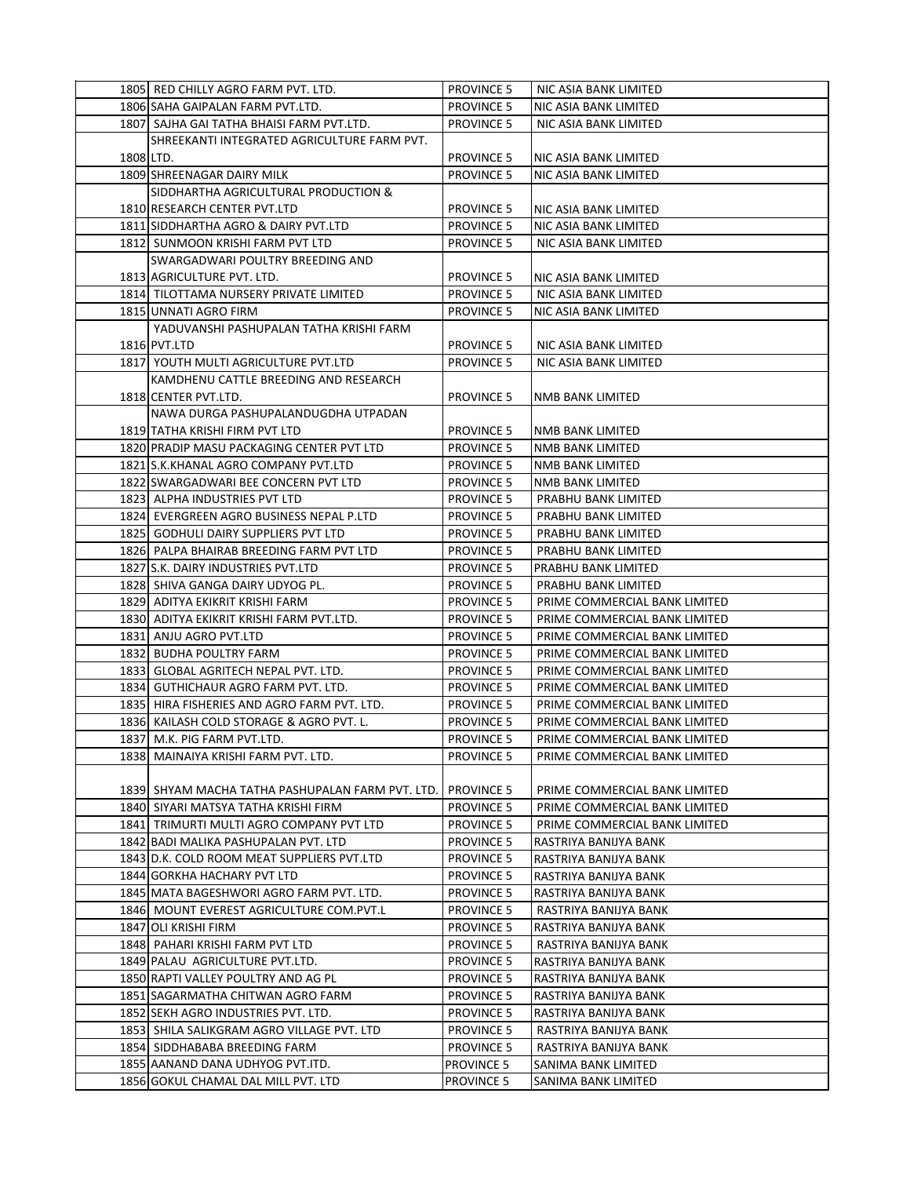|           | 1805 RED CHILLY AGRO FARM PVT. LTD.               | <b>PROVINCE 5</b> | NIC ASIA BANK LIMITED         |
|-----------|---------------------------------------------------|-------------------|-------------------------------|
|           | 1806 SAHA GAIPALAN FARM PVT.LTD.                  | <b>PROVINCE 5</b> | NIC ASIA BANK LIMITED         |
|           | 1807 SAJHA GAI TATHA BHAISI FARM PVT.LTD.         | <b>PROVINCE 5</b> | NIC ASIA BANK LIMITED         |
|           | SHREEKANTI INTEGRATED AGRICULTURE FARM PVT.       |                   |                               |
| 1808 LTD. |                                                   | <b>PROVINCE 5</b> | NIC ASIA BANK LIMITED         |
|           | 1809 SHREENAGAR DAIRY MILK                        | <b>PROVINCE 5</b> | NIC ASIA BANK LIMITED         |
|           | SIDDHARTHA AGRICULTURAL PRODUCTION &              |                   |                               |
|           | 1810 RESEARCH CENTER PVT.LTD                      | <b>PROVINCE 5</b> | NIC ASIA BANK LIMITED         |
|           | 1811 SIDDHARTHA AGRO & DAIRY PVT.LTD              | <b>PROVINCE 5</b> | NIC ASIA BANK LIMITED         |
|           | 1812 SUNMOON KRISHI FARM PVT LTD                  | <b>PROVINCE 5</b> | NIC ASIA BANK LIMITED         |
|           | SWARGADWARI POULTRY BREEDING AND                  |                   |                               |
|           | 1813 AGRICULTURE PVT. LTD.                        | <b>PROVINCE 5</b> | NIC ASIA BANK LIMITED         |
|           | 1814 TILOTTAMA NURSERY PRIVATE LIMITED            | <b>PROVINCE 5</b> | NIC ASIA BANK LIMITED         |
|           | 1815 UNNATI AGRO FIRM                             | <b>PROVINCE 5</b> | NIC ASIA BANK LIMITED         |
|           | YADUVANSHI PASHUPALAN TATHA KRISHI FARM           |                   |                               |
|           | 1816 PVT.LTD                                      | <b>PROVINCE 5</b> | NIC ASIA BANK LIMITED         |
|           | 1817 YOUTH MULTI AGRICULTURE PVT.LTD              | <b>PROVINCE 5</b> | NIC ASIA BANK LIMITED         |
|           | KAMDHENU CATTLE BREEDING AND RESEARCH             |                   |                               |
|           | 1818 CENTER PVT.LTD.                              | <b>PROVINCE 5</b> | NMB BANK LIMITED              |
|           | NAWA DURGA PASHUPALANDUGDHA UTPADAN               |                   |                               |
|           | 1819 TATHA KRISHI FIRM PVT LTD                    | <b>PROVINCE 5</b> | NMB BANK LIMITED              |
|           | 1820 PRADIP MASU PACKAGING CENTER PVT LTD         | <b>PROVINCE 5</b> | NMB BANK LIMITED              |
|           | 1821 S.K.KHANAL AGRO COMPANY PVT.LTD              | <b>PROVINCE 5</b> | NMB BANK LIMITED              |
|           | 1822 SWARGADWARI BEE CONCERN PVT LTD              | <b>PROVINCE 5</b> | NMB BANK LIMITED              |
|           | 1823 ALPHA INDUSTRIES PVT LTD                     | <b>PROVINCE 5</b> | PRABHU BANK LIMITED           |
|           | 1824 EVERGREEN AGRO BUSINESS NEPAL P.LTD          | <b>PROVINCE 5</b> | PRABHU BANK LIMITED           |
|           | 1825 GODHULI DAIRY SUPPLIERS PVT LTD              | <b>PROVINCE 5</b> | PRABHU BANK LIMITED           |
|           | 1826 PALPA BHAIRAB BREEDING FARM PVT LTD          | <b>PROVINCE 5</b> | PRABHU BANK LIMITED           |
|           | 1827 S.K. DAIRY INDUSTRIES PVT.LTD                | <b>PROVINCE 5</b> | PRABHU BANK LIMITED           |
|           | 1828 SHIVA GANGA DAIRY UDYOG PL.                  | <b>PROVINCE 5</b> | PRABHU BANK LIMITED           |
|           | 1829 ADITYA EKIKRIT KRISHI FARM                   | <b>PROVINCE 5</b> | PRIME COMMERCIAL BANK LIMITED |
|           | 1830 ADITYA EKIKRIT KRISHI FARM PVT.LTD.          | <b>PROVINCE 5</b> | PRIME COMMERCIAL BANK LIMITED |
|           | 1831 ANJU AGRO PVT.LTD                            | <b>PROVINCE 5</b> | PRIME COMMERCIAL BANK LIMITED |
|           | 1832 BUDHA POULTRY FARM                           | <b>PROVINCE 5</b> | PRIME COMMERCIAL BANK LIMITED |
|           | 1833 GLOBAL AGRITECH NEPAL PVT. LTD.              | <b>PROVINCE 5</b> | PRIME COMMERCIAL BANK LIMITED |
|           | 1834 GUTHICHAUR AGRO FARM PVT. LTD.               | <b>PROVINCE 5</b> | PRIME COMMERCIAL BANK LIMITED |
|           | 1835 HIRA FISHERIES AND AGRO FARM PVT. LTD.       | <b>PROVINCE 5</b> | PRIME COMMERCIAL BANK LIMITED |
|           | 1836 KAILASH COLD STORAGE & AGRO PVT. L.          | <b>PROVINCE 5</b> | PRIME COMMERCIAL BANK LIMITED |
|           | 1837 M.K. PIG FARM PVT.LTD.                       | <b>PROVINCE 5</b> | PRIME COMMERCIAL BANK LIMITED |
|           | 1838   MAINAIYA KRISHI FARM PVT. LTD.             | <b>PROVINCE 5</b> | PRIME COMMERCIAL BANK LIMITED |
|           |                                                   |                   |                               |
|           | 1839] SHYAM MACHA TATHA PASHUPALAN FARM PVT. LTD. | <b>PROVINCE 5</b> | PRIME COMMERCIAL BANK LIMITED |
|           | 1840 SIYARI MATSYA TATHA KRISHI FIRM              | <b>PROVINCE 5</b> | PRIME COMMERCIAL BANK LIMITED |
|           | 1841 TRIMURTI MULTI AGRO COMPANY PVT LTD          | <b>PROVINCE 5</b> | PRIME COMMERCIAL BANK LIMITED |
|           | 1842 BADI MALIKA PASHUPALAN PVT. LTD              | <b>PROVINCE 5</b> | RASTRIYA BANIJYA BANK         |
|           | 1843 D.K. COLD ROOM MEAT SUPPLIERS PVT.LTD        | <b>PROVINCE 5</b> | RASTRIYA BANIJYA BANK         |
|           | 1844 GORKHA HACHARY PVT LTD                       | <b>PROVINCE 5</b> | RASTRIYA BANIJYA BANK         |
|           | 1845 MATA BAGESHWORI AGRO FARM PVT. LTD.          | <b>PROVINCE 5</b> | RASTRIYA BANIJYA BANK         |
|           | 1846 MOUNT EVEREST AGRICULTURE COM.PVT.L          | <b>PROVINCE 5</b> | RASTRIYA BANIJYA BANK         |
|           | 1847 OLI KRISHI FIRM                              | <b>PROVINCE 5</b> | RASTRIYA BANIJYA BANK         |
|           | 1848 PAHARI KRISHI FARM PVT LTD                   | <b>PROVINCE 5</b> | RASTRIYA BANIJYA BANK         |
|           | 1849 PALAU AGRICULTURE PVT.LTD.                   | <b>PROVINCE 5</b> | RASTRIYA BANIJYA BANK         |
|           | 1850 RAPTI VALLEY POULTRY AND AG PL               | <b>PROVINCE 5</b> | RASTRIYA BANIJYA BANK         |
|           | 1851 SAGARMATHA CHITWAN AGRO FARM                 | <b>PROVINCE 5</b> | RASTRIYA BANIJYA BANK         |
|           | 1852 SEKH AGRO INDUSTRIES PVT. LTD.               | <b>PROVINCE 5</b> | RASTRIYA BANIJYA BANK         |
|           | 1853 SHILA SALIKGRAM AGRO VILLAGE PVT. LTD        | <b>PROVINCE 5</b> | RASTRIYA BANIJYA BANK         |
|           | 1854 SIDDHABABA BREEDING FARM                     | <b>PROVINCE 5</b> | RASTRIYA BANIJYA BANK         |
|           | 1855 AANAND DANA UDHYOG PVT.ITD.                  | <b>PROVINCE 5</b> | SANIMA BANK LIMITED           |
|           | 1856 GOKUL CHAMAL DAL MILL PVT. LTD               | <b>PROVINCE 5</b> | SANIMA BANK LIMITED           |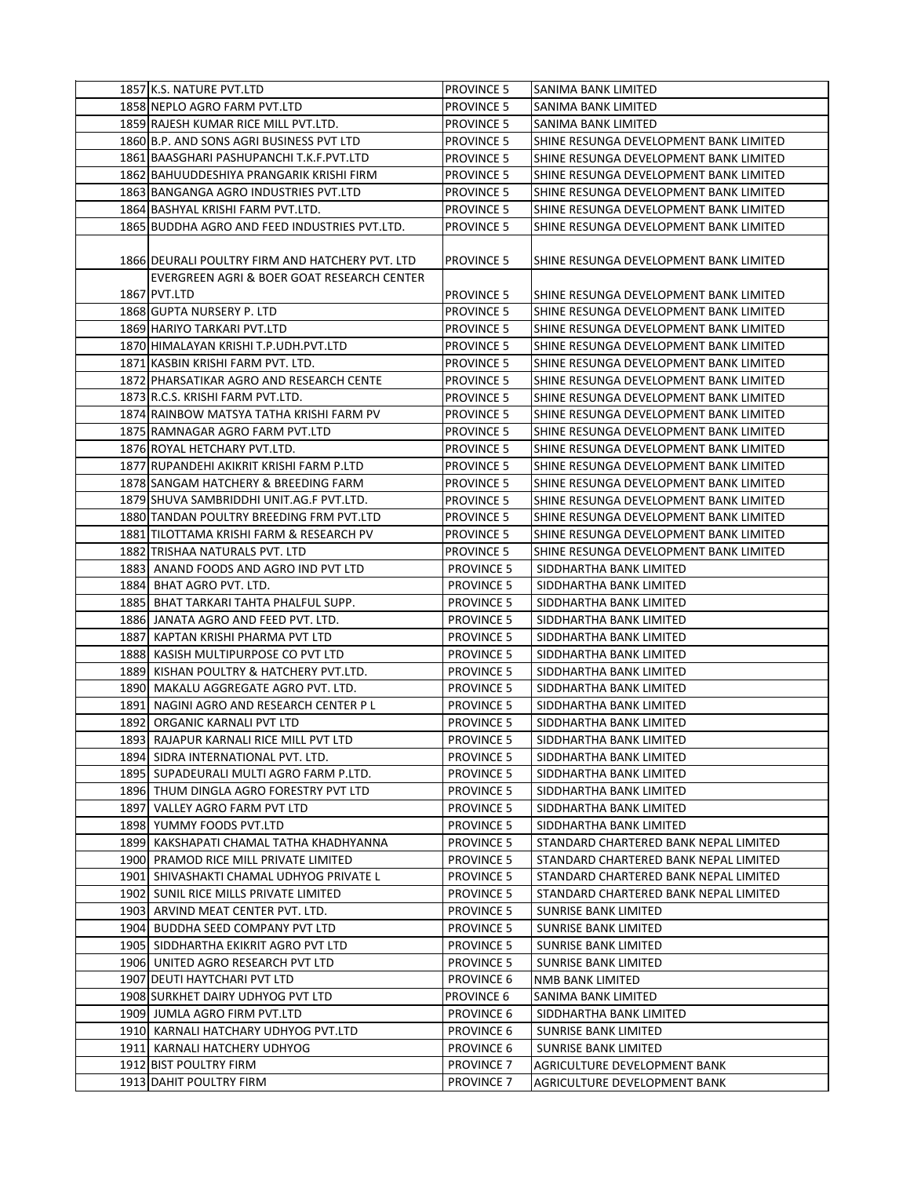| 1857 K.S. NATURE PVT.LTD                        | <b>PROVINCE 5</b> | ISANIMA BANK LIMITED                   |
|-------------------------------------------------|-------------------|----------------------------------------|
| 1858 NEPLO AGRO FARM PVT.LTD                    | <b>PROVINCE 5</b> | SANIMA BANK LIMITED                    |
| 1859 RAJESH KUMAR RICE MILL PVT.LTD.            | <b>PROVINCE 5</b> | SANIMA BANK LIMITED                    |
| 1860 B.P. AND SONS AGRI BUSINESS PVT LTD        | <b>PROVINCE 5</b> | SHINE RESUNGA DEVELOPMENT BANK LIMITED |
| 1861 BAASGHARI PASHUPANCHI T.K.F. PVT.LTD       | <b>PROVINCE 5</b> | SHINE RESUNGA DEVELOPMENT BANK LIMITED |
| 1862 BAHUUDDESHIYA PRANGARIK KRISHI FIRM        | <b>PROVINCE 5</b> | SHINE RESUNGA DEVELOPMENT BANK LIMITED |
| 1863 BANGANGA AGRO INDUSTRIES PVT.LTD           | <b>PROVINCE 5</b> | SHINE RESUNGA DEVELOPMENT BANK LIMITED |
| 1864 BASHYAL KRISHI FARM PVT.LTD.               | <b>PROVINCE 5</b> | SHINE RESUNGA DEVELOPMENT BANK LIMITED |
| 1865 BUDDHA AGRO AND FEED INDUSTRIES PVT.LTD.   | <b>PROVINCE 5</b> | SHINE RESUNGA DEVELOPMENT BANK LIMITED |
|                                                 |                   |                                        |
| 1866 DEURALI POULTRY FIRM AND HATCHERY PVT. LTD | <b>PROVINCE 5</b> | SHINE RESUNGA DEVELOPMENT BANK LIMITED |
| EVERGREEN AGRI & BOER GOAT RESEARCH CENTER      |                   |                                        |
| 1867 PVT.LTD                                    | <b>PROVINCE 5</b> | SHINE RESUNGA DEVELOPMENT BANK LIMITED |
| 1868 GUPTA NURSERY P. LTD                       | <b>PROVINCE 5</b> | SHINE RESUNGA DEVELOPMENT BANK LIMITED |
| 1869 HARIYO TARKARI PVT.LTD                     | <b>PROVINCE 5</b> | SHINE RESUNGA DEVELOPMENT BANK LIMITED |
| 1870 HIMALAYAN KRISHI T.P.UDH.PVT.LTD           | <b>PROVINCE 5</b> | SHINE RESUNGA DEVELOPMENT BANK LIMITED |
| 1871 KASBIN KRISHI FARM PVT. LTD.               | <b>PROVINCE 5</b> | SHINE RESUNGA DEVELOPMENT BANK LIMITED |
| 1872 PHARSATIKAR AGRO AND RESEARCH CENTE        | <b>PROVINCE 5</b> | SHINE RESUNGA DEVELOPMENT BANK LIMITED |
| 1873 R.C.S. KRISHI FARM PVT.LTD.                | <b>PROVINCE 5</b> | SHINE RESUNGA DEVELOPMENT BANK LIMITED |
| 1874 RAINBOW MATSYA TATHA KRISHI FARM PV        | <b>PROVINCE 5</b> | SHINE RESUNGA DEVELOPMENT BANK LIMITED |
| 1875 RAMNAGAR AGRO FARM PVT.LTD                 | <b>PROVINCE 5</b> | SHINE RESUNGA DEVELOPMENT BANK LIMITED |
| 1876 ROYAL HETCHARY PVT.LTD.                    | <b>PROVINCE 5</b> | SHINE RESUNGA DEVELOPMENT BANK LIMITED |
| 1877 RUPANDEHI AKIKRIT KRISHI FARM P.LTD        | <b>PROVINCE 5</b> | SHINE RESUNGA DEVELOPMENT BANK LIMITED |
| 1878 SANGAM HATCHERY & BREEDING FARM            | <b>PROVINCE 5</b> | SHINE RESUNGA DEVELOPMENT BANK LIMITED |
| 1879 SHUVA SAMBRIDDHI UNIT.AG.F PVT.LTD.        | <b>PROVINCE 5</b> | SHINE RESUNGA DEVELOPMENT BANK LIMITED |
| 1880 TANDAN POULTRY BREEDING FRM PVT.LTD        | <b>PROVINCE 5</b> | SHINE RESUNGA DEVELOPMENT BANK LIMITED |
| 1881 TILOTTAMA KRISHI FARM & RESEARCH PV        | <b>PROVINCE 5</b> | SHINE RESUNGA DEVELOPMENT BANK LIMITED |
| 1882 TRISHAA NATURALS PVT. LTD                  | <b>PROVINCE 5</b> | SHINE RESUNGA DEVELOPMENT BANK LIMITED |
| 1883 ANAND FOODS AND AGRO IND PVT LTD           | <b>PROVINCE 5</b> | SIDDHARTHA BANK LIMITED                |
| 1884 BHAT AGRO PVT. LTD.                        | <b>PROVINCE 5</b> | SIDDHARTHA BANK LIMITED                |
| 1885 BHAT TARKARI TAHTA PHALFUL SUPP.           | <b>PROVINCE 5</b> | SIDDHARTHA BANK LIMITED                |
| 1886 JANATA AGRO AND FEED PVT. LTD.             | <b>PROVINCE 5</b> | SIDDHARTHA BANK LIMITED                |
| 1887 KAPTAN KRISHI PHARMA PVT LTD               | <b>PROVINCE 5</b> | SIDDHARTHA BANK LIMITED                |
| 1888 KASISH MULTIPURPOSE CO PVT LTD             | <b>PROVINCE 5</b> | SIDDHARTHA BANK LIMITED                |
| 1889 KISHAN POULTRY & HATCHERY PVT.LTD.         | <b>PROVINCE 5</b> | SIDDHARTHA BANK LIMITED                |
| 1890 MAKALU AGGREGATE AGRO PVT. LTD.            | <b>PROVINCE 5</b> | SIDDHARTHA BANK LIMITED                |
| 1891 NAGINI AGRO AND RESEARCH CENTER P L        | <b>PROVINCE 5</b> | SIDDHARTHA BANK LIMITED                |
| 1892 ORGANIC KARNALI PVT LTD                    | <b>PROVINCE 5</b> | SIDDHARTHA BANK LIMITED                |
| 1893 RAJAPUR KARNALI RICE MILL PVT LTD          | <b>PROVINCE 5</b> | SIDDHARTHA BANK LIMITED                |
| 1894 SIDRA INTERNATIONAL PVT. LTD.              | <b>PROVINCE 5</b> | SIDDHARTHA BANK LIMITED                |
| 1895 SUPADEURALI MULTI AGRO FARM P.LTD.         | <b>PROVINCE 5</b> | SIDDHARTHA BANK LIMITED                |
| 1896 THUM DINGLA AGRO FORESTRY PVT LTD          | <b>PROVINCE 5</b> | SIDDHARTHA BANK LIMITED                |
| 1897 VALLEY AGRO FARM PVT LTD                   | <b>PROVINCE 5</b> | SIDDHARTHA BANK LIMITED                |
| 1898 YUMMY FOODS PVT.LTD                        | <b>PROVINCE 5</b> | SIDDHARTHA BANK LIMITED                |
| 1899 KAKSHAPATI CHAMAL TATHA KHADHYANNA         | <b>PROVINCE 5</b> | STANDARD CHARTERED BANK NEPAL LIMITED  |
| 1900 PRAMOD RICE MILL PRIVATE LIMITED           | <b>PROVINCE 5</b> | STANDARD CHARTERED BANK NEPAL LIMITED  |
| 1901 SHIVASHAKTI CHAMAL UDHYOG PRIVATE L        | <b>PROVINCE 5</b> | STANDARD CHARTERED BANK NEPAL LIMITED  |
| 1902 SUNIL RICE MILLS PRIVATE LIMITED           | PROVINCE 5        | STANDARD CHARTERED BANK NEPAL LIMITED  |
| 1903 ARVIND MEAT CENTER PVT. LTD.               | <b>PROVINCE 5</b> | SUNRISE BANK LIMITED                   |
| 1904 BUDDHA SEED COMPANY PVT LTD                | <b>PROVINCE 5</b> | SUNRISE BANK LIMITED                   |
| 1905 SIDDHARTHA EKIKRIT AGRO PVT LTD            | <b>PROVINCE 5</b> | SUNRISE BANK LIMITED                   |
| 1906 UNITED AGRO RESEARCH PVT LTD               | <b>PROVINCE 5</b> | SUNRISE BANK LIMITED                   |
| 1907 DEUTI HAYTCHARI PVT LTD                    | PROVINCE 6        | NMB BANK LIMITED                       |
| 1908 SURKHET DAIRY UDHYOG PVT LTD               | PROVINCE 6        | SANIMA BANK LIMITED                    |
| 1909 JUMLA AGRO FIRM PVT.LTD                    | PROVINCE 6        | SIDDHARTHA BANK LIMITED                |
| 1910 KARNALI HATCHARY UDHYOG PVT.LTD            | <b>PROVINCE 6</b> | SUNRISE BANK LIMITED                   |
| 1911 KARNALI HATCHERY UDHYOG                    | PROVINCE 6        | SUNRISE BANK LIMITED                   |
| 1912 BIST POULTRY FIRM                          | <b>PROVINCE 7</b> | AGRICULTURE DEVELOPMENT BANK           |
| 1913 DAHIT POULTRY FIRM                         | <b>PROVINCE 7</b> | AGRICULTURE DEVELOPMENT BANK           |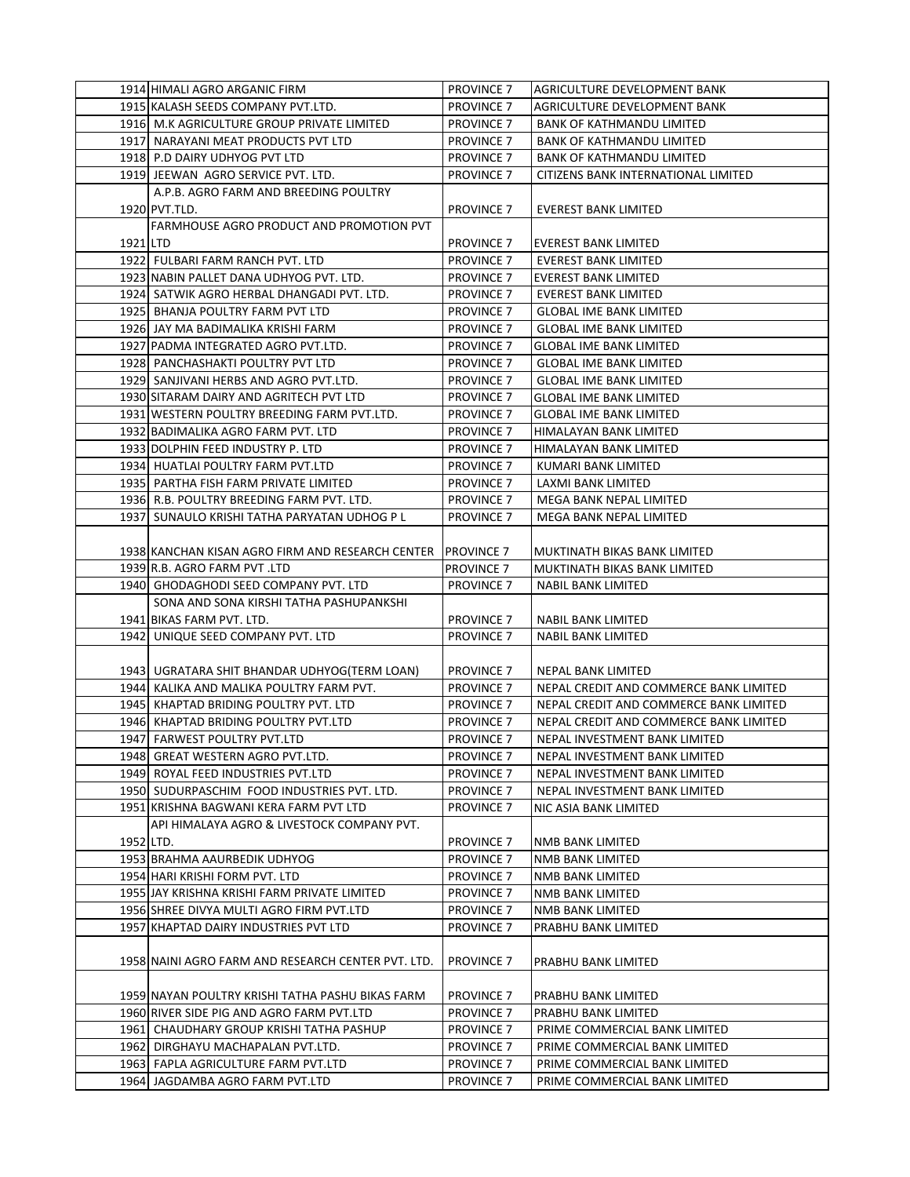|           | 1914 HIMALI AGRO ARGANIC FIRM                      | <b>PROVINCE 7</b>     | <b>AGRICULTURE DEVELOPMENT BANK</b>    |
|-----------|----------------------------------------------------|-----------------------|----------------------------------------|
|           | 1915 KALASH SEEDS COMPANY PVT.LTD.                 | <b>PROVINCE 7</b>     | AGRICULTURE DEVELOPMENT BANK           |
|           | 1916 M.K AGRICULTURE GROUP PRIVATE LIMITED         | <b>PROVINCE 7</b>     | <b>BANK OF KATHMANDU LIMITED</b>       |
|           | 1917 NARAYANI MEAT PRODUCTS PVT LTD                | <b>PROVINCE 7</b>     | <b>BANK OF KATHMANDU LIMITED</b>       |
|           | 1918 P.D DAIRY UDHYOG PVT LTD                      | <b>PROVINCE 7</b>     | <b>BANK OF KATHMANDU LIMITED</b>       |
|           | 1919 JEEWAN AGRO SERVICE PVT. LTD.                 | PROVINCE <sub>7</sub> | CITIZENS BANK INTERNATIONAL LIMITED    |
|           | A.P.B. AGRO FARM AND BREEDING POULTRY              |                       |                                        |
|           | 1920 PVT.TLD.                                      | <b>PROVINCE 7</b>     | EVEREST BANK LIMITED                   |
|           | FARMHOUSE AGRO PRODUCT AND PROMOTION PVT           |                       |                                        |
| 1921 LTD  |                                                    | <b>PROVINCE 7</b>     | <b>EVEREST BANK LIMITED</b>            |
|           | 1922 FULBARI FARM RANCH PVT. LTD                   | <b>PROVINCE 7</b>     | EVEREST BANK LIMITED                   |
|           | 1923 NABIN PALLET DANA UDHYOG PVT. LTD.            | <b>PROVINCE 7</b>     | <b>EVEREST BANK LIMITED</b>            |
|           | 1924 SATWIK AGRO HERBAL DHANGADI PVT. LTD.         | <b>PROVINCE 7</b>     | EVEREST BANK LIMITED                   |
|           | 1925 BHANJA POULTRY FARM PVT LTD                   | <b>PROVINCE 7</b>     | <b>GLOBAL IME BANK LIMITED</b>         |
|           | 1926 JAY MA BADIMALIKA KRISHI FARM                 | <b>PROVINCE 7</b>     | <b>GLOBAL IME BANK LIMITED</b>         |
|           | 1927 PADMA INTEGRATED AGRO PVT.LTD.                | <b>PROVINCE 7</b>     | <b>GLOBAL IME BANK LIMITED</b>         |
|           | 1928 PANCHASHAKTI POULTRY PVT LTD                  | <b>PROVINCE 7</b>     | <b>GLOBAL IME BANK LIMITED</b>         |
|           | 1929 SANJIVANI HERBS AND AGRO PVT.LTD.             | <b>PROVINCE 7</b>     | <b>GLOBAL IME BANK LIMITED</b>         |
|           | 1930 SITARAM DAIRY AND AGRITECH PVT LTD            | <b>PROVINCE 7</b>     | <b>GLOBAL IME BANK LIMITED</b>         |
|           | 1931 WESTERN POULTRY BREEDING FARM PVT.LTD.        | <b>PROVINCE 7</b>     | <b>GLOBAL IME BANK LIMITED</b>         |
|           | 1932 BADIMALIKA AGRO FARM PVT. LTD                 | <b>PROVINCE 7</b>     | HIMALAYAN BANK LIMITED                 |
|           | 1933 DOLPHIN FEED INDUSTRY P. LTD                  | <b>PROVINCE 7</b>     | HIMALAYAN BANK LIMITED                 |
|           | 1934 HUATLAI POULTRY FARM PVT.LTD                  | <b>PROVINCE 7</b>     | KUMARI BANK LIMITED                    |
|           | 1935 PARTHA FISH FARM PRIVATE LIMITED              | <b>PROVINCE 7</b>     | <b>LAXMI BANK LIMITED</b>              |
|           | 1936 R.B. POULTRY BREEDING FARM PVT. LTD.          | <b>PROVINCE 7</b>     | MEGA BANK NEPAL LIMITED                |
|           | 1937 SUNAULO KRISHI TATHA PARYATAN UDHOG P L       | <b>PROVINCE 7</b>     | MEGA BANK NEPAL LIMITED                |
|           |                                                    |                       |                                        |
|           | 1938 KANCHAN KISAN AGRO FIRM AND RESEARCH CENTER   | <b>PROVINCE 7</b>     | MUKTINATH BIKAS BANK LIMITED           |
|           | 1939 R.B. AGRO FARM PVT .LTD                       | <b>PROVINCE 7</b>     | MUKTINATH BIKAS BANK LIMITED           |
|           | 1940 GHODAGHODI SEED COMPANY PVT. LTD              | <b>PROVINCE 7</b>     | <b>NABIL BANK LIMITED</b>              |
|           | SONA AND SONA KIRSHI TATHA PASHUPANKSHI            |                       |                                        |
|           | 1941 BIKAS FARM PVT. LTD.                          | <b>PROVINCE 7</b>     | NABIL BANK LIMITED                     |
|           | 1942 UNIQUE SEED COMPANY PVT. LTD                  | <b>PROVINCE 7</b>     | <b>NABIL BANK LIMITED</b>              |
|           |                                                    |                       |                                        |
|           | 1943   UGRATARA SHIT BHANDAR UDHYOG(TERM LOAN)     | <b>PROVINCE 7</b>     | NEPAL BANK LIMITED                     |
|           | 1944 KALIKA AND MALIKA POULTRY FARM PVT.           | <b>PROVINCE 7</b>     | NEPAL CREDIT AND COMMERCE BANK LIMITED |
|           | 1945 KHAPTAD BRIDING POULTRY PVT. LTD              | <b>PROVINCE 7</b>     | NEPAL CREDIT AND COMMERCE BANK LIMITED |
|           | 1946 KHAPTAD BRIDING POULTRY PVT.LTD               | <b>PROVINCE 7</b>     | NEPAL CREDIT AND COMMERCE BANK LIMITED |
|           | 1947 FARWEST POULTRY PVT.LTD                       | <b>PROVINCE 7</b>     | NEPAL INVESTMENT BANK LIMITED          |
|           | 1948 GREAT WESTERN AGRO PVT.LTD.                   | <b>PROVINCE 7</b>     | NEPAL INVESTMENT BANK LIMITED          |
|           | 1949 ROYAL FEED INDUSTRIES PVT.LTD                 | <b>PROVINCE 7</b>     | NEPAL INVESTMENT BANK LIMITED          |
|           | 1950 SUDURPASCHIM FOOD INDUSTRIES PVT. LTD.        | <b>PROVINCE 7</b>     | NEPAL INVESTMENT BANK LIMITED          |
|           | 1951 KRISHNA BAGWANI KERA FARM PVT LTD             | <b>PROVINCE 7</b>     | NIC ASIA BANK LIMITED                  |
|           | API HIMALAYA AGRO & LIVESTOCK COMPANY PVT.         |                       |                                        |
| 1952 LTD. |                                                    | <b>PROVINCE 7</b>     | NMB BANK LIMITED                       |
|           | 1953 BRAHMA AAURBEDIK UDHYOG                       | <b>PROVINCE 7</b>     | NMB BANK LIMITED                       |
|           | 1954 HARI KRISHI FORM PVT. LTD                     | <b>PROVINCE 7</b>     | NMB BANK LIMITED                       |
|           | 1955 JAY KRISHNA KRISHI FARM PRIVATE LIMITED       | <b>PROVINCE 7</b>     | NMB BANK LIMITED                       |
|           | 1956 SHREE DIVYA MULTI AGRO FIRM PVT.LTD           | <b>PROVINCE 7</b>     | NMB BANK LIMITED                       |
|           | 1957 KHAPTAD DAIRY INDUSTRIES PVT LTD              | <b>PROVINCE 7</b>     | PRABHU BANK LIMITED                    |
|           |                                                    |                       |                                        |
|           | 1958 NAINI AGRO FARM AND RESEARCH CENTER PVT. LTD. | <b>PROVINCE 7</b>     | PRABHU BANK LIMITED                    |
|           | 1959 NAYAN POULTRY KRISHI TATHA PASHU BIKAS FARM   | <b>PROVINCE 7</b>     | PRABHU BANK LIMITED                    |
|           | 1960 RIVER SIDE PIG AND AGRO FARM PVT.LTD          | <b>PROVINCE 7</b>     | PRABHU BANK LIMITED                    |
|           | 1961 CHAUDHARY GROUP KRISHI TATHA PASHUP           | <b>PROVINCE 7</b>     | PRIME COMMERCIAL BANK LIMITED          |
|           | 1962 DIRGHAYU MACHAPALAN PVT.LTD.                  | <b>PROVINCE 7</b>     | PRIME COMMERCIAL BANK LIMITED          |
|           | 1963 FAPLA AGRICULTURE FARM PVT.LTD                | <b>PROVINCE 7</b>     | PRIME COMMERCIAL BANK LIMITED          |
|           | 1964 JAGDAMBA AGRO FARM PVT.LTD                    | <b>PROVINCE 7</b>     | PRIME COMMERCIAL BANK LIMITED          |